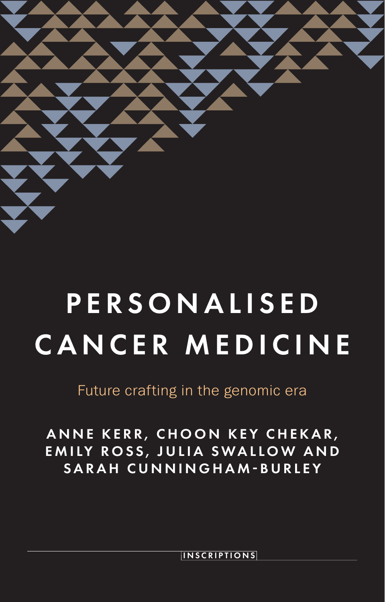

# **P E R S O N A L I S E D** CANCER MEDICINE

Future crafting in the genomic era

ANNE KERR, CHOON KEY CHEKAR, EMILY ROSS, JULIA SWALLOW AND SARAH CUNNINGHAM-BURLEY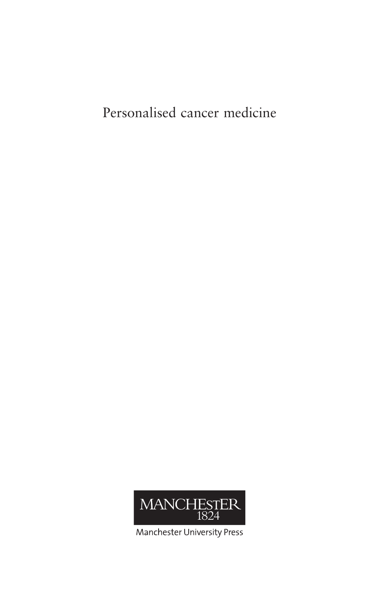Personalised cancer medicine



Manchester University Press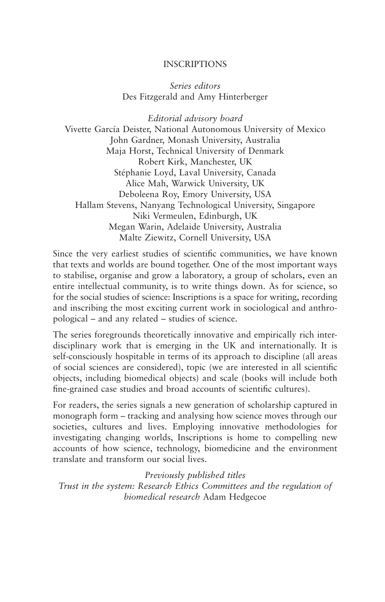#### INSCRIPTIONS

*Series editors* Des Fitzgerald and Amy Hinterberger

*Editorial advisory board* Vivette García Deister, National Autonomous University of Mexico John Gardner, Monash University, Australia Maja Horst, Technical University of Denmark Robert Kirk, Manchester, UK Stéphanie Loyd, Laval University, Canada Alice Mah, Warwick University, UK Deboleena Roy, Emory University, USA Hallam Stevens, Nanyang Technological University, Singapore Niki Vermeulen, Edinburgh, UK Megan Warin, Adelaide University, Australia Malte Ziewitz, Cornell University, USA

Since the very earliest studies of scientific communities, we have known that texts and worlds are bound together. One of the most important ways to stabilise, organise and grow a laboratory, a group of scholars, even an entire intellectual community, is to write things down. As for science, so for the social studies of science: Inscriptions is a space for writing, recording and inscribing the most exciting current work in sociological and anthropological – and any related – studies of science.

The series foregrounds theoretically innovative and empirically rich interdisciplinary work that is emerging in the UK and internationally. It is self-consciously hospitable in terms of its approach to discipline (all areas of social sciences are considered), topic (we are interested in all scientific objects, including biomedical objects) and scale (books will include both fine-grained case studies and broad accounts of scientific cultures).

For readers, the series signals a new generation of scholarship captured in monograph form – tracking and analysing how science moves through our societies, cultures and lives. Employing innovative methodologies for investigating changing worlds, Inscriptions is home to compelling new accounts of how science, technology, biomedicine and the environment translate and transform our social lives.

*Previously published titles*

*Trust in the system: Research Ethics Committees and the regulation of biomedical research* Adam Hedgecoe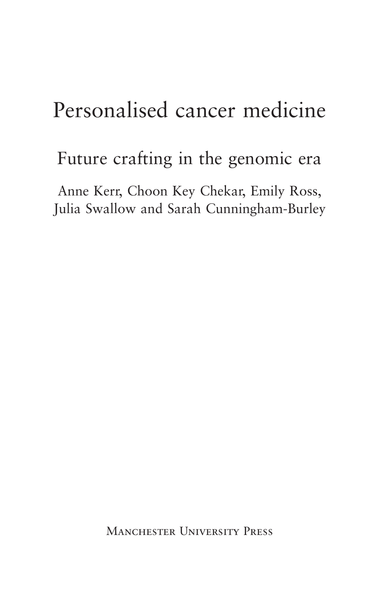# Personalised cancer medicine

# Future crafting in the genomic era

Anne Kerr, Choon Key Chekar, Emily Ross, Julia Swallow and Sarah Cunningham-Burley

Manchester University Press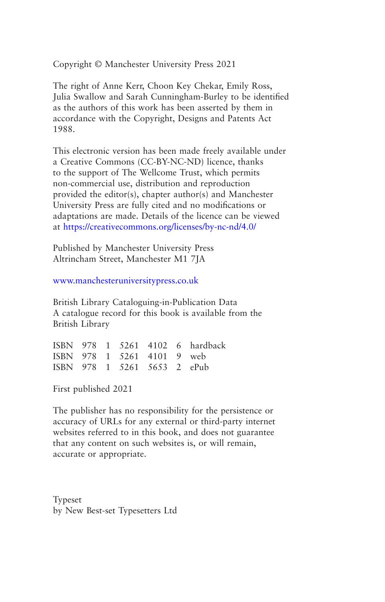Copyright © Manchester University Press 2021

The right of Anne Kerr, Choon Key Chekar, Emily Ross, Julia Swallow and Sarah Cunningham-Burley to be identified as the authors of this work has been asserted by them in accordance with the Copyright, Designs and Patents Act 1988.

This electronic version has been made freely available under a Creative Commons (CC-BY-NC-ND) licence, thanks to the support of The Wellcome Trust, which permits non-commercial use, distribution and reproduction provided the editor(s), chapter author(s) and Manchester University Press are fully cited and no modifications or adaptations are made. Details of the licence can be viewed at <https://creativecommons.org/licenses/by-nc-nd/4.0/>

Published by Manchester University Press Altrincham Street, Manchester M1 7JA

[www.manchesteruniversitypress.co.uk](http://www.manchesteruniversitypress.co.uk/)

British Library Cataloguing-in-Publication Data A catalogue record for this book is available from the British Library

|  |  |                             | ISBN 978 1 5261 4102 6 hardback |
|--|--|-----------------------------|---------------------------------|
|  |  | ISBN 978 1 5261 4101 9 web  |                                 |
|  |  | ISBN 978 1 5261 5653 2 ePub |                                 |

First published 2021

The publisher has no responsibility for the persistence or accuracy of URLs for any external or third-party internet websites referred to in this book, and does not guarantee that any content on such websites is, or will remain, accurate or appropriate.

Typeset by New Best-set Typesetters Ltd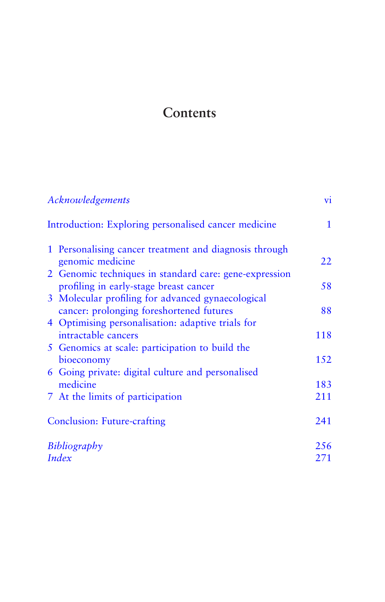## <span id="page-5-0"></span>**Contents**

| Acknowledgements                                                                                 | vi.          |
|--------------------------------------------------------------------------------------------------|--------------|
| Introduction: Exploring personalised cancer medicine                                             | $\mathbf{1}$ |
| 1 Personalising cancer treatment and diagnosis through<br>genomic medicine                       | 22           |
| 2 Genomic techniques in standard care: gene-expression<br>profiling in early-stage breast cancer | 58           |
| 3 Molecular profiling for advanced gynaecological                                                |              |
| cancer: prolonging foreshortened futures                                                         | 88           |
| 4 Optimising personalisation: adaptive trials for                                                |              |
| intractable cancers                                                                              | 118          |
| 5 Genomics at scale: participation to build the                                                  |              |
| bioeconomy                                                                                       | 152          |
| 6 Going private: digital culture and personalised                                                |              |
| medicine                                                                                         | 183          |
| 7 At the limits of participation                                                                 | 211          |
| <b>Conclusion: Future-crafting</b>                                                               | 241          |
| Bibliography                                                                                     | 256          |
| Index                                                                                            | 271          |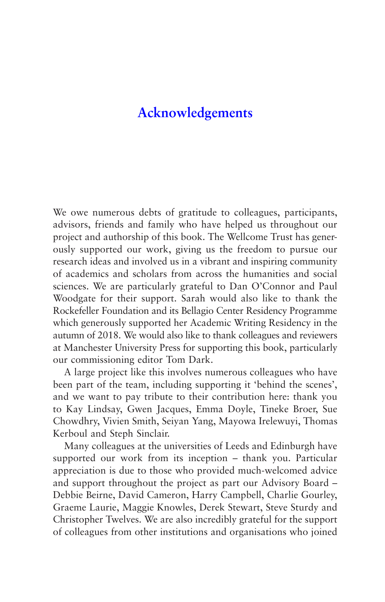### <span id="page-6-0"></span>**[Acknowledgements](#page-5-0)**

We owe numerous debts of gratitude to colleagues, participants, advisors, friends and family who have helped us throughout our project and authorship of this book. The Wellcome Trust has generously supported our work, giving us the freedom to pursue our research ideas and involved us in a vibrant and inspiring community of academics and scholars from across the humanities and social sciences. We are particularly grateful to Dan O'Connor and Paul Woodgate for their support. Sarah would also like to thank the Rockefeller Foundation and its Bellagio Center Residency Programme which generously supported her Academic Writing Residency in the autumn of 2018. We would also like to thank colleagues and reviewers at Manchester University Press for supporting this book, particularly our commissioning editor Tom Dark.

A large project like this involves numerous colleagues who have been part of the team, including supporting it 'behind the scenes', and we want to pay tribute to their contribution here: thank you to Kay Lindsay, Gwen Jacques, Emma Doyle, Tineke Broer, Sue Chowdhry, Vivien Smith, Seiyan Yang, Mayowa Irelewuyi, Thomas Kerboul and Steph Sinclair.

Many colleagues at the universities of Leeds and Edinburgh have supported our work from its inception – thank you. Particular appreciation is due to those who provided much-welcomed advice and support throughout the project as part our Advisory Board – Debbie Beirne, David Cameron, Harry Campbell, Charlie Gourley, Graeme Laurie, Maggie Knowles, Derek Stewart, Steve Sturdy and Christopher Twelves. We are also incredibly grateful for the support of colleagues from other institutions and organisations who joined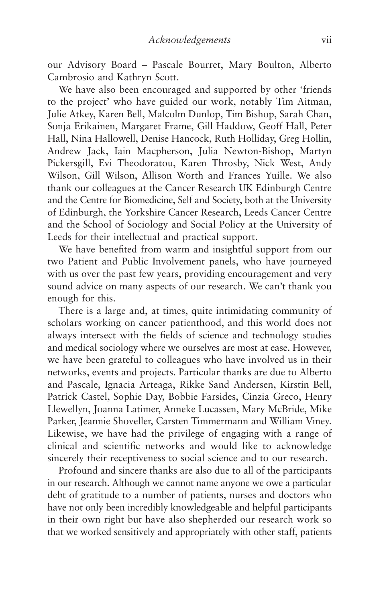our Advisory Board – Pascale Bourret, Mary Boulton, Alberto Cambrosio and Kathryn Scott.

We have also been encouraged and supported by other 'friends to the project' who have guided our work, notably Tim Aitman, Julie Atkey, Karen Bell, Malcolm Dunlop, Tim Bishop, Sarah Chan, Sonja Erikainen, Margaret Frame, Gill Haddow, Geoff Hall, Peter Hall, Nina Hallowell, Denise Hancock, Ruth Holliday, Greg Hollin, Andrew Jack, Iain Macpherson, Julia Newton-Bishop, Martyn Pickersgill, Evi Theodoratou, Karen Throsby, Nick West, Andy Wilson, Gill Wilson, Allison Worth and Frances Yuille. We also thank our colleagues at the Cancer Research UK Edinburgh Centre and the Centre for Biomedicine, Self and Society, both at the University of Edinburgh, the Yorkshire Cancer Research, Leeds Cancer Centre and the School of Sociology and Social Policy at the University of Leeds for their intellectual and practical support.

We have benefited from warm and insightful support from our two Patient and Public Involvement panels, who have journeyed with us over the past few years, providing encouragement and very sound advice on many aspects of our research. We can't thank you enough for this.

There is a large and, at times, quite intimidating community of scholars working on cancer patienthood, and this world does not always intersect with the fields of science and technology studies and medical sociology where we ourselves are most at ease. However, we have been grateful to colleagues who have involved us in their networks, events and projects. Particular thanks are due to Alberto and Pascale, Ignacia Arteaga, Rikke Sand Andersen, Kirstin Bell, Patrick Castel, Sophie Day, Bobbie Farsides, Cinzia Greco, Henry Llewellyn, Joanna Latimer, Anneke Lucassen, Mary McBride, Mike Parker, Jeannie Shoveller, Carsten Timmermann and William Viney. Likewise, we have had the privilege of engaging with a range of clinical and scientific networks and would like to acknowledge sincerely their receptiveness to social science and to our research.

Profound and sincere thanks are also due to all of the participants in our research. Although we cannot name anyone we owe a particular debt of gratitude to a number of patients, nurses and doctors who have not only been incredibly knowledgeable and helpful participants in their own right but have also shepherded our research work so that we worked sensitively and appropriately with other staff, patients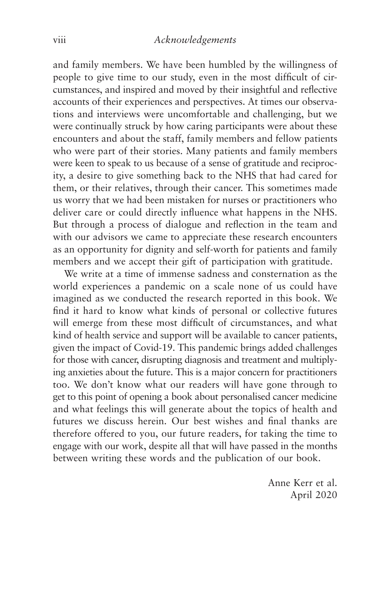and family members. We have been humbled by the willingness of people to give time to our study, even in the most difficult of circumstances, and inspired and moved by their insightful and reflective accounts of their experiences and perspectives. At times our observations and interviews were uncomfortable and challenging, but we were continually struck by how caring participants were about these encounters and about the staff, family members and fellow patients who were part of their stories. Many patients and family members were keen to speak to us because of a sense of gratitude and reciprocity, a desire to give something back to the NHS that had cared for them, or their relatives, through their cancer. This sometimes made us worry that we had been mistaken for nurses or practitioners who deliver care or could directly influence what happens in the NHS. But through a process of dialogue and reflection in the team and with our advisors we came to appreciate these research encounters as an opportunity for dignity and self-worth for patients and family members and we accept their gift of participation with gratitude.

We write at a time of immense sadness and consternation as the world experiences a pandemic on a scale none of us could have imagined as we conducted the research reported in this book. We find it hard to know what kinds of personal or collective futures will emerge from these most difficult of circumstances, and what kind of health service and support will be available to cancer patients, given the impact of Covid-19. This pandemic brings added challenges for those with cancer, disrupting diagnosis and treatment and multiplying anxieties about the future. This is a major concern for practitioners too. We don't know what our readers will have gone through to get to this point of opening a book about personalised cancer medicine and what feelings this will generate about the topics of health and futures we discuss herein. Our best wishes and final thanks are therefore offered to you, our future readers, for taking the time to engage with our work, despite all that will have passed in the months between writing these words and the publication of our book.

> Anne Kerr et al. April 2020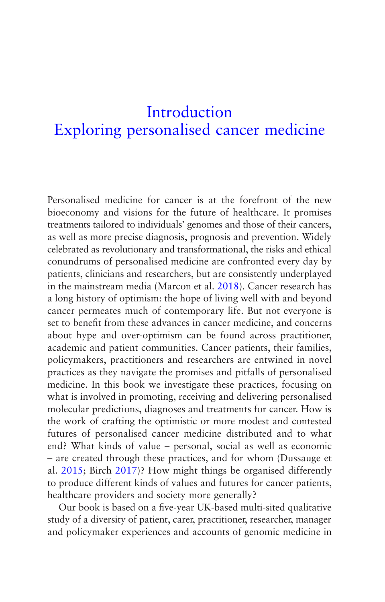# <span id="page-9-0"></span>**Introduction** [Exploring personalised cancer medicine](#page-5-0)

Personalised medicine for cancer is at the forefront of the new bioeconomy and visions for the future of healthcare. It promises treatments tailored to individuals' genomes and those of their cancers, as well as more precise diagnosis, prognosis and prevention. Widely celebrated as revolutionary and transformational, the risks and ethical conundrums of personalised medicine are confronted every day by patients, clinicians and researchers, but are consistently underplayed in the mainstream media (Marcon et al. [2018](#page-272-0)). Cancer research has a long history of optimism: the hope of living well with and beyond cancer permeates much of contemporary life. But not everyone is set to benefit from these advances in cancer medicine, and concerns about hype and over-optimism can be found across practitioner, academic and patient communities. Cancer patients, their families, policymakers, practitioners and researchers are entwined in novel practices as they navigate the promises and pitfalls of personalised medicine. In this book we investigate these practices, focusing on what is involved in promoting, receiving and delivering personalised molecular predictions, diagnoses and treatments for cancer. How is the work of crafting the optimistic or more modest and contested futures of personalised cancer medicine distributed and to what end? What kinds of value – personal, social as well as economic – are created through these practices, and for whom (Dussauge et al. [2015;](#page-268-0) Birch [2017](#page-265-0))? How might things be organised differently to produce different kinds of values and futures for cancer patients, healthcare providers and society more generally?

Our book is based on a five-year UK-based multi-sited qualitative study of a diversity of patient, carer, practitioner, researcher, manager and policymaker experiences and accounts of genomic medicine in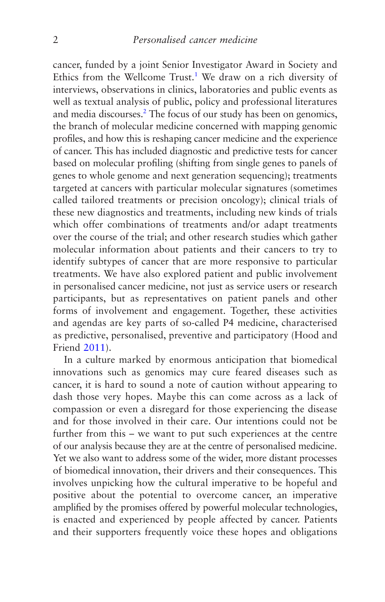<span id="page-10-0"></span>cancer, funded by a joint Senior Investigator Award in Society and Ethics from the Wellcome Trust.<sup>[1](#page-28-0)</sup> We draw on a rich diversity of interviews, observations in clinics, laboratories and public events as well as textual analysis of public, policy and professional literatures and media discourses.<sup>[2](#page-28-0)</sup> The focus of our study has been on genomics, the branch of molecular medicine concerned with mapping genomic profiles, and how this is reshaping cancer medicine and the experience of cancer. This has included diagnostic and predictive tests for cancer based on molecular profiling (shifting from single genes to panels of genes to whole genome and next generation sequencing); treatments targeted at cancers with particular molecular signatures (sometimes called tailored treatments or precision oncology); clinical trials of these new diagnostics and treatments, including new kinds of trials which offer combinations of treatments and/or adapt treatments over the course of the trial; and other research studies which gather molecular information about patients and their cancers to try to identify subtypes of cancer that are more responsive to particular treatments. We have also explored patient and public involvement in personalised cancer medicine, not just as service users or research participants, but as representatives on patient panels and other forms of involvement and engagement. Together, these activities and agendas are key parts of so-called P4 medicine, characterised as predictive, personalised, preventive and participatory (Hood and Friend [2011](#page-270-0)).

In a culture marked by enormous anticipation that biomedical innovations such as genomics may cure feared diseases such as cancer, it is hard to sound a note of caution without appearing to dash those very hopes. Maybe this can come across as a lack of compassion or even a disregard for those experiencing the disease and for those involved in their care. Our intentions could not be further from this – we want to put such experiences at the centre of our analysis because they are at the centre of personalised medicine. Yet we also want to address some of the wider, more distant processes of biomedical innovation, their drivers and their consequences. This involves unpicking how the cultural imperative to be hopeful and positive about the potential to overcome cancer, an imperative amplified by the promises offered by powerful molecular technologies, is enacted and experienced by people affected by cancer. Patients and their supporters frequently voice these hopes and obligations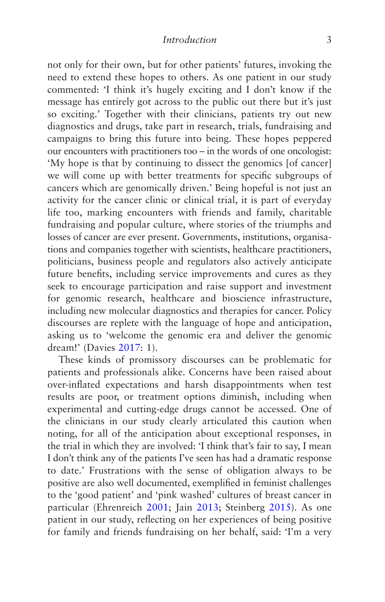not only for their own, but for other patients' futures, invoking the need to extend these hopes to others. As one patient in our study commented: 'I think it's hugely exciting and I don't know if the message has entirely got across to the public out there but it's just so exciting.' Together with their clinicians, patients try out new diagnostics and drugs, take part in research, trials, fundraising and campaigns to bring this future into being. These hopes peppered our encounters with practitioners too – in the words of one oncologist: 'My hope is that by continuing to dissect the genomics [of cancer] we will come up with better treatments for specific subgroups of cancers which are genomically driven.' Being hopeful is not just an activity for the cancer clinic or clinical trial, it is part of everyday life too, marking encounters with friends and family, charitable fundraising and popular culture, where stories of the triumphs and losses of cancer are ever present. Governments, institutions, organisations and companies together with scientists, healthcare practitioners, politicians, business people and regulators also actively anticipate future benefits, including service improvements and cures as they seek to encourage participation and raise support and investment for genomic research, healthcare and bioscience infrastructure, including new molecular diagnostics and therapies for cancer. Policy discourses are replete with the language of hope and anticipation, asking us to 'welcome the genomic era and deliver the genomic dream!' (Davies [2017:](#page-267-0) 1).

These kinds of promissory discourses can be problematic for patients and professionals alike. Concerns have been raised about over-inflated expectations and harsh disappointments when test results are poor, or treatment options diminish, including when experimental and cutting-edge drugs cannot be accessed. One of the clinicians in our study clearly articulated this caution when noting, for all of the anticipation about exceptional responses, in the trial in which they are involved: 'I think that's fair to say, I mean I don't think any of the patients I've seen has had a dramatic response to date.' Frustrations with the sense of obligation always to be positive are also well documented, exemplified in feminist challenges to the 'good patient' and 'pink washed' cultures of breast cancer in particular (Ehrenreich [2001](#page-268-0); Jain [2013](#page-270-0); Steinberg [2015\)](#page-276-0). As one patient in our study, reflecting on her experiences of being positive for family and friends fundraising on her behalf, said: 'I'm a very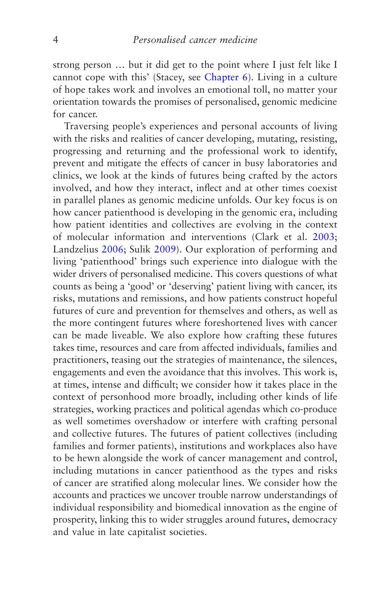strong person … but it did get to the point where I just felt like I cannot cope with this' (Stacey, see [Chapter 6\)](#page-191-0). Living in a culture of hope takes work and involves an emotional toll, no matter your orientation towards the promises of personalised, genomic medicine for cancer.

Traversing people's experiences and personal accounts of living with the risks and realities of cancer developing, mutating, resisting, progressing and returning and the professional work to identify, prevent and mitigate the effects of cancer in busy laboratories and clinics, we look at the kinds of futures being crafted by the actors involved, and how they interact, inflect and at other times coexist in parallel planes as genomic medicine unfolds. Our key focus is on how cancer patienthood is developing in the genomic era, including how patient identities and collectives are evolving in the context of molecular information and interventions (Clark et al. [2003](#page-267-0); Landzelius [2006;](#page-271-0) Sulik [2009\)](#page-276-0). Our exploration of performing and living 'patienthood' brings such experience into dialogue with the wider drivers of personalised medicine. This covers questions of what counts as being a 'good' or 'deserving' patient living with cancer, its risks, mutations and remissions, and how patients construct hopeful futures of cure and prevention for themselves and others, as well as the more contingent futures where foreshortened lives with cancer can be made liveable. We also explore how crafting these futures takes time, resources and care from affected individuals, families and practitioners, teasing out the strategies of maintenance, the silences, engagements and even the avoidance that this involves. This work is, at times, intense and difficult; we consider how it takes place in the context of personhood more broadly, including other kinds of life strategies, working practices and political agendas which co-produce as well sometimes overshadow or interfere with crafting personal and collective futures. The futures of patient collectives (including families and former patients), institutions and workplaces also have to be hewn alongside the work of cancer management and control, including mutations in cancer patienthood as the types and risks of cancer are stratified along molecular lines. We consider how the accounts and practices we uncover trouble narrow understandings of individual responsibility and biomedical innovation as the engine of prosperity, linking this to wider struggles around futures, democracy and value in late capitalist societies.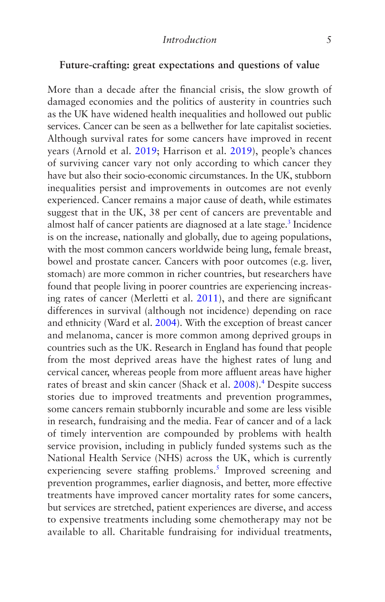#### <span id="page-13-0"></span>**Future-crafting: great expectations and questions of value**

More than a decade after the financial crisis, the slow growth of damaged economies and the politics of austerity in countries such as the UK have widened health inequalities and hollowed out public services. Cancer can be seen as a bellwether for late capitalist societies. Although survival rates for some cancers have improved in recent years (Arnold et al. [2019](#page-264-0); Harrison et al. [2019](#page-269-0)), people's chances of surviving cancer vary not only according to which cancer they have but also their socio-economic circumstances. In the UK, stubborn inequalities persist and improvements in outcomes are not evenly experienced. Cancer remains a major cause of death, while estimates suggest that in the UK, 38 per cent of cancers are preventable and almost half of cancer patients are diagnosed at a late stage.<sup>3</sup> Incidence is on the increase, nationally and globally, due to ageing populations, with the most common cancers worldwide being lung, female breast, bowel and prostate cancer. Cancers with poor outcomes (e.g. liver, stomach) are more common in richer countries, but researchers have found that people living in poorer countries are experiencing increasing rates of cancer (Merletti et al. [2011](#page-273-0)), and there are significant differences in survival (although not incidence) depending on race and ethnicity (Ward et al. [2004](#page-277-0)). With the exception of breast cancer and melanoma, cancer is more common among deprived groups in countries such as the UK. Research in England has found that people from the most deprived areas have the highest rates of lung and cervical cancer, whereas people from more affluent areas have higher rates of breast and skin cancer (Shack et al. [2008\)](#page-276-0).<sup>[4](#page-28-0)</sup> Despite success stories due to improved treatments and prevention programmes, some cancers remain stubbornly incurable and some are less visible in research, fundraising and the media. Fear of cancer and of a lack of timely intervention are compounded by problems with health service provision, including in publicly funded systems such as the National Health Service (NHS) across the UK, which is currently experiencing severe staffing problems.<sup>[5](#page-29-0)</sup> Improved screening and prevention programmes, earlier diagnosis, and better, more effective treatments have improved cancer mortality rates for some cancers, but services are stretched, patient experiences are diverse, and access to expensive treatments including some chemotherapy may not be available to all. Charitable fundraising for individual treatments,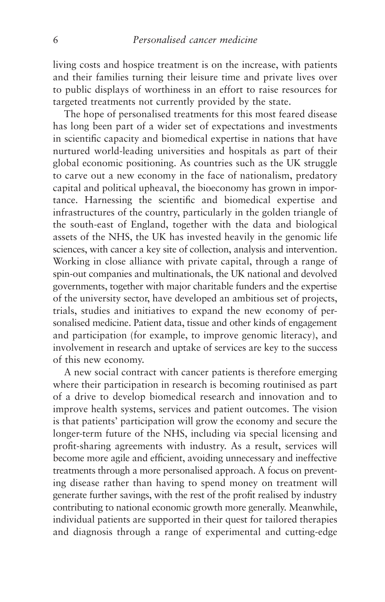living costs and hospice treatment is on the increase, with patients and their families turning their leisure time and private lives over to public displays of worthiness in an effort to raise resources for targeted treatments not currently provided by the state.

The hope of personalised treatments for this most feared disease has long been part of a wider set of expectations and investments in scientific capacity and biomedical expertise in nations that have nurtured world-leading universities and hospitals as part of their global economic positioning. As countries such as the UK struggle to carve out a new economy in the face of nationalism, predatory capital and political upheaval, the bioeconomy has grown in importance. Harnessing the scientific and biomedical expertise and infrastructures of the country, particularly in the golden triangle of the south-east of England, together with the data and biological assets of the NHS, the UK has invested heavily in the genomic life sciences, with cancer a key site of collection, analysis and intervention. Working in close alliance with private capital, through a range of spin-out companies and multinationals, the UK national and devolved governments, together with major charitable funders and the expertise of the university sector, have developed an ambitious set of projects, trials, studies and initiatives to expand the new economy of personalised medicine. Patient data, tissue and other kinds of engagement and participation (for example, to improve genomic literacy), and involvement in research and uptake of services are key to the success of this new economy.

A new social contract with cancer patients is therefore emerging where their participation in research is becoming routinised as part of a drive to develop biomedical research and innovation and to improve health systems, services and patient outcomes. The vision is that patients' participation will grow the economy and secure the longer-term future of the NHS, including via special licensing and profit-sharing agreements with industry. As a result, services will become more agile and efficient, avoiding unnecessary and ineffective treatments through a more personalised approach. A focus on preventing disease rather than having to spend money on treatment will generate further savings, with the rest of the profit realised by industry contributing to national economic growth more generally. Meanwhile, individual patients are supported in their quest for tailored therapies and diagnosis through a range of experimental and cutting-edge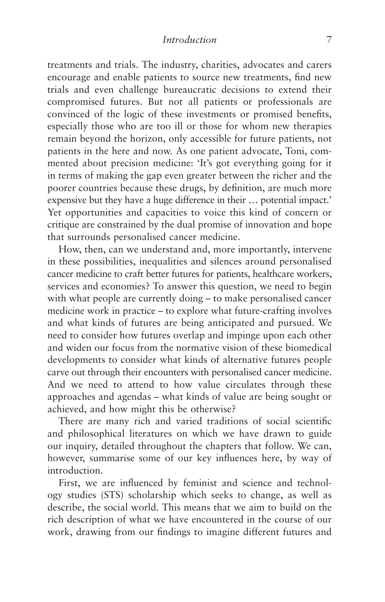treatments and trials. The industry, charities, advocates and carers encourage and enable patients to source new treatments, find new trials and even challenge bureaucratic decisions to extend their compromised futures. But not all patients or professionals are convinced of the logic of these investments or promised benefits, especially those who are too ill or those for whom new therapies remain beyond the horizon, only accessible for future patients, not patients in the here and now. As one patient advocate, Toni, commented about precision medicine: 'It's got everything going for it in terms of making the gap even greater between the richer and the poorer countries because these drugs, by definition, are much more expensive but they have a huge difference in their … potential impact.' Yet opportunities and capacities to voice this kind of concern or critique are constrained by the dual promise of innovation and hope that surrounds personalised cancer medicine.

How, then, can we understand and, more importantly, intervene in these possibilities, inequalities and silences around personalised cancer medicine to craft better futures for patients, healthcare workers, services and economies? To answer this question, we need to begin with what people are currently doing – to make personalised cancer medicine work in practice – to explore what future-crafting involves and what kinds of futures are being anticipated and pursued. We need to consider how futures overlap and impinge upon each other and widen our focus from the normative vision of these biomedical developments to consider what kinds of alternative futures people carve out through their encounters with personalised cancer medicine. And we need to attend to how value circulates through these approaches and agendas – what kinds of value are being sought or achieved, and how might this be otherwise?

There are many rich and varied traditions of social scientific and philosophical literatures on which we have drawn to guide our inquiry, detailed throughout the chapters that follow. We can, however, summarise some of our key influences here, by way of introduction.

First, we are influenced by feminist and science and technology studies (STS) scholarship which seeks to change, as well as describe, the social world. This means that we aim to build on the rich description of what we have encountered in the course of our work, drawing from our findings to imagine different futures and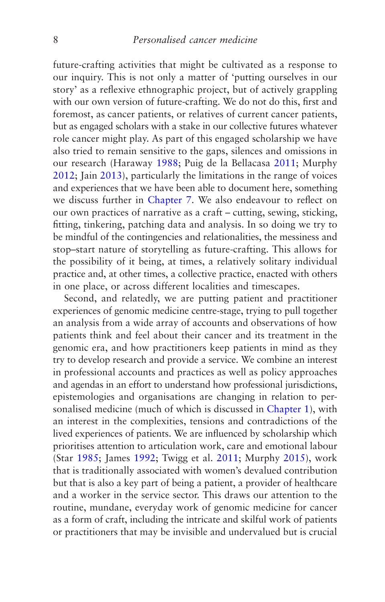future-crafting activities that might be cultivated as a response to our inquiry. This is not only a matter of 'putting ourselves in our story' as a reflexive ethnographic project, but of actively grappling with our own version of future-crafting. We do not do this, first and foremost, as cancer patients, or relatives of current cancer patients, but as engaged scholars with a stake in our collective futures whatever role cancer might play. As part of this engaged scholarship we have also tried to remain sensitive to the gaps, silences and omissions in our research (Haraway [1988](#page-269-0); Puig de la Bellacasa [2011;](#page-275-0) Murphy [2012](#page-274-0); Jain [2013](#page-270-0)), particularly the limitations in the range of voices and experiences that we have been able to document here, something we discuss further in [Chapter 7.](#page-219-0) We also endeavour to reflect on our own practices of narrative as a craft – cutting, sewing, sticking, fitting, tinkering, patching data and analysis. In so doing we try to be mindful of the contingencies and relationalities, the messiness and stop–start nature of storytelling as future-crafting. This allows for the possibility of it being, at times, a relatively solitary individual practice and, at other times, a collective practice, enacted with others in one place, or across different localities and timescapes.

Second, and relatedly, we are putting patient and practitioner experiences of genomic medicine centre-stage, trying to pull together an analysis from a wide array of accounts and observations of how patients think and feel about their cancer and its treatment in the genomic era, and how practitioners keep patients in mind as they try to develop research and provide a service. We combine an interest in professional accounts and practices as well as policy approaches and agendas in an effort to understand how professional jurisdictions, epistemologies and organisations are changing in relation to personalised medicine (much of which is discussed in [Chapter 1\)](#page-30-0), with an interest in the complexities, tensions and contradictions of the lived experiences of patients. We are influenced by scholarship which prioritises attention to articulation work, care and emotional labour (Star [1985](#page-276-0); James [1992](#page-270-0); Twigg et al. [2011;](#page-277-0) Murphy [2015](#page-274-0)), work that is traditionally associated with women's devalued contribution but that is also a key part of being a patient, a provider of healthcare and a worker in the service sector. This draws our attention to the routine, mundane, everyday work of genomic medicine for cancer as a form of craft, including the intricate and skilful work of patients or practitioners that may be invisible and undervalued but is crucial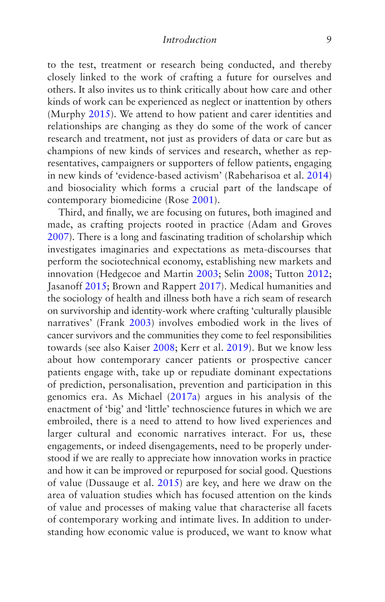to the test, treatment or research being conducted, and thereby closely linked to the work of crafting a future for ourselves and others. It also invites us to think critically about how care and other kinds of work can be experienced as neglect or inattention by others (Murphy [2015](#page-274-0)). We attend to how patient and carer identities and relationships are changing as they do some of the work of cancer research and treatment, not just as providers of data or care but as champions of new kinds of services and research, whether as representatives, campaigners or supporters of fellow patients, engaging in new kinds of 'evidence-based activism' (Rabeharisoa et al. [2014](#page-275-0)) and biosociality which forms a crucial part of the landscape of contemporary biomedicine (Rose [2001\)](#page-275-0).

Third, and finally, we are focusing on futures, both imagined and made, as crafting projects rooted in practice (Adam and Groves [2007](#page-264-0)). There is a long and fascinating tradition of scholarship which investigates imaginaries and expectations as meta-discourses that perform the sociotechnical economy, establishing new markets and innovation (Hedgecoe and Martin [2003](#page-270-0); Selin [2008](#page-276-0); Tutton [2012;](#page-277-0) Jasanoff [2015;](#page-271-0) Brown and Rappert [2017\)](#page-266-0). Medical humanities and the sociology of health and illness both have a rich seam of research on survivorship and identity-work where crafting 'culturally plausible narratives' (Frank [2003\)](#page-268-0) involves embodied work in the lives of cancer survivors and the communities they come to feel responsibilities towards (see also Kaiser [2008;](#page-271-0) Kerr et al. [2019\)](#page-271-0). But we know less about how contemporary cancer patients or prospective cancer patients engage with, take up or repudiate dominant expectations of prediction, personalisation, prevention and participation in this genomics era. As Michael [\(2017a](#page-273-0)) argues in his analysis of the enactment of 'big' and 'little' technoscience futures in which we are embroiled, there is a need to attend to how lived experiences and larger cultural and economic narratives interact. For us, these engagements, or indeed disengagements, need to be properly understood if we are really to appreciate how innovation works in practice and how it can be improved or repurposed for social good. Questions of value (Dussauge et al. [2015](#page-268-0)) are key, and here we draw on the area of valuation studies which has focused attention on the kinds of value and processes of making value that characterise all facets of contemporary working and intimate lives. In addition to understanding how economic value is produced, we want to know what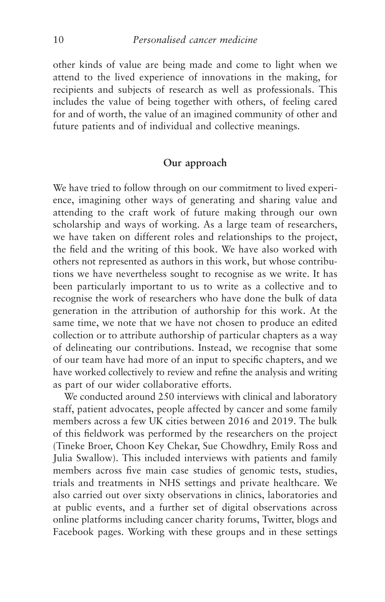other kinds of value are being made and come to light when we attend to the lived experience of innovations in the making, for recipients and subjects of research as well as professionals. This includes the value of being together with others, of feeling cared for and of worth, the value of an imagined community of other and future patients and of individual and collective meanings.

#### **Our approach**

We have tried to follow through on our commitment to lived experience, imagining other ways of generating and sharing value and attending to the craft work of future making through our own scholarship and ways of working. As a large team of researchers, we have taken on different roles and relationships to the project, the field and the writing of this book. We have also worked with others not represented as authors in this work, but whose contributions we have nevertheless sought to recognise as we write. It has been particularly important to us to write as a collective and to recognise the work of researchers who have done the bulk of data generation in the attribution of authorship for this work. At the same time, we note that we have not chosen to produce an edited collection or to attribute authorship of particular chapters as a way of delineating our contributions. Instead, we recognise that some of our team have had more of an input to specific chapters, and we have worked collectively to review and refine the analysis and writing as part of our wider collaborative efforts.

We conducted around 250 interviews with clinical and laboratory staff, patient advocates, people affected by cancer and some family members across a few UK cities between 2016 and 2019. The bulk of this fieldwork was performed by the researchers on the project (Tineke Broer, Choon Key Chekar, Sue Chowdhry, Emily Ross and Julia Swallow). This included interviews with patients and family members across five main case studies of genomic tests, studies, trials and treatments in NHS settings and private healthcare. We also carried out over sixty observations in clinics, laboratories and at public events, and a further set of digital observations across online platforms including cancer charity forums, Twitter, blogs and Facebook pages. Working with these groups and in these settings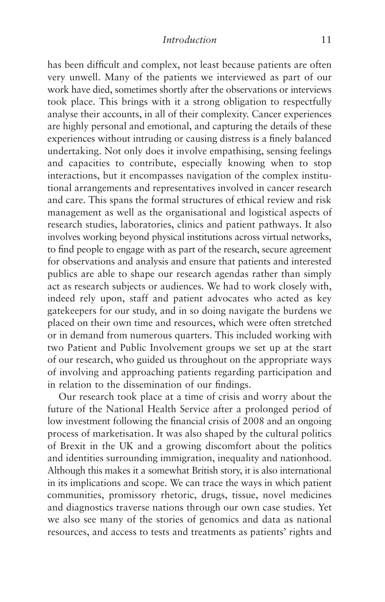has been difficult and complex, not least because patients are often very unwell. Many of the patients we interviewed as part of our work have died, sometimes shortly after the observations or interviews took place. This brings with it a strong obligation to respectfully analyse their accounts, in all of their complexity. Cancer experiences are highly personal and emotional, and capturing the details of these experiences without intruding or causing distress is a finely balanced undertaking. Not only does it involve empathising, sensing feelings and capacities to contribute, especially knowing when to stop interactions, but it encompasses navigation of the complex institutional arrangements and representatives involved in cancer research and care. This spans the formal structures of ethical review and risk management as well as the organisational and logistical aspects of research studies, laboratories, clinics and patient pathways. It also involves working beyond physical institutions across virtual networks, to find people to engage with as part of the research, secure agreement for observations and analysis and ensure that patients and interested publics are able to shape our research agendas rather than simply act as research subjects or audiences. We had to work closely with, indeed rely upon, staff and patient advocates who acted as key gatekeepers for our study, and in so doing navigate the burdens we placed on their own time and resources, which were often stretched or in demand from numerous quarters. This included working with two Patient and Public Involvement groups we set up at the start of our research, who guided us throughout on the appropriate ways of involving and approaching patients regarding participation and in relation to the dissemination of our findings.

Our research took place at a time of crisis and worry about the future of the National Health Service after a prolonged period of low investment following the financial crisis of 2008 and an ongoing process of marketisation. It was also shaped by the cultural politics of Brexit in the UK and a growing discomfort about the politics and identities surrounding immigration, inequality and nationhood. Although this makes it a somewhat British story, it is also international in its implications and scope. We can trace the ways in which patient communities, promissory rhetoric, drugs, tissue, novel medicines and diagnostics traverse nations through our own case studies. Yet we also see many of the stories of genomics and data as national resources, and access to tests and treatments as patients' rights and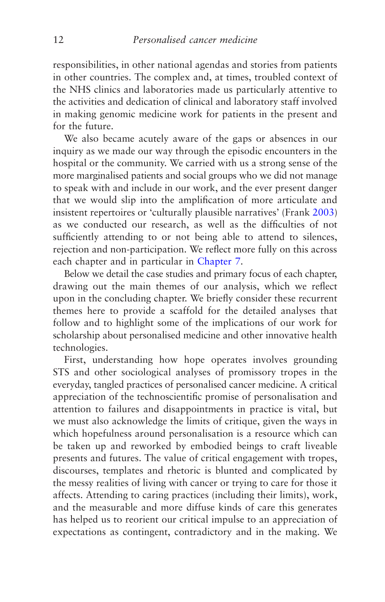responsibilities, in other national agendas and stories from patients in other countries. The complex and, at times, troubled context of the NHS clinics and laboratories made us particularly attentive to the activities and dedication of clinical and laboratory staff involved in making genomic medicine work for patients in the present and for the future.

We also became acutely aware of the gaps or absences in our inquiry as we made our way through the episodic encounters in the hospital or the community. We carried with us a strong sense of the more marginalised patients and social groups who we did not manage to speak with and include in our work, and the ever present danger that we would slip into the amplification of more articulate and insistent repertoires or 'culturally plausible narratives' (Frank [2003\)](#page-268-0) as we conducted our research, as well as the difficulties of not sufficiently attending to or not being able to attend to silences, rejection and non-participation. We reflect more fully on this across each chapter and in particular in [Chapter 7](#page-219-0).

Below we detail the case studies and primary focus of each chapter, drawing out the main themes of our analysis, which we reflect upon in the concluding chapter. We briefly consider these recurrent themes here to provide a scaffold for the detailed analyses that follow and to highlight some of the implications of our work for scholarship about personalised medicine and other innovative health technologies.

First, understanding how hope operates involves grounding STS and other sociological analyses of promissory tropes in the everyday, tangled practices of personalised cancer medicine. A critical appreciation of the technoscientific promise of personalisation and attention to failures and disappointments in practice is vital, but we must also acknowledge the limits of critique, given the ways in which hopefulness around personalisation is a resource which can be taken up and reworked by embodied beings to craft liveable presents and futures. The value of critical engagement with tropes, discourses, templates and rhetoric is blunted and complicated by the messy realities of living with cancer or trying to care for those it affects. Attending to caring practices (including their limits), work, and the measurable and more diffuse kinds of care this generates has helped us to reorient our critical impulse to an appreciation of expectations as contingent, contradictory and in the making. We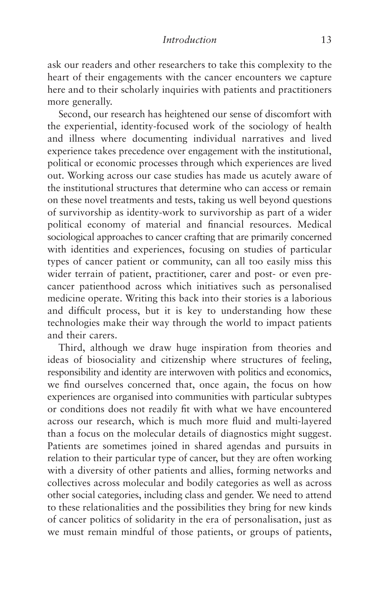ask our readers and other researchers to take this complexity to the heart of their engagements with the cancer encounters we capture here and to their scholarly inquiries with patients and practitioners more generally.

Second, our research has heightened our sense of discomfort with the experiential, identity-focused work of the sociology of health and illness where documenting individual narratives and lived experience takes precedence over engagement with the institutional, political or economic processes through which experiences are lived out. Working across our case studies has made us acutely aware of the institutional structures that determine who can access or remain on these novel treatments and tests, taking us well beyond questions of survivorship as identity-work to survivorship as part of a wider political economy of material and financial resources. Medical sociological approaches to cancer crafting that are primarily concerned with identities and experiences, focusing on studies of particular types of cancer patient or community, can all too easily miss this wider terrain of patient, practitioner, carer and post- or even precancer patienthood across which initiatives such as personalised medicine operate. Writing this back into their stories is a laborious and difficult process, but it is key to understanding how these technologies make their way through the world to impact patients and their carers.

Third, although we draw huge inspiration from theories and ideas of biosociality and citizenship where structures of feeling, responsibility and identity are interwoven with politics and economics, we find ourselves concerned that, once again, the focus on how experiences are organised into communities with particular subtypes or conditions does not readily fit with what we have encountered across our research, which is much more fluid and multi-layered than a focus on the molecular details of diagnostics might suggest. Patients are sometimes joined in shared agendas and pursuits in relation to their particular type of cancer, but they are often working with a diversity of other patients and allies, forming networks and collectives across molecular and bodily categories as well as across other social categories, including class and gender. We need to attend to these relationalities and the possibilities they bring for new kinds of cancer politics of solidarity in the era of personalisation, just as we must remain mindful of those patients, or groups of patients,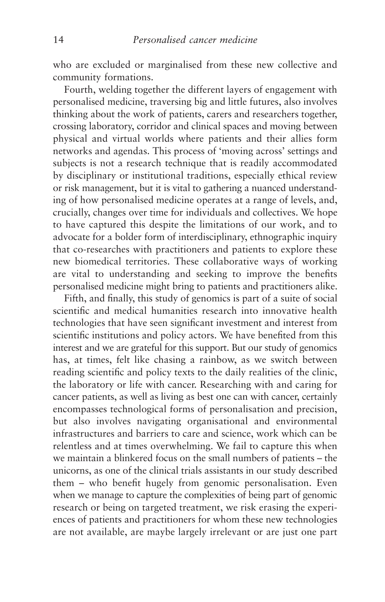who are excluded or marginalised from these new collective and community formations.

Fourth, welding together the different layers of engagement with personalised medicine, traversing big and little futures, also involves thinking about the work of patients, carers and researchers together, crossing laboratory, corridor and clinical spaces and moving between physical and virtual worlds where patients and their allies form networks and agendas. This process of 'moving across' settings and subjects is not a research technique that is readily accommodated by disciplinary or institutional traditions, especially ethical review or risk management, but it is vital to gathering a nuanced understanding of how personalised medicine operates at a range of levels, and, crucially, changes over time for individuals and collectives. We hope to have captured this despite the limitations of our work, and to advocate for a bolder form of interdisciplinary, ethnographic inquiry that co-researches with practitioners and patients to explore these new biomedical territories. These collaborative ways of working are vital to understanding and seeking to improve the benefits personalised medicine might bring to patients and practitioners alike.

Fifth, and finally, this study of genomics is part of a suite of social scientific and medical humanities research into innovative health technologies that have seen significant investment and interest from scientific institutions and policy actors. We have benefited from this interest and we are grateful for this support. But our study of genomics has, at times, felt like chasing a rainbow, as we switch between reading scientific and policy texts to the daily realities of the clinic, the laboratory or life with cancer. Researching with and caring for cancer patients, as well as living as best one can with cancer, certainly encompasses technological forms of personalisation and precision, but also involves navigating organisational and environmental infrastructures and barriers to care and science, work which can be relentless and at times overwhelming. We fail to capture this when we maintain a blinkered focus on the small numbers of patients – the unicorns, as one of the clinical trials assistants in our study described them – who benefit hugely from genomic personalisation. Even when we manage to capture the complexities of being part of genomic research or being on targeted treatment, we risk erasing the experiences of patients and practitioners for whom these new technologies are not available, are maybe largely irrelevant or are just one part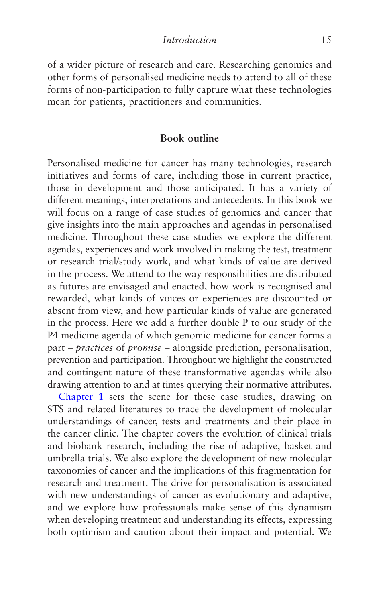of a wider picture of research and care. Researching genomics and other forms of personalised medicine needs to attend to all of these forms of non-participation to fully capture what these technologies mean for patients, practitioners and communities.

#### **Book outline**

Personalised medicine for cancer has many technologies, research initiatives and forms of care, including those in current practice, those in development and those anticipated. It has a variety of different meanings, interpretations and antecedents. In this book we will focus on a range of case studies of genomics and cancer that give insights into the main approaches and agendas in personalised medicine. Throughout these case studies we explore the different agendas, experiences and work involved in making the test, treatment or research trial/study work, and what kinds of value are derived in the process. We attend to the way responsibilities are distributed as futures are envisaged and enacted, how work is recognised and rewarded, what kinds of voices or experiences are discounted or absent from view, and how particular kinds of value are generated in the process. Here we add a further double P to our study of the P4 medicine agenda of which genomic medicine for cancer forms a part – *practices* of *promise* – alongside prediction, personalisation, prevention and participation. Throughout we highlight the constructed and contingent nature of these transformative agendas while also drawing attention to and at times querying their normative attributes.

[Chapter 1](#page-30-0) sets the scene for these case studies, drawing on STS and related literatures to trace the development of molecular understandings of cancer, tests and treatments and their place in the cancer clinic. The chapter covers the evolution of clinical trials and biobank research, including the rise of adaptive, basket and umbrella trials. We also explore the development of new molecular taxonomies of cancer and the implications of this fragmentation for research and treatment. The drive for personalisation is associated with new understandings of cancer as evolutionary and adaptive, and we explore how professionals make sense of this dynamism when developing treatment and understanding its effects, expressing both optimism and caution about their impact and potential. We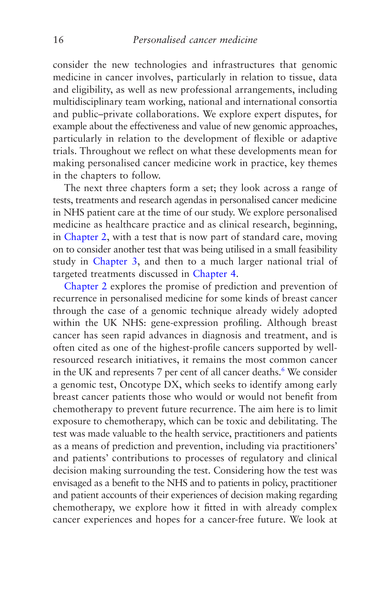<span id="page-24-0"></span>consider the new technologies and infrastructures that genomic medicine in cancer involves, particularly in relation to tissue, data and eligibility, as well as new professional arrangements, including multidisciplinary team working, national and international consortia and public–private collaborations. We explore expert disputes, for example about the effectiveness and value of new genomic approaches, particularly in relation to the development of flexible or adaptive trials. Throughout we reflect on what these developments mean for making personalised cancer medicine work in practice, key themes in the chapters to follow.

The next three chapters form a set; they look across a range of tests, treatments and research agendas in personalised cancer medicine in NHS patient care at the time of our study. We explore personalised medicine as healthcare practice and as clinical research, beginning, in [Chapter 2,](#page-66-0) with a test that is now part of standard care, moving on to consider another test that was being utilised in a small feasibility study in [Chapter 3,](#page-96-0) and then to a much larger national trial of targeted treatments discussed in [Chapter 4.](#page-126-0)

[Chapter 2](#page-66-0) explores the promise of prediction and prevention of recurrence in personalised medicine for some kinds of breast cancer through the case of a genomic technique already widely adopted within the UK NHS: gene-expression profiling. Although breast cancer has seen rapid advances in diagnosis and treatment, and is often cited as one of the highest-profile cancers supported by wellresourced research initiatives, it remains the most common cancer in the UK and represents 7 per cent of all cancer deaths.<sup>6</sup> We consider a genomic test, Oncotype DX, which seeks to identify among early breast cancer patients those who would or would not benefit from chemotherapy to prevent future recurrence. The aim here is to limit exposure to chemotherapy, which can be toxic and debilitating. The test was made valuable to the health service, practitioners and patients as a means of prediction and prevention, including via practitioners' and patients' contributions to processes of regulatory and clinical decision making surrounding the test. Considering how the test was envisaged as a benefit to the NHS and to patients in policy, practitioner and patient accounts of their experiences of decision making regarding chemotherapy, we explore how it fitted in with already complex cancer experiences and hopes for a cancer-free future. We look at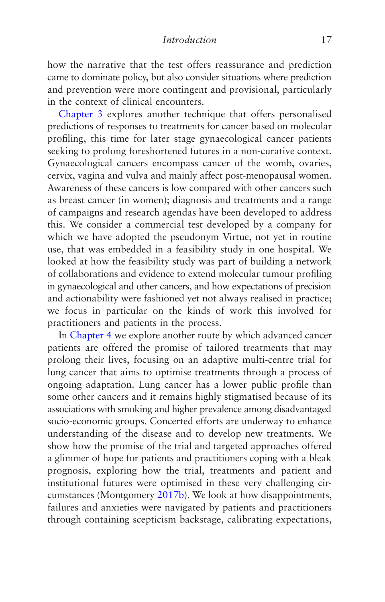how the narrative that the test offers reassurance and prediction came to dominate policy, but also consider situations where prediction and prevention were more contingent and provisional, particularly in the context of clinical encounters.

[Chapter 3](#page-96-0) explores another technique that offers personalised predictions of responses to treatments for cancer based on molecular profiling, this time for later stage gynaecological cancer patients seeking to prolong foreshortened futures in a non-curative context. Gynaecological cancers encompass cancer of the womb, ovaries, cervix, vagina and vulva and mainly affect post-menopausal women. Awareness of these cancers is low compared with other cancers such as breast cancer (in women); diagnosis and treatments and a range of campaigns and research agendas have been developed to address this. We consider a commercial test developed by a company for which we have adopted the pseudonym Virtue, not yet in routine use, that was embedded in a feasibility study in one hospital. We looked at how the feasibility study was part of building a network of collaborations and evidence to extend molecular tumour profiling in gynaecological and other cancers, and how expectations of precision and actionability were fashioned yet not always realised in practice; we focus in particular on the kinds of work this involved for practitioners and patients in the process.

In [Chapter 4](#page-126-0) we explore another route by which advanced cancer patients are offered the promise of tailored treatments that may prolong their lives, focusing on an adaptive multi-centre trial for lung cancer that aims to optimise treatments through a process of ongoing adaptation. Lung cancer has a lower public profile than some other cancers and it remains highly stigmatised because of its associations with smoking and higher prevalence among disadvantaged socio-economic groups. Concerted efforts are underway to enhance understanding of the disease and to develop new treatments. We show how the promise of the trial and targeted approaches offered a glimmer of hope for patients and practitioners coping with a bleak prognosis, exploring how the trial, treatments and patient and institutional futures were optimised in these very challenging circumstances (Montgomery [2017b](#page-273-0)). We look at how disappointments, failures and anxieties were navigated by patients and practitioners through containing scepticism backstage, calibrating expectations,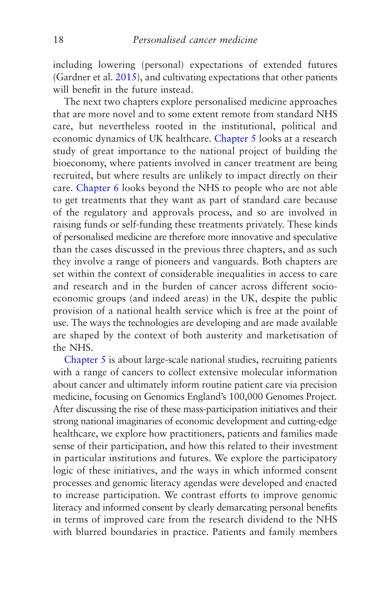including lowering (personal) expectations of extended futures (Gardner et al. [2015](#page-268-0)), and cultivating expectations that other patients will benefit in the future instead.

The next two chapters explore personalised medicine approaches that are more novel and to some extent remote from standard NHS care, but nevertheless rooted in the institutional, political and economic dynamics of UK healthcare. [Chapter 5](#page-160-0) looks at a research study of great importance to the national project of building the bioeconomy, where patients involved in cancer treatment are being recruited, but where results are unlikely to impact directly on their care. [Chapter 6](#page-191-0) looks beyond the NHS to people who are not able to get treatments that they want as part of standard care because of the regulatory and approvals process, and so are involved in raising funds or self-funding these treatments privately. These kinds of personalised medicine are therefore more innovative and speculative than the cases discussed in the previous three chapters, and as such they involve a range of pioneers and vanguards. Both chapters are set within the context of considerable inequalities in access to care and research and in the burden of cancer across different socioeconomic groups (and indeed areas) in the UK, despite the public provision of a national health service which is free at the point of use. The ways the technologies are developing and are made available are shaped by the context of both austerity and marketisation of the NHS.

[Chapter 5](#page-160-0) is about large-scale national studies, recruiting patients with a range of cancers to collect extensive molecular information about cancer and ultimately inform routine patient care via precision medicine, focusing on Genomics England's 100,000 Genomes Project. After discussing the rise of these mass-participation initiatives and their strong national imaginaries of economic development and cutting-edge healthcare, we explore how practitioners, patients and families made sense of their participation, and how this related to their investment in particular institutions and futures. We explore the participatory logic of these initiatives, and the ways in which informed consent processes and genomic literacy agendas were developed and enacted to increase participation. We contrast efforts to improve genomic literacy and informed consent by clearly demarcating personal benefits in terms of improved care from the research dividend to the NHS with blurred boundaries in practice. Patients and family members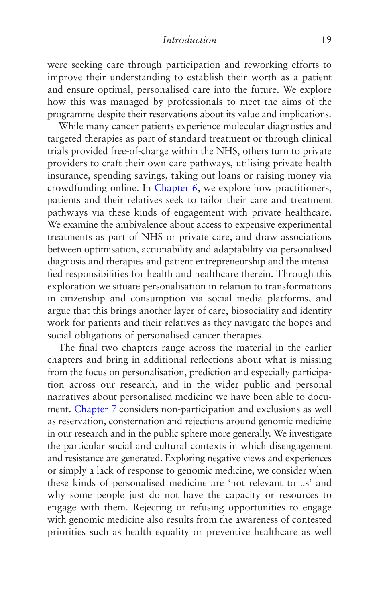#### *Introduction* 19

were seeking care through participation and reworking efforts to improve their understanding to establish their worth as a patient and ensure optimal, personalised care into the future. We explore how this was managed by professionals to meet the aims of the programme despite their reservations about its value and implications.

While many cancer patients experience molecular diagnostics and targeted therapies as part of standard treatment or through clinical trials provided free-of-charge within the NHS, others turn to private providers to craft their own care pathways, utilising private health insurance, spending savings, taking out loans or raising money via crowdfunding online. In [Chapter 6,](#page-191-0) we explore how practitioners, patients and their relatives seek to tailor their care and treatment pathways via these kinds of engagement with private healthcare. We examine the ambivalence about access to expensive experimental treatments as part of NHS or private care, and draw associations between optimisation, actionability and adaptability via personalised diagnosis and therapies and patient entrepreneurship and the intensified responsibilities for health and healthcare therein. Through this exploration we situate personalisation in relation to transformations in citizenship and consumption via social media platforms, and argue that this brings another layer of care, biosociality and identity work for patients and their relatives as they navigate the hopes and social obligations of personalised cancer therapies.

The final two chapters range across the material in the earlier chapters and bring in additional reflections about what is missing from the focus on personalisation, prediction and especially participation across our research, and in the wider public and personal narratives about personalised medicine we have been able to document. [Chapter 7](#page-219-0) considers non-participation and exclusions as well as reservation, consternation and rejections around genomic medicine in our research and in the public sphere more generally. We investigate the particular social and cultural contexts in which disengagement and resistance are generated. Exploring negative views and experiences or simply a lack of response to genomic medicine, we consider when these kinds of personalised medicine are 'not relevant to us' and why some people just do not have the capacity or resources to engage with them. Rejecting or refusing opportunities to engage with genomic medicine also results from the awareness of contested priorities such as health equality or preventive healthcare as well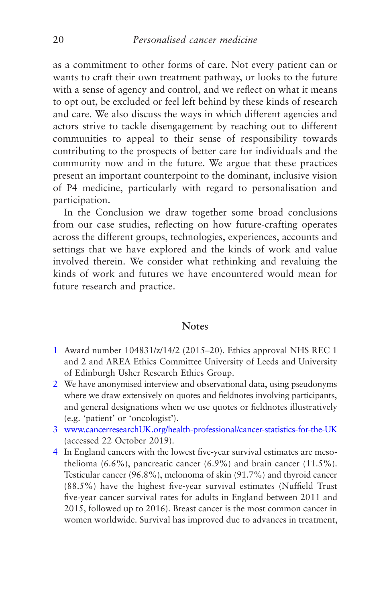<span id="page-28-0"></span>as a commitment to other forms of care. Not every patient can or wants to craft their own treatment pathway, or looks to the future with a sense of agency and control, and we reflect on what it means to opt out, be excluded or feel left behind by these kinds of research and care. We also discuss the ways in which different agencies and actors strive to tackle disengagement by reaching out to different communities to appeal to their sense of responsibility towards contributing to the prospects of better care for individuals and the community now and in the future. We argue that these practices present an important counterpoint to the dominant, inclusive vision of P4 medicine, particularly with regard to personalisation and participation.

In the Conclusion we draw together some broad conclusions from our case studies, reflecting on how future-crafting operates across the different groups, technologies, experiences, accounts and settings that we have explored and the kinds of work and value involved therein. We consider what rethinking and revaluing the kinds of work and futures we have encountered would mean for future research and practice.

#### **Notes**

- [1](#page-10-0) Award number 104831/z/14/2 (2015–20). Ethics approval NHS REC 1 and 2 and AREA Ethics Committee University of Leeds and University of Edinburgh Usher Research Ethics Group.
- [2](#page-10-0) We have anonymised interview and observational data, using pseudonyms where we draw extensively on quotes and fieldnotes involving participants, and general designations when we use quotes or fieldnotes illustratively (e.g. 'patient' or 'oncologist').
- [3](#page-13-0) [www.cancerresearchUK.org/health-professional/cancer-statistics-for-the-UK](http://www.cancerresearchuk.org/health-professional/cancer-statistics-for-the-UK) (accessed 22 October 2019).
- [4](#page-13-0) In England cancers with the lowest five-year survival estimates are mesothelioma  $(6.6\%)$ , pancreatic cancer  $(6.9\%)$  and brain cancer  $(11.5\%).$ Testicular cancer (96.8%), melonoma of skin (91.7%) and thyroid cancer (88.5%) have the highest five-year survival estimates (Nuffield Trust five-year cancer survival rates for adults in England between 2011 and 2015, followed up to 2016). Breast cancer is the most common cancer in women worldwide. Survival has improved due to advances in treatment,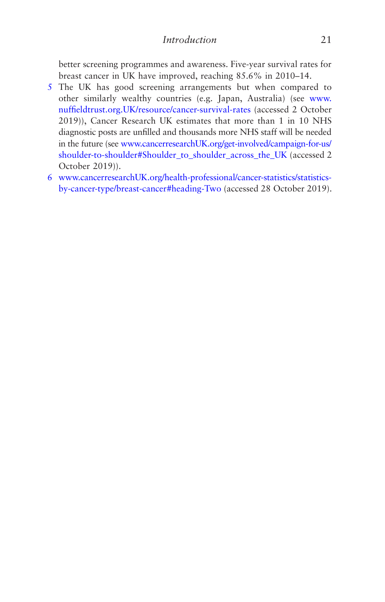<span id="page-29-0"></span>better screening programmes and awareness. Five-year survival rates for breast cancer in UK have improved, reaching 85.6% in 2010–14.

- [5](#page-13-0) The UK has good screening arrangements but when compared to other similarly wealthy countries (e.g. Japan, Australia) (see [www.](http://www.nuffieldtrust.org.uk/resource/cancer-survival-rates) [nuffieldtrust.org.UK/resource/cancer-survival-rates](http://www.nuffieldtrust.org.uk/resource/cancer-survival-rates) (accessed 2 October 2019)), Cancer Research UK estimates that more than 1 in 10 NHS diagnostic posts are unfilled and thousands more NHS staff will be needed in the future (see [www.cancerresearchUK.org/get-involved/campaign-for-us/](http://www.cancerresearchuk.org/get-involved/campaign-for-us/shoulder-to-shoulder#Shoulder_to_shoulder_across_the_UK) [shoulder-to-shoulder#Shoulder\\_to\\_shoulder\\_across\\_the\\_UK](http://www.cancerresearchuk.org/get-involved/campaign-for-us/shoulder-to-shoulder#Shoulder_to_shoulder_across_the_UK) (accessed 2 October 2019)).
- [6](#page-24-0) [www.cancerresearchUK.org/health-professional/cancer-statistics/statistics](http://www.cancerresearchuk.org/health-professional/cancer-statistics/statistics-by-cancer-type/breast-cancer#heading-Two)[by-cancer-type/breast-cancer#heading-Two](http://www.cancerresearchuk.org/health-professional/cancer-statistics/statistics-by-cancer-type/breast-cancer#heading-Two) (accessed 28 October 2019).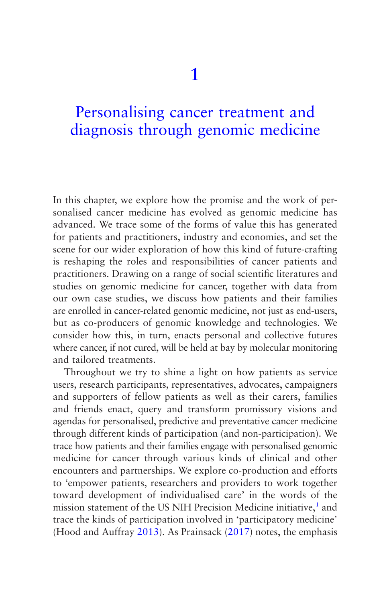# <span id="page-30-0"></span>Personalising cancer treatment and [diagnosis through genomic medicine](#page-5-0)

In this chapter, we explore how the promise and the work of personalised cancer medicine has evolved as genomic medicine has advanced. We trace some of the forms of value this has generated for patients and practitioners, industry and economies, and set the scene for our wider exploration of how this kind of future-crafting is reshaping the roles and responsibilities of cancer patients and practitioners. Drawing on a range of social scientific literatures and studies on genomic medicine for cancer, together with data from our own case studies, we discuss how patients and their families are enrolled in cancer-related genomic medicine, not just as end-users, but as co-producers of genomic knowledge and technologies. We consider how this, in turn, enacts personal and collective futures where cancer, if not cured, will be held at bay by molecular monitoring and tailored treatments.

Throughout we try to shine a light on how patients as service users, research participants, representatives, advocates, campaigners and supporters of fellow patients as well as their carers, families and friends enact, query and transform promissory visions and agendas for personalised, predictive and preventative cancer medicine through different kinds of participation (and non-participation). We trace how patients and their families engage with personalised genomic medicine for cancer through various kinds of clinical and other encounters and partnerships. We explore co-production and efforts to 'empower patients, researchers and providers to work together toward development of individualised care' in the words of the mission statement of the US NIH Precision Medicine initiative,<sup>[1](#page-64-0)</sup> and trace the kinds of participation involved in 'participatory medicine' (Hood and Auffray [2013\)](#page-270-0). As Prainsack ([2017\)](#page-275-0) notes, the emphasis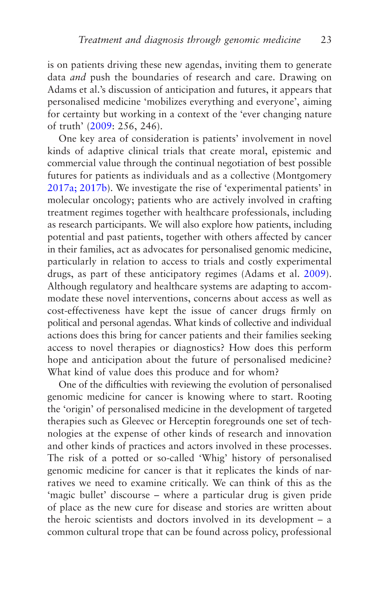is on patients driving these new agendas, inviting them to generate data *and* push the boundaries of research and care. Drawing on Adams et al.'s discussion of anticipation and futures, it appears that personalised medicine 'mobilizes everything and everyone', aiming for certainty but working in a context of the 'ever changing nature of truth' ([2009:](#page-264-0) 256, 246).

One key area of consideration is patients' involvement in novel kinds of adaptive clinical trials that create moral, epistemic and commercial value through the continual negotiation of best possible futures for patients as individuals and as a collective (Montgomery [2017a; 2017b\)](#page-273-0). We investigate the rise of 'experimental patients' in molecular oncology; patients who are actively involved in crafting treatment regimes together with healthcare professionals, including as research participants. We will also explore how patients, including potential and past patients, together with others affected by cancer in their families, act as advocates for personalised genomic medicine, particularly in relation to access to trials and costly experimental drugs, as part of these anticipatory regimes (Adams et al. [2009](#page-264-0)). Although regulatory and healthcare systems are adapting to accommodate these novel interventions, concerns about access as well as cost-effectiveness have kept the issue of cancer drugs firmly on political and personal agendas. What kinds of collective and individual actions does this bring for cancer patients and their families seeking access to novel therapies or diagnostics? How does this perform hope and anticipation about the future of personalised medicine? What kind of value does this produce and for whom?

One of the difficulties with reviewing the evolution of personalised genomic medicine for cancer is knowing where to start. Rooting the 'origin' of personalised medicine in the development of targeted therapies such as Gleevec or Herceptin foregrounds one set of technologies at the expense of other kinds of research and innovation and other kinds of practices and actors involved in these processes. The risk of a potted or so-called 'Whig' history of personalised genomic medicine for cancer is that it replicates the kinds of narratives we need to examine critically. We can think of this as the 'magic bullet' discourse – where a particular drug is given pride of place as the new cure for disease and stories are written about the heroic scientists and doctors involved in its development – a common cultural trope that can be found across policy, professional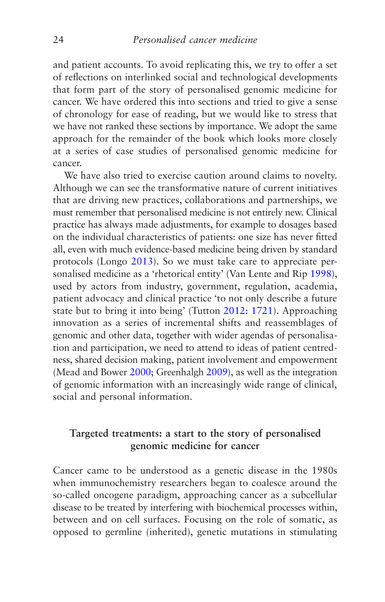and patient accounts. To avoid replicating this, we try to offer a set of reflections on interlinked social and technological developments that form part of the story of personalised genomic medicine for cancer. We have ordered this into sections and tried to give a sense of chronology for ease of reading, but we would like to stress that we have not ranked these sections by importance. We adopt the same approach for the remainder of the book which looks more closely at a series of case studies of personalised genomic medicine for cancer.

We have also tried to exercise caution around claims to novelty. Although we can see the transformative nature of current initiatives that are driving new practices, collaborations and partnerships, we must remember that personalised medicine is not entirely new. Clinical practice has always made adjustments, for example to dosages based on the individual characteristics of patients: one size has never fitted all, even with much evidence-based medicine being driven by standard protocols (Longo [2013\)](#page-272-0). So we must take care to appreciate personalised medicine as a 'rhetorical entity' (Van Lente and Rip [1998](#page-277-0)), used by actors from industry, government, regulation, academia, patient advocacy and clinical practice 'to not only describe a future state but to bring it into being' (Tutton [2012: 1721\)](#page-277-0). Approaching innovation as a series of incremental shifts and reassemblages of genomic and other data, together with wider agendas of personalisation and participation, we need to attend to ideas of patient centredness, shared decision making, patient involvement and empowerment (Mead and Bower [2000](#page-273-0); Greenhalgh [2009](#page-269-0)), as well as the integration of genomic information with an increasingly wide range of clinical, social and personal information.

#### **Targeted treatments: a start to the story of personalised genomic medicine for cancer**

Cancer came to be understood as a genetic disease in the 1980s when immunochemistry researchers began to coalesce around the so-called oncogene paradigm, approaching cancer as a subcellular disease to be treated by interfering with biochemical processes within, between and on cell surfaces. Focusing on the role of somatic, as opposed to germline (inherited), genetic mutations in stimulating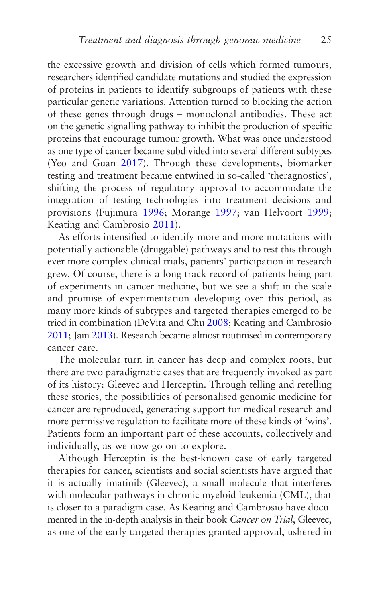the excessive growth and division of cells which formed tumours, researchers identified candidate mutations and studied the expression of proteins in patients to identify subgroups of patients with these particular genetic variations. Attention turned to blocking the action of these genes through drugs – monoclonal antibodies. These act on the genetic signalling pathway to inhibit the production of specific proteins that encourage tumour growth. What was once understood as one type of cancer became subdivided into several different subtypes (Yeo and Guan [2017](#page-278-0)). Through these developments, biomarker testing and treatment became entwined in so-called 'theragnostics', shifting the process of regulatory approval to accommodate the integration of testing technologies into treatment decisions and provisions (Fujimura [1996](#page-268-0); Morange [1997;](#page-274-0) van Helvoort [1999;](#page-277-0) Keating and Cambrosio [2011\)](#page-271-0).

As efforts intensified to identify more and more mutations with potentially actionable (druggable) pathways and to test this through ever more complex clinical trials, patients' participation in research grew. Of course, there is a long track record of patients being part of experiments in cancer medicine, but we see a shift in the scale and promise of experimentation developing over this period, as many more kinds of subtypes and targeted therapies emerged to be tried in combination (DeVita and Chu [2008](#page-267-0); Keating and Cambrosio [2011](#page-271-0); Jain [2013\)](#page-270-0). Research became almost routinised in contemporary cancer care.

The molecular turn in cancer has deep and complex roots, but there are two paradigmatic cases that are frequently invoked as part of its history: Gleevec and Herceptin. Through telling and retelling these stories, the possibilities of personalised genomic medicine for cancer are reproduced, generating support for medical research and more permissive regulation to facilitate more of these kinds of 'wins'. Patients form an important part of these accounts, collectively and individually, as we now go on to explore.

Although Herceptin is the best-known case of early targeted therapies for cancer, scientists and social scientists have argued that it is actually imatinib (Gleevec), a small molecule that interferes with molecular pathways in chronic myeloid leukemia (CML), that is closer to a paradigm case. As Keating and Cambrosio have documented in the in-depth analysis in their book *Cancer on Trial*, Gleevec, as one of the early targeted therapies granted approval, ushered in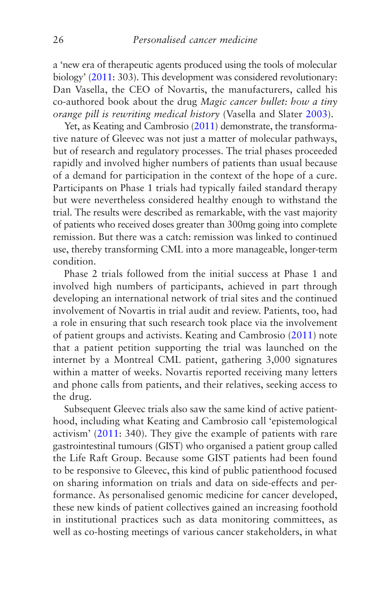a 'new era of therapeutic agents produced using the tools of molecular biology' [\(2011](#page-271-0): 303). This development was considered revolutionary: Dan Vasella, the CEO of Novartis, the manufacturers, called his co-authored book about the drug *Magic cancer bullet: how a tiny orange pill is rewriting medical history* (Vasella and Slater [2003](#page-277-0)).

Yet, as Keating and Cambrosio [\(2011](#page-271-0)) demonstrate, the transformative nature of Gleevec was not just a matter of molecular pathways, but of research and regulatory processes. The trial phases proceeded rapidly and involved higher numbers of patients than usual because of a demand for participation in the context of the hope of a cure. Participants on Phase 1 trials had typically failed standard therapy but were nevertheless considered healthy enough to withstand the trial. The results were described as remarkable, with the vast majority of patients who received doses greater than 300mg going into complete remission. But there was a catch: remission was linked to continued use, thereby transforming CML into a more manageable, longer-term condition.

Phase 2 trials followed from the initial success at Phase 1 and involved high numbers of participants, achieved in part through developing an international network of trial sites and the continued involvement of Novartis in trial audit and review. Patients, too, had a role in ensuring that such research took place via the involvement of patient groups and activists. Keating and Cambrosio [\(2011](#page-271-0)) note that a patient petition supporting the trial was launched on the internet by a Montreal CML patient, gathering 3,000 signatures within a matter of weeks. Novartis reported receiving many letters and phone calls from patients, and their relatives, seeking access to the drug.

Subsequent Gleevec trials also saw the same kind of active patienthood, including what Keating and Cambrosio call 'epistemological activism' ([2011:](#page-271-0) 340). They give the example of patients with rare gastrointestinal tumours (GIST) who organised a patient group called the Life Raft Group. Because some GIST patients had been found to be responsive to Gleevec, this kind of public patienthood focused on sharing information on trials and data on side-effects and performance. As personalised genomic medicine for cancer developed, these new kinds of patient collectives gained an increasing foothold in institutional practices such as data monitoring committees, as well as co-hosting meetings of various cancer stakeholders, in what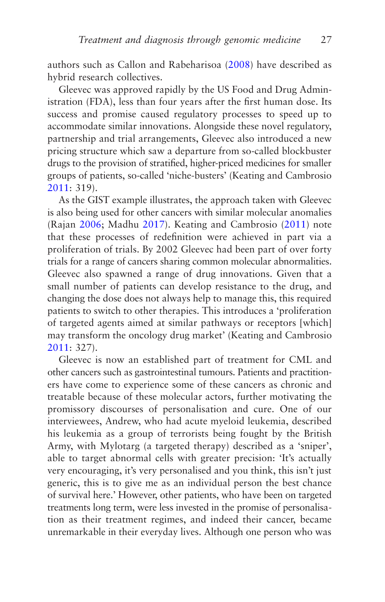authors such as Callon and Rabeharisoa [\(2008](#page-266-0)) have described as hybrid research collectives.

Gleevec was approved rapidly by the US Food and Drug Administration (FDA), less than four years after the first human dose. Its success and promise caused regulatory processes to speed up to accommodate similar innovations. Alongside these novel regulatory, partnership and trial arrangements, Gleevec also introduced a new pricing structure which saw a departure from so-called blockbuster drugs to the provision of stratified, higher-priced medicines for smaller groups of patients, so-called 'niche-busters' (Keating and Cambrosio [2011](#page-271-0): 319).

As the GIST example illustrates, the approach taken with Gleevec is also being used for other cancers with similar molecular anomalies (Rajan [2006](#page-275-0); Madhu [2017](#page-272-0)). Keating and Cambrosio [\(2011](#page-271-0)) note that these processes of redefinition were achieved in part via a proliferation of trials. By 2002 Gleevec had been part of over forty trials for a range of cancers sharing common molecular abnormalities. Gleevec also spawned a range of drug innovations. Given that a small number of patients can develop resistance to the drug, and changing the dose does not always help to manage this, this required patients to switch to other therapies. This introduces a 'proliferation of targeted agents aimed at similar pathways or receptors [which] may transform the oncology drug market' (Keating and Cambrosio [2011](#page-271-0): 327).

Gleevec is now an established part of treatment for CML and other cancers such as gastrointestinal tumours. Patients and practitioners have come to experience some of these cancers as chronic and treatable because of these molecular actors, further motivating the promissory discourses of personalisation and cure. One of our interviewees, Andrew, who had acute myeloid leukemia, described his leukemia as a group of terrorists being fought by the British Army, with Mylotarg (a targeted therapy) described as a 'sniper', able to target abnormal cells with greater precision: 'It's actually very encouraging, it's very personalised and you think, this isn't just generic, this is to give me as an individual person the best chance of survival here.' However, other patients, who have been on targeted treatments long term, were less invested in the promise of personalisation as their treatment regimes, and indeed their cancer, became unremarkable in their everyday lives. Although one person who was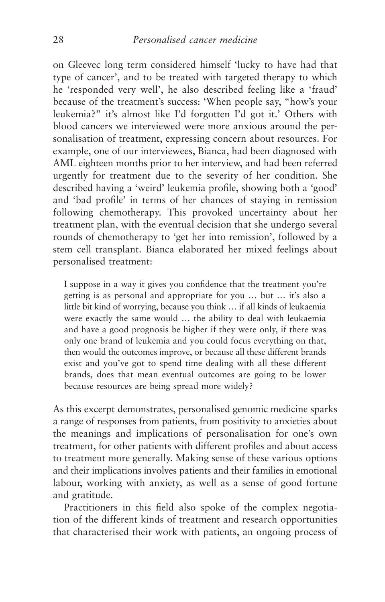on Gleevec long term considered himself 'lucky to have had that type of cancer', and to be treated with targeted therapy to which he 'responded very well', he also described feeling like a 'fraud' because of the treatment's success: 'When people say, "how's your leukemia?" it's almost like I'd forgotten I'd got it.' Others with blood cancers we interviewed were more anxious around the personalisation of treatment, expressing concern about resources. For example, one of our interviewees, Bianca, had been diagnosed with AML eighteen months prior to her interview, and had been referred urgently for treatment due to the severity of her condition. She described having a 'weird' leukemia profile, showing both a 'good' and 'bad profile' in terms of her chances of staying in remission following chemotherapy. This provoked uncertainty about her treatment plan, with the eventual decision that she undergo several rounds of chemotherapy to 'get her into remission', followed by a stem cell transplant. Bianca elaborated her mixed feelings about personalised treatment:

I suppose in a way it gives you confidence that the treatment you're getting is as personal and appropriate for you … but … it's also a little bit kind of worrying, because you think … if all kinds of leukaemia were exactly the same would … the ability to deal with leukaemia and have a good prognosis be higher if they were only, if there was only one brand of leukemia and you could focus everything on that, then would the outcomes improve, or because all these different brands exist and you've got to spend time dealing with all these different brands, does that mean eventual outcomes are going to be lower because resources are being spread more widely?

As this excerpt demonstrates, personalised genomic medicine sparks a range of responses from patients, from positivity to anxieties about the meanings and implications of personalisation for one's own treatment, for other patients with different profiles and about access to treatment more generally. Making sense of these various options and their implications involves patients and their families in emotional labour, working with anxiety, as well as a sense of good fortune and gratitude.

Practitioners in this field also spoke of the complex negotiation of the different kinds of treatment and research opportunities that characterised their work with patients, an ongoing process of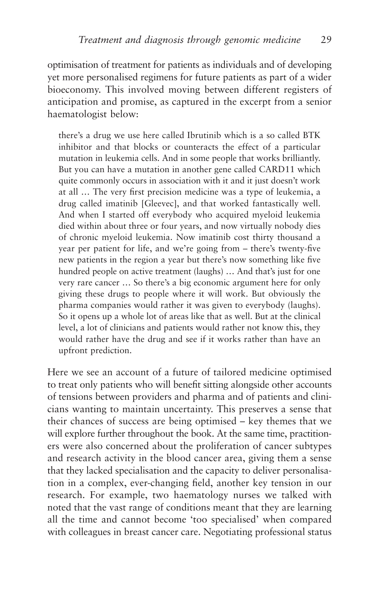optimisation of treatment for patients as individuals and of developing yet more personalised regimens for future patients as part of a wider bioeconomy. This involved moving between different registers of anticipation and promise, as captured in the excerpt from a senior haematologist below:

there's a drug we use here called Ibrutinib which is a so called BTK inhibitor and that blocks or counteracts the effect of a particular mutation in leukemia cells. And in some people that works brilliantly. But you can have a mutation in another gene called CARD11 which quite commonly occurs in association with it and it just doesn't work at all … The very first precision medicine was a type of leukemia, a drug called imatinib [Gleevec], and that worked fantastically well. And when I started off everybody who acquired myeloid leukemia died within about three or four years, and now virtually nobody dies of chronic myeloid leukemia. Now imatinib cost thirty thousand a year per patient for life, and we're going from – there's twenty-five new patients in the region a year but there's now something like five hundred people on active treatment (laughs) … And that's just for one very rare cancer … So there's a big economic argument here for only giving these drugs to people where it will work. But obviously the pharma companies would rather it was given to everybody (laughs). So it opens up a whole lot of areas like that as well. But at the clinical level, a lot of clinicians and patients would rather not know this, they would rather have the drug and see if it works rather than have an upfront prediction.

Here we see an account of a future of tailored medicine optimised to treat only patients who will benefit sitting alongside other accounts of tensions between providers and pharma and of patients and clinicians wanting to maintain uncertainty. This preserves a sense that their chances of success are being optimised – key themes that we will explore further throughout the book. At the same time, practitioners were also concerned about the proliferation of cancer subtypes and research activity in the blood cancer area, giving them a sense that they lacked specialisation and the capacity to deliver personalisation in a complex, ever-changing field, another key tension in our research. For example, two haematology nurses we talked with noted that the vast range of conditions meant that they are learning all the time and cannot become 'too specialised' when compared with colleagues in breast cancer care. Negotiating professional status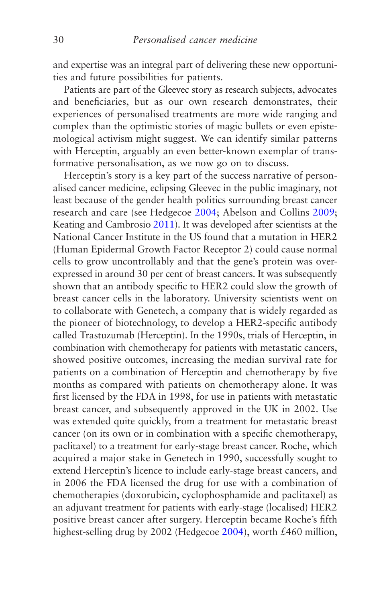and expertise was an integral part of delivering these new opportunities and future possibilities for patients.

Patients are part of the Gleevec story as research subjects, advocates and beneficiaries, but as our own research demonstrates, their experiences of personalised treatments are more wide ranging and complex than the optimistic stories of magic bullets or even epistemological activism might suggest. We can identify similar patterns with Herceptin, arguably an even better-known exemplar of transformative personalisation, as we now go on to discuss.

Herceptin's story is a key part of the success narrative of personalised cancer medicine, eclipsing Gleevec in the public imaginary, not least because of the gender health politics surrounding breast cancer research and care (see Hedgecoe [2004](#page-270-0); Abelson and Collins [2009](#page-264-0); Keating and Cambrosio [2011\)](#page-271-0). It was developed after scientists at the National Cancer Institute in the US found that a mutation in HER2 (Human Epidermal Growth Factor Receptor 2) could cause normal cells to grow uncontrollably and that the gene's protein was overexpressed in around 30 per cent of breast cancers. It was subsequently shown that an antibody specific to HER2 could slow the growth of breast cancer cells in the laboratory. University scientists went on to collaborate with Genetech, a company that is widely regarded as the pioneer of biotechnology, to develop a HER2-specific antibody called Trastuzumab (Herceptin). In the 1990s, trials of Herceptin, in combination with chemotherapy for patients with metastatic cancers, showed positive outcomes, increasing the median survival rate for patients on a combination of Herceptin and chemotherapy by five months as compared with patients on chemotherapy alone. It was first licensed by the FDA in 1998, for use in patients with metastatic breast cancer, and subsequently approved in the UK in 2002. Use was extended quite quickly, from a treatment for metastatic breast cancer (on its own or in combination with a specific chemotherapy, paclitaxel) to a treatment for early-stage breast cancer. Roche, which acquired a major stake in Genetech in 1990, successfully sought to extend Herceptin's licence to include early-stage breast cancers, and in 2006 the FDA licensed the drug for use with a combination of chemotherapies (doxorubicin, cyclophosphamide and paclitaxel) as an adjuvant treatment for patients with early-stage (localised) HER2 positive breast cancer after surgery. Herceptin became Roche's fifth highest-selling drug by 2002 (Hedgecoe [2004\)](#page-270-0), worth £460 million,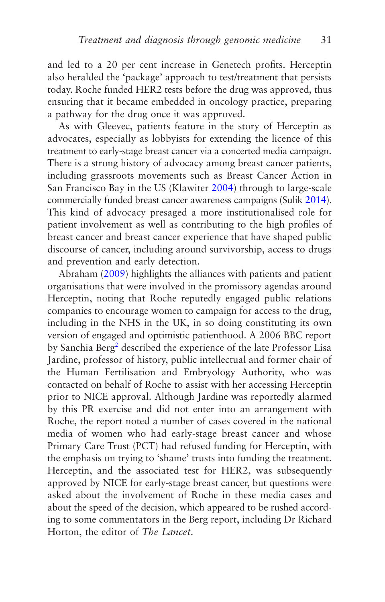<span id="page-39-0"></span>and led to a 20 per cent increase in Genetech profits. Herceptin also heralded the 'package' approach to test/treatment that persists today. Roche funded HER2 tests before the drug was approved, thus ensuring that it became embedded in oncology practice, preparing a pathway for the drug once it was approved.

As with Gleevec, patients feature in the story of Herceptin as advocates, especially as lobbyists for extending the licence of this treatment to early-stage breast cancer via a concerted media campaign. There is a strong history of advocacy among breast cancer patients, including grassroots movements such as Breast Cancer Action in San Francisco Bay in the US (Klawiter [2004](#page-271-0)) through to large-scale commercially funded breast cancer awareness campaigns (Sulik [2014](#page-276-0)). This kind of advocacy presaged a more institutionalised role for patient involvement as well as contributing to the high profiles of breast cancer and breast cancer experience that have shaped public discourse of cancer, including around survivorship, access to drugs and prevention and early detection.

Abraham [\(2009](#page-264-0)) highlights the alliances with patients and patient organisations that were involved in the promissory agendas around Herceptin, noting that Roche reputedly engaged public relations companies to encourage women to campaign for access to the drug, including in the NHS in the UK, in so doing constituting its own version of engaged and optimistic patienthood. A 2006 BBC report by Sanchia Berg<sup>[2](#page-64-0)</sup> described the experience of the late Professor Lisa Jardine, professor of history, public intellectual and former chair of the Human Fertilisation and Embryology Authority, who was contacted on behalf of Roche to assist with her accessing Herceptin prior to NICE approval. Although Jardine was reportedly alarmed by this PR exercise and did not enter into an arrangement with Roche, the report noted a number of cases covered in the national media of women who had early-stage breast cancer and whose Primary Care Trust (PCT) had refused funding for Herceptin, with the emphasis on trying to 'shame' trusts into funding the treatment. Herceptin, and the associated test for HER2, was subsequently approved by NICE for early-stage breast cancer, but questions were asked about the involvement of Roche in these media cases and about the speed of the decision, which appeared to be rushed according to some commentators in the Berg report, including Dr Richard Horton, the editor of *The Lancet*.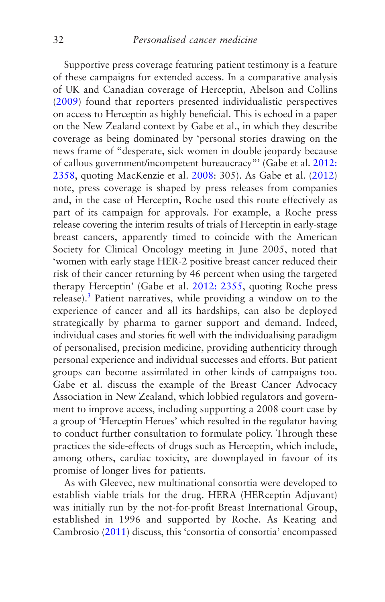<span id="page-40-0"></span>Supportive press coverage featuring patient testimony is a feature of these campaigns for extended access. In a comparative analysis of UK and Canadian coverage of Herceptin, Abelson and Collins [\(2009](#page-264-0)) found that reporters presented individualistic perspectives on access to Herceptin as highly beneficial. This is echoed in a paper on the New Zealand context by Gabe et al., in which they describe coverage as being dominated by 'personal stories drawing on the news frame of "desperate, sick women in double jeopardy because of callous government/incompetent bureaucracy"' (Gabe et al. [2012:](#page-268-0) [2358](#page-268-0), quoting MacKenzie et al. [2008](#page-272-0): 305). As Gabe et al. [\(2012\)](#page-268-0) note, press coverage is shaped by press releases from companies and, in the case of Herceptin, Roche used this route effectively as part of its campaign for approvals. For example, a Roche press release covering the interim results of trials of Herceptin in early-stage breast cancers, apparently timed to coincide with the American Society for Clinical Oncology meeting in June 2005, noted that 'women with early stage HER-2 positive breast cancer reduced their risk of their cancer returning by 46 percent when using the targeted therapy Herceptin' (Gabe et al. [2012: 2355,](#page-268-0) quoting Roche press release).<sup>[3](#page-65-0)</sup> Patient narratives, while providing a window on to the experience of cancer and all its hardships, can also be deployed strategically by pharma to garner support and demand. Indeed, individual cases and stories fit well with the individualising paradigm of personalised, precision medicine, providing authenticity through personal experience and individual successes and efforts. But patient groups can become assimilated in other kinds of campaigns too. Gabe et al. discuss the example of the Breast Cancer Advocacy Association in New Zealand, which lobbied regulators and government to improve access, including supporting a 2008 court case by a group of 'Herceptin Heroes' which resulted in the regulator having to conduct further consultation to formulate policy. Through these practices the side-effects of drugs such as Herceptin, which include, among others, cardiac toxicity, are downplayed in favour of its promise of longer lives for patients.

As with Gleevec, new multinational consortia were developed to establish viable trials for the drug. HERA (HERceptin Adjuvant) was initially run by the not-for-profit Breast International Group, established in 1996 and supported by Roche. As Keating and Cambrosio ([2011\)](#page-271-0) discuss, this 'consortia of consortia' encompassed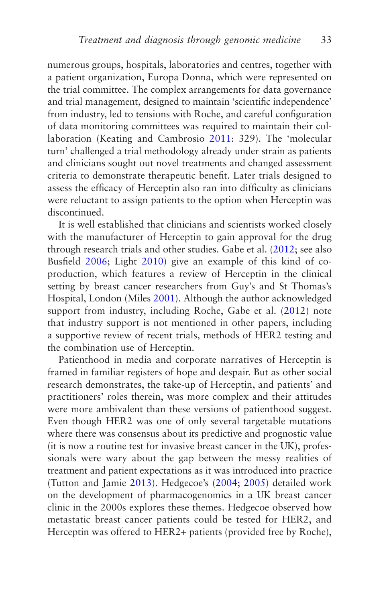numerous groups, hospitals, laboratories and centres, together with a patient organization, Europa Donna, which were represented on the trial committee. The complex arrangements for data governance and trial management, designed to maintain 'scientific independence' from industry, led to tensions with Roche, and careful configuration of data monitoring committees was required to maintain their collaboration (Keating and Cambrosio [2011](#page-271-0): 329). The 'molecular turn' challenged a trial methodology already under strain as patients and clinicians sought out novel treatments and changed assessment criteria to demonstrate therapeutic benefit. Later trials designed to assess the efficacy of Herceptin also ran into difficulty as clinicians were reluctant to assign patients to the option when Herceptin was discontinued.

It is well established that clinicians and scientists worked closely with the manufacturer of Herceptin to gain approval for the drug through research trials and other studies. Gabe et al. [\(2012](#page-268-0); see also Busfield [2006](#page-266-0); Light [2010](#page-272-0)) give an example of this kind of coproduction, which features a review of Herceptin in the clinical setting by breast cancer researchers from Guy's and St Thomas's Hospital, London (Miles [2001\)](#page-273-0). Although the author acknowledged support from industry, including Roche, Gabe et al. ([2012\)](#page-268-0) note that industry support is not mentioned in other papers, including a supportive review of recent trials, methods of HER2 testing and the combination use of Herceptin.

Patienthood in media and corporate narratives of Herceptin is framed in familiar registers of hope and despair. But as other social research demonstrates, the take-up of Herceptin, and patients' and practitioners' roles therein, was more complex and their attitudes were more ambivalent than these versions of patienthood suggest. Even though HER2 was one of only several targetable mutations where there was consensus about its predictive and prognostic value (it is now a routine test for invasive breast cancer in the UK), professionals were wary about the gap between the messy realities of treatment and patient expectations as it was introduced into practice (Tutton and Jamie [2013](#page-277-0)). Hedgecoe's [\(2004; 2005](#page-270-0)) detailed work on the development of pharmacogenomics in a UK breast cancer clinic in the 2000s explores these themes. Hedgecoe observed how metastatic breast cancer patients could be tested for HER2, and Herceptin was offered to HER2+ patients (provided free by Roche),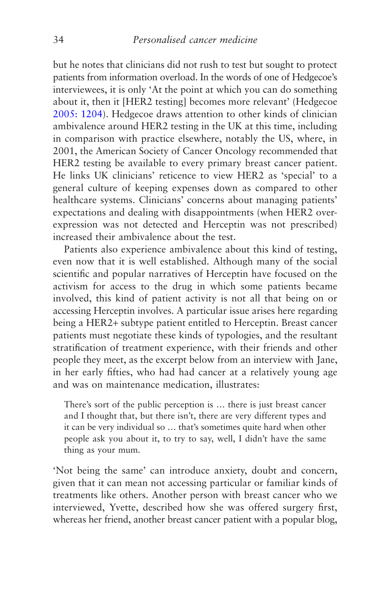but he notes that clinicians did not rush to test but sought to protect patients from information overload. In the words of one of Hedgecoe's interviewees, it is only 'At the point at which you can do something about it, then it [HER2 testing] becomes more relevant' (Hedgecoe [2005: 1204](#page-270-0)). Hedgecoe draws attention to other kinds of clinician ambivalence around HER2 testing in the UK at this time, including in comparison with practice elsewhere, notably the US, where, in 2001, the American Society of Cancer Oncology recommended that HER2 testing be available to every primary breast cancer patient. He links UK clinicians' reticence to view HER2 as 'special' to a general culture of keeping expenses down as compared to other healthcare systems. Clinicians' concerns about managing patients' expectations and dealing with disappointments (when HER2 overexpression was not detected and Herceptin was not prescribed) increased their ambivalence about the test.

Patients also experience ambivalence about this kind of testing, even now that it is well established. Although many of the social scientific and popular narratives of Herceptin have focused on the activism for access to the drug in which some patients became involved, this kind of patient activity is not all that being on or accessing Herceptin involves. A particular issue arises here regarding being a HER2+ subtype patient entitled to Herceptin. Breast cancer patients must negotiate these kinds of typologies, and the resultant stratification of treatment experience, with their friends and other people they meet, as the excerpt below from an interview with Jane, in her early fifties, who had had cancer at a relatively young age and was on maintenance medication, illustrates:

There's sort of the public perception is … there is just breast cancer and I thought that, but there isn't, there are very different types and it can be very individual so … that's sometimes quite hard when other people ask you about it, to try to say, well, I didn't have the same thing as your mum.

'Not being the same' can introduce anxiety, doubt and concern, given that it can mean not accessing particular or familiar kinds of treatments like others. Another person with breast cancer who we interviewed, Yvette, described how she was offered surgery first, whereas her friend, another breast cancer patient with a popular blog,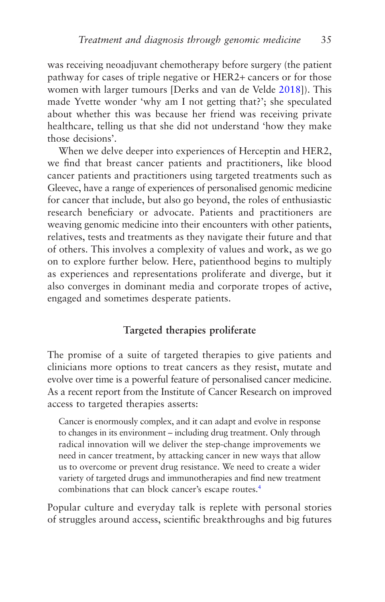<span id="page-43-0"></span>was receiving neoadjuvant chemotherapy before surgery (the patient pathway for cases of triple negative or HER2+ cancers or for those women with larger tumours [Derks and van de Velde [2018\]](#page-267-0)). This made Yvette wonder 'why am I not getting that?'; she speculated about whether this was because her friend was receiving private healthcare, telling us that she did not understand 'how they make those decisions'.

When we delve deeper into experiences of Herceptin and HER2, we find that breast cancer patients and practitioners, like blood cancer patients and practitioners using targeted treatments such as Gleevec, have a range of experiences of personalised genomic medicine for cancer that include, but also go beyond, the roles of enthusiastic research beneficiary or advocate. Patients and practitioners are weaving genomic medicine into their encounters with other patients, relatives, tests and treatments as they navigate their future and that of others. This involves a complexity of values and work, as we go on to explore further below. Here, patienthood begins to multiply as experiences and representations proliferate and diverge, but it also converges in dominant media and corporate tropes of active, engaged and sometimes desperate patients.

## **Targeted therapies proliferate**

The promise of a suite of targeted therapies to give patients and clinicians more options to treat cancers as they resist, mutate and evolve over time is a powerful feature of personalised cancer medicine. As a recent report from the Institute of Cancer Research on improved access to targeted therapies asserts:

Cancer is enormously complex, and it can adapt and evolve in response to changes in its environment – including drug treatment. Only through radical innovation will we deliver the step-change improvements we need in cancer treatment, by attacking cancer in new ways that allow us to overcome or prevent drug resistance. We need to create a wider variety of targeted drugs and immunotherapies and find new treatment combinations that can block cancer's escape routes.<sup>4</sup>

Popular culture and everyday talk is replete with personal stories of struggles around access, scientific breakthroughs and big futures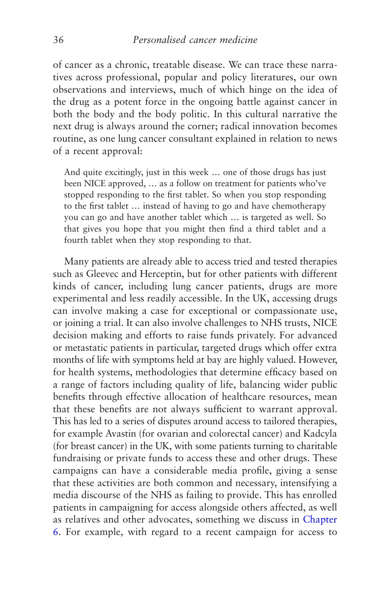of cancer as a chronic, treatable disease. We can trace these narratives across professional, popular and policy literatures, our own observations and interviews, much of which hinge on the idea of the drug as a potent force in the ongoing battle against cancer in both the body and the body politic. In this cultural narrative the next drug is always around the corner; radical innovation becomes routine, as one lung cancer consultant explained in relation to news of a recent approval:

And quite excitingly, just in this week … one of those drugs has just been NICE approved, … as a follow on treatment for patients who've stopped responding to the first tablet. So when you stop responding to the first tablet … instead of having to go and have chemotherapy you can go and have another tablet which … is targeted as well. So that gives you hope that you might then find a third tablet and a fourth tablet when they stop responding to that.

Many patients are already able to access tried and tested therapies such as Gleevec and Herceptin, but for other patients with different kinds of cancer, including lung cancer patients, drugs are more experimental and less readily accessible. In the UK, accessing drugs can involve making a case for exceptional or compassionate use, or joining a trial. It can also involve challenges to NHS trusts, NICE decision making and efforts to raise funds privately. For advanced or metastatic patients in particular, targeted drugs which offer extra months of life with symptoms held at bay are highly valued. However, for health systems, methodologies that determine efficacy based on a range of factors including quality of life, balancing wider public benefits through effective allocation of healthcare resources, mean that these benefits are not always sufficient to warrant approval. This has led to a series of disputes around access to tailored therapies, for example Avastin (for ovarian and colorectal cancer) and Kadcyla (for breast cancer) in the UK, with some patients turning to charitable fundraising or private funds to access these and other drugs. These campaigns can have a considerable media profile, giving a sense that these activities are both common and necessary, intensifying a media discourse of the NHS as failing to provide. This has enrolled patients in campaigning for access alongside others affected, as well as relatives and other advocates, something we discuss in [Chapter](#page-191-0) [6](#page-191-0). For example, with regard to a recent campaign for access to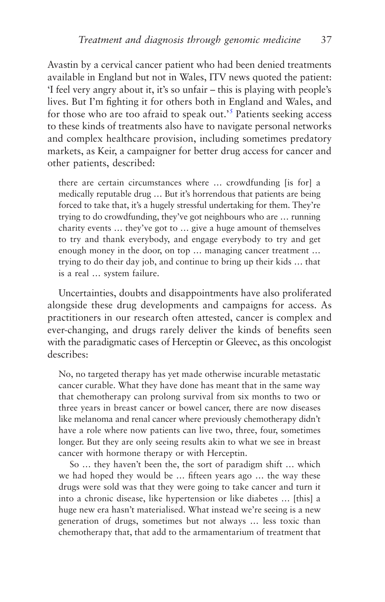<span id="page-45-0"></span>Avastin by a cervical cancer patient who had been denied treatments available in England but not in Wales, ITV news quoted the patient: 'I feel very angry about it, it's so unfair – this is playing with people's lives. But I'm fighting it for others both in England and Wales, and for those who are too afraid to speak out.<sup>[5](#page-65-0)</sup> Patients seeking access to these kinds of treatments also have to navigate personal networks and complex healthcare provision, including sometimes predatory markets, as Keir, a campaigner for better drug access for cancer and other patients, described:

there are certain circumstances where … crowdfunding [is for] a medically reputable drug … But it's horrendous that patients are being forced to take that, it's a hugely stressful undertaking for them. They're trying to do crowdfunding, they've got neighbours who are … running charity events … they've got to … give a huge amount of themselves to try and thank everybody, and engage everybody to try and get enough money in the door, on top … managing cancer treatment … trying to do their day job, and continue to bring up their kids … that is a real … system failure.

Uncertainties, doubts and disappointments have also proliferated alongside these drug developments and campaigns for access. As practitioners in our research often attested, cancer is complex and ever-changing, and drugs rarely deliver the kinds of benefits seen with the paradigmatic cases of Herceptin or Gleevec, as this oncologist describes:

No, no targeted therapy has yet made otherwise incurable metastatic cancer curable. What they have done has meant that in the same way that chemotherapy can prolong survival from six months to two or three years in breast cancer or bowel cancer, there are now diseases like melanoma and renal cancer where previously chemotherapy didn't have a role where now patients can live two, three, four, sometimes longer. But they are only seeing results akin to what we see in breast cancer with hormone therapy or with Herceptin.

So … they haven't been the, the sort of paradigm shift … which we had hoped they would be … fifteen years ago … the way these drugs were sold was that they were going to take cancer and turn it into a chronic disease, like hypertension or like diabetes … [this] a huge new era hasn't materialised. What instead we're seeing is a new generation of drugs, sometimes but not always … less toxic than chemotherapy that, that add to the armamentarium of treatment that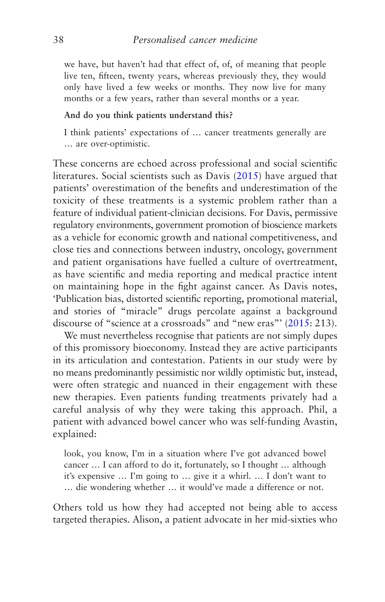we have, but haven't had that effect of, of, of meaning that people live ten, fifteen, twenty years, whereas previously they, they would only have lived a few weeks or months. They now live for many months or a few years, rather than several months or a year.

#### **And do you think patients understand this?**

I think patients' expectations of … cancer treatments generally are … are over-optimistic.

These concerns are echoed across professional and social scientific literatures. Social scientists such as Davis [\(2015\)](#page-267-0) have argued that patients' overestimation of the benefits and underestimation of the toxicity of these treatments is a systemic problem rather than a feature of individual patient-clinician decisions. For Davis, permissive regulatory environments, government promotion of bioscience markets as a vehicle for economic growth and national competitiveness, and close ties and connections between industry, oncology, government and patient organisations have fuelled a culture of overtreatment, as have scientific and media reporting and medical practice intent on maintaining hope in the fight against cancer. As Davis notes, 'Publication bias, distorted scientific reporting, promotional material, and stories of "miracle" drugs percolate against a background discourse of "science at a crossroads" and "new eras"' ([2015:](#page-267-0) 213).

We must nevertheless recognise that patients are not simply dupes of this promissory bioeconomy. Instead they are active participants in its articulation and contestation. Patients in our study were by no means predominantly pessimistic nor wildly optimistic but, instead, were often strategic and nuanced in their engagement with these new therapies. Even patients funding treatments privately had a careful analysis of why they were taking this approach. Phil, a patient with advanced bowel cancer who was self-funding Avastin, explained:

look, you know, I'm in a situation where I've got advanced bowel cancer … I can afford to do it, fortunately, so I thought … although it's expensive … I'm going to … give it a whirl. … I don't want to … die wondering whether … it would've made a difference or not.

Others told us how they had accepted not being able to access targeted therapies. Alison, a patient advocate in her mid-sixties who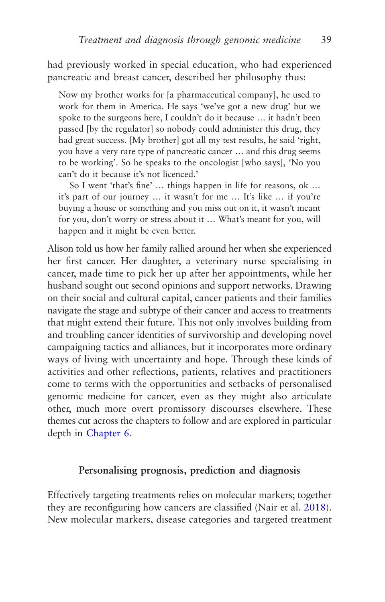had previously worked in special education, who had experienced pancreatic and breast cancer, described her philosophy thus:

Now my brother works for [a pharmaceutical company], he used to work for them in America. He says 'we've got a new drug' but we spoke to the surgeons here, I couldn't do it because … it hadn't been passed [by the regulator] so nobody could administer this drug, they had great success. [My brother] got all my test results, he said 'right, you have a very rare type of pancreatic cancer … and this drug seems to be working'. So he speaks to the oncologist [who says], 'No you can't do it because it's not licenced.'

So I went 'that's fine' … things happen in life for reasons, ok … it's part of our journey … it wasn't for me … It's like … if you're buying a house or something and you miss out on it, it wasn't meant for you, don't worry or stress about it … What's meant for you, will happen and it might be even better.

Alison told us how her family rallied around her when she experienced her first cancer. Her daughter, a veterinary nurse specialising in cancer, made time to pick her up after her appointments, while her husband sought out second opinions and support networks. Drawing on their social and cultural capital, cancer patients and their families navigate the stage and subtype of their cancer and access to treatments that might extend their future. This not only involves building from and troubling cancer identities of survivorship and developing novel campaigning tactics and alliances, but it incorporates more ordinary ways of living with uncertainty and hope. Through these kinds of activities and other reflections, patients, relatives and practitioners come to terms with the opportunities and setbacks of personalised genomic medicine for cancer, even as they might also articulate other, much more overt promissory discourses elsewhere. These themes cut across the chapters to follow and are explored in particular depth in [Chapter 6.](#page-191-0)

### **Personalising prognosis, prediction and diagnosis**

Effectively targeting treatments relies on molecular markers; together they are reconfiguring how cancers are classified (Nair et al. [2018](#page-274-0)). New molecular markers, disease categories and targeted treatment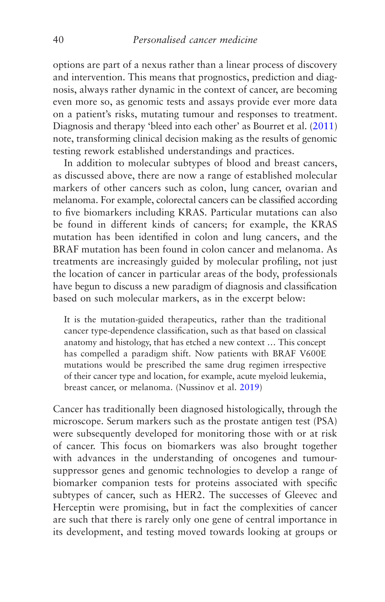options are part of a nexus rather than a linear process of discovery and intervention. This means that prognostics, prediction and diagnosis, always rather dynamic in the context of cancer, are becoming even more so, as genomic tests and assays provide ever more data on a patient's risks, mutating tumour and responses to treatment. Diagnosis and therapy 'bleed into each other' as Bourret et al. [\(2011\)](#page-265-0) note, transforming clinical decision making as the results of genomic testing rework established understandings and practices.

In addition to molecular subtypes of blood and breast cancers, as discussed above, there are now a range of established molecular markers of other cancers such as colon, lung cancer, ovarian and melanoma. For example, colorectal cancers can be classified according to five biomarkers including KRAS. Particular mutations can also be found in different kinds of cancers; for example, the KRAS mutation has been identified in colon and lung cancers, and the BRAF mutation has been found in colon cancer and melanoma. As treatments are increasingly guided by molecular profiling, not just the location of cancer in particular areas of the body, professionals have begun to discuss a new paradigm of diagnosis and classification based on such molecular markers, as in the excerpt below:

It is the mutation-guided therapeutics, rather than the traditional cancer type-dependence classification, such as that based on classical anatomy and histology, that has etched a new context … This concept has compelled a paradigm shift. Now patients with BRAF V600E mutations would be prescribed the same drug regimen irrespective of their cancer type and location, for example, acute myeloid leukemia, breast cancer, or melanoma. (Nussinov et al. [2019\)](#page-275-0)

Cancer has traditionally been diagnosed histologically, through the microscope. Serum markers such as the prostate antigen test (PSA) were subsequently developed for monitoring those with or at risk of cancer. This focus on biomarkers was also brought together with advances in the understanding of oncogenes and tumoursuppressor genes and genomic technologies to develop a range of biomarker companion tests for proteins associated with specific subtypes of cancer, such as HER2. The successes of Gleevec and Herceptin were promising, but in fact the complexities of cancer are such that there is rarely only one gene of central importance in its development, and testing moved towards looking at groups or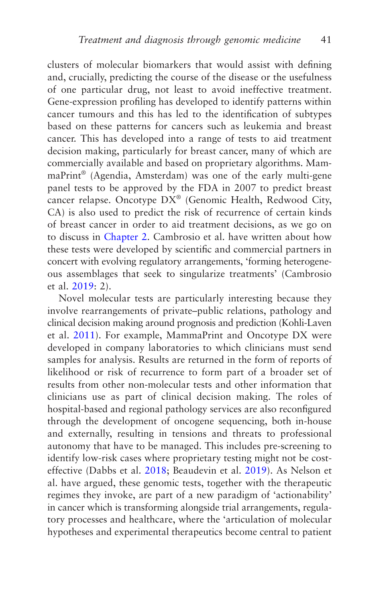clusters of molecular biomarkers that would assist with defining and, crucially, predicting the course of the disease or the usefulness of one particular drug, not least to avoid ineffective treatment. Gene-expression profiling has developed to identify patterns within cancer tumours and this has led to the identification of subtypes based on these patterns for cancers such as leukemia and breast cancer. This has developed into a range of tests to aid treatment decision making, particularly for breast cancer, many of which are commercially available and based on proprietary algorithms. MammaPrint® (Agendia, Amsterdam) was one of the early multi-gene panel tests to be approved by the FDA in 2007 to predict breast cancer relapse. Oncotype DX® (Genomic Health, Redwood City, CA) is also used to predict the risk of recurrence of certain kinds of breast cancer in order to aid treatment decisions, as we go on to discuss in [Chapter 2.](#page-66-0) Cambrosio et al. have written about how these tests were developed by scientific and commercial partners in concert with evolving regulatory arrangements, 'forming heterogeneous assemblages that seek to singularize treatments' (Cambrosio et al. [2019](#page-266-0): 2).

Novel molecular tests are particularly interesting because they involve rearrangements of private–public relations, pathology and clinical decision making around prognosis and prediction (Kohli-Laven et al. [2011\)](#page-271-0). For example, MammaPrint and Oncotype DX were developed in company laboratories to which clinicians must send samples for analysis. Results are returned in the form of reports of likelihood or risk of recurrence to form part of a broader set of results from other non-molecular tests and other information that clinicians use as part of clinical decision making. The roles of hospital-based and regional pathology services are also reconfigured through the development of oncogene sequencing, both in-house and externally, resulting in tensions and threats to professional autonomy that have to be managed. This includes pre-screening to identify low-risk cases where proprietary testing might not be costeffective (Dabbs et al. [2018](#page-267-0); Beaudevin et al. [2019](#page-265-0)). As Nelson et al. have argued, these genomic tests, together with the therapeutic regimes they invoke, are part of a new paradigm of 'actionability' in cancer which is transforming alongside trial arrangements, regulatory processes and healthcare, where the 'articulation of molecular hypotheses and experimental therapeutics become central to patient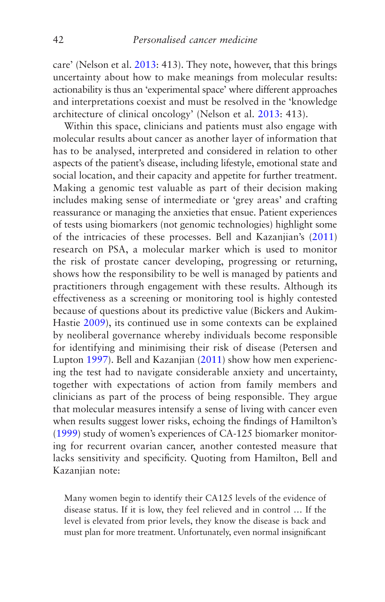care' (Nelson et al. [2013:](#page-274-0) 413). They note, however, that this brings uncertainty about how to make meanings from molecular results: actionability is thus an 'experimental space' where different approaches and interpretations coexist and must be resolved in the 'knowledge architecture of clinical oncology' (Nelson et al. [2013](#page-274-0): 413).

Within this space, clinicians and patients must also engage with molecular results about cancer as another layer of information that has to be analysed, interpreted and considered in relation to other aspects of the patient's disease, including lifestyle, emotional state and social location, and their capacity and appetite for further treatment. Making a genomic test valuable as part of their decision making includes making sense of intermediate or 'grey areas' and crafting reassurance or managing the anxieties that ensue. Patient experiences of tests using biomarkers (not genomic technologies) highlight some of the intricacies of these processes. Bell and Kazanjian's [\(2011\)](#page-265-0) research on PSA, a molecular marker which is used to monitor the risk of prostate cancer developing, progressing or returning, shows how the responsibility to be well is managed by patients and practitioners through engagement with these results. Although its effectiveness as a screening or monitoring tool is highly contested because of questions about its predictive value (Bickers and Aukim-Hastie [2009](#page-265-0)), its continued use in some contexts can be explained by neoliberal governance whereby individuals become responsible for identifying and minimising their risk of disease (Petersen and Lupton [1997\)](#page-275-0). Bell and Kazanjian [\(2011\)](#page-265-0) show how men experiencing the test had to navigate considerable anxiety and uncertainty, together with expectations of action from family members and clinicians as part of the process of being responsible. They argue that molecular measures intensify a sense of living with cancer even when results suggest lower risks, echoing the findings of Hamilton's [\(1999\)](#page-269-0) study of women's experiences of CA-125 biomarker monitoring for recurrent ovarian cancer, another contested measure that lacks sensitivity and specificity. Quoting from Hamilton, Bell and Kazanjian note:

Many women begin to identify their CA125 levels of the evidence of disease status. If it is low, they feel relieved and in control … If the level is elevated from prior levels, they know the disease is back and must plan for more treatment. Unfortunately, even normal insignificant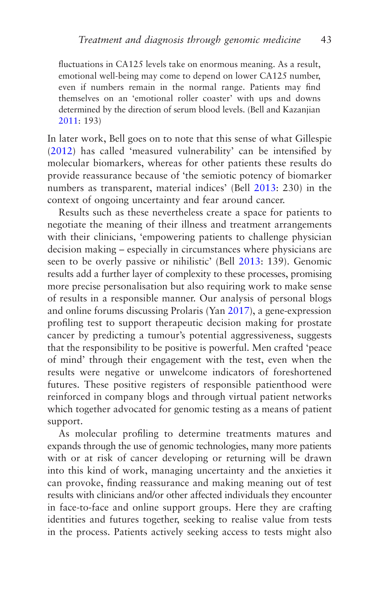fluctuations in CA125 levels take on enormous meaning. As a result, emotional well-being may come to depend on lower CA125 number, even if numbers remain in the normal range. Patients may find themselves on an 'emotional roller coaster' with ups and downs determined by the direction of serum blood levels. (Bell and Kazanjian [2011:](#page-265-0) 193)

In later work, Bell goes on to note that this sense of what Gillespie ([2012\)](#page-268-0) has called 'measured vulnerability' can be intensified by molecular biomarkers, whereas for other patients these results do provide reassurance because of 'the semiotic potency of biomarker numbers as transparent, material indices' (Bell [2013:](#page-265-0) 230) in the context of ongoing uncertainty and fear around cancer.

Results such as these nevertheless create a space for patients to negotiate the meaning of their illness and treatment arrangements with their clinicians, 'empowering patients to challenge physician decision making – especially in circumstances where physicians are seen to be overly passive or nihilistic' (Bell [2013:](#page-265-0) 139). Genomic results add a further layer of complexity to these processes, promising more precise personalisation but also requiring work to make sense of results in a responsible manner. Our analysis of personal blogs and online forums discussing Prolaris (Yan [2017\)](#page-278-0), a gene-expression profiling test to support therapeutic decision making for prostate cancer by predicting a tumour's potential aggressiveness, suggests that the responsibility to be positive is powerful. Men crafted 'peace of mind' through their engagement with the test, even when the results were negative or unwelcome indicators of foreshortened futures. These positive registers of responsible patienthood were reinforced in company blogs and through virtual patient networks which together advocated for genomic testing as a means of patient support.

As molecular profiling to determine treatments matures and expands through the use of genomic technologies, many more patients with or at risk of cancer developing or returning will be drawn into this kind of work, managing uncertainty and the anxieties it can provoke, finding reassurance and making meaning out of test results with clinicians and/or other affected individuals they encounter in face-to-face and online support groups. Here they are crafting identities and futures together, seeking to realise value from tests in the process. Patients actively seeking access to tests might also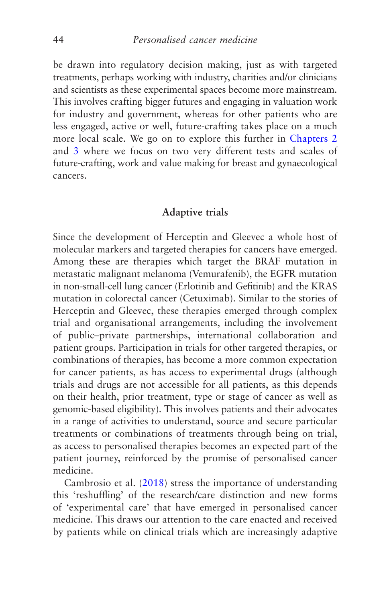be drawn into regulatory decision making, just as with targeted treatments, perhaps working with industry, charities and/or clinicians and scientists as these experimental spaces become more mainstream. This involves crafting bigger futures and engaging in valuation work for industry and government, whereas for other patients who are less engaged, active or well, future-crafting takes place on a much more local scale. We go on to explore this further in [Chapters 2](#page-66-0) and [3](#page-96-0) where we focus on two very different tests and scales of future-crafting, work and value making for breast and gynaecological cancers.

#### **Adaptive trials**

Since the development of Herceptin and Gleevec a whole host of molecular markers and targeted therapies for cancers have emerged. Among these are therapies which target the BRAF mutation in metastatic malignant melanoma (Vemurafenib), the EGFR mutation in non-small-cell lung cancer (Erlotinib and Gefitinib) and the KRAS mutation in colorectal cancer (Cetuximab). Similar to the stories of Herceptin and Gleevec, these therapies emerged through complex trial and organisational arrangements, including the involvement of public–private partnerships, international collaboration and patient groups. Participation in trials for other targeted therapies, or combinations of therapies, has become a more common expectation for cancer patients, as has access to experimental drugs (although trials and drugs are not accessible for all patients, as this depends on their health, prior treatment, type or stage of cancer as well as genomic-based eligibility). This involves patients and their advocates in a range of activities to understand, source and secure particular treatments or combinations of treatments through being on trial, as access to personalised therapies becomes an expected part of the patient journey, reinforced by the promise of personalised cancer medicine.

Cambrosio et al. ([2018\)](#page-266-0) stress the importance of understanding this 'reshuffling' of the research/care distinction and new forms of 'experimental care' that have emerged in personalised cancer medicine. This draws our attention to the care enacted and received by patients while on clinical trials which are increasingly adaptive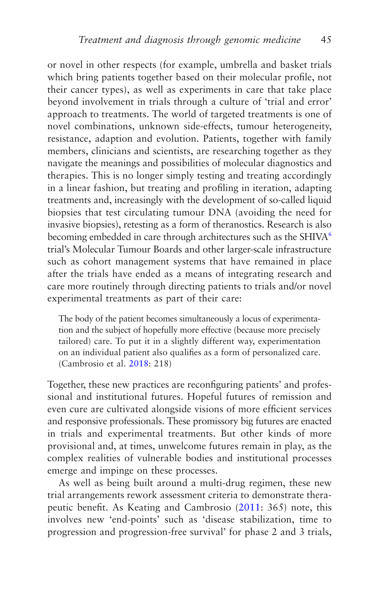<span id="page-53-0"></span>or novel in other respects (for example, umbrella and basket trials which bring patients together based on their molecular profile, not their cancer types), as well as experiments in care that take place beyond involvement in trials through a culture of 'trial and error' approach to treatments. The world of targeted treatments is one of novel combinations, unknown side-effects, tumour heterogeneity, resistance, adaption and evolution. Patients, together with family members, clinicians and scientists, are researching together as they navigate the meanings and possibilities of molecular diagnostics and therapies. This is no longer simply testing and treating accordingly in a linear fashion, but treating and profiling in iteration, adapting treatments and, increasingly with the development of so-called liquid biopsies that test circulating tumour DNA (avoiding the need for invasive biopsies), retesting as a form of theranostics. Research is also becoming embedded in care through architectures such as the SHIVA<sup>[6](#page-65-0)</sup> trial's Molecular Tumour Boards and other larger-scale infrastructure such as cohort management systems that have remained in place after the trials have ended as a means of integrating research and care more routinely through directing patients to trials and/or novel experimental treatments as part of their care:

The body of the patient becomes simultaneously a locus of experimentation and the subject of hopefully more effective (because more precisely tailored) care. To put it in a slightly different way, experimentation on an individual patient also qualifies as a form of personalized care. (Cambrosio et al. [2018](#page-266-0): 218)

Together, these new practices are reconfiguring patients' and professional and institutional futures. Hopeful futures of remission and even cure are cultivated alongside visions of more efficient services and responsive professionals. These promissory big futures are enacted in trials and experimental treatments. But other kinds of more provisional and, at times, unwelcome futures remain in play, as the complex realities of vulnerable bodies and institutional processes emerge and impinge on these processes.

As well as being built around a multi-drug regimen, these new trial arrangements rework assessment criteria to demonstrate therapeutic benefit. As Keating and Cambrosio ([2011:](#page-271-0) 365) note, this involves new 'end-points' such as 'disease stabilization, time to progression and progression-free survival' for phase 2 and 3 trials,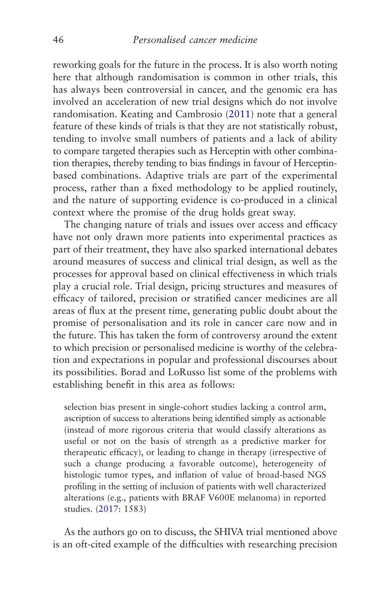reworking goals for the future in the process. It is also worth noting here that although randomisation is common in other trials, this has always been controversial in cancer, and the genomic era has involved an acceleration of new trial designs which do not involve randomisation. Keating and Cambrosio ([2011\)](#page-271-0) note that a general feature of these kinds of trials is that they are not statistically robust, tending to involve small numbers of patients and a lack of ability to compare targeted therapies such as Herceptin with other combination therapies, thereby tending to bias findings in favour of Herceptinbased combinations. Adaptive trials are part of the experimental process, rather than a fixed methodology to be applied routinely, and the nature of supporting evidence is co-produced in a clinical context where the promise of the drug holds great sway.

The changing nature of trials and issues over access and efficacy have not only drawn more patients into experimental practices as part of their treatment, they have also sparked international debates around measures of success and clinical trial design, as well as the processes for approval based on clinical effectiveness in which trials play a crucial role. Trial design, pricing structures and measures of efficacy of tailored, precision or stratified cancer medicines are all areas of flux at the present time, generating public doubt about the promise of personalisation and its role in cancer care now and in the future. This has taken the form of controversy around the extent to which precision or personalised medicine is worthy of the celebration and expectations in popular and professional discourses about its possibilities. Borad and LoRusso list some of the problems with establishing benefit in this area as follows:

selection bias present in single-cohort studies lacking a control arm, ascription of success to alterations being identified simply as actionable (instead of more rigorous criteria that would classify alterations as useful or not on the basis of strength as a predictive marker for therapeutic efficacy), or leading to change in therapy (irrespective of such a change producing a favorable outcome), heterogeneity of histologic tumor types, and inflation of value of broad-based NGS profiling in the setting of inclusion of patients with well characterized alterations (e.g., patients with BRAF V600E melanoma) in reported studies. [\(2017](#page-265-0): 1583)

As the authors go on to discuss, the SHIVA trial mentioned above is an oft-cited example of the difficulties with researching precision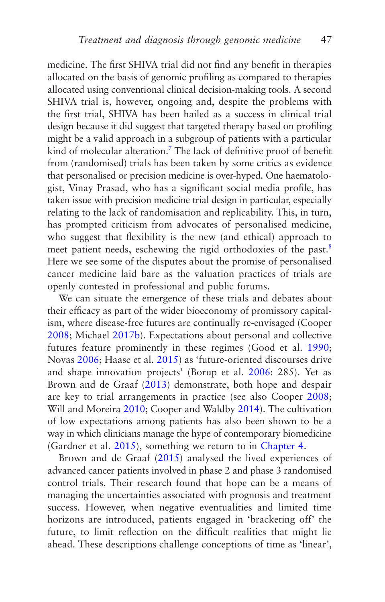<span id="page-55-0"></span>medicine. The first SHIVA trial did not find any benefit in therapies allocated on the basis of genomic profiling as compared to therapies allocated using conventional clinical decision-making tools. A second SHIVA trial is, however, ongoing and, despite the problems with the first trial, SHIVA has been hailed as a success in clinical trial design because it did suggest that targeted therapy based on profiling might be a valid approach in a subgroup of patients with a particular kind of molecular alteration[.7](#page-65-0) The lack of definitive proof of benefit from (randomised) trials has been taken by some critics as evidence that personalised or precision medicine is over-hyped. One haematologist, Vinay Prasad, who has a significant social media profile, has taken issue with precision medicine trial design in particular, especially relating to the lack of randomisation and replicability. This, in turn, has prompted criticism from advocates of personalised medicine, who suggest that flexibility is the new (and ethical) approach to meet patient needs, eschewing the rigid orthodoxies of the past.<sup>[8](#page-65-0)</sup> Here we see some of the disputes about the promise of personalised cancer medicine laid bare as the valuation practices of trials are openly contested in professional and public forums.

We can situate the emergence of these trials and debates about their efficacy as part of the wider bioeconomy of promissory capitalism, where disease-free futures are continually re-envisaged (Cooper [2008](#page-267-0); Michael [2017b](#page-273-0)). Expectations about personal and collective futures feature prominently in these regimes (Good et al. [1990;](#page-269-0) Novas [2006;](#page-275-0) Haase et al. [2015](#page-269-0)) as 'future-oriented discourses drive and shape innovation projects' (Borup et al. [2006:](#page-265-0) 285). Yet as Brown and de Graaf [\(2013\)](#page-266-0) demonstrate, both hope and despair are key to trial arrangements in practice (see also Cooper [2008;](#page-267-0) Will and Moreira [2010;](#page-278-0) Cooper and Waldby [2014\)](#page-267-0). The cultivation of low expectations among patients has also been shown to be a way in which clinicians manage the hype of contemporary biomedicine (Gardner et al. [2015](#page-268-0)), something we return to in [Chapter 4.](#page-126-0)

Brown and de Graaf [\(2015\)](#page-266-0) analysed the lived experiences of advanced cancer patients involved in phase 2 and phase 3 randomised control trials. Their research found that hope can be a means of managing the uncertainties associated with prognosis and treatment success. However, when negative eventualities and limited time horizons are introduced, patients engaged in 'bracketing off' the future, to limit reflection on the difficult realities that might lie ahead. These descriptions challenge conceptions of time as 'linear',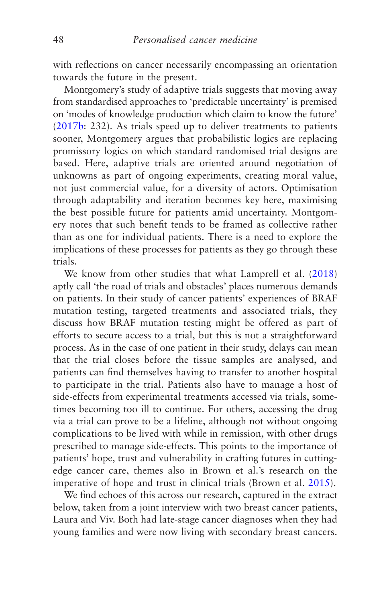with reflections on cancer necessarily encompassing an orientation towards the future in the present.

Montgomery's study of adaptive trials suggests that moving away from standardised approaches to 'predictable uncertainty' is premised on 'modes of knowledge production which claim to know the future' [\(2017b:](#page-273-0) 232). As trials speed up to deliver treatments to patients sooner, Montgomery argues that probabilistic logics are replacing promissory logics on which standard randomised trial designs are based. Here, adaptive trials are oriented around negotiation of unknowns as part of ongoing experiments, creating moral value, not just commercial value, for a diversity of actors. Optimisation through adaptability and iteration becomes key here, maximising the best possible future for patients amid uncertainty. Montgomery notes that such benefit tends to be framed as collective rather than as one for individual patients. There is a need to explore the implications of these processes for patients as they go through these trials.

We know from other studies that what Lamprell et al. [\(2018\)](#page-271-0) aptly call 'the road of trials and obstacles' places numerous demands on patients. In their study of cancer patients' experiences of BRAF mutation testing, targeted treatments and associated trials, they discuss how BRAF mutation testing might be offered as part of efforts to secure access to a trial, but this is not a straightforward process. As in the case of one patient in their study, delays can mean that the trial closes before the tissue samples are analysed, and patients can find themselves having to transfer to another hospital to participate in the trial. Patients also have to manage a host of side-effects from experimental treatments accessed via trials, sometimes becoming too ill to continue. For others, accessing the drug via a trial can prove to be a lifeline, although not without ongoing complications to be lived with while in remission, with other drugs prescribed to manage side-effects. This points to the importance of patients' hope, trust and vulnerability in crafting futures in cuttingedge cancer care, themes also in Brown et al.'s research on the imperative of hope and trust in clinical trials (Brown et al. [2015\)](#page-266-0).

We find echoes of this across our research, captured in the extract below, taken from a joint interview with two breast cancer patients, Laura and Viv. Both had late-stage cancer diagnoses when they had young families and were now living with secondary breast cancers.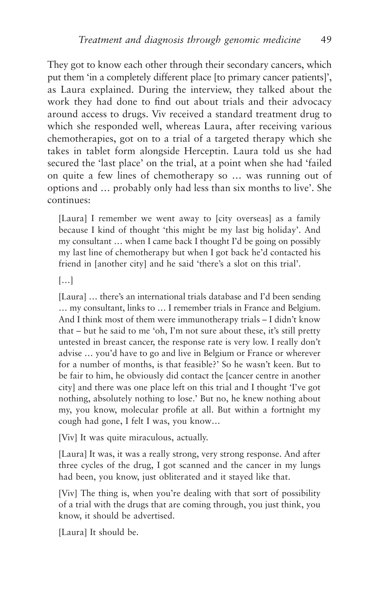They got to know each other through their secondary cancers, which put them 'in a completely different place [to primary cancer patients]', as Laura explained. During the interview, they talked about the work they had done to find out about trials and their advocacy around access to drugs. Viv received a standard treatment drug to which she responded well, whereas Laura, after receiving various chemotherapies, got on to a trial of a targeted therapy which she takes in tablet form alongside Herceptin. Laura told us she had secured the 'last place' on the trial, at a point when she had 'failed on quite a few lines of chemotherapy so … was running out of options and … probably only had less than six months to live'. She continues:

[Laura] I remember we went away to [city overseas] as a family because I kind of thought 'this might be my last big holiday'. And my consultant … when I came back I thought I'd be going on possibly my last line of chemotherapy but when I got back he'd contacted his friend in [another city] and he said 'there's a slot on this trial'.

[…]

[Laura] ... there's an international trials database and I'd been sending … my consultant, links to … I remember trials in France and Belgium. And I think most of them were immunotherapy trials – I didn't know that – but he said to me 'oh, I'm not sure about these, it's still pretty untested in breast cancer, the response rate is very low. I really don't advise … you'd have to go and live in Belgium or France or wherever for a number of months, is that feasible?' So he wasn't keen. But to be fair to him, he obviously did contact the [cancer centre in another city] and there was one place left on this trial and I thought 'I've got nothing, absolutely nothing to lose.' But no, he knew nothing about my, you know, molecular profile at all. But within a fortnight my cough had gone, I felt I was, you know…

[Viv] It was quite miraculous, actually.

[Laura] It was, it was a really strong, very strong response. And after three cycles of the drug, I got scanned and the cancer in my lungs had been, you know, just obliterated and it stayed like that.

[Viv] The thing is, when you're dealing with that sort of possibility of a trial with the drugs that are coming through, you just think, you know, it should be advertised.

[Laura] It should be.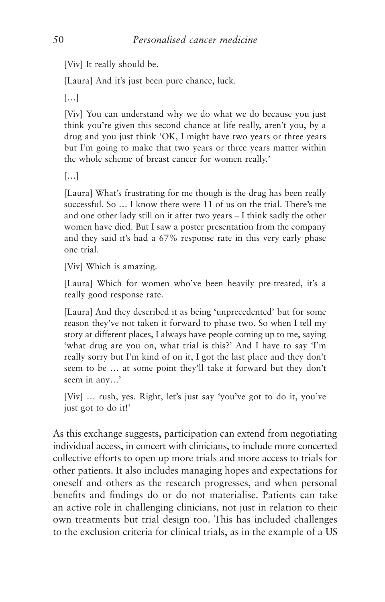[Viv] It really should be.

[Laura] And it's just been pure chance, luck.

[…]

[Viv] You can understand why we do what we do because you just think you're given this second chance at life really, aren't you, by a drug and you just think 'OK, I might have two years or three years but I'm going to make that two years or three years matter within the whole scheme of breast cancer for women really.'

[…]

[Laura] What's frustrating for me though is the drug has been really successful. So … I know there were 11 of us on the trial. There's me and one other lady still on it after two years – I think sadly the other women have died. But I saw a poster presentation from the company and they said it's had a 67% response rate in this very early phase one trial.

[Viv] Which is amazing.

[Laura] Which for women who've been heavily pre-treated, it's a really good response rate.

[Laura] And they described it as being 'unprecedented' but for some reason they've not taken it forward to phase two. So when I tell my story at different places, I always have people coming up to me, saying 'what drug are you on, what trial is this?' And I have to say 'I'm really sorry but I'm kind of on it, I got the last place and they don't seem to be … at some point they'll take it forward but they don't seem in any…'

[Viv] … rush, yes. Right, let's just say 'you've got to do it, you've just got to do it!'

As this exchange suggests, participation can extend from negotiating individual access, in concert with clinicians, to include more concerted collective efforts to open up more trials and more access to trials for other patients. It also includes managing hopes and expectations for oneself and others as the research progresses, and when personal benefits and findings do or do not materialise. Patients can take an active role in challenging clinicians, not just in relation to their own treatments but trial design too. This has included challenges to the exclusion criteria for clinical trials, as in the example of a US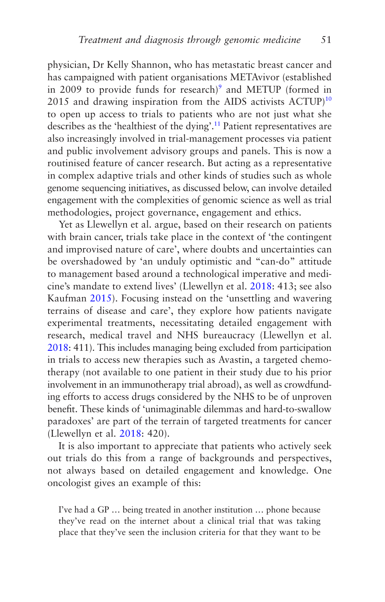<span id="page-59-0"></span>physician, Dr Kelly Shannon, who has metastatic breast cancer and has campaigned with patient organisations METAvivor (established in 2009 to provide funds for research)<sup>9</sup> and METUP (formed in 2015 and drawing inspiration from the AIDS activists  $ACTUP$ <sup>[10](#page-65-0)</sup> to open up access to trials to patients who are not just what she describes as the 'healthiest of the dying'.<sup>[11](#page-65-0)</sup> Patient representatives are also increasingly involved in trial-management processes via patient and public involvement advisory groups and panels. This is now a routinised feature of cancer research. But acting as a representative in complex adaptive trials and other kinds of studies such as whole genome sequencing initiatives, as discussed below, can involve detailed engagement with the complexities of genomic science as well as trial methodologies, project governance, engagement and ethics.

Yet as Llewellyn et al. argue, based on their research on patients with brain cancer, trials take place in the context of 'the contingent and improvised nature of care', where doubts and uncertainties can be overshadowed by 'an unduly optimistic and "can-do" attitude to management based around a technological imperative and medicine's mandate to extend lives' (Llewellyn et al. [2018](#page-272-0): 413; see also Kaufman [2015\)](#page-271-0). Focusing instead on the 'unsettling and wavering terrains of disease and care', they explore how patients navigate experimental treatments, necessitating detailed engagement with research, medical travel and NHS bureaucracy (Llewellyn et al. [2018:](#page-272-0) 411). This includes managing being excluded from participation in trials to access new therapies such as Avastin, a targeted chemotherapy (not available to one patient in their study due to his prior involvement in an immunotherapy trial abroad), as well as crowdfunding efforts to access drugs considered by the NHS to be of unproven benefit. These kinds of 'unimaginable dilemmas and hard-to-swallow paradoxes' are part of the terrain of targeted treatments for cancer (Llewellyn et al. [2018:](#page-272-0) 420).

It is also important to appreciate that patients who actively seek out trials do this from a range of backgrounds and perspectives, not always based on detailed engagement and knowledge. One oncologist gives an example of this:

I've had a GP … being treated in another institution … phone because they've read on the internet about a clinical trial that was taking place that they've seen the inclusion criteria for that they want to be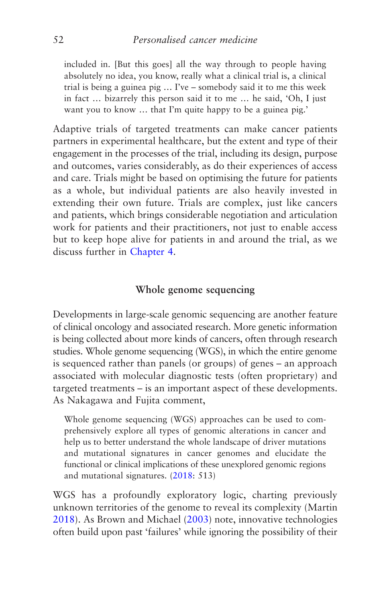included in. [But this goes] all the way through to people having absolutely no idea, you know, really what a clinical trial is, a clinical trial is being a guinea pig … I've – somebody said it to me this week in fact … bizarrely this person said it to me … he said, 'Oh, I just want you to know … that I'm quite happy to be a guinea pig.'

Adaptive trials of targeted treatments can make cancer patients partners in experimental healthcare, but the extent and type of their engagement in the processes of the trial, including its design, purpose and outcomes, varies considerably, as do their experiences of access and care. Trials might be based on optimising the future for patients as a whole, but individual patients are also heavily invested in extending their own future. Trials are complex, just like cancers and patients, which brings considerable negotiation and articulation work for patients and their practitioners, not just to enable access but to keep hope alive for patients in and around the trial, as we discuss further in [Chapter 4](#page-126-0).

## **Whole genome sequencing**

Developments in large-scale genomic sequencing are another feature of clinical oncology and associated research. More genetic information is being collected about more kinds of cancers, often through research studies. Whole genome sequencing (WGS), in which the entire genome is sequenced rather than panels (or groups) of genes – an approach associated with molecular diagnostic tests (often proprietary) and targeted treatments – is an important aspect of these developments. As Nakagawa and Fujita comment,

Whole genome sequencing (WGS) approaches can be used to comprehensively explore all types of genomic alterations in cancer and help us to better understand the whole landscape of driver mutations and mutational signatures in cancer genomes and elucidate the functional or clinical implications of these unexplored genomic regions and mutational signatures. ([2018:](#page-274-0) 513)

WGS has a profoundly exploratory logic, charting previously unknown territories of the genome to reveal its complexity (Martin [2018](#page-272-0)). As Brown and Michael ([2003](#page-266-0)) note, innovative technologies often build upon past 'failures' while ignoring the possibility of their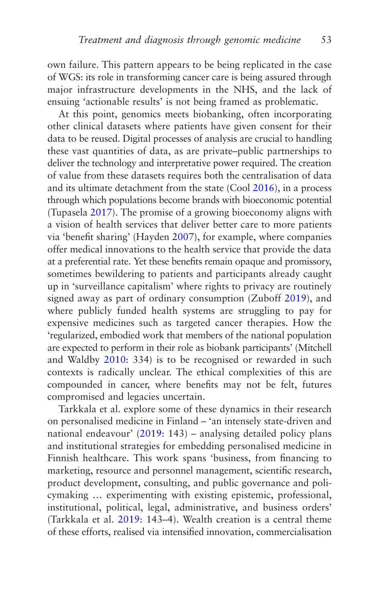own failure. This pattern appears to be being replicated in the case of WGS: its role in transforming cancer care is being assured through major infrastructure developments in the NHS, and the lack of ensuing 'actionable results' is not being framed as problematic.

At this point, genomics meets biobanking, often incorporating other clinical datasets where patients have given consent for their data to be reused. Digital processes of analysis are crucial to handling these vast quantities of data, as are private–public partnerships to deliver the technology and interpretative power required. The creation of value from these datasets requires both the centralisation of data and its ultimate detachment from the state (Cool [2016\)](#page-267-0), in a process through which populations become brands with bioeconomic potential (Tupasela [2017\)](#page-277-0). The promise of a growing bioeconomy aligns with a vision of health services that deliver better care to more patients via 'benefit sharing' (Hayden [2007](#page-269-0)), for example, where companies offer medical innovations to the health service that provide the data at a preferential rate. Yet these benefits remain opaque and promissory, sometimes bewildering to patients and participants already caught up in 'surveillance capitalism' where rights to privacy are routinely signed away as part of ordinary consumption (Zuboff [2019\)](#page-278-0), and where publicly funded health systems are struggling to pay for expensive medicines such as targeted cancer therapies. How the 'regularized, embodied work that members of the national population are expected to perform in their role as biobank participants' (Mitchell and Waldby [2010:](#page-273-0) 334) is to be recognised or rewarded in such contexts is radically unclear. The ethical complexities of this are compounded in cancer, where benefits may not be felt, futures compromised and legacies uncertain.

Tarkkala et al. explore some of these dynamics in their research on personalised medicine in Finland – 'an intensely state-driven and national endeavour' [\(2019](#page-277-0): 143) – analysing detailed policy plans and institutional strategies for embedding personalised medicine in Finnish healthcare. This work spans 'business, from financing to marketing, resource and personnel management, scientific research, product development, consulting, and public governance and policymaking … experimenting with existing epistemic, professional, institutional, political, legal, administrative, and business orders' (Tarkkala et al. [2019](#page-277-0): 143–4). Wealth creation is a central theme of these efforts, realised via intensified innovation, commercialisation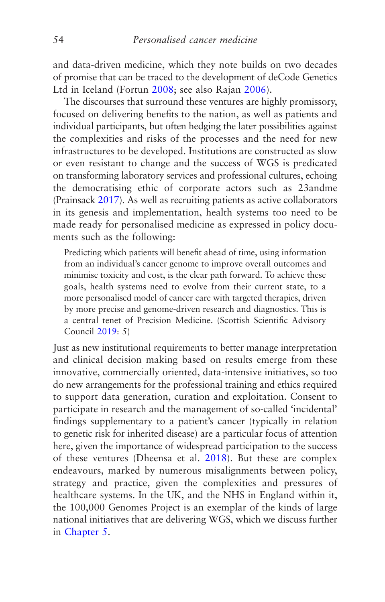and data-driven medicine, which they note builds on two decades of promise that can be traced to the development of deCode Genetics Ltd in Iceland (Fortun [2008;](#page-268-0) see also Rajan [2006\)](#page-275-0).

The discourses that surround these ventures are highly promissory, focused on delivering benefits to the nation, as well as patients and individual participants, but often hedging the later possibilities against the complexities and risks of the processes and the need for new infrastructures to be developed. Institutions are constructed as slow or even resistant to change and the success of WGS is predicated on transforming laboratory services and professional cultures, echoing the democratising ethic of corporate actors such as 23andme (Prainsack [2017](#page-275-0)). As well as recruiting patients as active collaborators in its genesis and implementation, health systems too need to be made ready for personalised medicine as expressed in policy documents such as the following:

Predicting which patients will benefit ahead of time, using information from an individual's cancer genome to improve overall outcomes and minimise toxicity and cost, is the clear path forward. To achieve these goals, health systems need to evolve from their current state, to a more personalised model of cancer care with targeted therapies, driven by more precise and genome-driven research and diagnostics. This is a central tenet of Precision Medicine. (Scottish Scientific Advisory Council [2019:](#page-276-0) 5)

Just as new institutional requirements to better manage interpretation and clinical decision making based on results emerge from these innovative, commercially oriented, data-intensive initiatives, so too do new arrangements for the professional training and ethics required to support data generation, curation and exploitation. Consent to participate in research and the management of so-called 'incidental' findings supplementary to a patient's cancer (typically in relation to genetic risk for inherited disease) are a particular focus of attention here, given the importance of widespread participation to the success of these ventures (Dheensa et al. [2018\)](#page-267-0). But these are complex endeavours, marked by numerous misalignments between policy, strategy and practice, given the complexities and pressures of healthcare systems. In the UK, and the NHS in England within it, the 100,000 Genomes Project is an exemplar of the kinds of large national initiatives that are delivering WGS, which we discuss further in [Chapter 5](#page-160-0).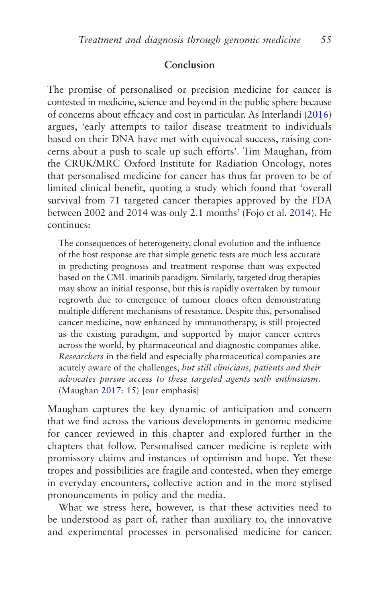## **Conclusion**

The promise of personalised or precision medicine for cancer is contested in medicine, science and beyond in the public sphere because of concerns about efficacy and cost in particular. As Interlandi [\(2016\)](#page-270-0) argues, 'early attempts to tailor disease treatment to individuals based on their DNA have met with equivocal success, raising concerns about a push to scale up such efforts'. Tim Maughan, from the CRUK/MRC Oxford Institute for Radiation Oncology, notes that personalised medicine for cancer has thus far proven to be of limited clinical benefit, quoting a study which found that 'overall survival from 71 targeted cancer therapies approved by the FDA between 2002 and 2014 was only 2.1 months' (Fojo et al. [2014](#page-268-0)). He continues:

The consequences of heterogeneity, clonal evolution and the influence of the host response are that simple genetic tests are much less accurate in predicting prognosis and treatment response than was expected based on the CML imatinib paradigm. Similarly, targeted drug therapies may show an initial response, but this is rapidly overtaken by tumour regrowth due to emergence of tumour clones often demonstrating multiple different mechanisms of resistance. Despite this, personalised cancer medicine, now enhanced by immunotherapy, is still projected as the existing paradigm, and supported by major cancer centres across the world, by pharmaceutical and diagnostic companies alike. *Researchers* in the field and especially pharmaceutical companies are acutely aware of the challenges, *but still clinicians, patients and their advocates pursue access to these targeted agents with enthusiasm*. (Maughan [2017](#page-272-0): 15) [our emphasis]

Maughan captures the key dynamic of anticipation and concern that we find across the various developments in genomic medicine for cancer reviewed in this chapter and explored further in the chapters that follow. Personalised cancer medicine is replete with promissory claims and instances of optimism and hope. Yet these tropes and possibilities are fragile and contested, when they emerge in everyday encounters, collective action and in the more stylised pronouncements in policy and the media.

What we stress here, however, is that these activities need to be understood as part of, rather than auxiliary to, the innovative and experimental processes in personalised medicine for cancer.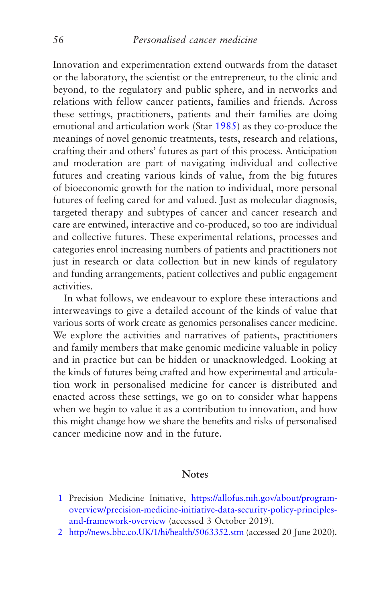<span id="page-64-0"></span>Innovation and experimentation extend outwards from the dataset or the laboratory, the scientist or the entrepreneur, to the clinic and beyond, to the regulatory and public sphere, and in networks and relations with fellow cancer patients, families and friends. Across these settings, practitioners, patients and their families are doing emotional and articulation work (Star [1985\)](#page-276-0) as they co-produce the meanings of novel genomic treatments, tests, research and relations, crafting their and others' futures as part of this process. Anticipation and moderation are part of navigating individual and collective futures and creating various kinds of value, from the big futures of bioeconomic growth for the nation to individual, more personal futures of feeling cared for and valued. Just as molecular diagnosis, targeted therapy and subtypes of cancer and cancer research and care are entwined, interactive and co-produced, so too are individual and collective futures. These experimental relations, processes and categories enrol increasing numbers of patients and practitioners not just in research or data collection but in new kinds of regulatory and funding arrangements, patient collectives and public engagement activities.

In what follows, we endeavour to explore these interactions and interweavings to give a detailed account of the kinds of value that various sorts of work create as genomics personalises cancer medicine. We explore the activities and narratives of patients, practitioners and family members that make genomic medicine valuable in policy and in practice but can be hidden or unacknowledged. Looking at the kinds of futures being crafted and how experimental and articulation work in personalised medicine for cancer is distributed and enacted across these settings, we go on to consider what happens when we begin to value it as a contribution to innovation, and how this might change how we share the benefits and risks of personalised cancer medicine now and in the future.

#### **Notes**

- [1](#page-30-0) Precision Medicine Initiative, [https://allofus.nih.gov/about/program](https://allofus.nih.gov/about/program-overview/precision-medicine-initiative-data-security-policy-principles-and-framework-overview)[overview/precision-medicine-initiative-data-security-policy-principles](https://allofus.nih.gov/about/program-overview/precision-medicine-initiative-data-security-policy-principles-and-framework-overview)[and-framework-overview](https://allofus.nih.gov/about/program-overview/precision-medicine-initiative-data-security-policy-principles-and-framework-overview) (accessed 3 October 2019).
- [2](#page-39-0) [http://news.bbc.co.UK/1/hi/health/5063352.stm](http://news.bbc.co.uk/1/hi/health/5063352.stm) (accessed 20 June 2020).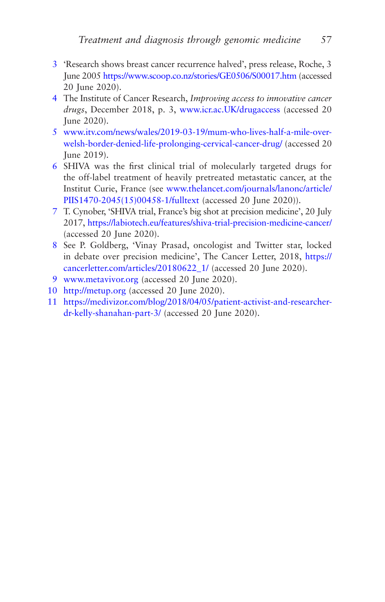- <span id="page-65-0"></span>[3](#page-40-0) 'Research shows breast cancer recurrence halved', press release, Roche, 3 June 2005<https://www.scoop.co.nz/stories/GE0506/S00017.htm> (accessed 20 June 2020).
- [4](#page-43-0) The Institute of Cancer Research, *Improving access to innovative cancer drugs*, December 2018, p. 3, [www.icr.ac.UK/drugaccess](http://www.icr.ac.uk/drugaccess) (accessed 20 June 2020).
- [5](#page-45-0) [www.itv.com/news/wales/2019-03-19/mum-who-lives-half-a-mile-over](http://www.itv.com/news/wales/2019-03-19/mum-who-lives-half-a-mile-over-welsh-border-denied-life-prolonging-cervical-cancer-drug/)[welsh-border-denied-life-prolonging-cervical-cancer-drug/](http://www.itv.com/news/wales/2019-03-19/mum-who-lives-half-a-mile-over-welsh-border-denied-life-prolonging-cervical-cancer-drug/) (accessed 20 June 2019).
- [6](#page-53-0) SHIVA was the first clinical trial of molecularly targeted drugs for the off-label treatment of heavily pretreated metastatic cancer, at the Institut Curie, France (see [www.thelancet.com/journals/lanonc/article/](http://www.thelancet.com/journals/lanonc/article/PIIS1470-2045(15)00458-1/fulltext) [PIIS1470-2045\(15\)00458-1/fulltext](http://www.thelancet.com/journals/lanonc/article/PIIS1470-2045(15)00458-1/fulltext) (accessed 20 June 2020)).
- [7](#page-55-0) T. Cynober, 'SHIVA trial, France's big shot at precision medicine', 20 July 2017,<https://labiotech.eu/features/shiva-trial-precision-medicine-cancer/> (accessed 20 June 2020).
- [8](#page-55-0) See P. Goldberg, 'Vinay Prasad, oncologist and Twitter star, locked in debate over precision medicine', The Cancer Letter, 2018, [https://](https://cancerletter.com/articles/20180622_1/) [cancerletter.com/articles/20180622\\_1/](https://cancerletter.com/articles/20180622_1/) (accessed 20 June 2020).
- [9](#page-59-0) [www.metavivor.org](http://www.metavivor.org/) (accessed 20 June 2020).
- [10](#page-59-0) [http://metup.org](http://metup.org/) (accessed 20 June 2020).
- [11](#page-59-0) [https://medivizor.com/blog/2018/04/05/patient-activist-and-researcher](https://medivizor.com/blog/2018/04/05/patient-activist-and-researcher-dr-kelly-shanahan-part-3/)[dr-kelly-shanahan-part-3/](https://medivizor.com/blog/2018/04/05/patient-activist-and-researcher-dr-kelly-shanahan-part-3/) (accessed 20 June 2020).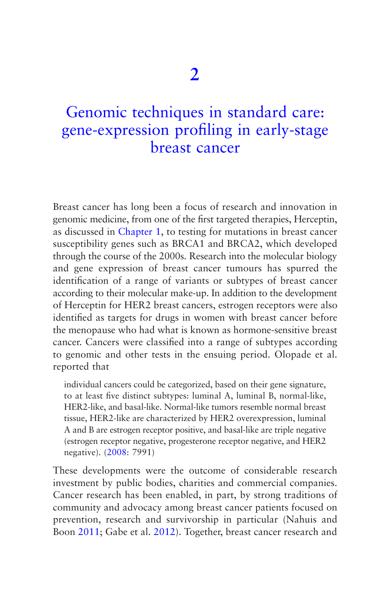# <span id="page-66-0"></span>Genomic techniques in standard care: [gene-expression profiling in early-stage](#page-5-0)  breast cancer

Breast cancer has long been a focus of research and innovation in genomic medicine, from one of the first targeted therapies, Herceptin, as discussed in [Chapter 1,](#page-30-0) to testing for mutations in breast cancer susceptibility genes such as BRCA1 and BRCA2, which developed through the course of the 2000s. Research into the molecular biology and gene expression of breast cancer tumours has spurred the identification of a range of variants or subtypes of breast cancer according to their molecular make-up. In addition to the development of Herceptin for HER2 breast cancers, estrogen receptors were also identified as targets for drugs in women with breast cancer before the menopause who had what is known as hormone-sensitive breast cancer. Cancers were classified into a range of subtypes according to genomic and other tests in the ensuing period. Olopade et al. reported that

individual cancers could be categorized, based on their gene signature, to at least five distinct subtypes: luminal A, luminal B, normal-like, HER2-like, and basal-like. Normal-like tumors resemble normal breast tissue, HER2-like are characterized by HER2 overexpression, luminal A and B are estrogen receptor positive, and basal-like are triple negative (estrogen receptor negative, progesterone receptor negative, and HER2 negative). ([2008:](#page-275-0) 7991)

These developments were the outcome of considerable research investment by public bodies, charities and commercial companies. Cancer research has been enabled, in part, by strong traditions of community and advocacy among breast cancer patients focused on prevention, research and survivorship in particular (Nahuis and Boon [2011;](#page-274-0) Gabe et al. [2012](#page-268-0)). Together, breast cancer research and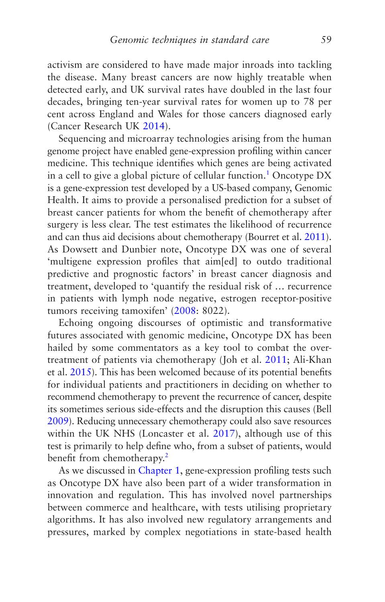activism are considered to have made major inroads into tackling the disease. Many breast cancers are now highly treatable when detected early, and UK survival rates have doubled in the last four decades, bringing ten-year survival rates for women up to 78 per cent across England and Wales for those cancers diagnosed early (Cancer Research UK [2014\)](#page-266-0).

Sequencing and microarray technologies arising from the human genome project have enabled gene-expression profiling within cancer medicine. This technique identifies which genes are being activated in a cell to give a global picture of cellular function.<sup>[1](#page-95-0)</sup> Oncotype  $DX$ is a gene-expression test developed by a US-based company, Genomic Health. It aims to provide a personalised prediction for a subset of breast cancer patients for whom the benefit of chemotherapy after surgery is less clear. The test estimates the likelihood of recurrence and can thus aid decisions about chemotherapy (Bourret et al. [2011](#page-265-0)). As Dowsett and Dunbier note, Oncotype DX was one of several 'multigene expression profiles that aim[ed] to outdo traditional predictive and prognostic factors' in breast cancer diagnosis and treatment, developed to 'quantify the residual risk of … recurrence in patients with lymph node negative, estrogen receptor-positive tumors receiving tamoxifen' [\(2008](#page-268-0): 8022).

Echoing ongoing discourses of optimistic and transformative futures associated with genomic medicine, Oncotype DX has been hailed by some commentators as a key tool to combat the overtreatment of patients via chemotherapy (Joh et al. [2011;](#page-271-0) Ali-Khan et al. [2015](#page-264-0)). This has been welcomed because of its potential benefits for individual patients and practitioners in deciding on whether to recommend chemotherapy to prevent the recurrence of cancer, despite its sometimes serious side-effects and the disruption this causes (Bell [2009\)](#page-265-0). Reducing unnecessary chemotherapy could also save resources within the UK NHS (Loncaster et al. [2017\)](#page-272-0), although use of this test is primarily to help define who, from a subset of patients, would benefit from chemotherapy.<sup>[2](#page-95-0)</sup>

As we discussed in [Chapter 1](#page-30-0), gene-expression profiling tests such as Oncotype DX have also been part of a wider transformation in innovation and regulation. This has involved novel partnerships between commerce and healthcare, with tests utilising proprietary algorithms. It has also involved new regulatory arrangements and pressures, marked by complex negotiations in state-based health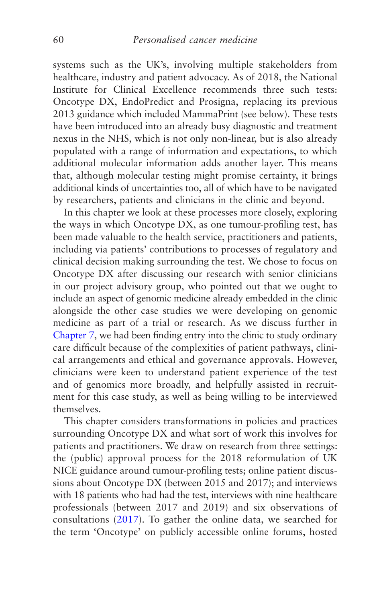systems such as the UK's, involving multiple stakeholders from healthcare, industry and patient advocacy. As of 2018, the National Institute for Clinical Excellence recommends three such tests: Oncotype DX, EndoPredict and Prosigna, replacing its previous 2013 guidance which included MammaPrint (see below). These tests have been introduced into an already busy diagnostic and treatment nexus in the NHS, which is not only non-linear, but is also already populated with a range of information and expectations, to which additional molecular information adds another layer. This means that, although molecular testing might promise certainty, it brings additional kinds of uncertainties too, all of which have to be navigated by researchers, patients and clinicians in the clinic and beyond.

In this chapter we look at these processes more closely, exploring the ways in which Oncotype DX, as one tumour-profiling test, has been made valuable to the health service, practitioners and patients, including via patients' contributions to processes of regulatory and clinical decision making surrounding the test. We chose to focus on Oncotype DX after discussing our research with senior clinicians in our project advisory group, who pointed out that we ought to include an aspect of genomic medicine already embedded in the clinic alongside the other case studies we were developing on genomic medicine as part of a trial or research. As we discuss further in [Chapter 7,](#page-219-0) we had been finding entry into the clinic to study ordinary care difficult because of the complexities of patient pathways, clinical arrangements and ethical and governance approvals. However, clinicians were keen to understand patient experience of the test and of genomics more broadly, and helpfully assisted in recruitment for this case study, as well as being willing to be interviewed themselves.

This chapter considers transformations in policies and practices surrounding Oncotype DX and what sort of work this involves for patients and practitioners. We draw on research from three settings: the (public) approval process for the 2018 reformulation of UK NICE guidance around tumour-profiling tests; online patient discussions about Oncotype DX (between 2015 and 2017); and interviews with 18 patients who had had the test, interviews with nine healthcare professionals (between 2017 and 2019) and six observations of consultations ([2017\)](#page-274-0). To gather the online data, we searched for the term 'Oncotype' on publicly accessible online forums, hosted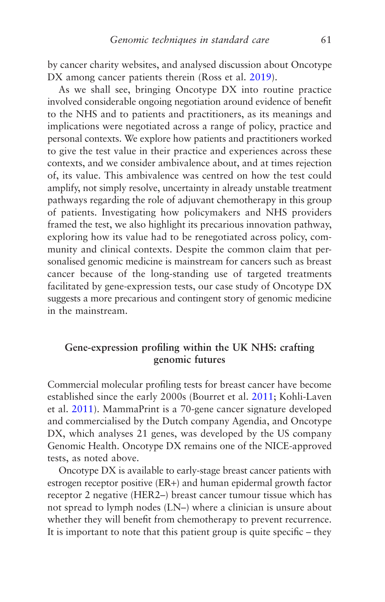by cancer charity websites, and analysed discussion about Oncotype DX among cancer patients therein (Ross et al. [2019](#page-275-0)).

As we shall see, bringing Oncotype DX into routine practice involved considerable ongoing negotiation around evidence of benefit to the NHS and to patients and practitioners, as its meanings and implications were negotiated across a range of policy, practice and personal contexts. We explore how patients and practitioners worked to give the test value in their practice and experiences across these contexts, and we consider ambivalence about, and at times rejection of, its value. This ambivalence was centred on how the test could amplify, not simply resolve, uncertainty in already unstable treatment pathways regarding the role of adjuvant chemotherapy in this group of patients. Investigating how policymakers and NHS providers framed the test, we also highlight its precarious innovation pathway, exploring how its value had to be renegotiated across policy, community and clinical contexts. Despite the common claim that personalised genomic medicine is mainstream for cancers such as breast cancer because of the long-standing use of targeted treatments facilitated by gene-expression tests, our case study of Oncotype DX suggests a more precarious and contingent story of genomic medicine in the mainstream.

## **Gene-expression profiling within the UK NHS: crafting genomic futures**

Commercial molecular profiling tests for breast cancer have become established since the early 2000s (Bourret et al. [2011](#page-265-0); Kohli-Laven et al. [2011](#page-271-0)). MammaPrint is a 70-gene cancer signature developed and commercialised by the Dutch company Agendia, and Oncotype DX, which analyses 21 genes, was developed by the US company Genomic Health. Oncotype DX remains one of the NICE-approved tests, as noted above.

Oncotype DX is available to early-stage breast cancer patients with estrogen receptor positive (ER+) and human epidermal growth factor receptor 2 negative (HER2–) breast cancer tumour tissue which has not spread to lymph nodes (LN–) where a clinician is unsure about whether they will benefit from chemotherapy to prevent recurrence. It is important to note that this patient group is quite specific – they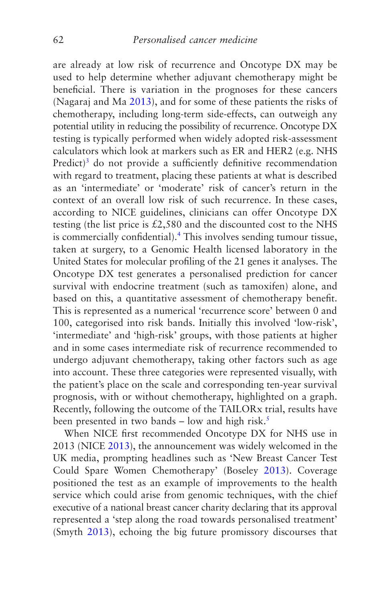are already at low risk of recurrence and Oncotype DX may be used to help determine whether adjuvant chemotherapy might be beneficial. There is variation in the prognoses for these cancers (Nagaraj and Ma [2013\)](#page-274-0), and for some of these patients the risks of chemotherapy, including long-term side-effects, can outweigh any potential utility in reducing the possibility of recurrence. Oncotype DX testing is typically performed when widely adopted risk-assessment calculators which look at markers such as ER and HER2 (e.g. NHS Predict)<sup>3</sup> do not provide a sufficiently definitive recommendation with regard to treatment, placing these patients at what is described as an 'intermediate' or 'moderate' risk of cancer's return in the context of an overall low risk of such recurrence. In these cases, according to NICE guidelines, clinicians can offer Oncotype DX testing (the list price is £2,580 and the discounted cost to the NHS is commercially confidential).<sup>4</sup> This involves sending tumour tissue, taken at surgery, to a Genomic Health licensed laboratory in the United States for molecular profiling of the 21 genes it analyses. The Oncotype DX test generates a personalised prediction for cancer survival with endocrine treatment (such as tamoxifen) alone, and based on this, a quantitative assessment of chemotherapy benefit. This is represented as a numerical 'recurrence score' between 0 and 100, categorised into risk bands. Initially this involved 'low-risk', 'intermediate' and 'high-risk' groups, with those patients at higher and in some cases intermediate risk of recurrence recommended to undergo adjuvant chemotherapy, taking other factors such as age into account. These three categories were represented visually, with the patient's place on the scale and corresponding ten-year survival prognosis, with or without chemotherapy, highlighted on a graph. Recently, following the outcome of the TAILORx trial, results have been presented in two bands – low and high risk.<sup>[5](#page-95-0)</sup>

When NICE first recommended Oncotype DX for NHS use in 2013 (NICE [2013\)](#page-274-0), the announcement was widely welcomed in the UK media, prompting headlines such as 'New Breast Cancer Test Could Spare Women Chemotherapy' (Boseley [2013\)](#page-265-0). Coverage positioned the test as an example of improvements to the health service which could arise from genomic techniques, with the chief executive of a national breast cancer charity declaring that its approval represented a 'step along the road towards personalised treatment' (Smyth [2013\)](#page-276-0), echoing the big future promissory discourses that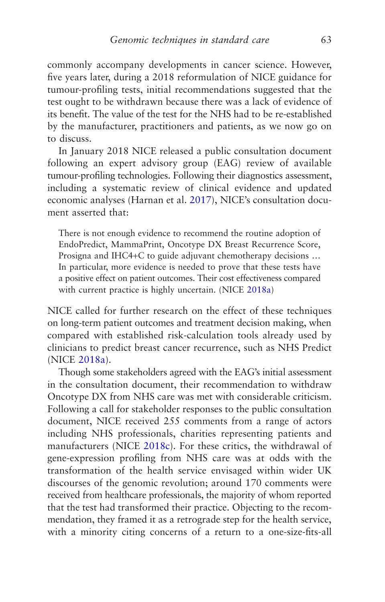commonly accompany developments in cancer science. However, five years later, during a 2018 reformulation of NICE guidance for tumour-profiling tests, initial recommendations suggested that the test ought to be withdrawn because there was a lack of evidence of its benefit. The value of the test for the NHS had to be re-established by the manufacturer, practitioners and patients, as we now go on to discuss.

In January 2018 NICE released a public consultation document following an expert advisory group (EAG) review of available tumour-profiling technologies. Following their diagnostics assessment, including a systematic review of clinical evidence and updated economic analyses (Harnan et al. [2017\)](#page-269-0), NICE's consultation document asserted that:

There is not enough evidence to recommend the routine adoption of EndoPredict, MammaPrint, Oncotype DX Breast Recurrence Score, Prosigna and IHC4+C to guide adjuvant chemotherapy decisions … In particular, more evidence is needed to prove that these tests have a positive effect on patient outcomes. Their cost effectiveness compared with current practice is highly uncertain. (NICE [2018a\)](#page-274-0)

NICE called for further research on the effect of these techniques on long-term patient outcomes and treatment decision making, when compared with established risk-calculation tools already used by clinicians to predict breast cancer recurrence, such as NHS Predict (NICE [2018a](#page-274-0)).

Though some stakeholders agreed with the EAG's initial assessment in the consultation document, their recommendation to withdraw Oncotype DX from NHS care was met with considerable criticism. Following a call for stakeholder responses to the public consultation document, NICE received 255 comments from a range of actors including NHS professionals, charities representing patients and manufacturers (NICE [2018c\)](#page-274-0). For these critics, the withdrawal of gene-expression profiling from NHS care was at odds with the transformation of the health service envisaged within wider UK discourses of the genomic revolution; around 170 comments were received from healthcare professionals, the majority of whom reported that the test had transformed their practice. Objecting to the recommendation, they framed it as a retrograde step for the health service, with a minority citing concerns of a return to a one-size-fits-all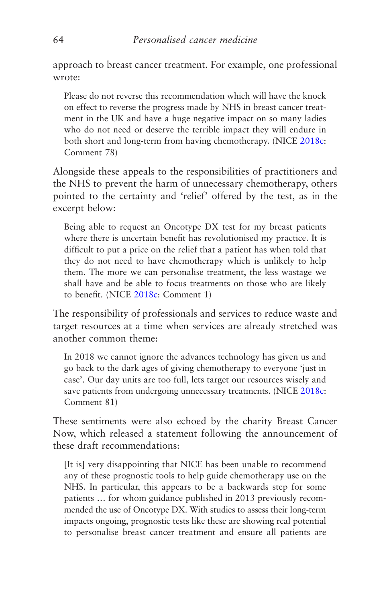approach to breast cancer treatment. For example, one professional wrote:

Please do not reverse this recommendation which will have the knock on effect to reverse the progress made by NHS in breast cancer treatment in the UK and have a huge negative impact on so many ladies who do not need or deserve the terrible impact they will endure in both short and long-term from having chemotherapy. (NICE [2018c](#page-274-0): Comment 78)

Alongside these appeals to the responsibilities of practitioners and the NHS to prevent the harm of unnecessary chemotherapy, others pointed to the certainty and 'relief' offered by the test, as in the excerpt below:

Being able to request an Oncotype DX test for my breast patients where there is uncertain benefit has revolutionised my practice. It is difficult to put a price on the relief that a patient has when told that they do not need to have chemotherapy which is unlikely to help them. The more we can personalise treatment, the less wastage we shall have and be able to focus treatments on those who are likely to benefit. (NICE [2018c](#page-274-0): Comment 1)

The responsibility of professionals and services to reduce waste and target resources at a time when services are already stretched was another common theme:

In 2018 we cannot ignore the advances technology has given us and go back to the dark ages of giving chemotherapy to everyone 'just in case'. Our day units are too full, lets target our resources wisely and save patients from undergoing unnecessary treatments. (NICE [2018c](#page-274-0): Comment 81)

These sentiments were also echoed by the charity Breast Cancer Now, which released a statement following the announcement of these draft recommendations:

[It is] very disappointing that NICE has been unable to recommend any of these prognostic tools to help guide chemotherapy use on the NHS. In particular, this appears to be a backwards step for some patients … for whom guidance published in 2013 previously recommended the use of Oncotype DX. With studies to assess their long-term impacts ongoing, prognostic tests like these are showing real potential to personalise breast cancer treatment and ensure all patients are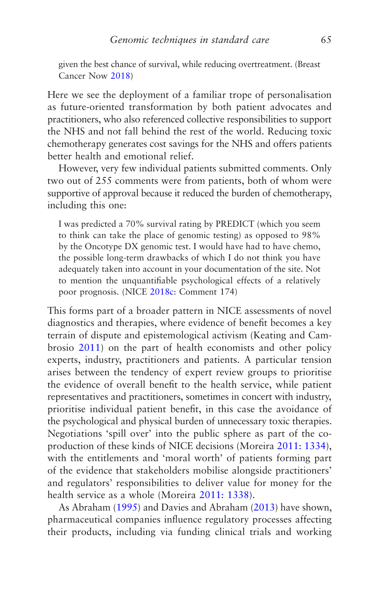given the best chance of survival, while reducing overtreatment. (Breast Cancer Now [2018\)](#page-266-0)

Here we see the deployment of a familiar trope of personalisation as future-oriented transformation by both patient advocates and practitioners, who also referenced collective responsibilities to support the NHS and not fall behind the rest of the world. Reducing toxic chemotherapy generates cost savings for the NHS and offers patients better health and emotional relief.

However, very few individual patients submitted comments. Only two out of 255 comments were from patients, both of whom were supportive of approval because it reduced the burden of chemotherapy, including this one:

I was predicted a 70% survival rating by PREDICT (which you seem to think can take the place of genomic testing) as opposed to 98% by the Oncotype DX genomic test. I would have had to have chemo, the possible long-term drawbacks of which I do not think you have adequately taken into account in your documentation of the site. Not to mention the unquantifiable psychological effects of a relatively poor prognosis. (NICE [2018c:](#page-274-0) Comment 174)

This forms part of a broader pattern in NICE assessments of novel diagnostics and therapies, where evidence of benefit becomes a key terrain of dispute and epistemological activism (Keating and Cambrosio [2011](#page-271-0)) on the part of health economists and other policy experts, industry, practitioners and patients. A particular tension arises between the tendency of expert review groups to prioritise the evidence of overall benefit to the health service, while patient representatives and practitioners, sometimes in concert with industry, prioritise individual patient benefit, in this case the avoidance of the psychological and physical burden of unnecessary toxic therapies. Negotiations 'spill over' into the public sphere as part of the coproduction of these kinds of NICE decisions (Moreira [2011: 1334](#page-274-0)), with the entitlements and 'moral worth' of patients forming part of the evidence that stakeholders mobilise alongside practitioners' and regulators' responsibilities to deliver value for money for the health service as a whole (Moreira [2011: 1338](#page-274-0)).

As Abraham [\(1995\)](#page-264-0) and Davies and Abraham ([2013](#page-267-0)) have shown, pharmaceutical companies influence regulatory processes affecting their products, including via funding clinical trials and working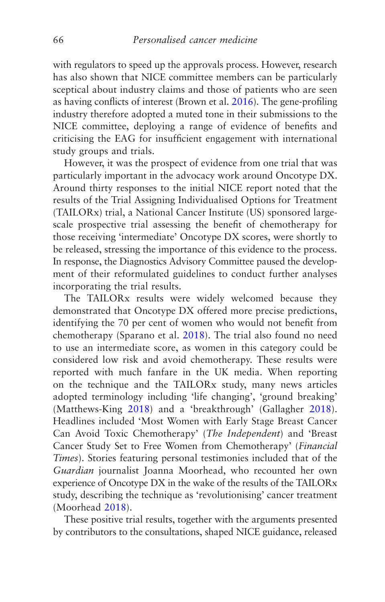with regulators to speed up the approvals process. However, research has also shown that NICE committee members can be particularly sceptical about industry claims and those of patients who are seen as having conflicts of interest (Brown et al. [2016](#page-266-0)). The gene-profiling industry therefore adopted a muted tone in their submissions to the NICE committee, deploying a range of evidence of benefits and criticising the EAG for insufficient engagement with international study groups and trials.

However, it was the prospect of evidence from one trial that was particularly important in the advocacy work around Oncotype DX. Around thirty responses to the initial NICE report noted that the results of the Trial Assigning Individualised Options for Treatment (TAILORx) trial, a National Cancer Institute (US) sponsored largescale prospective trial assessing the benefit of chemotherapy for those receiving 'intermediate' Oncotype DX scores, were shortly to be released, stressing the importance of this evidence to the process. In response, the Diagnostics Advisory Committee paused the development of their reformulated guidelines to conduct further analyses incorporating the trial results.

The TAILORx results were widely welcomed because they demonstrated that Oncotype DX offered more precise predictions, identifying the 70 per cent of women who would not benefit from chemotherapy (Sparano et al. [2018](#page-276-0)). The trial also found no need to use an intermediate score, as women in this category could be considered low risk and avoid chemotherapy. These results were reported with much fanfare in the UK media. When reporting on the technique and the TAILORx study, many news articles adopted terminology including 'life changing', 'ground breaking' (Matthews-King [2018](#page-272-0)) and a 'breakthrough' (Gallagher [2018\)](#page-268-0). Headlines included 'Most Women with Early Stage Breast Cancer Can Avoid Toxic Chemotherapy' (*The Independent*) and 'Breast Cancer Study Set to Free Women from Chemotherapy' (*Financial Times*). Stories featuring personal testimonies included that of the *Guardian* journalist Joanna Moorhead, who recounted her own experience of Oncotype DX in the wake of the results of the TAILORx study, describing the technique as 'revolutionising' cancer treatment (Moorhead [2018](#page-273-0)).

These positive trial results, together with the arguments presented by contributors to the consultations, shaped NICE guidance, released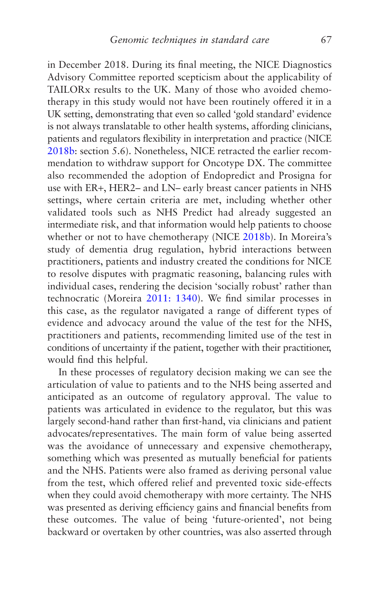in December 2018. During its final meeting, the NICE Diagnostics Advisory Committee reported scepticism about the applicability of TAILORx results to the UK. Many of those who avoided chemotherapy in this study would not have been routinely offered it in a UK setting, demonstrating that even so called 'gold standard' evidence is not always translatable to other health systems, affording clinicians, patients and regulators flexibility in interpretation and practice (NICE [2018b:](#page-274-0) section 5.6). Nonetheless, NICE retracted the earlier recommendation to withdraw support for Oncotype DX. The committee also recommended the adoption of Endopredict and Prosigna for use with ER+, HER2– and LN– early breast cancer patients in NHS settings, where certain criteria are met, including whether other validated tools such as NHS Predict had already suggested an intermediate risk, and that information would help patients to choose whether or not to have chemotherapy (NICE [2018b\)](#page-274-0). In Moreira's study of dementia drug regulation, hybrid interactions between practitioners, patients and industry created the conditions for NICE to resolve disputes with pragmatic reasoning, balancing rules with individual cases, rendering the decision 'socially robust' rather than technocratic (Moreira [2011: 1340\)](#page-274-0). We find similar processes in this case, as the regulator navigated a range of different types of evidence and advocacy around the value of the test for the NHS, practitioners and patients, recommending limited use of the test in conditions of uncertainty if the patient, together with their practitioner, would find this helpful.

In these processes of regulatory decision making we can see the articulation of value to patients and to the NHS being asserted and anticipated as an outcome of regulatory approval. The value to patients was articulated in evidence to the regulator, but this was largely second-hand rather than first-hand, via clinicians and patient advocates/representatives. The main form of value being asserted was the avoidance of unnecessary and expensive chemotherapy, something which was presented as mutually beneficial for patients and the NHS. Patients were also framed as deriving personal value from the test, which offered relief and prevented toxic side-effects when they could avoid chemotherapy with more certainty. The NHS was presented as deriving efficiency gains and financial benefits from these outcomes. The value of being 'future-oriented', not being backward or overtaken by other countries, was also asserted through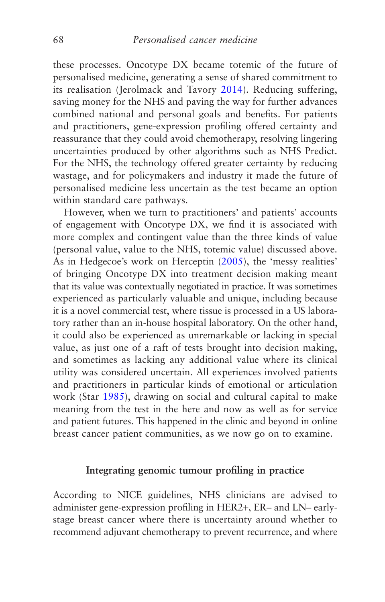these processes. Oncotype DX became totemic of the future of personalised medicine, generating a sense of shared commitment to its realisation (Jerolmack and Tavory [2014\)](#page-271-0). Reducing suffering, saving money for the NHS and paving the way for further advances combined national and personal goals and benefits. For patients and practitioners, gene-expression profiling offered certainty and reassurance that they could avoid chemotherapy, resolving lingering uncertainties produced by other algorithms such as NHS Predict. For the NHS, the technology offered greater certainty by reducing wastage, and for policymakers and industry it made the future of personalised medicine less uncertain as the test became an option within standard care pathways.

However, when we turn to practitioners' and patients' accounts of engagement with Oncotype DX, we find it is associated with more complex and contingent value than the three kinds of value (personal value, value to the NHS, totemic value) discussed above. As in Hedgecoe's work on Herceptin [\(2005](#page-270-0)), the 'messy realities' of bringing Oncotype DX into treatment decision making meant that its value was contextually negotiated in practice. It was sometimes experienced as particularly valuable and unique, including because it is a novel commercial test, where tissue is processed in a US laboratory rather than an in-house hospital laboratory. On the other hand, it could also be experienced as unremarkable or lacking in special value, as just one of a raft of tests brought into decision making, and sometimes as lacking any additional value where its clinical utility was considered uncertain. All experiences involved patients and practitioners in particular kinds of emotional or articulation work (Star [1985\)](#page-276-0), drawing on social and cultural capital to make meaning from the test in the here and now as well as for service and patient futures. This happened in the clinic and beyond in online breast cancer patient communities, as we now go on to examine.

### **Integrating genomic tumour profiling in practice**

According to NICE guidelines, NHS clinicians are advised to administer gene-expression profiling in HER2+, ER– and LN– earlystage breast cancer where there is uncertainty around whether to recommend adjuvant chemotherapy to prevent recurrence, and where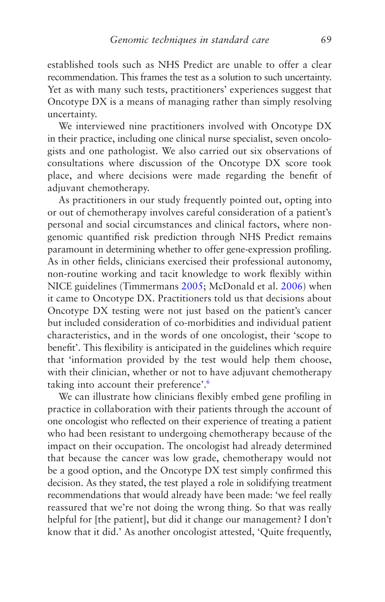<span id="page-77-0"></span>established tools such as NHS Predict are unable to offer a clear recommendation. This frames the test as a solution to such uncertainty. Yet as with many such tests, practitioners' experiences suggest that Oncotype DX is a means of managing rather than simply resolving uncertainty.

We interviewed nine practitioners involved with Oncotype DX in their practice, including one clinical nurse specialist, seven oncologists and one pathologist. We also carried out six observations of consultations where discussion of the Oncotype DX score took place, and where decisions were made regarding the benefit of adjuvant chemotherapy.

As practitioners in our study frequently pointed out, opting into or out of chemotherapy involves careful consideration of a patient's personal and social circumstances and clinical factors, where nongenomic quantified risk prediction through NHS Predict remains paramount in determining whether to offer gene-expression profiling. As in other fields, clinicians exercised their professional autonomy, non-routine working and tacit knowledge to work flexibly within NICE guidelines (Timmermans [2005;](#page-277-0) McDonald et al. [2006\)](#page-272-0) when it came to Oncotype DX. Practitioners told us that decisions about Oncotype DX testing were not just based on the patient's cancer but included consideration of co-morbidities and individual patient characteristics, and in the words of one oncologist, their 'scope to benefit'. This flexibility is anticipated in the guidelines which require that 'information provided by the test would help them choose, with their clinician, whether or not to have adjuvant chemotherapy taking into account their preference'.[6](#page-95-0)

We can illustrate how clinicians flexibly embed gene profiling in practice in collaboration with their patients through the account of one oncologist who reflected on their experience of treating a patient who had been resistant to undergoing chemotherapy because of the impact on their occupation. The oncologist had already determined that because the cancer was low grade, chemotherapy would not be a good option, and the Oncotype DX test simply confirmed this decision. As they stated, the test played a role in solidifying treatment recommendations that would already have been made: 'we feel really reassured that we're not doing the wrong thing. So that was really helpful for [the patient], but did it change our management? I don't know that it did.' As another oncologist attested, 'Quite frequently,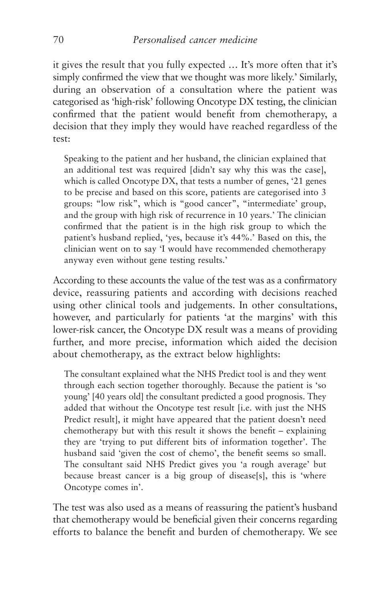it gives the result that you fully expected … It's more often that it's simply confirmed the view that we thought was more likely.' Similarly, during an observation of a consultation where the patient was categorised as 'high-risk' following Oncotype DX testing, the clinician confirmed that the patient would benefit from chemotherapy, a decision that they imply they would have reached regardless of the test:

Speaking to the patient and her husband, the clinician explained that an additional test was required [didn't say why this was the case], which is called Oncotype DX, that tests a number of genes, '21 genes to be precise and based on this score, patients are categorised into 3 groups: "low risk", which is "good cancer", "intermediate' group, and the group with high risk of recurrence in 10 years.' The clinician confirmed that the patient is in the high risk group to which the patient's husband replied, 'yes, because it's 44%.' Based on this, the clinician went on to say 'I would have recommended chemotherapy anyway even without gene testing results.'

According to these accounts the value of the test was as a confirmatory device, reassuring patients and according with decisions reached using other clinical tools and judgements. In other consultations, however, and particularly for patients 'at the margins' with this lower-risk cancer, the Oncotype DX result was a means of providing further, and more precise, information which aided the decision about chemotherapy, as the extract below highlights:

The consultant explained what the NHS Predict tool is and they went through each section together thoroughly. Because the patient is 'so young' [40 years old] the consultant predicted a good prognosis. They added that without the Oncotype test result [i.e. with just the NHS Predict result], it might have appeared that the patient doesn't need chemotherapy but with this result it shows the benefit – explaining they are 'trying to put different bits of information together'. The husband said 'given the cost of chemo', the benefit seems so small. The consultant said NHS Predict gives you 'a rough average' but because breast cancer is a big group of disease[s], this is 'where Oncotype comes in'.

The test was also used as a means of reassuring the patient's husband that chemotherapy would be beneficial given their concerns regarding efforts to balance the benefit and burden of chemotherapy. We see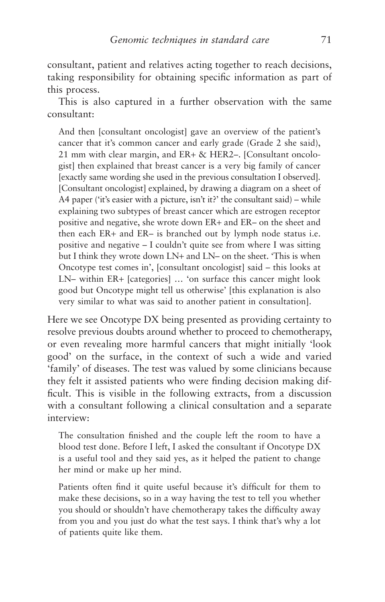consultant, patient and relatives acting together to reach decisions, taking responsibility for obtaining specific information as part of this process.

This is also captured in a further observation with the same consultant:

And then [consultant oncologist] gave an overview of the patient's cancer that it's common cancer and early grade (Grade 2 she said), 21 mm with clear margin, and ER+ & HER2–. [Consultant oncologist] then explained that breast cancer is a very big family of cancer [exactly same wording she used in the previous consultation I observed]. [Consultant oncologist] explained, by drawing a diagram on a sheet of A4 paper ('it's easier with a picture, isn't it?' the consultant said) – while explaining two subtypes of breast cancer which are estrogen receptor positive and negative, she wrote down ER+ and ER– on the sheet and then each ER+ and ER– is branched out by lymph node status i.e. positive and negative – I couldn't quite see from where I was sitting but I think they wrote down LN+ and LN– on the sheet. 'This is when Oncotype test comes in', [consultant oncologist] said – this looks at LN– within ER+ [categories] … 'on surface this cancer might look good but Oncotype might tell us otherwise' [this explanation is also very similar to what was said to another patient in consultation].

Here we see Oncotype DX being presented as providing certainty to resolve previous doubts around whether to proceed to chemotherapy, or even revealing more harmful cancers that might initially 'look good' on the surface, in the context of such a wide and varied 'family' of diseases. The test was valued by some clinicians because they felt it assisted patients who were finding decision making difficult. This is visible in the following extracts, from a discussion with a consultant following a clinical consultation and a separate interview:

The consultation finished and the couple left the room to have a blood test done. Before I left, I asked the consultant if Oncotype DX is a useful tool and they said yes, as it helped the patient to change her mind or make up her mind.

Patients often find it quite useful because it's difficult for them to make these decisions, so in a way having the test to tell you whether you should or shouldn't have chemotherapy takes the difficulty away from you and you just do what the test says. I think that's why a lot of patients quite like them.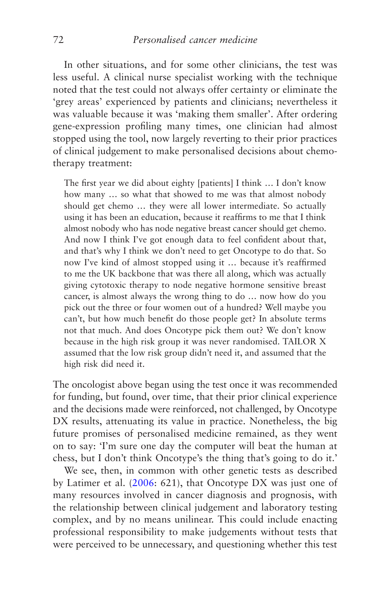In other situations, and for some other clinicians, the test was less useful. A clinical nurse specialist working with the technique noted that the test could not always offer certainty or eliminate the 'grey areas' experienced by patients and clinicians; nevertheless it was valuable because it was 'making them smaller'. After ordering gene-expression profiling many times, one clinician had almost stopped using the tool, now largely reverting to their prior practices of clinical judgement to make personalised decisions about chemotherapy treatment:

The first year we did about eighty [patients] I think … I don't know how many … so what that showed to me was that almost nobody should get chemo … they were all lower intermediate. So actually using it has been an education, because it reaffirms to me that I think almost nobody who has node negative breast cancer should get chemo. And now I think I've got enough data to feel confident about that, and that's why I think we don't need to get Oncotype to do that. So now I've kind of almost stopped using it … because it's reaffirmed to me the UK backbone that was there all along, which was actually giving cytotoxic therapy to node negative hormone sensitive breast cancer, is almost always the wrong thing to do … now how do you pick out the three or four women out of a hundred? Well maybe you can't, but how much benefit do those people get? In absolute terms not that much. And does Oncotype pick them out? We don't know because in the high risk group it was never randomised. TAILOR X assumed that the low risk group didn't need it, and assumed that the high risk did need it.

The oncologist above began using the test once it was recommended for funding, but found, over time, that their prior clinical experience and the decisions made were reinforced, not challenged, by Oncotype DX results, attenuating its value in practice. Nonetheless, the big future promises of personalised medicine remained, as they went on to say: 'I'm sure one day the computer will beat the human at chess, but I don't think Oncotype's the thing that's going to do it.'

We see, then, in common with other genetic tests as described by Latimer et al. [\(2006:](#page-271-0) 621), that Oncotype DX was just one of many resources involved in cancer diagnosis and prognosis, with the relationship between clinical judgement and laboratory testing complex, and by no means unilinear. This could include enacting professional responsibility to make judgements without tests that were perceived to be unnecessary, and questioning whether this test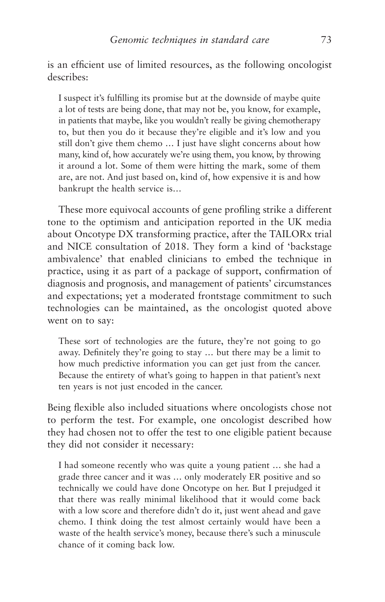is an efficient use of limited resources, as the following oncologist describes:

I suspect it's fulfilling its promise but at the downside of maybe quite a lot of tests are being done, that may not be, you know, for example, in patients that maybe, like you wouldn't really be giving chemotherapy to, but then you do it because they're eligible and it's low and you still don't give them chemo ... I just have slight concerns about how many, kind of, how accurately we're using them, you know, by throwing it around a lot. Some of them were hitting the mark, some of them are, are not. And just based on, kind of, how expensive it is and how bankrupt the health service is…

These more equivocal accounts of gene profiling strike a different tone to the optimism and anticipation reported in the UK media about Oncotype DX transforming practice, after the TAILORx trial and NICE consultation of 2018. They form a kind of 'backstage ambivalence' that enabled clinicians to embed the technique in practice, using it as part of a package of support, confirmation of diagnosis and prognosis, and management of patients' circumstances and expectations; yet a moderated frontstage commitment to such technologies can be maintained, as the oncologist quoted above went on to say:

These sort of technologies are the future, they're not going to go away. Definitely they're going to stay … but there may be a limit to how much predictive information you can get just from the cancer. Because the entirety of what's going to happen in that patient's next ten years is not just encoded in the cancer.

Being flexible also included situations where oncologists chose not to perform the test. For example, one oncologist described how they had chosen not to offer the test to one eligible patient because they did not consider it necessary:

I had someone recently who was quite a young patient … she had a grade three cancer and it was … only moderately ER positive and so technically we could have done Oncotype on her. But I prejudged it that there was really minimal likelihood that it would come back with a low score and therefore didn't do it, just went ahead and gave chemo. I think doing the test almost certainly would have been a waste of the health service's money, because there's such a minuscule chance of it coming back low.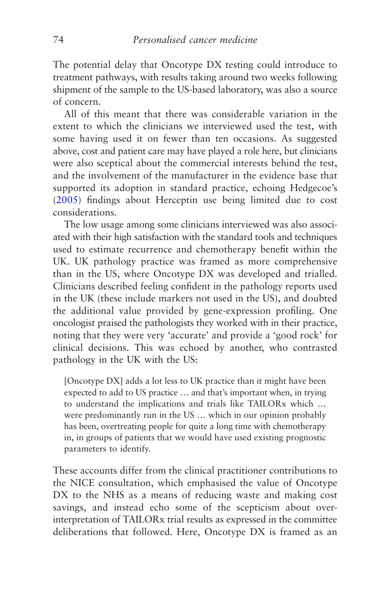The potential delay that Oncotype DX testing could introduce to treatment pathways, with results taking around two weeks following shipment of the sample to the US-based laboratory, was also a source of concern.

All of this meant that there was considerable variation in the extent to which the clinicians we interviewed used the test, with some having used it on fewer than ten occasions. As suggested above, cost and patient care may have played a role here, but clinicians were also sceptical about the commercial interests behind the test, and the involvement of the manufacturer in the evidence base that supported its adoption in standard practice, echoing Hedgecoe's [\(2005](#page-270-0)) findings about Herceptin use being limited due to cost considerations.

The low usage among some clinicians interviewed was also associated with their high satisfaction with the standard tools and techniques used to estimate recurrence and chemotherapy benefit within the UK. UK pathology practice was framed as more comprehensive than in the US, where Oncotype DX was developed and trialled. Clinicians described feeling confident in the pathology reports used in the UK (these include markers not used in the US), and doubted the additional value provided by gene-expression profiling. One oncologist praised the pathologists they worked with in their practice, noting that they were very 'accurate' and provide a 'good rock' for clinical decisions. This was echoed by another, who contrasted pathology in the UK with the US:

[Oncotype DX] adds a lot less to UK practice than it might have been expected to add to US practice … and that's important when, in trying to understand the implications and trials like TAILORx which … were predominantly run in the US … which in our opinion probably has been, overtreating people for quite a long time with chemotherapy in, in groups of patients that we would have used existing prognostic parameters to identify.

These accounts differ from the clinical practitioner contributions to the NICE consultation, which emphasised the value of Oncotype DX to the NHS as a means of reducing waste and making cost savings, and instead echo some of the scepticism about overinterpretation of TAILORx trial results as expressed in the committee deliberations that followed. Here, Oncotype DX is framed as an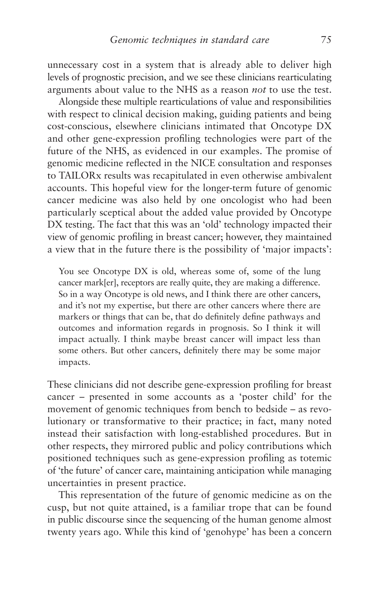unnecessary cost in a system that is already able to deliver high levels of prognostic precision, and we see these clinicians rearticulating arguments about value to the NHS as a reason *not* to use the test.

Alongside these multiple rearticulations of value and responsibilities with respect to clinical decision making, guiding patients and being cost-conscious, elsewhere clinicians intimated that Oncotype DX and other gene-expression profiling technologies were part of the future of the NHS, as evidenced in our examples. The promise of genomic medicine reflected in the NICE consultation and responses to TAILORx results was recapitulated in even otherwise ambivalent accounts. This hopeful view for the longer-term future of genomic cancer medicine was also held by one oncologist who had been particularly sceptical about the added value provided by Oncotype DX testing. The fact that this was an 'old' technology impacted their view of genomic profiling in breast cancer; however, they maintained a view that in the future there is the possibility of 'major impacts':

You see Oncotype DX is old, whereas some of, some of the lung cancer mark[er], receptors are really quite, they are making a difference. So in a way Oncotype is old news, and I think there are other cancers, and it's not my expertise, but there are other cancers where there are markers or things that can be, that do definitely define pathways and outcomes and information regards in prognosis. So I think it will impact actually. I think maybe breast cancer will impact less than some others. But other cancers, definitely there may be some major impacts.

These clinicians did not describe gene-expression profiling for breast cancer – presented in some accounts as a 'poster child' for the movement of genomic techniques from bench to bedside – as revolutionary or transformative to their practice; in fact, many noted instead their satisfaction with long-established procedures. But in other respects, they mirrored public and policy contributions which positioned techniques such as gene-expression profiling as totemic of 'the future' of cancer care, maintaining anticipation while managing uncertainties in present practice.

This representation of the future of genomic medicine as on the cusp, but not quite attained, is a familiar trope that can be found in public discourse since the sequencing of the human genome almost twenty years ago. While this kind of 'genohype' has been a concern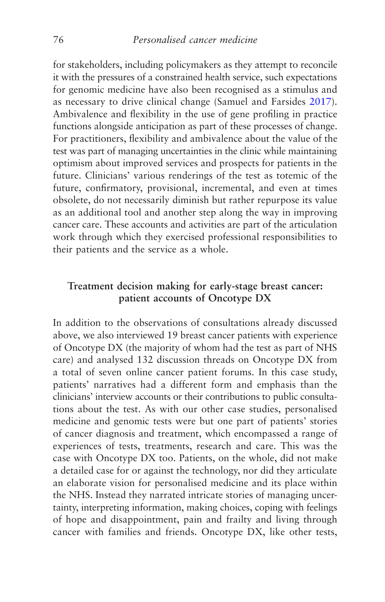for stakeholders, including policymakers as they attempt to reconcile it with the pressures of a constrained health service, such expectations for genomic medicine have also been recognised as a stimulus and as necessary to drive clinical change (Samuel and Farsides [2017\)](#page-276-0). Ambivalence and flexibility in the use of gene profiling in practice functions alongside anticipation as part of these processes of change. For practitioners, flexibility and ambivalence about the value of the test was part of managing uncertainties in the clinic while maintaining optimism about improved services and prospects for patients in the future. Clinicians' various renderings of the test as totemic of the future, confirmatory, provisional, incremental, and even at times obsolete, do not necessarily diminish but rather repurpose its value as an additional tool and another step along the way in improving cancer care. These accounts and activities are part of the articulation work through which they exercised professional responsibilities to their patients and the service as a whole.

## **Treatment decision making for early-stage breast cancer: patient accounts of Oncotype DX**

In addition to the observations of consultations already discussed above, we also interviewed 19 breast cancer patients with experience of Oncotype DX (the majority of whom had the test as part of NHS care) and analysed 132 discussion threads on Oncotype DX from a total of seven online cancer patient forums. In this case study, patients' narratives had a different form and emphasis than the clinicians' interview accounts or their contributions to public consultations about the test. As with our other case studies, personalised medicine and genomic tests were but one part of patients' stories of cancer diagnosis and treatment, which encompassed a range of experiences of tests, treatments, research and care. This was the case with Oncotype DX too. Patients, on the whole, did not make a detailed case for or against the technology, nor did they articulate an elaborate vision for personalised medicine and its place within the NHS. Instead they narrated intricate stories of managing uncertainty, interpreting information, making choices, coping with feelings of hope and disappointment, pain and frailty and living through cancer with families and friends. Oncotype DX, like other tests,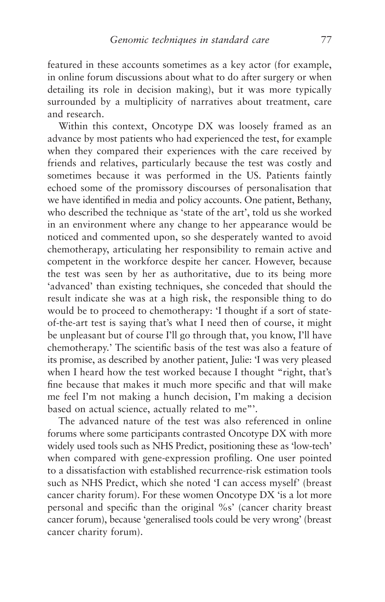featured in these accounts sometimes as a key actor (for example, in online forum discussions about what to do after surgery or when detailing its role in decision making), but it was more typically surrounded by a multiplicity of narratives about treatment, care and research.

Within this context, Oncotype DX was loosely framed as an advance by most patients who had experienced the test, for example when they compared their experiences with the care received by friends and relatives, particularly because the test was costly and sometimes because it was performed in the US. Patients faintly echoed some of the promissory discourses of personalisation that we have identified in media and policy accounts. One patient, Bethany, who described the technique as 'state of the art', told us she worked in an environment where any change to her appearance would be noticed and commented upon, so she desperately wanted to avoid chemotherapy, articulating her responsibility to remain active and competent in the workforce despite her cancer. However, because the test was seen by her as authoritative, due to its being more 'advanced' than existing techniques, she conceded that should the result indicate she was at a high risk, the responsible thing to do would be to proceed to chemotherapy: 'I thought if a sort of stateof-the-art test is saying that's what I need then of course, it might be unpleasant but of course I'll go through that, you know, I'll have chemotherapy.' The scientific basis of the test was also a feature of its promise, as described by another patient, Julie: 'I was very pleased when I heard how the test worked because I thought "right, that's fine because that makes it much more specific and that will make me feel I'm not making a hunch decision, I'm making a decision based on actual science, actually related to me"'.

The advanced nature of the test was also referenced in online forums where some participants contrasted Oncotype DX with more widely used tools such as NHS Predict, positioning these as 'low-tech' when compared with gene-expression profiling. One user pointed to a dissatisfaction with established recurrence-risk estimation tools such as NHS Predict, which she noted 'I can access myself' (breast cancer charity forum). For these women Oncotype DX 'is a lot more personal and specific than the original %s' (cancer charity breast cancer forum), because 'generalised tools could be very wrong' (breast cancer charity forum).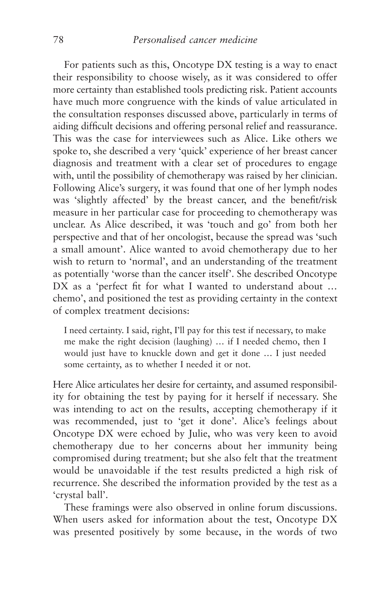For patients such as this, Oncotype DX testing is a way to enact their responsibility to choose wisely, as it was considered to offer more certainty than established tools predicting risk. Patient accounts have much more congruence with the kinds of value articulated in the consultation responses discussed above, particularly in terms of aiding difficult decisions and offering personal relief and reassurance. This was the case for interviewees such as Alice. Like others we spoke to, she described a very 'quick' experience of her breast cancer diagnosis and treatment with a clear set of procedures to engage with, until the possibility of chemotherapy was raised by her clinician. Following Alice's surgery, it was found that one of her lymph nodes was 'slightly affected' by the breast cancer, and the benefit/risk measure in her particular case for proceeding to chemotherapy was unclear. As Alice described, it was 'touch and go' from both her perspective and that of her oncologist, because the spread was 'such a small amount'. Alice wanted to avoid chemotherapy due to her wish to return to 'normal', and an understanding of the treatment as potentially 'worse than the cancer itself'. She described Oncotype DX as a 'perfect fit for what I wanted to understand about ... chemo', and positioned the test as providing certainty in the context of complex treatment decisions:

I need certainty. I said, right, I'll pay for this test if necessary, to make me make the right decision (laughing) … if I needed chemo, then I would just have to knuckle down and get it done … I just needed some certainty, as to whether I needed it or not.

Here Alice articulates her desire for certainty, and assumed responsibility for obtaining the test by paying for it herself if necessary. She was intending to act on the results, accepting chemotherapy if it was recommended, just to 'get it done'. Alice's feelings about Oncotype DX were echoed by Julie, who was very keen to avoid chemotherapy due to her concerns about her immunity being compromised during treatment; but she also felt that the treatment would be unavoidable if the test results predicted a high risk of recurrence. She described the information provided by the test as a 'crystal ball'.

These framings were also observed in online forum discussions. When users asked for information about the test, Oncotype DX was presented positively by some because, in the words of two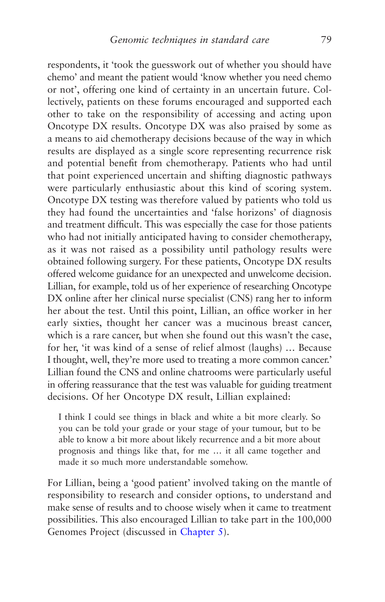respondents, it 'took the guesswork out of whether you should have chemo' and meant the patient would 'know whether you need chemo or not', offering one kind of certainty in an uncertain future. Collectively, patients on these forums encouraged and supported each other to take on the responsibility of accessing and acting upon Oncotype DX results. Oncotype DX was also praised by some as a means to aid chemotherapy decisions because of the way in which results are displayed as a single score representing recurrence risk and potential benefit from chemotherapy. Patients who had until that point experienced uncertain and shifting diagnostic pathways were particularly enthusiastic about this kind of scoring system. Oncotype DX testing was therefore valued by patients who told us they had found the uncertainties and 'false horizons' of diagnosis and treatment difficult. This was especially the case for those patients who had not initially anticipated having to consider chemotherapy, as it was not raised as a possibility until pathology results were obtained following surgery. For these patients, Oncotype DX results offered welcome guidance for an unexpected and unwelcome decision. Lillian, for example, told us of her experience of researching Oncotype DX online after her clinical nurse specialist (CNS) rang her to inform her about the test. Until this point, Lillian, an office worker in her early sixties, thought her cancer was a mucinous breast cancer, which is a rare cancer, but when she found out this wasn't the case, for her, 'it was kind of a sense of relief almost (laughs) … Because I thought, well, they're more used to treating a more common cancer.' Lillian found the CNS and online chatrooms were particularly useful in offering reassurance that the test was valuable for guiding treatment decisions. Of her Oncotype DX result, Lillian explained:

I think I could see things in black and white a bit more clearly. So you can be told your grade or your stage of your tumour, but to be able to know a bit more about likely recurrence and a bit more about prognosis and things like that, for me … it all came together and made it so much more understandable somehow.

For Lillian, being a 'good patient' involved taking on the mantle of responsibility to research and consider options, to understand and make sense of results and to choose wisely when it came to treatment possibilities. This also encouraged Lillian to take part in the 100,000 Genomes Project (discussed in [Chapter 5](#page-160-0)).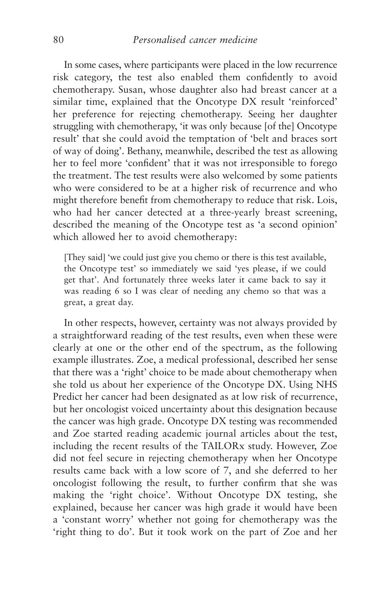In some cases, where participants were placed in the low recurrence risk category, the test also enabled them confidently to avoid chemotherapy. Susan, whose daughter also had breast cancer at a similar time, explained that the Oncotype DX result 'reinforced' her preference for rejecting chemotherapy. Seeing her daughter struggling with chemotherapy, 'it was only because [of the] Oncotype result' that she could avoid the temptation of 'belt and braces sort of way of doing'. Bethany, meanwhile, described the test as allowing her to feel more 'confident' that it was not irresponsible to forego the treatment. The test results were also welcomed by some patients who were considered to be at a higher risk of recurrence and who might therefore benefit from chemotherapy to reduce that risk. Lois, who had her cancer detected at a three-yearly breast screening, described the meaning of the Oncotype test as 'a second opinion' which allowed her to avoid chemotherapy:

[They said] 'we could just give you chemo or there is this test available, the Oncotype test' so immediately we said 'yes please, if we could get that'. And fortunately three weeks later it came back to say it was reading 6 so I was clear of needing any chemo so that was a great, a great day.

In other respects, however, certainty was not always provided by a straightforward reading of the test results, even when these were clearly at one or the other end of the spectrum, as the following example illustrates. Zoe, a medical professional, described her sense that there was a 'right' choice to be made about chemotherapy when she told us about her experience of the Oncotype DX. Using NHS Predict her cancer had been designated as at low risk of recurrence, but her oncologist voiced uncertainty about this designation because the cancer was high grade. Oncotype DX testing was recommended and Zoe started reading academic journal articles about the test, including the recent results of the TAILORx study. However, Zoe did not feel secure in rejecting chemotherapy when her Oncotype results came back with a low score of 7, and she deferred to her oncologist following the result, to further confirm that she was making the 'right choice'. Without Oncotype DX testing, she explained, because her cancer was high grade it would have been a 'constant worry' whether not going for chemotherapy was the 'right thing to do'. But it took work on the part of Zoe and her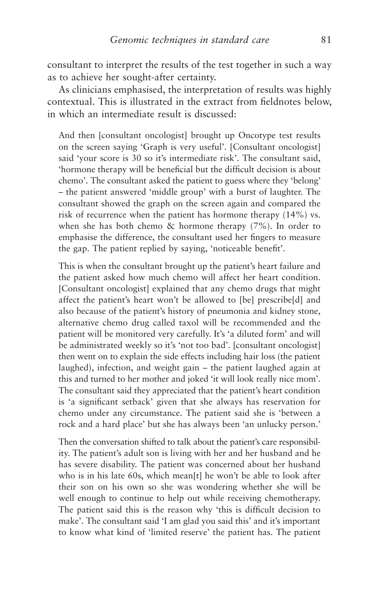consultant to interpret the results of the test together in such a way as to achieve her sought-after certainty.

As clinicians emphasised, the interpretation of results was highly contextual. This is illustrated in the extract from fieldnotes below, in which an intermediate result is discussed:

And then [consultant oncologist] brought up Oncotype test results on the screen saying 'Graph is very useful'. [Consultant oncologist] said 'your score is 30 so it's intermediate risk'. The consultant said, 'hormone therapy will be beneficial but the difficult decision is about chemo'. The consultant asked the patient to guess where they 'belong' – the patient answered 'middle group' with a burst of laughter. The consultant showed the graph on the screen again and compared the risk of recurrence when the patient has hormone therapy (14%) vs. when she has both chemo & hormone therapy (7%). In order to emphasise the difference, the consultant used her fingers to measure the gap. The patient replied by saying, 'noticeable benefit'.

This is when the consultant brought up the patient's heart failure and the patient asked how much chemo will affect her heart condition. [Consultant oncologist] explained that any chemo drugs that might affect the patient's heart won't be allowed to [be] prescribe[d] and also because of the patient's history of pneumonia and kidney stone, alternative chemo drug called taxol will be recommended and the patient will be monitored very carefully. It's 'a diluted form' and will be administrated weekly so it's 'not too bad'. [consultant oncologist] then went on to explain the side effects including hair loss (the patient laughed), infection, and weight gain – the patient laughed again at this and turned to her mother and joked 'it will look really nice mom'. The consultant said they appreciated that the patient's heart condition is 'a significant setback' given that she always has reservation for chemo under any circumstance. The patient said she is 'between a rock and a hard place' but she has always been 'an unlucky person.'

Then the conversation shifted to talk about the patient's care responsibility. The patient's adult son is living with her and her husband and he has severe disability. The patient was concerned about her husband who is in his late 60s, which mean[t] he won't be able to look after their son on his own so she was wondering whether she will be well enough to continue to help out while receiving chemotherapy. The patient said this is the reason why 'this is difficult decision to make'. The consultant said 'I am glad you said this' and it's important to know what kind of 'limited reserve' the patient has. The patient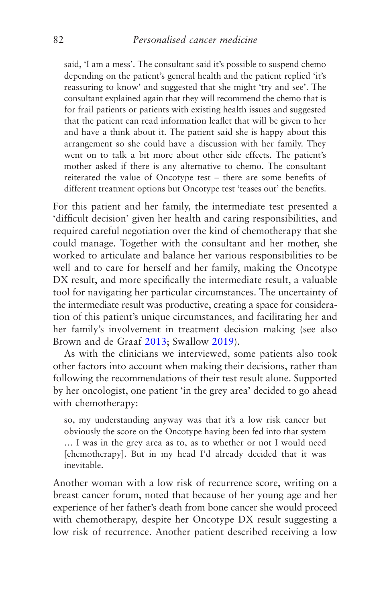said, 'I am a mess'. The consultant said it's possible to suspend chemo depending on the patient's general health and the patient replied 'it's reassuring to know' and suggested that she might 'try and see'. The consultant explained again that they will recommend the chemo that is for frail patients or patients with existing health issues and suggested that the patient can read information leaflet that will be given to her and have a think about it. The patient said she is happy about this arrangement so she could have a discussion with her family. They went on to talk a bit more about other side effects. The patient's mother asked if there is any alternative to chemo. The consultant reiterated the value of Oncotype test – there are some benefits of different treatment options but Oncotype test 'teases out' the benefits.

For this patient and her family, the intermediate test presented a 'difficult decision' given her health and caring responsibilities, and required careful negotiation over the kind of chemotherapy that she could manage. Together with the consultant and her mother, she worked to articulate and balance her various responsibilities to be well and to care for herself and her family, making the Oncotype DX result, and more specifically the intermediate result, a valuable tool for navigating her particular circumstances. The uncertainty of the intermediate result was productive, creating a space for consideration of this patient's unique circumstances, and facilitating her and her family's involvement in treatment decision making (see also Brown and de Graaf [2013](#page-266-0); Swallow [2019\)](#page-276-0).

As with the clinicians we interviewed, some patients also took other factors into account when making their decisions, rather than following the recommendations of their test result alone. Supported by her oncologist, one patient 'in the grey area' decided to go ahead with chemotherapy:

so, my understanding anyway was that it's a low risk cancer but obviously the score on the Oncotype having been fed into that system … I was in the grey area as to, as to whether or not I would need [chemotherapy]. But in my head I'd already decided that it was inevitable.

Another woman with a low risk of recurrence score, writing on a breast cancer forum, noted that because of her young age and her experience of her father's death from bone cancer she would proceed with chemotherapy, despite her Oncotype DX result suggesting a low risk of recurrence. Another patient described receiving a low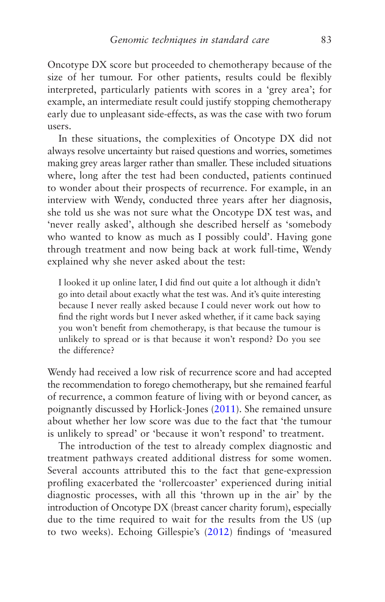Oncotype DX score but proceeded to chemotherapy because of the size of her tumour. For other patients, results could be flexibly interpreted, particularly patients with scores in a 'grey area'; for example, an intermediate result could justify stopping chemotherapy early due to unpleasant side-effects, as was the case with two forum users.

In these situations, the complexities of Oncotype DX did not always resolve uncertainty but raised questions and worries, sometimes making grey areas larger rather than smaller. These included situations where, long after the test had been conducted, patients continued to wonder about their prospects of recurrence. For example, in an interview with Wendy, conducted three years after her diagnosis, she told us she was not sure what the Oncotype DX test was, and 'never really asked', although she described herself as 'somebody who wanted to know as much as I possibly could'. Having gone through treatment and now being back at work full-time, Wendy explained why she never asked about the test:

I looked it up online later, I did find out quite a lot although it didn't go into detail about exactly what the test was. And it's quite interesting because I never really asked because I could never work out how to find the right words but I never asked whether, if it came back saying you won't benefit from chemotherapy, is that because the tumour is unlikely to spread or is that because it won't respond? Do you see the difference?

Wendy had received a low risk of recurrence score and had accepted the recommendation to forego chemotherapy, but she remained fearful of recurrence, a common feature of living with or beyond cancer, as poignantly discussed by Horlick-Jones ([2011\)](#page-270-0). She remained unsure about whether her low score was due to the fact that 'the tumour is unlikely to spread' or 'because it won't respond' to treatment.

The introduction of the test to already complex diagnostic and treatment pathways created additional distress for some women. Several accounts attributed this to the fact that gene-expression profiling exacerbated the 'rollercoaster' experienced during initial diagnostic processes, with all this 'thrown up in the air' by the introduction of Oncotype DX (breast cancer charity forum), especially due to the time required to wait for the results from the US (up to two weeks). Echoing Gillespie's ([2012](#page-268-0)) findings of 'measured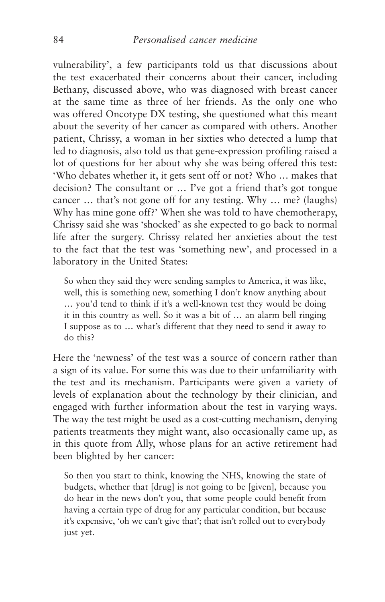vulnerability', a few participants told us that discussions about the test exacerbated their concerns about their cancer, including Bethany, discussed above, who was diagnosed with breast cancer at the same time as three of her friends. As the only one who was offered Oncotype DX testing, she questioned what this meant about the severity of her cancer as compared with others. Another patient, Chrissy, a woman in her sixties who detected a lump that led to diagnosis, also told us that gene-expression profiling raised a lot of questions for her about why she was being offered this test: 'Who debates whether it, it gets sent off or not? Who … makes that decision? The consultant or … I've got a friend that's got tongue cancer … that's not gone off for any testing. Why … me? (laughs) Why has mine gone off?' When she was told to have chemotherapy, Chrissy said she was 'shocked' as she expected to go back to normal life after the surgery. Chrissy related her anxieties about the test to the fact that the test was 'something new', and processed in a laboratory in the United States:

So when they said they were sending samples to America, it was like, well, this is something new, something I don't know anything about … you'd tend to think if it's a well-known test they would be doing it in this country as well. So it was a bit of … an alarm bell ringing I suppose as to … what's different that they need to send it away to do this?

Here the 'newness' of the test was a source of concern rather than a sign of its value. For some this was due to their unfamiliarity with the test and its mechanism. Participants were given a variety of levels of explanation about the technology by their clinician, and engaged with further information about the test in varying ways. The way the test might be used as a cost-cutting mechanism, denying patients treatments they might want, also occasionally came up, as in this quote from Ally, whose plans for an active retirement had been blighted by her cancer:

So then you start to think, knowing the NHS, knowing the state of budgets, whether that [drug] is not going to be [given], because you do hear in the news don't you, that some people could benefit from having a certain type of drug for any particular condition, but because it's expensive, 'oh we can't give that'; that isn't rolled out to everybody just yet.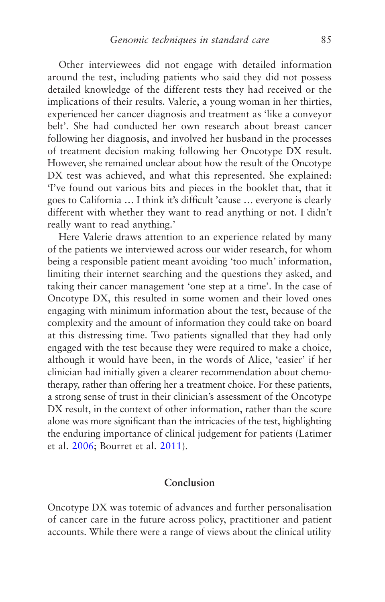Other interviewees did not engage with detailed information around the test, including patients who said they did not possess detailed knowledge of the different tests they had received or the implications of their results. Valerie, a young woman in her thirties, experienced her cancer diagnosis and treatment as 'like a conveyor belt'. She had conducted her own research about breast cancer following her diagnosis, and involved her husband in the processes of treatment decision making following her Oncotype DX result. However, she remained unclear about how the result of the Oncotype DX test was achieved, and what this represented. She explained: 'I've found out various bits and pieces in the booklet that, that it goes to California … I think it's difficult 'cause … everyone is clearly different with whether they want to read anything or not. I didn't really want to read anything.'

Here Valerie draws attention to an experience related by many of the patients we interviewed across our wider research, for whom being a responsible patient meant avoiding 'too much' information, limiting their internet searching and the questions they asked, and taking their cancer management 'one step at a time'. In the case of Oncotype DX, this resulted in some women and their loved ones engaging with minimum information about the test, because of the complexity and the amount of information they could take on board at this distressing time. Two patients signalled that they had only engaged with the test because they were required to make a choice, although it would have been, in the words of Alice, 'easier' if her clinician had initially given a clearer recommendation about chemotherapy, rather than offering her a treatment choice. For these patients, a strong sense of trust in their clinician's assessment of the Oncotype DX result, in the context of other information, rather than the score alone was more significant than the intricacies of the test, highlighting the enduring importance of clinical judgement for patients (Latimer et al. [2006](#page-271-0); Bourret et al. [2011\)](#page-265-0).

### **Conclusion**

Oncotype DX was totemic of advances and further personalisation of cancer care in the future across policy, practitioner and patient accounts. While there were a range of views about the clinical utility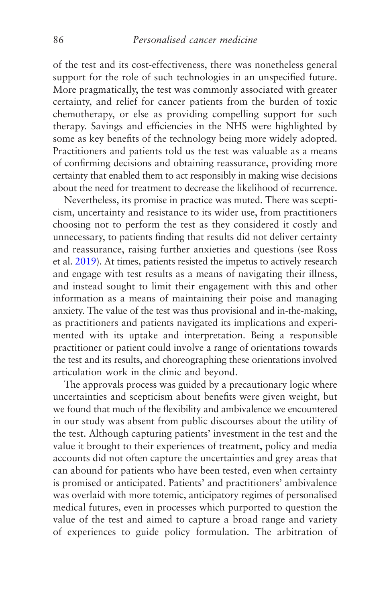of the test and its cost-effectiveness, there was nonetheless general support for the role of such technologies in an unspecified future. More pragmatically, the test was commonly associated with greater certainty, and relief for cancer patients from the burden of toxic chemotherapy, or else as providing compelling support for such therapy. Savings and efficiencies in the NHS were highlighted by some as key benefits of the technology being more widely adopted. Practitioners and patients told us the test was valuable as a means of confirming decisions and obtaining reassurance, providing more certainty that enabled them to act responsibly in making wise decisions about the need for treatment to decrease the likelihood of recurrence.

Nevertheless, its promise in practice was muted. There was scepticism, uncertainty and resistance to its wider use, from practitioners choosing not to perform the test as they considered it costly and unnecessary, to patients finding that results did not deliver certainty and reassurance, raising further anxieties and questions (see Ross et al. [2019\)](#page-275-0). At times, patients resisted the impetus to actively research and engage with test results as a means of navigating their illness, and instead sought to limit their engagement with this and other information as a means of maintaining their poise and managing anxiety. The value of the test was thus provisional and in-the-making, as practitioners and patients navigated its implications and experimented with its uptake and interpretation. Being a responsible practitioner or patient could involve a range of orientations towards the test and its results, and choreographing these orientations involved articulation work in the clinic and beyond.

The approvals process was guided by a precautionary logic where uncertainties and scepticism about benefits were given weight, but we found that much of the flexibility and ambivalence we encountered in our study was absent from public discourses about the utility of the test. Although capturing patients' investment in the test and the value it brought to their experiences of treatment, policy and media accounts did not often capture the uncertainties and grey areas that can abound for patients who have been tested, even when certainty is promised or anticipated. Patients' and practitioners' ambivalence was overlaid with more totemic, anticipatory regimes of personalised medical futures, even in processes which purported to question the value of the test and aimed to capture a broad range and variety of experiences to guide policy formulation. The arbitration of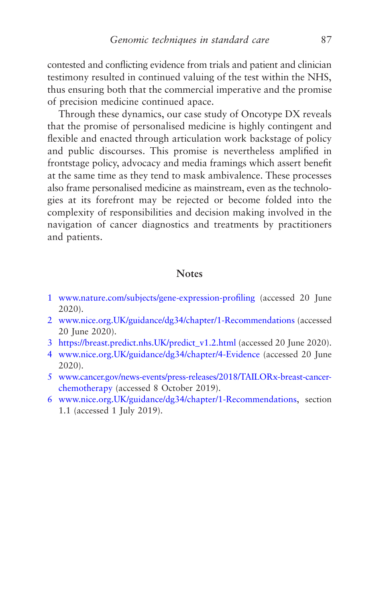<span id="page-95-0"></span>contested and conflicting evidence from trials and patient and clinician testimony resulted in continued valuing of the test within the NHS, thus ensuring both that the commercial imperative and the promise of precision medicine continued apace.

Through these dynamics, our case study of Oncotype DX reveals that the promise of personalised medicine is highly contingent and flexible and enacted through articulation work backstage of policy and public discourses. This promise is nevertheless amplified in frontstage policy, advocacy and media framings which assert benefit at the same time as they tend to mask ambivalence. These processes also frame personalised medicine as mainstream, even as the technologies at its forefront may be rejected or become folded into the complexity of responsibilities and decision making involved in the navigation of cancer diagnostics and treatments by practitioners and patients.

### **Notes**

- [1](#page-67-0) [www.nature.com/subjects/gene-expression-profiling](http://www.nature.com/subjects/gene-expression-profiling) (accessed 20 June 2020).
- [2](#page-67-0) [www.nice.org.UK/guidance/dg34/chapter/1-Recommendations](http://www.nice.org.uk/guidance/dg34/chapter/1-Recommendations) (accessed 20 June 2020).
- [3](#page-70-0) [https://breast.predict.nhs.UK/predict\\_v1.2.html](https://breast.predict.nhs.uk/predict_v1.2.html) (accessed 20 June 2020).
- [4](#page-70-0) [www.nice.org.UK/guidance/dg34/chapter/4-Evidence](http://www.nice.org.uk/guidance/dg34/chapter/4-Evidence) (accessed 20 June 2020).
- [5](#page-70-0) [www.cancer.gov/news-events/press-releases/2018/TAILORx-breast-cancer](http://www.cancer.gov/news-events/press-releases/2018/TAILORx-breast-cancer-chemotherapy)[chemotherapy](http://www.cancer.gov/news-events/press-releases/2018/TAILORx-breast-cancer-chemotherapy) (accessed 8 October 2019).
- [6](#page-77-0) [www.nice.org.UK/guidance/dg34/chapter/1-Recommendations,](http://www.nice.org.uk/guidance/dg34/chapter/1-Recommendations) section 1.1 (accessed 1 July 2019).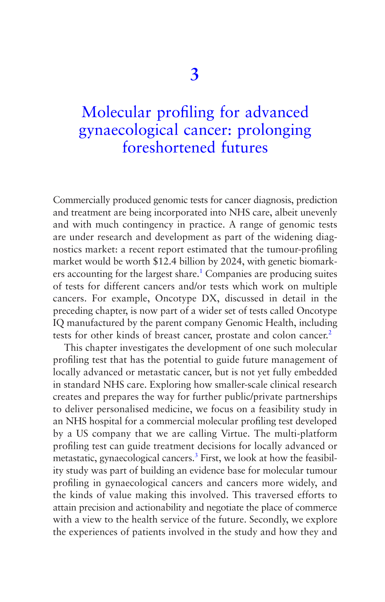# Molecular profiling for advanced [gynaecological cancer: prolonging](#page-5-0)  foreshortened futures

Commercially produced genomic tests for cancer diagnosis, prediction and treatment are being incorporated into NHS care, albeit unevenly and with much contingency in practice. A range of genomic tests are under research and development as part of the widening diagnostics market: a recent report estimated that the tumour-profiling market would be worth \$12.4 billion by 2024, with genetic biomark-ers accounting for the largest share.<sup>[1](#page-124-0)</sup> Companies are producing suites of tests for different cancers and/or tests which work on multiple cancers. For example, Oncotype DX, discussed in detail in the preceding chapter, is now part of a wider set of tests called Oncotype IQ manufactured by the parent company Genomic Health, including tests for other kinds of breast cancer, prostate and colon cancer.<sup>[2](#page-124-0)</sup>

This chapter investigates the development of one such molecular profiling test that has the potential to guide future management of locally advanced or metastatic cancer, but is not yet fully embedded in standard NHS care. Exploring how smaller-scale clinical research creates and prepares the way for further public/private partnerships to deliver personalised medicine, we focus on a feasibility study in an NHS hospital for a commercial molecular profiling test developed by a US company that we are calling Virtue. The multi-platform profiling test can guide treatment decisions for locally advanced or metastatic, gynaecological cancers.<sup>3</sup> First, we look at how the feasibility study was part of building an evidence base for molecular tumour profiling in gynaecological cancers and cancers more widely, and the kinds of value making this involved. This traversed efforts to attain precision and actionability and negotiate the place of commerce with a view to the health service of the future. Secondly, we explore the experiences of patients involved in the study and how they and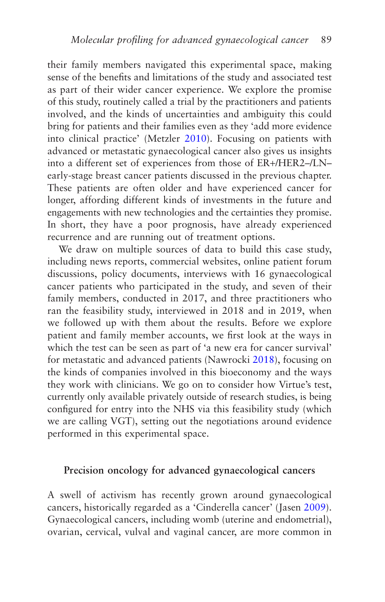their family members navigated this experimental space, making sense of the benefits and limitations of the study and associated test as part of their wider cancer experience. We explore the promise of this study, routinely called a trial by the practitioners and patients involved, and the kinds of uncertainties and ambiguity this could bring for patients and their families even as they 'add more evidence into clinical practice' (Metzler [2010\)](#page-273-0). Focusing on patients with advanced or metastatic gynaecological cancer also gives us insights into a different set of experiences from those of ER+/HER2–/LN– early-stage breast cancer patients discussed in the previous chapter. These patients are often older and have experienced cancer for longer, affording different kinds of investments in the future and engagements with new technologies and the certainties they promise. In short, they have a poor prognosis, have already experienced recurrence and are running out of treatment options.

We draw on multiple sources of data to build this case study, including news reports, commercial websites, online patient forum discussions, policy documents, interviews with 16 gynaecological cancer patients who participated in the study, and seven of their family members, conducted in 2017, and three practitioners who ran the feasibility study, interviewed in 2018 and in 2019, when we followed up with them about the results. Before we explore patient and family member accounts, we first look at the ways in which the test can be seen as part of 'a new era for cancer survival' for metastatic and advanced patients (Nawrocki [2018\)](#page-274-0), focusing on the kinds of companies involved in this bioeconomy and the ways they work with clinicians. We go on to consider how Virtue's test, currently only available privately outside of research studies, is being configured for entry into the NHS via this feasibility study (which we are calling VGT), setting out the negotiations around evidence performed in this experimental space.

# **Precision oncology for advanced gynaecological cancers**

A swell of activism has recently grown around gynaecological cancers, historically regarded as a 'Cinderella cancer' (Jasen [2009](#page-271-0)). Gynaecological cancers, including womb (uterine and endometrial), ovarian, cervical, vulval and vaginal cancer, are more common in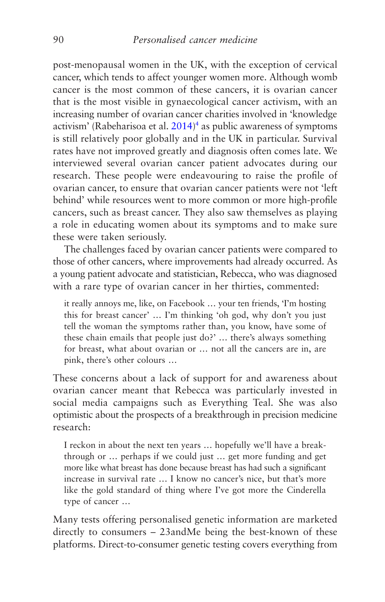post-menopausal women in the UK, with the exception of cervical cancer, which tends to affect younger women more. Although womb cancer is the most common of these cancers, it is ovarian cancer that is the most visible in gynaecological cancer activism, with an increasing number of ovarian cancer charities involved in 'knowledge activism' (Rabeharisoa et al.  $2014$  $2014$ )<sup>4</sup> as public awareness of symptoms is still relatively poor globally and in the UK in particular. Survival rates have not improved greatly and diagnosis often comes late. We interviewed several ovarian cancer patient advocates during our research. These people were endeavouring to raise the profile of ovarian cancer, to ensure that ovarian cancer patients were not 'left behind' while resources went to more common or more high-profile cancers, such as breast cancer. They also saw themselves as playing a role in educating women about its symptoms and to make sure these were taken seriously.

The challenges faced by ovarian cancer patients were compared to those of other cancers, where improvements had already occurred. As a young patient advocate and statistician, Rebecca, who was diagnosed with a rare type of ovarian cancer in her thirties, commented:

it really annoys me, like, on Facebook … your ten friends, 'I'm hosting this for breast cancer' … I'm thinking 'oh god, why don't you just tell the woman the symptoms rather than, you know, have some of these chain emails that people just do?' … there's always something for breast, what about ovarian or … not all the cancers are in, are pink, there's other colours …

These concerns about a lack of support for and awareness about ovarian cancer meant that Rebecca was particularly invested in social media campaigns such as Everything Teal. She was also optimistic about the prospects of a breakthrough in precision medicine research:

I reckon in about the next ten years … hopefully we'll have a breakthrough or … perhaps if we could just … get more funding and get more like what breast has done because breast has had such a significant increase in survival rate … I know no cancer's nice, but that's more like the gold standard of thing where I've got more the Cinderella type of cancer …

Many tests offering personalised genetic information are marketed directly to consumers – 23andMe being the best-known of these platforms. Direct-to-consumer genetic testing covers everything from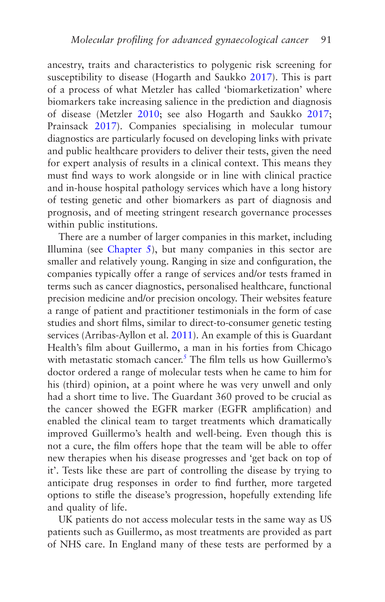ancestry, traits and characteristics to polygenic risk screening for susceptibility to disease (Hogarth and Saukko [2017\)](#page-270-0). This is part of a process of what Metzler has called 'biomarketization' where biomarkers take increasing salience in the prediction and diagnosis of disease (Metzler [2010](#page-273-0); see also Hogarth and Saukko [2017;](#page-270-0) Prainsack [2017\)](#page-275-0). Companies specialising in molecular tumour diagnostics are particularly focused on developing links with private and public healthcare providers to deliver their tests, given the need for expert analysis of results in a clinical context. This means they must find ways to work alongside or in line with clinical practice and in-house hospital pathology services which have a long history of testing genetic and other biomarkers as part of diagnosis and prognosis, and of meeting stringent research governance processes within public institutions.

There are a number of larger companies in this market, including Illumina (see [Chapter 5](#page-160-0)), but many companies in this sector are smaller and relatively young. Ranging in size and configuration, the companies typically offer a range of services and/or tests framed in terms such as cancer diagnostics, personalised healthcare, functional precision medicine and/or precision oncology. Their websites feature a range of patient and practitioner testimonials in the form of case studies and short films, similar to direct-to-consumer genetic testing services (Arribas-Ayllon et al. [2011](#page-265-0)). An example of this is Guardant Health's film about Guillermo, a man in his forties from Chicago with metastatic stomach cancer.<sup>5</sup> The film tells us how Guillermo's doctor ordered a range of molecular tests when he came to him for his (third) opinion, at a point where he was very unwell and only had a short time to live. The Guardant 360 proved to be crucial as the cancer showed the EGFR marker (EGFR amplification) and enabled the clinical team to target treatments which dramatically improved Guillermo's health and well-being. Even though this is not a cure, the film offers hope that the team will be able to offer new therapies when his disease progresses and 'get back on top of it'. Tests like these are part of controlling the disease by trying to anticipate drug responses in order to find further, more targeted options to stifle the disease's progression, hopefully extending life and quality of life.

UK patients do not access molecular tests in the same way as US patients such as Guillermo, as most treatments are provided as part of NHS care. In England many of these tests are performed by a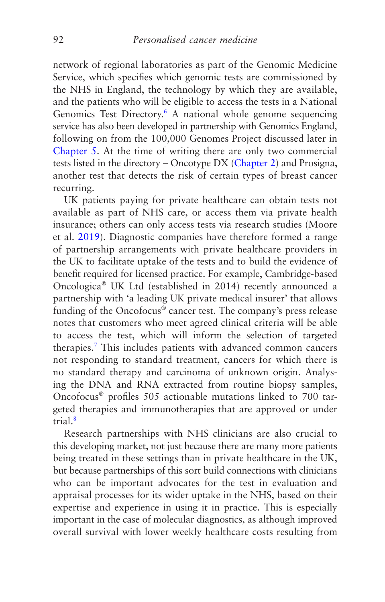network of regional laboratories as part of the Genomic Medicine Service, which specifies which genomic tests are commissioned by the NHS in England, the technology by which they are available, and the patients who will be eligible to access the tests in a National Genomics Test Directory.<sup>[6](#page-124-0)</sup> A national whole genome sequencing service has also been developed in partnership with Genomics England, following on from the 100,000 Genomes Project discussed later in [Chapter 5](#page-160-0). At the time of writing there are only two commercial tests listed in the directory – Oncotype DX [\(Chapter 2](#page-66-0)) and Prosigna, another test that detects the risk of certain types of breast cancer recurring.

UK patients paying for private healthcare can obtain tests not available as part of NHS care, or access them via private health insurance; others can only access tests via research studies (Moore et al. [2019\)](#page-273-0). Diagnostic companies have therefore formed a range of partnership arrangements with private healthcare providers in the UK to facilitate uptake of the tests and to build the evidence of benefit required for licensed practice. For example, Cambridge-based Oncologica® UK Ltd (established in 2014) recently announced a partnership with 'a leading UK private medical insurer' that allows funding of the Oncofocus<sup>®</sup> cancer test. The company's press release notes that customers who meet agreed clinical criteria will be able to access the test, which will inform the selection of targeted therapies.[7](#page-125-0) This includes patients with advanced common cancers not responding to standard treatment, cancers for which there is no standard therapy and carcinoma of unknown origin. Analysing the DNA and RNA extracted from routine biopsy samples, Oncofocus® profiles 505 actionable mutations linked to 700 targeted therapies and immunotherapies that are approved or under trial[.8](#page-125-0)

Research partnerships with NHS clinicians are also crucial to this developing market, not just because there are many more patients being treated in these settings than in private healthcare in the UK, but because partnerships of this sort build connections with clinicians who can be important advocates for the test in evaluation and appraisal processes for its wider uptake in the NHS, based on their expertise and experience in using it in practice. This is especially important in the case of molecular diagnostics, as although improved overall survival with lower weekly healthcare costs resulting from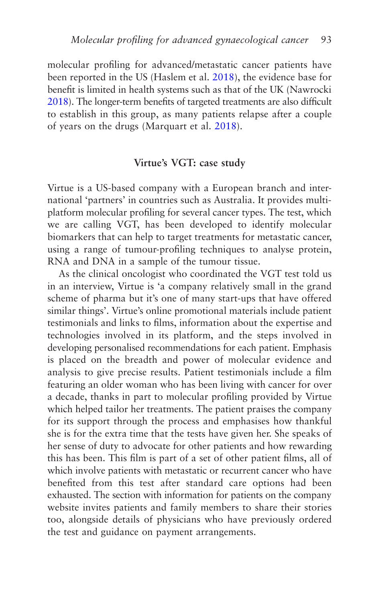molecular profiling for advanced/metastatic cancer patients have been reported in the US (Haslem et al. [2018](#page-269-0)), the evidence base for benefit is limited in health systems such as that of the UK (Nawrocki [2018](#page-274-0)). The longer-term benefits of targeted treatments are also difficult to establish in this group, as many patients relapse after a couple of years on the drugs (Marquart et al. [2018](#page-272-0)).

### **Virtue's VGT: case study**

Virtue is a US-based company with a European branch and international 'partners' in countries such as Australia. It provides multiplatform molecular profiling for several cancer types. The test, which we are calling VGT, has been developed to identify molecular biomarkers that can help to target treatments for metastatic cancer, using a range of tumour-profiling techniques to analyse protein, RNA and DNA in a sample of the tumour tissue.

As the clinical oncologist who coordinated the VGT test told us in an interview, Virtue is 'a company relatively small in the grand scheme of pharma but it's one of many start-ups that have offered similar things'. Virtue's online promotional materials include patient testimonials and links to films, information about the expertise and technologies involved in its platform, and the steps involved in developing personalised recommendations for each patient. Emphasis is placed on the breadth and power of molecular evidence and analysis to give precise results. Patient testimonials include a film featuring an older woman who has been living with cancer for over a decade, thanks in part to molecular profiling provided by Virtue which helped tailor her treatments. The patient praises the company for its support through the process and emphasises how thankful she is for the extra time that the tests have given her. She speaks of her sense of duty to advocate for other patients and how rewarding this has been. This film is part of a set of other patient films, all of which involve patients with metastatic or recurrent cancer who have benefited from this test after standard care options had been exhausted. The section with information for patients on the company website invites patients and family members to share their stories too, alongside details of physicians who have previously ordered the test and guidance on payment arrangements.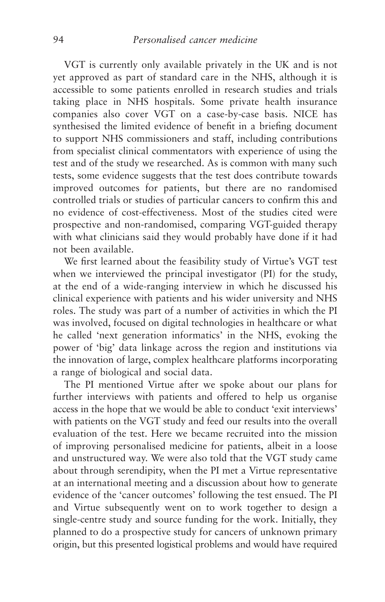VGT is currently only available privately in the UK and is not yet approved as part of standard care in the NHS, although it is accessible to some patients enrolled in research studies and trials taking place in NHS hospitals. Some private health insurance companies also cover VGT on a case-by-case basis. NICE has synthesised the limited evidence of benefit in a briefing document to support NHS commissioners and staff, including contributions from specialist clinical commentators with experience of using the test and of the study we researched. As is common with many such tests, some evidence suggests that the test does contribute towards improved outcomes for patients, but there are no randomised controlled trials or studies of particular cancers to confirm this and no evidence of cost-effectiveness. Most of the studies cited were prospective and non-randomised, comparing VGT-guided therapy with what clinicians said they would probably have done if it had not been available.

We first learned about the feasibility study of Virtue's VGT test when we interviewed the principal investigator (PI) for the study, at the end of a wide-ranging interview in which he discussed his clinical experience with patients and his wider university and NHS roles. The study was part of a number of activities in which the PI was involved, focused on digital technologies in healthcare or what he called 'next generation informatics' in the NHS, evoking the power of 'big' data linkage across the region and institutions via the innovation of large, complex healthcare platforms incorporating a range of biological and social data.

The PI mentioned Virtue after we spoke about our plans for further interviews with patients and offered to help us organise access in the hope that we would be able to conduct 'exit interviews' with patients on the VGT study and feed our results into the overall evaluation of the test. Here we became recruited into the mission of improving personalised medicine for patients, albeit in a loose and unstructured way. We were also told that the VGT study came about through serendipity, when the PI met a Virtue representative at an international meeting and a discussion about how to generate evidence of the 'cancer outcomes' following the test ensued. The PI and Virtue subsequently went on to work together to design a single-centre study and source funding for the work. Initially, they planned to do a prospective study for cancers of unknown primary origin, but this presented logistical problems and would have required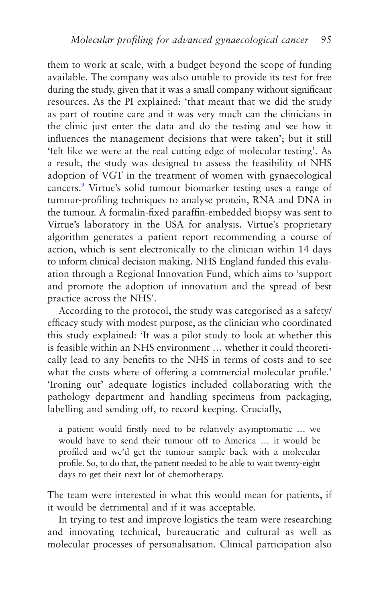them to work at scale, with a budget beyond the scope of funding available. The company was also unable to provide its test for free during the study, given that it was a small company without significant resources. As the PI explained: 'that meant that we did the study as part of routine care and it was very much can the clinicians in the clinic just enter the data and do the testing and see how it influences the management decisions that were taken'; but it still 'felt like we were at the real cutting edge of molecular testing'. As a result, the study was designed to assess the feasibility of NHS adoption of VGT in the treatment of women with gynaecological cancers.[9](#page-125-0) Virtue's solid tumour biomarker testing uses a range of tumour-profiling techniques to analyse protein, RNA and DNA in the tumour. A formalin-fixed paraffin-embedded biopsy was sent to Virtue's laboratory in the USA for analysis. Virtue's proprietary algorithm generates a patient report recommending a course of action, which is sent electronically to the clinician within 14 days to inform clinical decision making. NHS England funded this evaluation through a Regional Innovation Fund, which aims to 'support and promote the adoption of innovation and the spread of best practice across the NHS'.

According to the protocol, the study was categorised as a safety/ efficacy study with modest purpose, as the clinician who coordinated this study explained: 'It was a pilot study to look at whether this is feasible within an NHS environment … whether it could theoretically lead to any benefits to the NHS in terms of costs and to see what the costs where of offering a commercial molecular profile.' 'Ironing out' adequate logistics included collaborating with the pathology department and handling specimens from packaging, labelling and sending off, to record keeping. Crucially,

a patient would firstly need to be relatively asymptomatic … we would have to send their tumour off to America … it would be profiled and we'd get the tumour sample back with a molecular profile. So, to do that, the patient needed to be able to wait twenty-eight days to get their next lot of chemotherapy.

The team were interested in what this would mean for patients, if it would be detrimental and if it was acceptable.

In trying to test and improve logistics the team were researching and innovating technical, bureaucratic and cultural as well as molecular processes of personalisation. Clinical participation also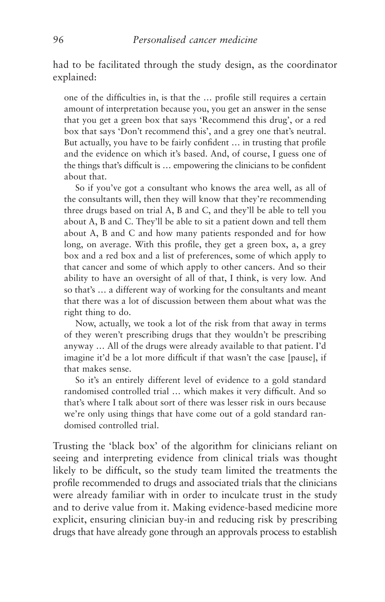had to be facilitated through the study design, as the coordinator explained:

one of the difficulties in, is that the … profile still requires a certain amount of interpretation because you, you get an answer in the sense that you get a green box that says 'Recommend this drug', or a red box that says 'Don't recommend this', and a grey one that's neutral. But actually, you have to be fairly confident … in trusting that profile and the evidence on which it's based. And, of course, I guess one of the things that's difficult is … empowering the clinicians to be confident about that.

So if you've got a consultant who knows the area well, as all of the consultants will, then they will know that they're recommending three drugs based on trial A, B and C, and they'll be able to tell you about A, B and C. They'll be able to sit a patient down and tell them about A, B and C and how many patients responded and for how long, on average. With this profile, they get a green box, a, a grey box and a red box and a list of preferences, some of which apply to that cancer and some of which apply to other cancers. And so their ability to have an oversight of all of that, I think, is very low. And so that's … a different way of working for the consultants and meant that there was a lot of discussion between them about what was the right thing to do.

Now, actually, we took a lot of the risk from that away in terms of they weren't prescribing drugs that they wouldn't be prescribing anyway … All of the drugs were already available to that patient. I'd imagine it'd be a lot more difficult if that wasn't the case [pause], if that makes sense.

So it's an entirely different level of evidence to a gold standard randomised controlled trial … which makes it very difficult. And so that's where I talk about sort of there was lesser risk in ours because we're only using things that have come out of a gold standard randomised controlled trial.

Trusting the 'black box' of the algorithm for clinicians reliant on seeing and interpreting evidence from clinical trials was thought likely to be difficult, so the study team limited the treatments the profile recommended to drugs and associated trials that the clinicians were already familiar with in order to inculcate trust in the study and to derive value from it. Making evidence-based medicine more explicit, ensuring clinician buy-in and reducing risk by prescribing drugs that have already gone through an approvals process to establish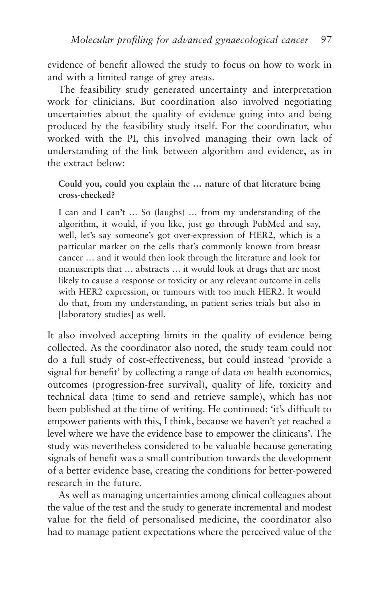evidence of benefit allowed the study to focus on how to work in and with a limited range of grey areas.

The feasibility study generated uncertainty and interpretation work for clinicians. But coordination also involved negotiating uncertainties about the quality of evidence going into and being produced by the feasibility study itself. For the coordinator, who worked with the PI, this involved managing their own lack of understanding of the link between algorithm and evidence, as in the extract below:

## **Could you, could you explain the … nature of that literature being cross-checked?**

I can and I can't … So (laughs) … from my understanding of the algorithm, it would, if you like, just go through PubMed and say, well, let's say someone's got over-expression of HER2, which is a particular marker on the cells that's commonly known from breast cancer … and it would then look through the literature and look for manuscripts that … abstracts … it would look at drugs that are most likely to cause a response or toxicity or any relevant outcome in cells with HER2 expression, or tumours with too much HER2. It would do that, from my understanding, in patient series trials but also in [laboratory studies] as well.

It also involved accepting limits in the quality of evidence being collected. As the coordinator also noted, the study team could not do a full study of cost-effectiveness, but could instead 'provide a signal for benefit' by collecting a range of data on health economics, outcomes (progression-free survival), quality of life, toxicity and technical data (time to send and retrieve sample), which has not been published at the time of writing. He continued: 'it's difficult to empower patients with this, I think, because we haven't yet reached a level where we have the evidence base to empower the clinicans'. The study was nevertheless considered to be valuable because generating signals of benefit was a small contribution towards the development of a better evidence base, creating the conditions for better-powered research in the future.

As well as managing uncertainties among clinical colleagues about the value of the test and the study to generate incremental and modest value for the field of personalised medicine, the coordinator also had to manage patient expectations where the perceived value of the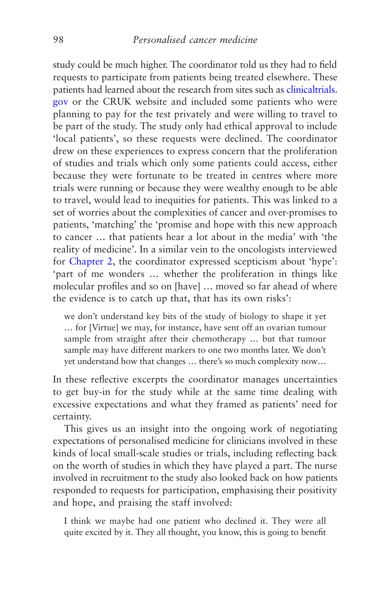study could be much higher. The coordinator told us they had to field requests to participate from patients being treated elsewhere. These patients had learned about the research from sites such as [clinicaltrials.](http://clinicaltrials.gov/) [gov](http://clinicaltrials.gov/) or the CRUK website and included some patients who were planning to pay for the test privately and were willing to travel to be part of the study. The study only had ethical approval to include 'local patients', so these requests were declined. The coordinator drew on these experiences to express concern that the proliferation of studies and trials which only some patients could access, either because they were fortunate to be treated in centres where more trials were running or because they were wealthy enough to be able to travel, would lead to inequities for patients. This was linked to a set of worries about the complexities of cancer and over-promises to patients, 'matching' the 'promise and hope with this new approach to cancer … that patients hear a lot about in the media' with 'the reality of medicine'. In a similar vein to the oncologists interviewed for [Chapter 2](#page-66-0), the coordinator expressed scepticism about 'hype': 'part of me wonders … whether the proliferation in things like molecular profiles and so on [have] … moved so far ahead of where the evidence is to catch up that, that has its own risks':

we don't understand key bits of the study of biology to shape it yet … for [Virtue] we may, for instance, have sent off an ovarian tumour sample from straight after their chemotherapy … but that tumour sample may have different markers to one two months later. We don't yet understand how that changes … there's so much complexity now…

In these reflective excerpts the coordinator manages uncertainties to get buy-in for the study while at the same time dealing with excessive expectations and what they framed as patients' need for certainty.

This gives us an insight into the ongoing work of negotiating expectations of personalised medicine for clinicians involved in these kinds of local small-scale studies or trials, including reflecting back on the worth of studies in which they have played a part. The nurse involved in recruitment to the study also looked back on how patients responded to requests for participation, emphasising their positivity and hope, and praising the staff involved:

I think we maybe had one patient who declined it. They were all quite excited by it. They all thought, you know, this is going to benefit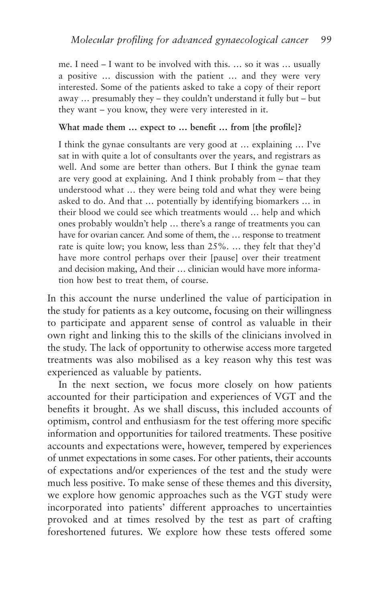me. I need – I want to be involved with this. … so it was … usually a positive … discussion with the patient … and they were very interested. Some of the patients asked to take a copy of their report away … presumably they – they couldn't understand it fully but – but they want – you know, they were very interested in it.

#### **What made them … expect to … benefit … from [the profile]?**

I think the gynae consultants are very good at … explaining … I've sat in with quite a lot of consultants over the years, and registrars as well. And some are better than others. But I think the gynae team are very good at explaining. And I think probably from – that they understood what … they were being told and what they were being asked to do. And that … potentially by identifying biomarkers … in their blood we could see which treatments would … help and which ones probably wouldn't help … there's a range of treatments you can have for ovarian cancer. And some of them, the … response to treatment rate is quite low; you know, less than 25%. … they felt that they'd have more control perhaps over their [pause] over their treatment and decision making, And their … clinician would have more information how best to treat them, of course.

In this account the nurse underlined the value of participation in the study for patients as a key outcome, focusing on their willingness to participate and apparent sense of control as valuable in their own right and linking this to the skills of the clinicians involved in the study. The lack of opportunity to otherwise access more targeted treatments was also mobilised as a key reason why this test was experienced as valuable by patients.

In the next section, we focus more closely on how patients accounted for their participation and experiences of VGT and the benefits it brought. As we shall discuss, this included accounts of optimism, control and enthusiasm for the test offering more specific information and opportunities for tailored treatments. These positive accounts and expectations were, however, tempered by experiences of unmet expectations in some cases. For other patients, their accounts of expectations and/or experiences of the test and the study were much less positive. To make sense of these themes and this diversity, we explore how genomic approaches such as the VGT study were incorporated into patients' different approaches to uncertainties provoked and at times resolved by the test as part of crafting foreshortened futures. We explore how these tests offered some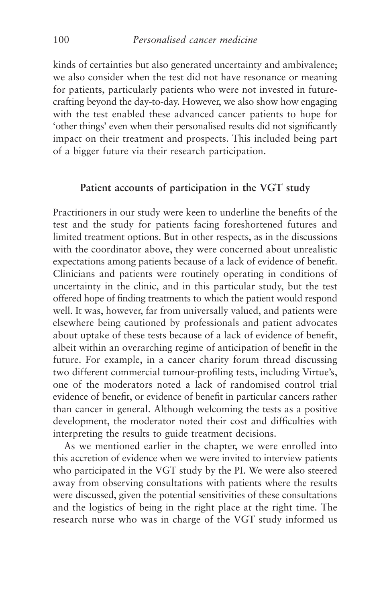kinds of certainties but also generated uncertainty and ambivalence; we also consider when the test did not have resonance or meaning for patients, particularly patients who were not invested in futurecrafting beyond the day-to-day. However, we also show how engaging with the test enabled these advanced cancer patients to hope for 'other things' even when their personalised results did not significantly impact on their treatment and prospects. This included being part of a bigger future via their research participation.

## **Patient accounts of participation in the VGT study**

Practitioners in our study were keen to underline the benefits of the test and the study for patients facing foreshortened futures and limited treatment options. But in other respects, as in the discussions with the coordinator above, they were concerned about unrealistic expectations among patients because of a lack of evidence of benefit. Clinicians and patients were routinely operating in conditions of uncertainty in the clinic, and in this particular study, but the test offered hope of finding treatments to which the patient would respond well. It was, however, far from universally valued, and patients were elsewhere being cautioned by professionals and patient advocates about uptake of these tests because of a lack of evidence of benefit, albeit within an overarching regime of anticipation of benefit in the future. For example, in a cancer charity forum thread discussing two different commercial tumour-profiling tests, including Virtue's, one of the moderators noted a lack of randomised control trial evidence of benefit, or evidence of benefit in particular cancers rather than cancer in general. Although welcoming the tests as a positive development, the moderator noted their cost and difficulties with interpreting the results to guide treatment decisions.

As we mentioned earlier in the chapter, we were enrolled into this accretion of evidence when we were invited to interview patients who participated in the VGT study by the PI. We were also steered away from observing consultations with patients where the results were discussed, given the potential sensitivities of these consultations and the logistics of being in the right place at the right time. The research nurse who was in charge of the VGT study informed us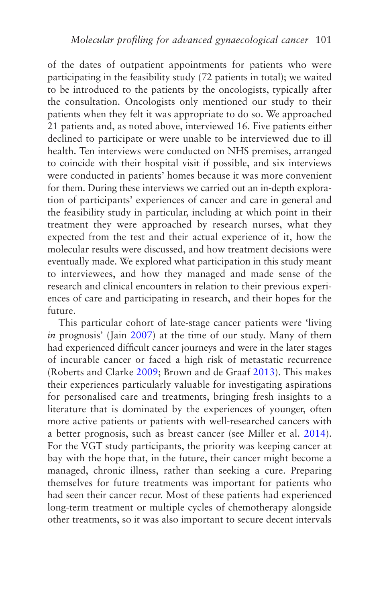of the dates of outpatient appointments for patients who were participating in the feasibility study (72 patients in total); we waited to be introduced to the patients by the oncologists, typically after the consultation. Oncologists only mentioned our study to their patients when they felt it was appropriate to do so. We approached 21 patients and, as noted above, interviewed 16. Five patients either declined to participate or were unable to be interviewed due to ill health. Ten interviews were conducted on NHS premises, arranged to coincide with their hospital visit if possible, and six interviews were conducted in patients' homes because it was more convenient for them. During these interviews we carried out an in-depth exploration of participants' experiences of cancer and care in general and the feasibility study in particular, including at which point in their treatment they were approached by research nurses, what they expected from the test and their actual experience of it, how the molecular results were discussed, and how treatment decisions were eventually made. We explored what participation in this study meant to interviewees, and how they managed and made sense of the research and clinical encounters in relation to their previous experiences of care and participating in research, and their hopes for the future.

This particular cohort of late-stage cancer patients were 'living *in* prognosis' (Jain [2007\)](#page-270-0) at the time of our study. Many of them had experienced difficult cancer journeys and were in the later stages of incurable cancer or faced a high risk of metastatic recurrence (Roberts and Clarke [2009;](#page-275-0) Brown and de Graaf [2013\)](#page-266-0). This makes their experiences particularly valuable for investigating aspirations for personalised care and treatments, bringing fresh insights to a literature that is dominated by the experiences of younger, often more active patients or patients with well-researched cancers with a better prognosis, such as breast cancer (see Miller et al. [2014](#page-273-0)). For the VGT study participants, the priority was keeping cancer at bay with the hope that, in the future, their cancer might become a managed, chronic illness, rather than seeking a cure. Preparing themselves for future treatments was important for patients who had seen their cancer recur. Most of these patients had experienced long-term treatment or multiple cycles of chemotherapy alongside other treatments, so it was also important to secure decent intervals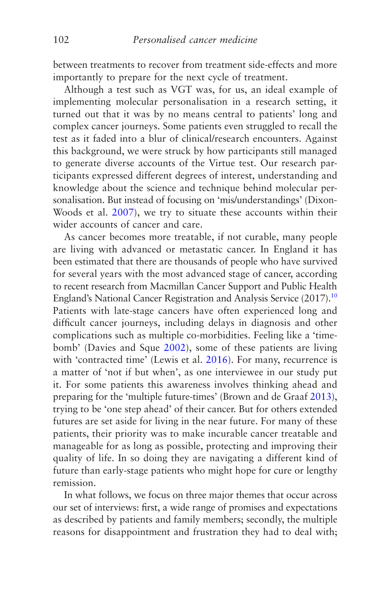<span id="page-110-0"></span>between treatments to recover from treatment side-effects and more importantly to prepare for the next cycle of treatment.

Although a test such as VGT was, for us, an ideal example of implementing molecular personalisation in a research setting, it turned out that it was by no means central to patients' long and complex cancer journeys. Some patients even struggled to recall the test as it faded into a blur of clinical/research encounters. Against this background, we were struck by how participants still managed to generate diverse accounts of the Virtue test. Our research participants expressed different degrees of interest, understanding and knowledge about the science and technique behind molecular personalisation. But instead of focusing on 'mis/understandings' (Dixon-Woods et al. [2007](#page-267-0)), we try to situate these accounts within their wider accounts of cancer and care.

As cancer becomes more treatable, if not curable, many people are living with advanced or metastatic cancer. In England it has been estimated that there are thousands of people who have survived for several years with the most advanced stage of cancer, according to recent research from Macmillan Cancer Support and Public Health England's National Cancer Registration and Analysis Service (2017)[.10](#page-125-0) Patients with late-stage cancers have often experienced long and difficult cancer journeys, including delays in diagnosis and other complications such as multiple co-morbidities. Feeling like a 'timebomb' (Davies and Sque [2002\)](#page-267-0), some of these patients are living with 'contracted time' (Lewis et al. [2016\)](#page-272-0). For many, recurrence is a matter of 'not if but when', as one interviewee in our study put it. For some patients this awareness involves thinking ahead and preparing for the 'multiple future-times' (Brown and de Graaf [2013\)](#page-266-0), trying to be 'one step ahead' of their cancer. But for others extended futures are set aside for living in the near future. For many of these patients, their priority was to make incurable cancer treatable and manageable for as long as possible, protecting and improving their quality of life. In so doing they are navigating a different kind of future than early-stage patients who might hope for cure or lengthy remission.

In what follows, we focus on three major themes that occur across our set of interviews: first, a wide range of promises and expectations as described by patients and family members; secondly, the multiple reasons for disappointment and frustration they had to deal with;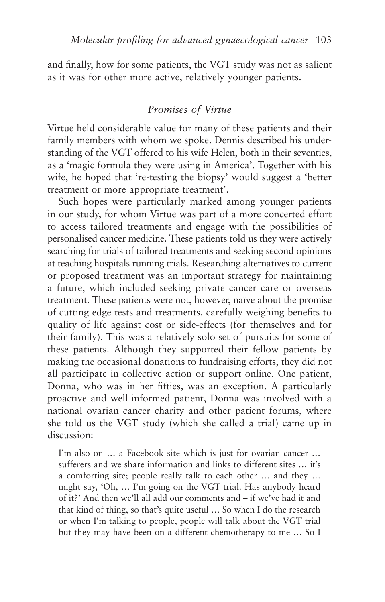and finally, how for some patients, the VGT study was not as salient as it was for other more active, relatively younger patients.

### *Promises of Virtue*

Virtue held considerable value for many of these patients and their family members with whom we spoke. Dennis described his understanding of the VGT offered to his wife Helen, both in their seventies, as a 'magic formula they were using in America'. Together with his wife, he hoped that 're-testing the biopsy' would suggest a 'better treatment or more appropriate treatment'.

Such hopes were particularly marked among younger patients in our study, for whom Virtue was part of a more concerted effort to access tailored treatments and engage with the possibilities of personalised cancer medicine. These patients told us they were actively searching for trials of tailored treatments and seeking second opinions at teaching hospitals running trials. Researching alternatives to current or proposed treatment was an important strategy for maintaining a future, which included seeking private cancer care or overseas treatment. These patients were not, however, naïve about the promise of cutting-edge tests and treatments, carefully weighing benefits to quality of life against cost or side-effects (for themselves and for their family). This was a relatively solo set of pursuits for some of these patients. Although they supported their fellow patients by making the occasional donations to fundraising efforts, they did not all participate in collective action or support online. One patient, Donna, who was in her fifties, was an exception. A particularly proactive and well-informed patient, Donna was involved with a national ovarian cancer charity and other patient forums, where she told us the VGT study (which she called a trial) came up in discussion:

I'm also on … a Facebook site which is just for ovarian cancer … sufferers and we share information and links to different sites … it's a comforting site; people really talk to each other … and they … might say, 'Oh, … I'm going on the VGT trial. Has anybody heard of it?' And then we'll all add our comments and – if we've had it and that kind of thing, so that's quite useful … So when I do the research or when I'm talking to people, people will talk about the VGT trial but they may have been on a different chemotherapy to me … So I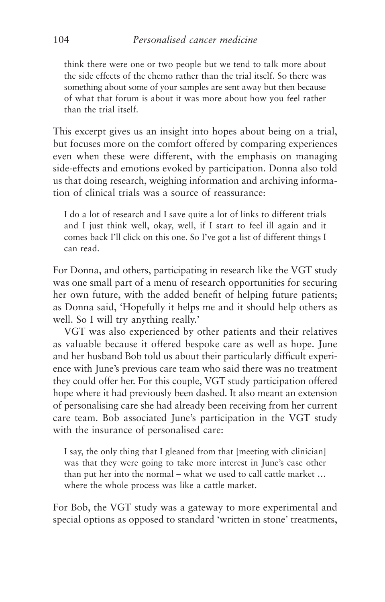think there were one or two people but we tend to talk more about the side effects of the chemo rather than the trial itself. So there was something about some of your samples are sent away but then because of what that forum is about it was more about how you feel rather than the trial itself.

This excerpt gives us an insight into hopes about being on a trial, but focuses more on the comfort offered by comparing experiences even when these were different, with the emphasis on managing side-effects and emotions evoked by participation. Donna also told us that doing research, weighing information and archiving information of clinical trials was a source of reassurance:

I do a lot of research and I save quite a lot of links to different trials and I just think well, okay, well, if I start to feel ill again and it comes back I'll click on this one. So I've got a list of different things I can read.

For Donna, and others, participating in research like the VGT study was one small part of a menu of research opportunities for securing her own future, with the added benefit of helping future patients; as Donna said, 'Hopefully it helps me and it should help others as well. So I will try anything really.'

VGT was also experienced by other patients and their relatives as valuable because it offered bespoke care as well as hope. June and her husband Bob told us about their particularly difficult experience with June's previous care team who said there was no treatment they could offer her. For this couple, VGT study participation offered hope where it had previously been dashed. It also meant an extension of personalising care she had already been receiving from her current care team. Bob associated June's participation in the VGT study with the insurance of personalised care:

I say, the only thing that I gleaned from that [meeting with clinician] was that they were going to take more interest in June's case other than put her into the normal – what we used to call cattle market … where the whole process was like a cattle market.

For Bob, the VGT study was a gateway to more experimental and special options as opposed to standard 'written in stone' treatments,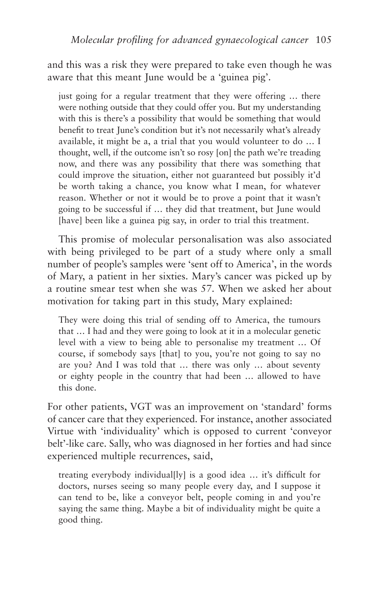and this was a risk they were prepared to take even though he was aware that this meant June would be a 'guinea pig'.

just going for a regular treatment that they were offering ... there were nothing outside that they could offer you. But my understanding with this is there's a possibility that would be something that would benefit to treat June's condition but it's not necessarily what's already available, it might be a, a trial that you would volunteer to do … I thought, well, if the outcome isn't so rosy [on] the path we're treading now, and there was any possibility that there was something that could improve the situation, either not guaranteed but possibly it'd be worth taking a chance, you know what I mean, for whatever reason. Whether or not it would be to prove a point that it wasn't going to be successful if … they did that treatment, but June would [have] been like a guinea pig say, in order to trial this treatment.

This promise of molecular personalisation was also associated with being privileged to be part of a study where only a small number of people's samples were 'sent off to America', in the words of Mary, a patient in her sixties. Mary's cancer was picked up by a routine smear test when she was 57. When we asked her about motivation for taking part in this study, Mary explained:

They were doing this trial of sending off to America, the tumours that … I had and they were going to look at it in a molecular genetic level with a view to being able to personalise my treatment … Of course, if somebody says [that] to you, you're not going to say no are you? And I was told that … there was only … about seventy or eighty people in the country that had been … allowed to have this done.

For other patients, VGT was an improvement on 'standard' forms of cancer care that they experienced. For instance, another associated Virtue with 'individuality' which is opposed to current 'conveyor belt'-like care. Sally, who was diagnosed in her forties and had since experienced multiple recurrences, said,

treating everybody individual[ly] is a good idea … it's difficult for doctors, nurses seeing so many people every day, and I suppose it can tend to be, like a conveyor belt, people coming in and you're saying the same thing. Maybe a bit of individuality might be quite a good thing.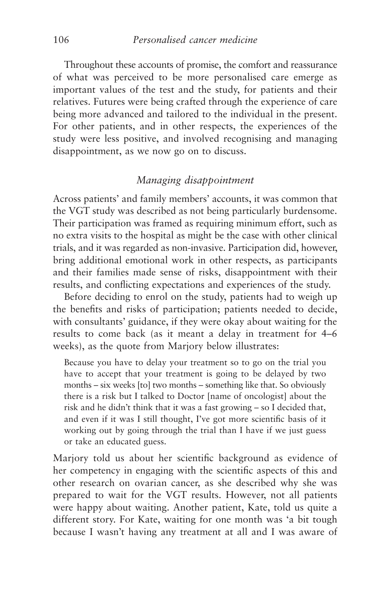Throughout these accounts of promise, the comfort and reassurance of what was perceived to be more personalised care emerge as important values of the test and the study, for patients and their relatives. Futures were being crafted through the experience of care being more advanced and tailored to the individual in the present. For other patients, and in other respects, the experiences of the study were less positive, and involved recognising and managing disappointment, as we now go on to discuss.

# *Managing disappointment*

Across patients' and family members' accounts, it was common that the VGT study was described as not being particularly burdensome. Their participation was framed as requiring minimum effort, such as no extra visits to the hospital as might be the case with other clinical trials, and it was regarded as non-invasive. Participation did, however, bring additional emotional work in other respects, as participants and their families made sense of risks, disappointment with their results, and conflicting expectations and experiences of the study.

Before deciding to enrol on the study, patients had to weigh up the benefits and risks of participation; patients needed to decide, with consultants' guidance, if they were okay about waiting for the results to come back (as it meant a delay in treatment for 4–6 weeks), as the quote from Marjory below illustrates:

Because you have to delay your treatment so to go on the trial you have to accept that your treatment is going to be delayed by two months – six weeks [to] two months – something like that. So obviously there is a risk but I talked to Doctor [name of oncologist] about the risk and he didn't think that it was a fast growing – so I decided that, and even if it was I still thought, I've got more scientific basis of it working out by going through the trial than I have if we just guess or take an educated guess.

Marjory told us about her scientific background as evidence of her competency in engaging with the scientific aspects of this and other research on ovarian cancer, as she described why she was prepared to wait for the VGT results. However, not all patients were happy about waiting. Another patient, Kate, told us quite a different story. For Kate, waiting for one month was 'a bit tough because I wasn't having any treatment at all and I was aware of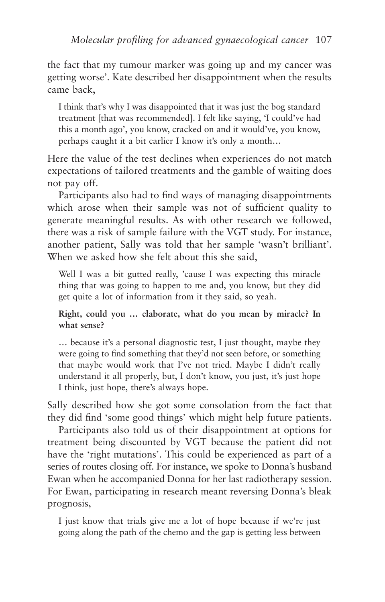the fact that my tumour marker was going up and my cancer was getting worse'. Kate described her disappointment when the results came back,

I think that's why I was disappointed that it was just the bog standard treatment [that was recommended]. I felt like saying, 'I could've had this a month ago', you know, cracked on and it would've, you know, perhaps caught it a bit earlier I know it's only a month…

Here the value of the test declines when experiences do not match expectations of tailored treatments and the gamble of waiting does not pay off.

Participants also had to find ways of managing disappointments which arose when their sample was not of sufficient quality to generate meaningful results. As with other research we followed, there was a risk of sample failure with the VGT study. For instance, another patient, Sally was told that her sample 'wasn't brilliant'. When we asked how she felt about this she said,

Well I was a bit gutted really, 'cause I was expecting this miracle thing that was going to happen to me and, you know, but they did get quite a lot of information from it they said, so yeah.

**Right, could you … elaborate, what do you mean by miracle? In what sense?**

… because it's a personal diagnostic test, I just thought, maybe they were going to find something that they'd not seen before, or something that maybe would work that I've not tried. Maybe I didn't really understand it all properly, but, I don't know, you just, it's just hope I think, just hope, there's always hope.

Sally described how she got some consolation from the fact that they did find 'some good things' which might help future patients.

Participants also told us of their disappointment at options for treatment being discounted by VGT because the patient did not have the 'right mutations'. This could be experienced as part of a series of routes closing off. For instance, we spoke to Donna's husband Ewan when he accompanied Donna for her last radiotherapy session. For Ewan, participating in research meant reversing Donna's bleak prognosis,

I just know that trials give me a lot of hope because if we're just going along the path of the chemo and the gap is getting less between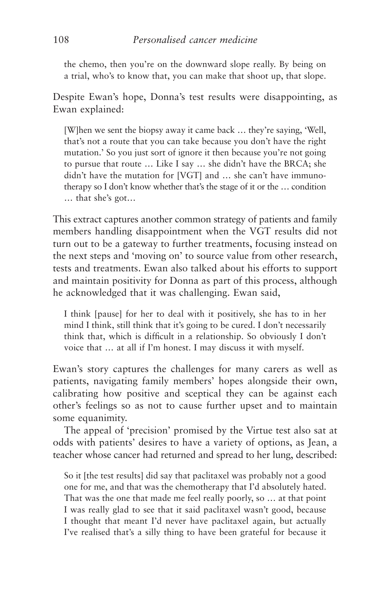the chemo, then you're on the downward slope really. By being on a trial, who's to know that, you can make that shoot up, that slope.

Despite Ewan's hope, Donna's test results were disappointing, as Ewan explained:

[W]hen we sent the biopsy away it came back … they're saying, 'Well, that's not a route that you can take because you don't have the right mutation.' So you just sort of ignore it then because you're not going to pursue that route … Like I say … she didn't have the BRCA; she didn't have the mutation for [VGT] and … she can't have immunotherapy so I don't know whether that's the stage of it or the … condition … that she's got…

This extract captures another common strategy of patients and family members handling disappointment when the VGT results did not turn out to be a gateway to further treatments, focusing instead on the next steps and 'moving on' to source value from other research, tests and treatments. Ewan also talked about his efforts to support and maintain positivity for Donna as part of this process, although he acknowledged that it was challenging. Ewan said,

I think [pause] for her to deal with it positively, she has to in her mind I think, still think that it's going to be cured. I don't necessarily think that, which is difficult in a relationship. So obviously I don't voice that … at all if I'm honest. I may discuss it with myself.

Ewan's story captures the challenges for many carers as well as patients, navigating family members' hopes alongside their own, calibrating how positive and sceptical they can be against each other's feelings so as not to cause further upset and to maintain some equanimity.

The appeal of 'precision' promised by the Virtue test also sat at odds with patients' desires to have a variety of options, as Jean, a teacher whose cancer had returned and spread to her lung, described:

So it [the test results] did say that paclitaxel was probably not a good one for me, and that was the chemotherapy that I'd absolutely hated. That was the one that made me feel really poorly, so … at that point I was really glad to see that it said paclitaxel wasn't good, because I thought that meant I'd never have paclitaxel again, but actually I've realised that's a silly thing to have been grateful for because it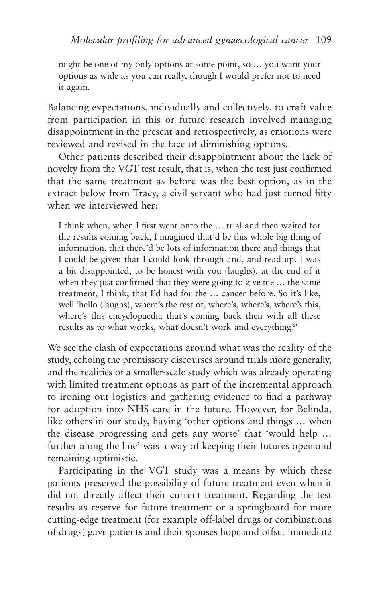might be one of my only options at some point, so … you want your options as wide as you can really, though I would prefer not to need it again.

Balancing expectations, individually and collectively, to craft value from participation in this or future research involved managing disappointment in the present and retrospectively, as emotions were reviewed and revised in the face of diminishing options.

Other patients described their disappointment about the lack of novelty from the VGT test result, that is, when the test just confirmed that the same treatment as before was the best option, as in the extract below from Tracy, a civil servant who had just turned fifty when we interviewed her:

I think when, when I first went onto the … trial and then waited for the results coming back, I imagined that'd be this whole big thing of information, that there'd be lots of information there and things that I could be given that I could look through and, and read up. I was a bit disappointed, to be honest with you (laughs), at the end of it when they just confirmed that they were going to give me ... the same treatment, I think, that I'd had for the … cancer before. So it's like, well 'hello (laughs), where's the rest of, where's, where's, where's this, where's this encyclopaedia that's coming back then with all these results as to what works, what doesn't work and everything?'

We see the clash of expectations around what was the reality of the study, echoing the promissory discourses around trials more generally, and the realities of a smaller-scale study which was already operating with limited treatment options as part of the incremental approach to ironing out logistics and gathering evidence to find a pathway for adoption into NHS care in the future. However, for Belinda, like others in our study, having 'other options and things … when the disease progressing and gets any worse' that 'would help … further along the line' was a way of keeping their futures open and remaining optimistic.

Participating in the VGT study was a means by which these patients preserved the possibility of future treatment even when it did not directly affect their current treatment. Regarding the test results as reserve for future treatment or a springboard for more cutting-edge treatment (for example off-label drugs or combinations of drugs) gave patients and their spouses hope and offset immediate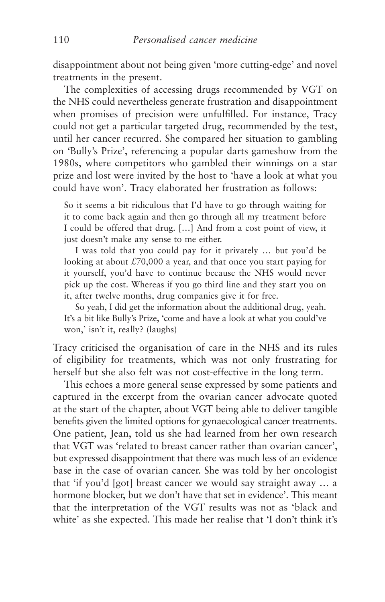disappointment about not being given 'more cutting-edge' and novel treatments in the present.

The complexities of accessing drugs recommended by VGT on the NHS could nevertheless generate frustration and disappointment when promises of precision were unfulfilled. For instance, Tracy could not get a particular targeted drug, recommended by the test, until her cancer recurred. She compared her situation to gambling on 'Bully's Prize', referencing a popular darts gameshow from the 1980s, where competitors who gambled their winnings on a star prize and lost were invited by the host to 'have a look at what you could have won'. Tracy elaborated her frustration as follows:

So it seems a bit ridiculous that I'd have to go through waiting for it to come back again and then go through all my treatment before I could be offered that drug. […] And from a cost point of view, it just doesn't make any sense to me either.

I was told that you could pay for it privately … but you'd be looking at about  $\text{\textsterling}70,000$  a year, and that once you start paying for it yourself, you'd have to continue because the NHS would never pick up the cost. Whereas if you go third line and they start you on it, after twelve months, drug companies give it for free.

So yeah, I did get the information about the additional drug, yeah. It's a bit like Bully's Prize, 'come and have a look at what you could've won,' isn't it, really? (laughs)

Tracy criticised the organisation of care in the NHS and its rules of eligibility for treatments, which was not only frustrating for herself but she also felt was not cost-effective in the long term.

This echoes a more general sense expressed by some patients and captured in the excerpt from the ovarian cancer advocate quoted at the start of the chapter, about VGT being able to deliver tangible benefits given the limited options for gynaecological cancer treatments. One patient, Jean, told us she had learned from her own research that VGT was 'related to breast cancer rather than ovarian cancer', but expressed disappointment that there was much less of an evidence base in the case of ovarian cancer. She was told by her oncologist that 'if you'd [got] breast cancer we would say straight away … a hormone blocker, but we don't have that set in evidence'. This meant that the interpretation of the VGT results was not as 'black and white' as she expected. This made her realise that 'I don't think it's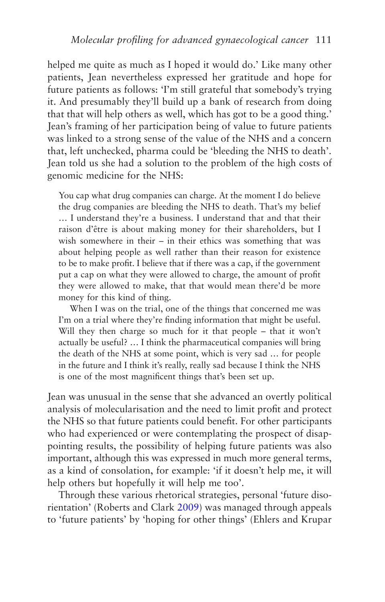helped me quite as much as I hoped it would do.' Like many other patients, Jean nevertheless expressed her gratitude and hope for future patients as follows: 'I'm still grateful that somebody's trying it. And presumably they'll build up a bank of research from doing that that will help others as well, which has got to be a good thing.' Jean's framing of her participation being of value to future patients was linked to a strong sense of the value of the NHS and a concern that, left unchecked, pharma could be 'bleeding the NHS to death'. Jean told us she had a solution to the problem of the high costs of genomic medicine for the NHS:

You cap what drug companies can charge. At the moment I do believe the drug companies are bleeding the NHS to death. That's my belief … I understand they're a business. I understand that and that their raison d'être is about making money for their shareholders, but I wish somewhere in their – in their ethics was something that was about helping people as well rather than their reason for existence to be to make profit. I believe that if there was a cap, if the government put a cap on what they were allowed to charge, the amount of profit they were allowed to make, that that would mean there'd be more money for this kind of thing.

When I was on the trial, one of the things that concerned me was I'm on a trial where they're finding information that might be useful. Will they then charge so much for it that people – that it won't actually be useful? … I think the pharmaceutical companies will bring the death of the NHS at some point, which is very sad … for people in the future and I think it's really, really sad because I think the NHS is one of the most magnificent things that's been set up.

Jean was unusual in the sense that she advanced an overtly political analysis of molecularisation and the need to limit profit and protect the NHS so that future patients could benefit. For other participants who had experienced or were contemplating the prospect of disappointing results, the possibility of helping future patients was also important, although this was expressed in much more general terms, as a kind of consolation, for example: 'if it doesn't help me, it will help others but hopefully it will help me too'.

Through these various rhetorical strategies, personal 'future disorientation' (Roberts and Clark [2009](#page-275-0)) was managed through appeals to 'future patients' by 'hoping for other things' (Ehlers and Krupar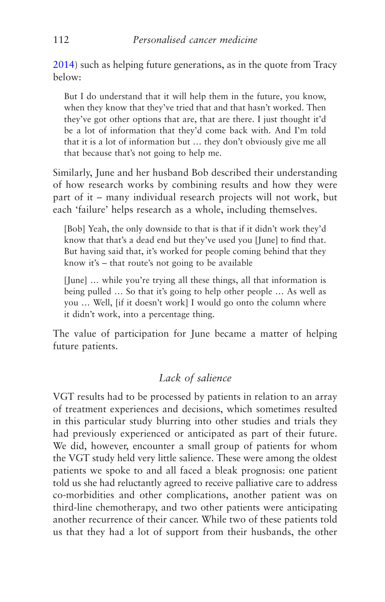[2014\)](#page-268-0) such as helping future generations, as in the quote from Tracy below:

But I do understand that it will help them in the future, you know, when they know that they've tried that and that hasn't worked. Then they've got other options that are, that are there. I just thought it'd be a lot of information that they'd come back with. And I'm told that it is a lot of information but … they don't obviously give me all that because that's not going to help me.

Similarly, June and her husband Bob described their understanding of how research works by combining results and how they were part of it – many individual research projects will not work, but each 'failure' helps research as a whole, including themselves.

[Bob] Yeah, the only downside to that is that if it didn't work they'd know that that's a dead end but they've used you [June] to find that. But having said that, it's worked for people coming behind that they know it's – that route's not going to be available

[June] … while you're trying all these things, all that information is being pulled … So that it's going to help other people … As well as you … Well, [if it doesn't work] I would go onto the column where it didn't work, into a percentage thing.

The value of participation for June became a matter of helping future patients.

## *Lack of salience*

VGT results had to be processed by patients in relation to an array of treatment experiences and decisions, which sometimes resulted in this particular study blurring into other studies and trials they had previously experienced or anticipated as part of their future. We did, however, encounter a small group of patients for whom the VGT study held very little salience. These were among the oldest patients we spoke to and all faced a bleak prognosis: one patient told us she had reluctantly agreed to receive palliative care to address co-morbidities and other complications, another patient was on third-line chemotherapy, and two other patients were anticipating another recurrence of their cancer. While two of these patients told us that they had a lot of support from their husbands, the other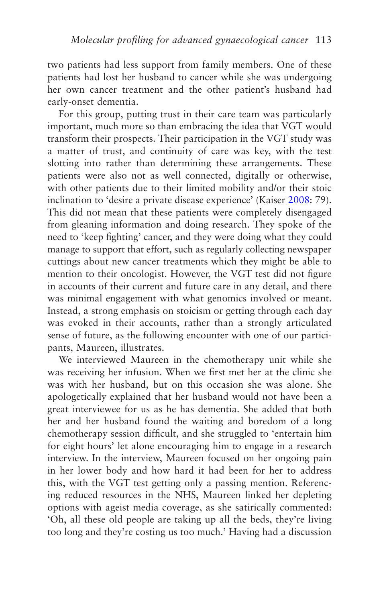two patients had less support from family members. One of these patients had lost her husband to cancer while she was undergoing her own cancer treatment and the other patient's husband had early-onset dementia.

For this group, putting trust in their care team was particularly important, much more so than embracing the idea that VGT would transform their prospects. Their participation in the VGT study was a matter of trust, and continuity of care was key, with the test slotting into rather than determining these arrangements. These patients were also not as well connected, digitally or otherwise, with other patients due to their limited mobility and/or their stoic inclination to 'desire a private disease experience' (Kaiser [2008:](#page-271-0) 79). This did not mean that these patients were completely disengaged from gleaning information and doing research. They spoke of the need to 'keep fighting' cancer, and they were doing what they could manage to support that effort, such as regularly collecting newspaper cuttings about new cancer treatments which they might be able to mention to their oncologist. However, the VGT test did not figure in accounts of their current and future care in any detail, and there was minimal engagement with what genomics involved or meant. Instead, a strong emphasis on stoicism or getting through each day was evoked in their accounts, rather than a strongly articulated sense of future, as the following encounter with one of our participants, Maureen, illustrates.

We interviewed Maureen in the chemotherapy unit while she was receiving her infusion. When we first met her at the clinic she was with her husband, but on this occasion she was alone. She apologetically explained that her husband would not have been a great interviewee for us as he has dementia. She added that both her and her husband found the waiting and boredom of a long chemotherapy session difficult, and she struggled to 'entertain him for eight hours' let alone encouraging him to engage in a research interview. In the interview, Maureen focused on her ongoing pain in her lower body and how hard it had been for her to address this, with the VGT test getting only a passing mention. Referencing reduced resources in the NHS, Maureen linked her depleting options with ageist media coverage, as she satirically commented: 'Oh, all these old people are taking up all the beds, they're living too long and they're costing us too much.' Having had a discussion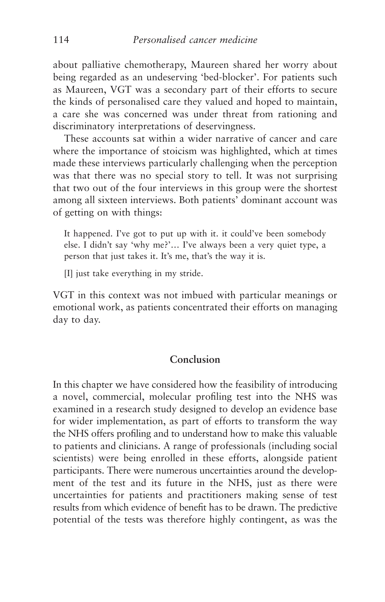about palliative chemotherapy, Maureen shared her worry about being regarded as an undeserving 'bed-blocker'. For patients such as Maureen, VGT was a secondary part of their efforts to secure the kinds of personalised care they valued and hoped to maintain, a care she was concerned was under threat from rationing and discriminatory interpretations of deservingness.

These accounts sat within a wider narrative of cancer and care where the importance of stoicism was highlighted, which at times made these interviews particularly challenging when the perception was that there was no special story to tell. It was not surprising that two out of the four interviews in this group were the shortest among all sixteen interviews. Both patients' dominant account was of getting on with things:

It happened. I've got to put up with it. it could've been somebody else. I didn't say 'why me?'… I've always been a very quiet type, a person that just takes it. It's me, that's the way it is.

[I] just take everything in my stride.

VGT in this context was not imbued with particular meanings or emotional work, as patients concentrated their efforts on managing day to day.

### **Conclusion**

In this chapter we have considered how the feasibility of introducing a novel, commercial, molecular profiling test into the NHS was examined in a research study designed to develop an evidence base for wider implementation, as part of efforts to transform the way the NHS offers profiling and to understand how to make this valuable to patients and clinicians. A range of professionals (including social scientists) were being enrolled in these efforts, alongside patient participants. There were numerous uncertainties around the development of the test and its future in the NHS, just as there were uncertainties for patients and practitioners making sense of test results from which evidence of benefit has to be drawn. The predictive potential of the tests was therefore highly contingent, as was the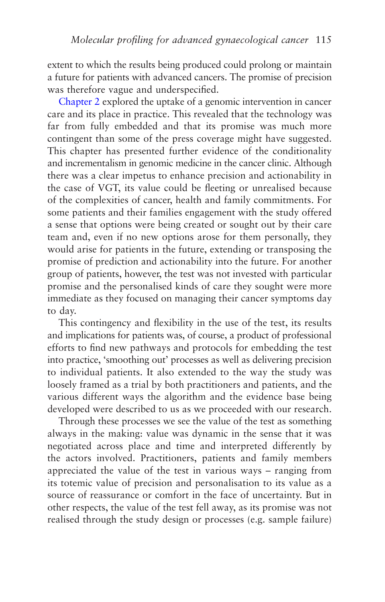extent to which the results being produced could prolong or maintain a future for patients with advanced cancers. The promise of precision was therefore vague and underspecified.

[Chapter 2](#page-66-0) explored the uptake of a genomic intervention in cancer care and its place in practice. This revealed that the technology was far from fully embedded and that its promise was much more contingent than some of the press coverage might have suggested. This chapter has presented further evidence of the conditionality and incrementalism in genomic medicine in the cancer clinic. Although there was a clear impetus to enhance precision and actionability in the case of VGT, its value could be fleeting or unrealised because of the complexities of cancer, health and family commitments. For some patients and their families engagement with the study offered a sense that options were being created or sought out by their care team and, even if no new options arose for them personally, they would arise for patients in the future, extending or transposing the promise of prediction and actionability into the future. For another group of patients, however, the test was not invested with particular promise and the personalised kinds of care they sought were more immediate as they focused on managing their cancer symptoms day to day.

This contingency and flexibility in the use of the test, its results and implications for patients was, of course, a product of professional efforts to find new pathways and protocols for embedding the test into practice, 'smoothing out' processes as well as delivering precision to individual patients. It also extended to the way the study was loosely framed as a trial by both practitioners and patients, and the various different ways the algorithm and the evidence base being developed were described to us as we proceeded with our research.

Through these processes we see the value of the test as something always in the making: value was dynamic in the sense that it was negotiated across place and time and interpreted differently by the actors involved. Practitioners, patients and family members appreciated the value of the test in various ways – ranging from its totemic value of precision and personalisation to its value as a source of reassurance or comfort in the face of uncertainty. But in other respects, the value of the test fell away, as its promise was not realised through the study design or processes (e.g. sample failure)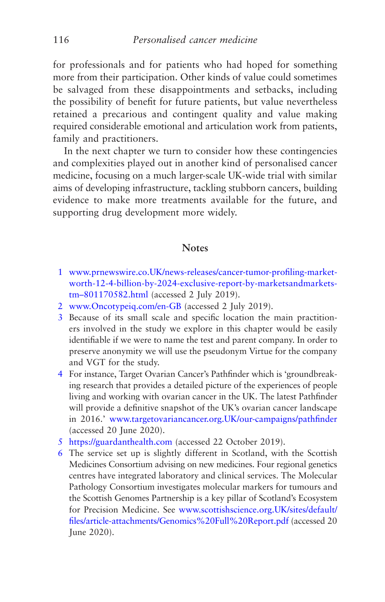for professionals and for patients who had hoped for something more from their participation. Other kinds of value could sometimes be salvaged from these disappointments and setbacks, including the possibility of benefit for future patients, but value nevertheless retained a precarious and contingent quality and value making required considerable emotional and articulation work from patients, family and practitioners.

In the next chapter we turn to consider how these contingencies and complexities played out in another kind of personalised cancer medicine, focusing on a much larger-scale UK-wide trial with similar aims of developing infrastructure, tackling stubborn cancers, building evidence to make more treatments available for the future, and supporting drug development more widely.

### **Notes**

- [1](#page-96-0) [www.prnewswire.co.UK/news-releases/cancer-tumor-profiling-market](http://www.prnewswire.co.uk/news-releases/cancer-tumor-profiling-market-worth-12-4-billion-by-2024-exclusive-report-by-marketsandmarkets-tm%E2%80%93801170582.html)[worth-12-4-billion-by-2024-exclusive-report-by-marketsandmarkets](http://www.prnewswire.co.uk/news-releases/cancer-tumor-profiling-market-worth-12-4-billion-by-2024-exclusive-report-by-marketsandmarkets-tm%E2%80%93801170582.html)[tm–801170582.html](http://www.prnewswire.co.uk/news-releases/cancer-tumor-profiling-market-worth-12-4-billion-by-2024-exclusive-report-by-marketsandmarkets-tm%E2%80%93801170582.html) (accessed 2 July 2019).
- [2](#page-96-0) [www.Oncotypeiq.com/en-GB](http://www.oncotypeiq.com/en-GB) (accessed 2 July 2019).
- [3](#page-96-0) Because of its small scale and specific location the main practitioners involved in the study we explore in this chapter would be easily identifiable if we were to name the test and parent company. In order to preserve anonymity we will use the pseudonym Virtue for the company and VGT for the study.
- [4](#page-98-0) For instance, Target Ovarian Cancer's Pathfinder which is 'groundbreaking research that provides a detailed picture of the experiences of people living and working with ovarian cancer in the UK. The latest Pathfinder will provide a definitive snapshot of the UK's ovarian cancer landscape in 2016.' [www.targetovariancancer.org.UK/our-campaigns/pathfinder](http://www.targetovariancancer.org.uk/our-campaigns/pathfinder) (accessed 20 June 2020).
- [5](#page-99-0) [https://guardanthealth.com](https://guardanthealth.com/) (accessed 22 October 2019).
- [6](#page-100-0) The service set up is slightly different in Scotland, with the Scottish Medicines Consortium advising on new medicines. Four regional genetics centres have integrated laboratory and clinical services. The Molecular Pathology Consortium investigates molecular markers for tumours and the Scottish Genomes Partnership is a key pillar of Scotland's Ecosystem for Precision Medicine. See [www.scottishscience.org.UK/sites/default/](http://www.scottishscience.org.uk/sites/default/files/article-attachments/Genomics%20Full%20Report.pdf) [files/article-attachments/Genomics%20Full%20Report.pdf](http://www.scottishscience.org.uk/sites/default/files/article-attachments/Genomics%20Full%20Report.pdf) (accessed 20 June 2020).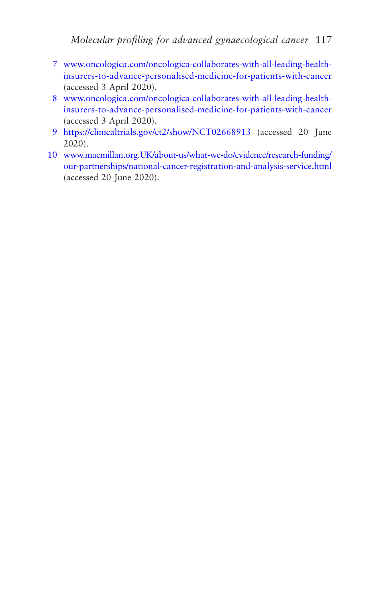- <span id="page-125-0"></span>[7](#page-100-0) [www.oncologica.com/oncologica-collaborates-with-all-leading-health](http://www.oncologica.com/oncologica-collaborates-with-all-leading-health-insurers-to-advance-personalised-medicine-for-patients-with-cancer)[insurers-to-advance-personalised-medicine-for-patients-with-cancer](http://www.oncologica.com/oncologica-collaborates-with-all-leading-health-insurers-to-advance-personalised-medicine-for-patients-with-cancer) (accessed 3 April 2020).
- [8](#page-100-0) [www.oncologica.com/oncologica-collaborates-with-all-leading-health](http://www.oncologica.com/oncologica-collaborates-with-all-leading-health-insurers-to-advance-personalised-medicine-for-patients-with-cancer)[insurers-to-advance-personalised-medicine-for-patients-with-cancer](http://www.oncologica.com/oncologica-collaborates-with-all-leading-health-insurers-to-advance-personalised-medicine-for-patients-with-cancer) (accessed 3 April 2020).
- [9](#page-103-0) <https://clinicaltrials.gov/ct2/show/NCT02668913> (accessed 20 June 2020).
- [10](#page-110-0) [www.macmillan.org.UK/about-us/what-we-do/evidence/research-funding/](http://www.macmillan.org.uk/about-us/what-we-do/evidence/research-funding/our-partnerships/national-cancer-registration-and-analysis-service.html) [our-partnerships/national-cancer-registration-and-analysis-service.html](http://www.macmillan.org.uk/about-us/what-we-do/evidence/research-funding/our-partnerships/national-cancer-registration-and-analysis-service.html) (accessed 20 June 2020).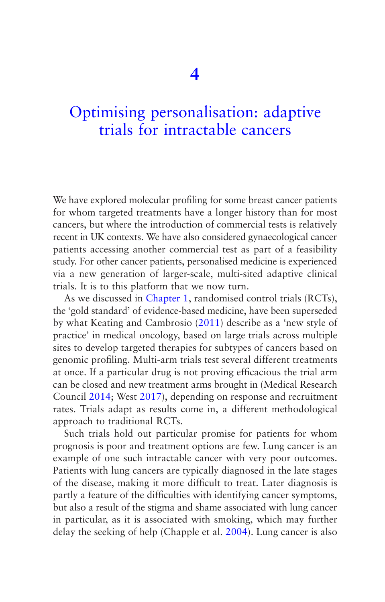# [Optimising personalisation: adaptive](#page-5-0)  trials for intractable cancers

We have explored molecular profiling for some breast cancer patients for whom targeted treatments have a longer history than for most cancers, but where the introduction of commercial tests is relatively recent in UK contexts. We have also considered gynaecological cancer patients accessing another commercial test as part of a feasibility study. For other cancer patients, personalised medicine is experienced via a new generation of larger-scale, multi-sited adaptive clinical trials. It is to this platform that we now turn.

As we discussed in [Chapter 1,](#page-30-0) randomised control trials (RCTs), the 'gold standard' of evidence-based medicine, have been superseded by what Keating and Cambrosio ([2011\)](#page-271-0) describe as a 'new style of practice' in medical oncology, based on large trials across multiple sites to develop targeted therapies for subtypes of cancers based on genomic profiling. Multi-arm trials test several different treatments at once. If a particular drug is not proving efficacious the trial arm can be closed and new treatment arms brought in (Medical Research Council [2014;](#page-273-0) West [2017](#page-277-0)), depending on response and recruitment rates. Trials adapt as results come in, a different methodological approach to traditional RCTs.

Such trials hold out particular promise for patients for whom prognosis is poor and treatment options are few. Lung cancer is an example of one such intractable cancer with very poor outcomes. Patients with lung cancers are typically diagnosed in the late stages of the disease, making it more difficult to treat. Later diagnosis is partly a feature of the difficulties with identifying cancer symptoms, but also a result of the stigma and shame associated with lung cancer in particular, as it is associated with smoking, which may further delay the seeking of help (Chapple et al. [2004\)](#page-266-0). Lung cancer is also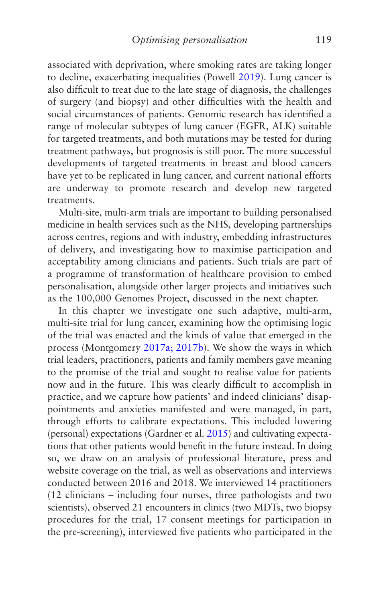associated with deprivation, where smoking rates are taking longer to decline, exacerbating inequalities (Powell [2019\)](#page-275-0). Lung cancer is also difficult to treat due to the late stage of diagnosis, the challenges of surgery (and biopsy) and other difficulties with the health and social circumstances of patients. Genomic research has identified a range of molecular subtypes of lung cancer (EGFR, ALK) suitable for targeted treatments, and both mutations may be tested for during treatment pathways, but prognosis is still poor. The more successful developments of targeted treatments in breast and blood cancers have vet to be replicated in lung cancer, and current national efforts are underway to promote research and develop new targeted treatments.

Multi-site, multi-arm trials are important to building personalised medicine in health services such as the NHS, developing partnerships across centres, regions and with industry, embedding infrastructures of delivery, and investigating how to maximise participation and acceptability among clinicians and patients. Such trials are part of a programme of transformation of healthcare provision to embed personalisation, alongside other larger projects and initiatives such as the 100,000 Genomes Project, discussed in the next chapter.

In this chapter we investigate one such adaptive, multi-arm, multi-site trial for lung cancer, examining how the optimising logic of the trial was enacted and the kinds of value that emerged in the process (Montgomery [2017a; 2017b\)](#page-273-0). We show the ways in which trial leaders, practitioners, patients and family members gave meaning to the promise of the trial and sought to realise value for patients now and in the future. This was clearly difficult to accomplish in practice, and we capture how patients' and indeed clinicians' disappointments and anxieties manifested and were managed, in part, through efforts to calibrate expectations. This included lowering (personal) expectations (Gardner et al. [2015\)](#page-268-0) and cultivating expectations that other patients would benefit in the future instead. In doing so, we draw on an analysis of professional literature, press and website coverage on the trial, as well as observations and interviews conducted between 2016 and 2018. We interviewed 14 practitioners (12 clinicians – including four nurses, three pathologists and two scientists), observed 21 encounters in clinics (two MDTs, two biopsy procedures for the trial, 17 consent meetings for participation in the pre-screening), interviewed five patients who participated in the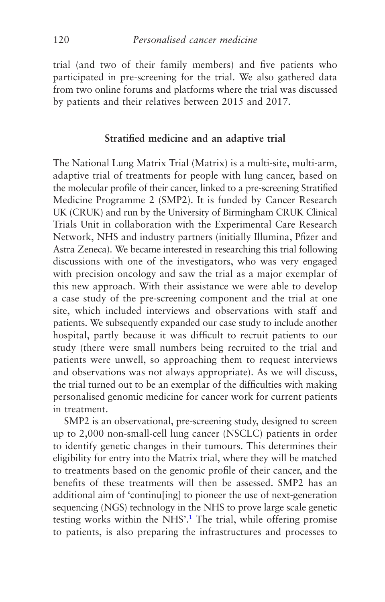trial (and two of their family members) and five patients who participated in pre-screening for the trial. We also gathered data from two online forums and platforms where the trial was discussed by patients and their relatives between 2015 and 2017.

#### **Stratified medicine and an adaptive trial**

The National Lung Matrix Trial (Matrix) is a multi-site, multi-arm, adaptive trial of treatments for people with lung cancer, based on the molecular profile of their cancer, linked to a pre-screening Stratified Medicine Programme 2 (SMP2). It is funded by Cancer Research UK (CRUK) and run by the University of Birmingham CRUK Clinical Trials Unit in collaboration with the Experimental Care Research Network, NHS and industry partners (initially Illumina, Pfizer and Astra Zeneca). We became interested in researching this trial following discussions with one of the investigators, who was very engaged with precision oncology and saw the trial as a major exemplar of this new approach. With their assistance we were able to develop a case study of the pre-screening component and the trial at one site, which included interviews and observations with staff and patients. We subsequently expanded our case study to include another hospital, partly because it was difficult to recruit patients to our study (there were small numbers being recruited to the trial and patients were unwell, so approaching them to request interviews and observations was not always appropriate). As we will discuss, the trial turned out to be an exemplar of the difficulties with making personalised genomic medicine for cancer work for current patients in treatment.

SMP2 is an observational, pre-screening study, designed to screen up to 2,000 non-small-cell lung cancer (NSCLC) patients in order to identify genetic changes in their tumours. This determines their eligibility for entry into the Matrix trial, where they will be matched to treatments based on the genomic profile of their cancer, and the benefits of these treatments will then be assessed. SMP2 has an additional aim of 'continu[ing] to pioneer the use of next-generation sequencing (NGS) technology in the NHS to prove large scale genetic testing works within the NHS'.<sup>1</sup> The trial, while offering promise to patients, is also preparing the infrastructures and processes to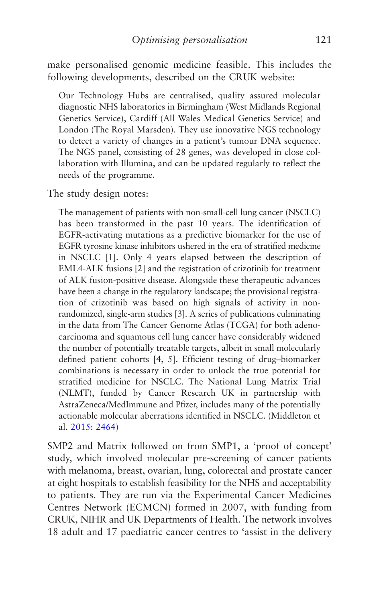make personalised genomic medicine feasible. This includes the following developments, described on the CRUK website:

Our Technology Hubs are centralised, quality assured molecular diagnostic NHS laboratories in Birmingham (West Midlands Regional Genetics Service), Cardiff (All Wales Medical Genetics Service) and London (The Royal Marsden). They use innovative NGS technology to detect a variety of changes in a patient's tumour DNA sequence. The NGS panel, consisting of 28 genes, was developed in close collaboration with Illumina, and can be updated regularly to reflect the needs of the programme.

The study design notes:

The management of patients with non-small-cell lung cancer (NSCLC) has been transformed in the past 10 years. The identification of EGFR-activating mutations as a predictive biomarker for the use of EGFR tyrosine kinase inhibitors ushered in the era of stratified medicine in NSCLC [1]. Only 4 years elapsed between the description of EML4-ALK fusions [2] and the registration of crizotinib for treatment of ALK fusion-positive disease. Alongside these therapeutic advances have been a change in the regulatory landscape; the provisional registration of crizotinib was based on high signals of activity in nonrandomized, single-arm studies [3]. A series of publications culminating in the data from The Cancer Genome Atlas (TCGA) for both adenocarcinoma and squamous cell lung cancer have considerably widened the number of potentially treatable targets, albeit in small molecularly defined patient cohorts [4, 5]. Efficient testing of drug–biomarker combinations is necessary in order to unlock the true potential for stratified medicine for NSCLC. The National Lung Matrix Trial (NLMT), funded by Cancer Research UK in partnership with AstraZeneca/MedImmune and Pfizer, includes many of the potentially actionable molecular aberrations identified in NSCLC. (Middleton et al. [2015: 2464\)](#page-273-0)

SMP2 and Matrix followed on from SMP1, a 'proof of concept' study, which involved molecular pre-screening of cancer patients with melanoma, breast, ovarian, lung, colorectal and prostate cancer at eight hospitals to establish feasibility for the NHS and acceptability to patients. They are run via the Experimental Cancer Medicines Centres Network (ECMCN) formed in 2007, with funding from CRUK, NIHR and UK Departments of Health. The network involves 18 adult and 17 paediatric cancer centres to 'assist in the delivery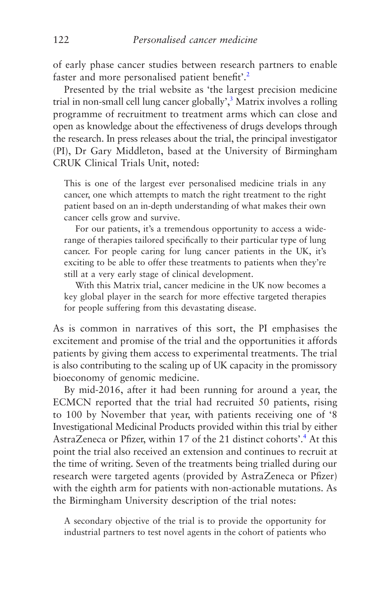of early phase cancer studies between research partners to enable faster and more personalised patient benefit'.<sup>[2](#page-158-0)</sup>

Presented by the trial website as 'the largest precision medicine trial in non-small cell lung cancer globally',<sup>[3](#page-158-0)</sup> Matrix involves a rolling programme of recruitment to treatment arms which can close and open as knowledge about the effectiveness of drugs develops through the research. In press releases about the trial, the principal investigator (PI), Dr Gary Middleton, based at the University of Birmingham CRUK Clinical Trials Unit, noted:

This is one of the largest ever personalised medicine trials in any cancer, one which attempts to match the right treatment to the right patient based on an in-depth understanding of what makes their own cancer cells grow and survive.

For our patients, it's a tremendous opportunity to access a widerange of therapies tailored specifically to their particular type of lung cancer. For people caring for lung cancer patients in the UK, it's exciting to be able to offer these treatments to patients when they're still at a very early stage of clinical development.

With this Matrix trial, cancer medicine in the UK now becomes a key global player in the search for more effective targeted therapies for people suffering from this devastating disease.

As is common in narratives of this sort, the PI emphasises the excitement and promise of the trial and the opportunities it affords patients by giving them access to experimental treatments. The trial is also contributing to the scaling up of UK capacity in the promissory bioeconomy of genomic medicine.

By mid-2016, after it had been running for around a year, the ECMCN reported that the trial had recruited 50 patients, rising to 100 by November that year, with patients receiving one of '8 Investigational Medicinal Products provided within this trial by either AstraZeneca or Pfizer, within 17 of the 21 distinct cohorts'.<sup>4</sup> At this point the trial also received an extension and continues to recruit at the time of writing. Seven of the treatments being trialled during our research were targeted agents (provided by AstraZeneca or Pfizer) with the eighth arm for patients with non-actionable mutations. As the Birmingham University description of the trial notes:

A secondary objective of the trial is to provide the opportunity for industrial partners to test novel agents in the cohort of patients who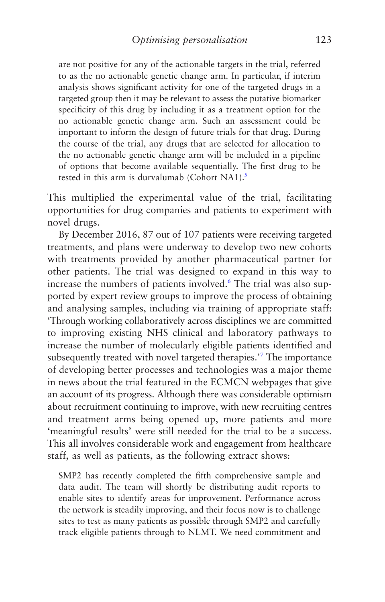are not positive for any of the actionable targets in the trial, referred to as the no actionable genetic change arm. In particular, if interim analysis shows significant activity for one of the targeted drugs in a targeted group then it may be relevant to assess the putative biomarker specificity of this drug by including it as a treatment option for the no actionable genetic change arm. Such an assessment could be important to inform the design of future trials for that drug. During the course of the trial, any drugs that are selected for allocation to the no actionable genetic change arm will be included in a pipeline of options that become available sequentially. The first drug to be tested in this arm is durvalumab (Cohort NA1). $^{5}$  $^{5}$  $^{5}$ 

This multiplied the experimental value of the trial, facilitating opportunities for drug companies and patients to experiment with novel drugs.

By December 2016, 87 out of 107 patients were receiving targeted treatments, and plans were underway to develop two new cohorts with treatments provided by another pharmaceutical partner for other patients. The trial was designed to expand in this way to increase the numbers of patients involved.<sup>6</sup> The trial was also supported by expert review groups to improve the process of obtaining and analysing samples, including via training of appropriate staff: 'Through working collaboratively across disciplines we are committed to improving existing NHS clinical and laboratory pathways to increase the number of molecularly eligible patients identified and subsequently treated with novel targeted therapies.<sup>57</sup> The importance of developing better processes and technologies was a major theme in news about the trial featured in the ECMCN webpages that give an account of its progress. Although there was considerable optimism about recruitment continuing to improve, with new recruiting centres and treatment arms being opened up, more patients and more 'meaningful results' were still needed for the trial to be a success. This all involves considerable work and engagement from healthcare staff, as well as patients, as the following extract shows:

SMP2 has recently completed the fifth comprehensive sample and data audit. The team will shortly be distributing audit reports to enable sites to identify areas for improvement. Performance across the network is steadily improving, and their focus now is to challenge sites to test as many patients as possible through SMP2 and carefully track eligible patients through to NLMT. We need commitment and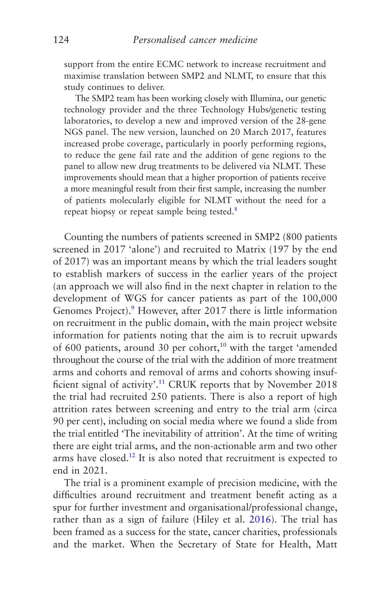support from the entire ECMC network to increase recruitment and maximise translation between SMP2 and NLMT, to ensure that this study continues to deliver.

The SMP2 team has been working closely with Illumina, our genetic technology provider and the three Technology Hubs/genetic testing laboratories, to develop a new and improved version of the 28-gene NGS panel. The new version, launched on 20 March 2017, features increased probe coverage, particularly in poorly performing regions, to reduce the gene fail rate and the addition of gene regions to the panel to allow new drug treatments to be delivered via NLMT. These improvements should mean that a higher proportion of patients receive a more meaningful result from their first sample, increasing the number of patients molecularly eligible for NLMT without the need for a repeat biopsy or repeat sample being tested.<sup>8</sup>

Counting the numbers of patients screened in SMP2 (800 patients screened in 2017 'alone') and recruited to Matrix (197 by the end of 2017) was an important means by which the trial leaders sought to establish markers of success in the earlier years of the project (an approach we will also find in the next chapter in relation to the development of WGS for cancer patients as part of the 100,000 Genomes Project).<sup>9</sup> However, after 2017 there is little information on recruitment in the public domain, with the main project website information for patients noting that the aim is to recruit upwards of 600 patients, around 30 per cohort,<sup>10</sup> with the target 'amended throughout the course of the trial with the addition of more treatment arms and cohorts and removal of arms and cohorts showing insufficient signal of activity'.<sup>11</sup> CRUK reports that by November 2018 the trial had recruited 250 patients. There is also a report of high attrition rates between screening and entry to the trial arm (circa 90 per cent), including on social media where we found a slide from the trial entitled 'The inevitability of attrition'. At the time of writing there are eight trial arms, and the non-actionable arm and two other arms have closed.<sup>12</sup> It is also noted that recruitment is expected to end in 2021.

The trial is a prominent example of precision medicine, with the difficulties around recruitment and treatment benefit acting as a spur for further investment and organisational/professional change, rather than as a sign of failure (Hiley et al. [2016\)](#page-270-0). The trial has been framed as a success for the state, cancer charities, professionals and the market. When the Secretary of State for Health, Matt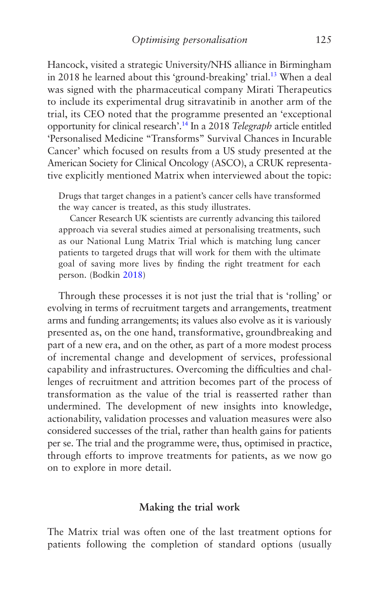Hancock, visited a strategic University/NHS alliance in Birmingham in 2018 he learned about this 'ground-breaking' trial.<sup>13</sup> When a deal was signed with the pharmaceutical company Mirati Therapeutics to include its experimental drug sitravatinib in another arm of the trial, its CEO noted that the programme presented an 'exceptional opportunity for clinical research'.[14](#page-159-0) In a 2018 *Telegraph* article entitled 'Personalised Medicine "Transforms" Survival Chances in Incurable Cancer' which focused on results from a US study presented at the American Society for Clinical Oncology (ASCO), a CRUK representative explicitly mentioned Matrix when interviewed about the topic:

Drugs that target changes in a patient's cancer cells have transformed the way cancer is treated, as this study illustrates.

Cancer Research UK scientists are currently advancing this tailored approach via several studies aimed at personalising treatments, such as our National Lung Matrix Trial which is matching lung cancer patients to targeted drugs that will work for them with the ultimate goal of saving more lives by finding the right treatment for each person. (Bodkin [2018](#page-265-0))

Through these processes it is not just the trial that is 'rolling' or evolving in terms of recruitment targets and arrangements, treatment arms and funding arrangements; its values also evolve as it is variously presented as, on the one hand, transformative, groundbreaking and part of a new era, and on the other, as part of a more modest process of incremental change and development of services, professional capability and infrastructures. Overcoming the difficulties and challenges of recruitment and attrition becomes part of the process of transformation as the value of the trial is reasserted rather than undermined. The development of new insights into knowledge, actionability, validation processes and valuation measures were also considered successes of the trial, rather than health gains for patients per se. The trial and the programme were, thus, optimised in practice, through efforts to improve treatments for patients, as we now go on to explore in more detail.

### **Making the trial work**

The Matrix trial was often one of the last treatment options for patients following the completion of standard options (usually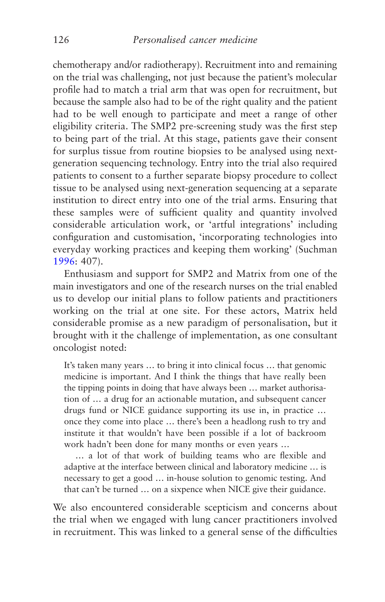chemotherapy and/or radiotherapy). Recruitment into and remaining on the trial was challenging, not just because the patient's molecular profile had to match a trial arm that was open for recruitment, but because the sample also had to be of the right quality and the patient had to be well enough to participate and meet a range of other eligibility criteria. The SMP2 pre-screening study was the first step to being part of the trial. At this stage, patients gave their consent for surplus tissue from routine biopsies to be analysed using nextgeneration sequencing technology. Entry into the trial also required patients to consent to a further separate biopsy procedure to collect tissue to be analysed using next-generation sequencing at a separate institution to direct entry into one of the trial arms. Ensuring that these samples were of sufficient quality and quantity involved considerable articulation work, or 'artful integrations' including configuration and customisation, 'incorporating technologies into everyday working practices and keeping them working' (Suchman [1996](#page-276-0): 407).

Enthusiasm and support for SMP2 and Matrix from one of the main investigators and one of the research nurses on the trial enabled us to develop our initial plans to follow patients and practitioners working on the trial at one site. For these actors, Matrix held considerable promise as a new paradigm of personalisation, but it brought with it the challenge of implementation, as one consultant oncologist noted:

It's taken many years … to bring it into clinical focus … that genomic medicine is important. And I think the things that have really been the tipping points in doing that have always been … market authorisation of … a drug for an actionable mutation, and subsequent cancer drugs fund or NICE guidance supporting its use in, in practice … once they come into place … there's been a headlong rush to try and institute it that wouldn't have been possible if a lot of backroom work hadn't been done for many months or even years …

… a lot of that work of building teams who are flexible and adaptive at the interface between clinical and laboratory medicine … is necessary to get a good … in-house solution to genomic testing. And that can't be turned … on a sixpence when NICE give their guidance.

We also encountered considerable scepticism and concerns about the trial when we engaged with lung cancer practitioners involved in recruitment. This was linked to a general sense of the difficulties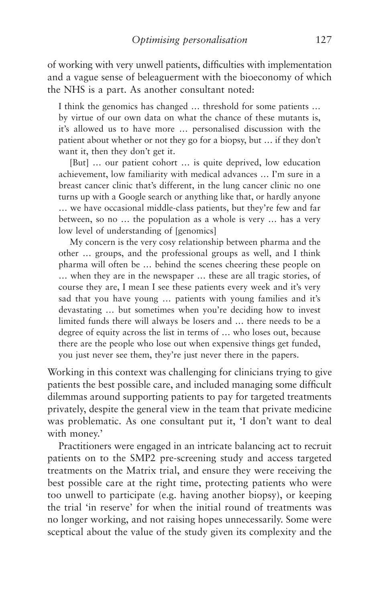of working with very unwell patients, difficulties with implementation and a vague sense of beleaguerment with the bioeconomy of which the NHS is a part. As another consultant noted:

I think the genomics has changed … threshold for some patients … by virtue of our own data on what the chance of these mutants is, it's allowed us to have more … personalised discussion with the patient about whether or not they go for a biopsy, but … if they don't want it, then they don't get it.

[But] … our patient cohort … is quite deprived, low education achievement, low familiarity with medical advances … I'm sure in a breast cancer clinic that's different, in the lung cancer clinic no one turns up with a Google search or anything like that, or hardly anyone … we have occasional middle-class patients, but they're few and far between, so no … the population as a whole is very … has a very low level of understanding of [genomics]

My concern is the very cosy relationship between pharma and the other … groups, and the professional groups as well, and I think pharma will often be … behind the scenes cheering these people on … when they are in the newspaper … these are all tragic stories, of course they are, I mean I see these patients every week and it's very sad that you have young … patients with young families and it's devastating … but sometimes when you're deciding how to invest limited funds there will always be losers and … there needs to be a degree of equity across the list in terms of … who loses out, because there are the people who lose out when expensive things get funded, you just never see them, they're just never there in the papers.

Working in this context was challenging for clinicians trying to give patients the best possible care, and included managing some difficult dilemmas around supporting patients to pay for targeted treatments privately, despite the general view in the team that private medicine was problematic. As one consultant put it, 'I don't want to deal with money.'

Practitioners were engaged in an intricate balancing act to recruit patients on to the SMP2 pre-screening study and access targeted treatments on the Matrix trial, and ensure they were receiving the best possible care at the right time, protecting patients who were too unwell to participate (e.g. having another biopsy), or keeping the trial 'in reserve' for when the initial round of treatments was no longer working, and not raising hopes unnecessarily. Some were sceptical about the value of the study given its complexity and the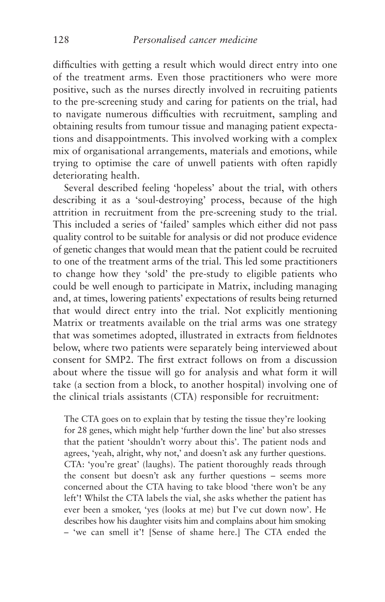difficulties with getting a result which would direct entry into one of the treatment arms. Even those practitioners who were more positive, such as the nurses directly involved in recruiting patients to the pre-screening study and caring for patients on the trial, had to navigate numerous difficulties with recruitment, sampling and obtaining results from tumour tissue and managing patient expectations and disappointments. This involved working with a complex mix of organisational arrangements, materials and emotions, while trying to optimise the care of unwell patients with often rapidly deteriorating health.

Several described feeling 'hopeless' about the trial, with others describing it as a 'soul-destroying' process, because of the high attrition in recruitment from the pre-screening study to the trial. This included a series of 'failed' samples which either did not pass quality control to be suitable for analysis or did not produce evidence of genetic changes that would mean that the patient could be recruited to one of the treatment arms of the trial. This led some practitioners to change how they 'sold' the pre-study to eligible patients who could be well enough to participate in Matrix, including managing and, at times, lowering patients' expectations of results being returned that would direct entry into the trial. Not explicitly mentioning Matrix or treatments available on the trial arms was one strategy that was sometimes adopted, illustrated in extracts from fieldnotes below, where two patients were separately being interviewed about consent for SMP2. The first extract follows on from a discussion about where the tissue will go for analysis and what form it will take (a section from a block, to another hospital) involving one of the clinical trials assistants (CTA) responsible for recruitment:

The CTA goes on to explain that by testing the tissue they're looking for 28 genes, which might help 'further down the line' but also stresses that the patient 'shouldn't worry about this'. The patient nods and agrees, 'yeah, alright, why not,' and doesn't ask any further questions. CTA: 'you're great' (laughs). The patient thoroughly reads through the consent but doesn't ask any further questions – seems more concerned about the CTA having to take blood 'there won't be any left'! Whilst the CTA labels the vial, she asks whether the patient has ever been a smoker, 'yes (looks at me) but I've cut down now'. He describes how his daughter visits him and complains about him smoking – 'we can smell it'! [Sense of shame here.] The CTA ended the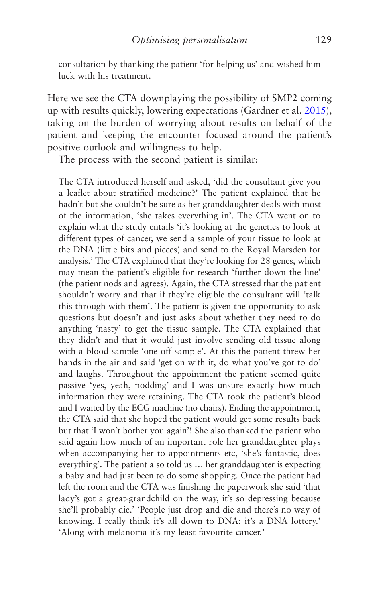consultation by thanking the patient 'for helping us' and wished him luck with his treatment.

Here we see the CTA downplaying the possibility of SMP2 coming up with results quickly, lowering expectations (Gardner et al. [2015](#page-268-0)), taking on the burden of worrying about results on behalf of the patient and keeping the encounter focused around the patient's positive outlook and willingness to help.

The process with the second patient is similar:

The CTA introduced herself and asked, 'did the consultant give you a leaflet about stratified medicine?' The patient explained that he hadn't but she couldn't be sure as her granddaughter deals with most of the information, 'she takes everything in'. The CTA went on to explain what the study entails 'it's looking at the genetics to look at different types of cancer, we send a sample of your tissue to look at the DNA (little bits and pieces) and send to the Royal Marsden for analysis.' The CTA explained that they're looking for 28 genes, which may mean the patient's eligible for research 'further down the line' (the patient nods and agrees). Again, the CTA stressed that the patient shouldn't worry and that if they're eligible the consultant will 'talk this through with them'. The patient is given the opportunity to ask questions but doesn't and just asks about whether they need to do anything 'nasty' to get the tissue sample. The CTA explained that they didn't and that it would just involve sending old tissue along with a blood sample 'one off sample'. At this the patient threw her hands in the air and said 'get on with it, do what you've got to do' and laughs. Throughout the appointment the patient seemed quite passive 'yes, yeah, nodding' and I was unsure exactly how much information they were retaining. The CTA took the patient's blood and I waited by the ECG machine (no chairs). Ending the appointment, the CTA said that she hoped the patient would get some results back but that 'I won't bother you again'! She also thanked the patient who said again how much of an important role her granddaughter plays when accompanying her to appointments etc, 'she's fantastic, does everything'. The patient also told us … her granddaughter is expecting a baby and had just been to do some shopping. Once the patient had left the room and the CTA was finishing the paperwork she said 'that lady's got a great-grandchild on the way, it's so depressing because she'll probably die.' 'People just drop and die and there's no way of knowing. I really think it's all down to DNA; it's a DNA lottery.' 'Along with melanoma it's my least favourite cancer.'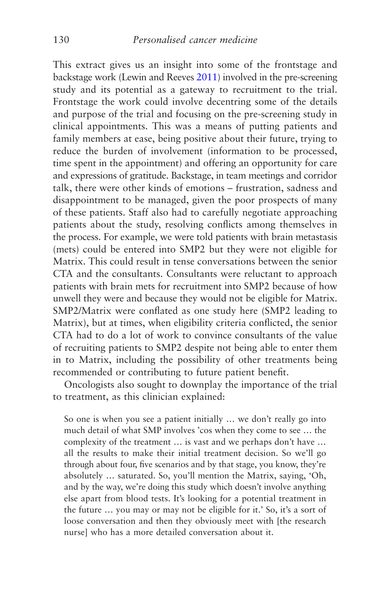This extract gives us an insight into some of the frontstage and backstage work (Lewin and Reeves [2011\)](#page-271-0) involved in the pre-screening study and its potential as a gateway to recruitment to the trial. Frontstage the work could involve decentring some of the details and purpose of the trial and focusing on the pre-screening study in clinical appointments. This was a means of putting patients and family members at ease, being positive about their future, trying to reduce the burden of involvement (information to be processed, time spent in the appointment) and offering an opportunity for care and expressions of gratitude. Backstage, in team meetings and corridor talk, there were other kinds of emotions – frustration, sadness and disappointment to be managed, given the poor prospects of many of these patients. Staff also had to carefully negotiate approaching patients about the study, resolving conflicts among themselves in the process. For example, we were told patients with brain metastasis (mets) could be entered into SMP2 but they were not eligible for Matrix. This could result in tense conversations between the senior CTA and the consultants. Consultants were reluctant to approach patients with brain mets for recruitment into SMP2 because of how unwell they were and because they would not be eligible for Matrix. SMP2/Matrix were conflated as one study here (SMP2 leading to Matrix), but at times, when eligibility criteria conflicted, the senior CTA had to do a lot of work to convince consultants of the value of recruiting patients to SMP2 despite not being able to enter them in to Matrix, including the possibility of other treatments being recommended or contributing to future patient benefit.

Oncologists also sought to downplay the importance of the trial to treatment, as this clinician explained:

So one is when you see a patient initially … we don't really go into much detail of what SMP involves 'cos when they come to see … the complexity of the treatment … is vast and we perhaps don't have … all the results to make their initial treatment decision. So we'll go through about four, five scenarios and by that stage, you know, they're absolutely … saturated. So, you'll mention the Matrix, saying, 'Oh, and by the way, we're doing this study which doesn't involve anything else apart from blood tests. It's looking for a potential treatment in the future … you may or may not be eligible for it.' So, it's a sort of loose conversation and then they obviously meet with [the research nurse] who has a more detailed conversation about it.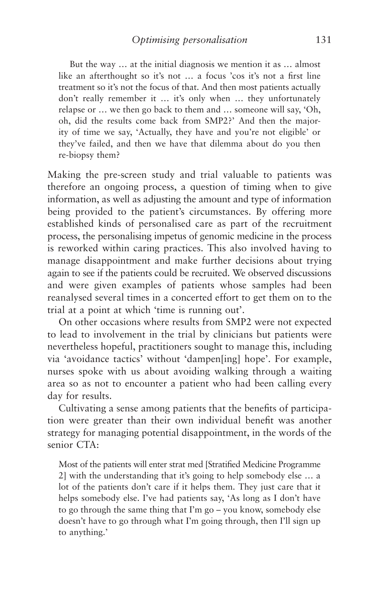But the way … at the initial diagnosis we mention it as … almost like an afterthought so it's not … a focus 'cos it's not a first line treatment so it's not the focus of that. And then most patients actually don't really remember it … it's only when … they unfortunately relapse or … we then go back to them and … someone will say, 'Oh, oh, did the results come back from SMP2?' And then the majority of time we say, 'Actually, they have and you're not eligible' or they've failed, and then we have that dilemma about do you then re-biopsy them?

Making the pre-screen study and trial valuable to patients was therefore an ongoing process, a question of timing when to give information, as well as adjusting the amount and type of information being provided to the patient's circumstances. By offering more established kinds of personalised care as part of the recruitment process, the personalising impetus of genomic medicine in the process is reworked within caring practices. This also involved having to manage disappointment and make further decisions about trying again to see if the patients could be recruited. We observed discussions and were given examples of patients whose samples had been reanalysed several times in a concerted effort to get them on to the trial at a point at which 'time is running out'.

On other occasions where results from SMP2 were not expected to lead to involvement in the trial by clinicians but patients were nevertheless hopeful, practitioners sought to manage this, including via 'avoidance tactics' without 'dampen[ing] hope'. For example, nurses spoke with us about avoiding walking through a waiting area so as not to encounter a patient who had been calling every day for results.

Cultivating a sense among patients that the benefits of participation were greater than their own individual benefit was another strategy for managing potential disappointment, in the words of the senior CTA:

Most of the patients will enter strat med [Stratified Medicine Programme 2] with the understanding that it's going to help somebody else … a lot of the patients don't care if it helps them. They just care that it helps somebody else. I've had patients say, 'As long as I don't have to go through the same thing that I'm go – you know, somebody else doesn't have to go through what I'm going through, then I'll sign up to anything.'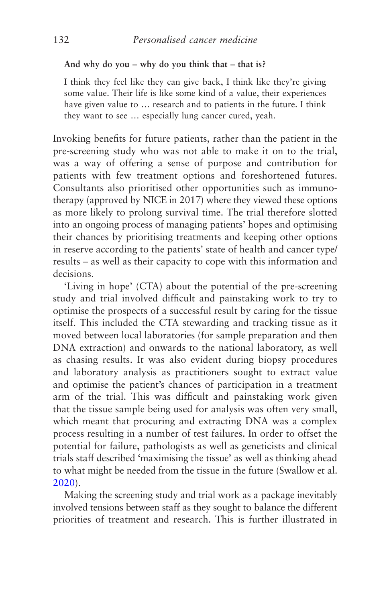### **And why do you – why do you think that – that is?**

I think they feel like they can give back, I think like they're giving some value. Their life is like some kind of a value, their experiences have given value to … research and to patients in the future. I think they want to see … especially lung cancer cured, yeah.

Invoking benefits for future patients, rather than the patient in the pre-screening study who was not able to make it on to the trial, was a way of offering a sense of purpose and contribution for patients with few treatment options and foreshortened futures. Consultants also prioritised other opportunities such as immunotherapy (approved by NICE in 2017) where they viewed these options as more likely to prolong survival time. The trial therefore slotted into an ongoing process of managing patients' hopes and optimising their chances by prioritising treatments and keeping other options in reserve according to the patients' state of health and cancer type/ results – as well as their capacity to cope with this information and decisions.

'Living in hope' (CTA) about the potential of the pre-screening study and trial involved difficult and painstaking work to try to optimise the prospects of a successful result by caring for the tissue itself. This included the CTA stewarding and tracking tissue as it moved between local laboratories (for sample preparation and then DNA extraction) and onwards to the national laboratory, as well as chasing results. It was also evident during biopsy procedures and laboratory analysis as practitioners sought to extract value and optimise the patient's chances of participation in a treatment arm of the trial. This was difficult and painstaking work given that the tissue sample being used for analysis was often very small, which meant that procuring and extracting DNA was a complex process resulting in a number of test failures. In order to offset the potential for failure, pathologists as well as geneticists and clinical trials staff described 'maximising the tissue' as well as thinking ahead to what might be needed from the tissue in the future (Swallow et al. [2020](#page-276-0)).

Making the screening study and trial work as a package inevitably involved tensions between staff as they sought to balance the different priorities of treatment and research. This is further illustrated in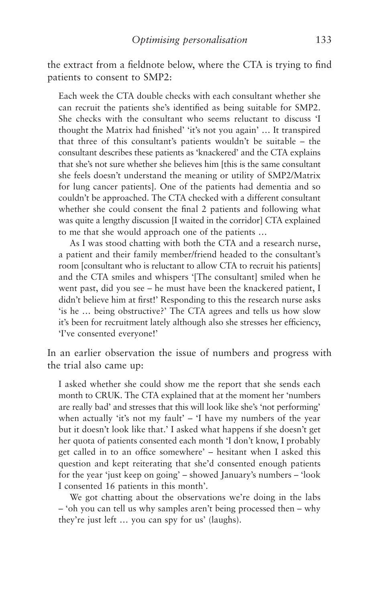the extract from a fieldnote below, where the CTA is trying to find patients to consent to SMP2:

Each week the CTA double checks with each consultant whether she can recruit the patients she's identified as being suitable for SMP2. She checks with the consultant who seems reluctant to discuss 'I thought the Matrix had finished' 'it's not you again' … It transpired that three of this consultant's patients wouldn't be suitable – the consultant describes these patients as 'knackered' and the CTA explains that she's not sure whether she believes him [this is the same consultant she feels doesn't understand the meaning or utility of SMP2/Matrix for lung cancer patients]. One of the patients had dementia and so couldn't be approached. The CTA checked with a different consultant whether she could consent the final 2 patients and following what was quite a lengthy discussion [I waited in the corridor] CTA explained to me that she would approach one of the patients …

As I was stood chatting with both the CTA and a research nurse, a patient and their family member/friend headed to the consultant's room [consultant who is reluctant to allow CTA to recruit his patients] and the CTA smiles and whispers '[The consultant] smiled when he went past, did you see – he must have been the knackered patient, I didn't believe him at first!' Responding to this the research nurse asks 'is he … being obstructive?' The CTA agrees and tells us how slow it's been for recruitment lately although also she stresses her efficiency, 'I've consented everyone!'

In an earlier observation the issue of numbers and progress with the trial also came up:

I asked whether she could show me the report that she sends each month to CRUK. The CTA explained that at the moment her 'numbers are really bad' and stresses that this will look like she's 'not performing' when actually 'it's not my fault' – 'I have my numbers of the year but it doesn't look like that.' I asked what happens if she doesn't get her quota of patients consented each month 'I don't know, I probably get called in to an office somewhere' – hesitant when I asked this question and kept reiterating that she'd consented enough patients for the year 'just keep on going' – showed January's numbers – 'look I consented 16 patients in this month'.

We got chatting about the observations we're doing in the labs – 'oh you can tell us why samples aren't being processed then – why they're just left … you can spy for us' (laughs).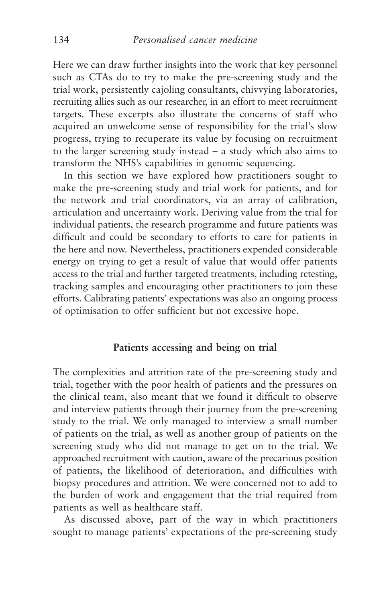Here we can draw further insights into the work that key personnel such as CTAs do to try to make the pre-screening study and the trial work, persistently cajoling consultants, chivvying laboratories, recruiting allies such as our researcher, in an effort to meet recruitment targets. These excerpts also illustrate the concerns of staff who acquired an unwelcome sense of responsibility for the trial's slow progress, trying to recuperate its value by focusing on recruitment to the larger screening study instead – a study which also aims to transform the NHS's capabilities in genomic sequencing.

In this section we have explored how practitioners sought to make the pre-screening study and trial work for patients, and for the network and trial coordinators, via an array of calibration, articulation and uncertainty work. Deriving value from the trial for individual patients, the research programme and future patients was difficult and could be secondary to efforts to care for patients in the here and now. Nevertheless, practitioners expended considerable energy on trying to get a result of value that would offer patients access to the trial and further targeted treatments, including retesting, tracking samples and encouraging other practitioners to join these efforts. Calibrating patients' expectations was also an ongoing process of optimisation to offer sufficient but not excessive hope.

## **Patients accessing and being on trial**

The complexities and attrition rate of the pre-screening study and trial, together with the poor health of patients and the pressures on the clinical team, also meant that we found it difficult to observe and interview patients through their journey from the pre-screening study to the trial. We only managed to interview a small number of patients on the trial, as well as another group of patients on the screening study who did not manage to get on to the trial. We approached recruitment with caution, aware of the precarious position of patients, the likelihood of deterioration, and difficulties with biopsy procedures and attrition. We were concerned not to add to the burden of work and engagement that the trial required from patients as well as healthcare staff.

As discussed above, part of the way in which practitioners sought to manage patients' expectations of the pre-screening study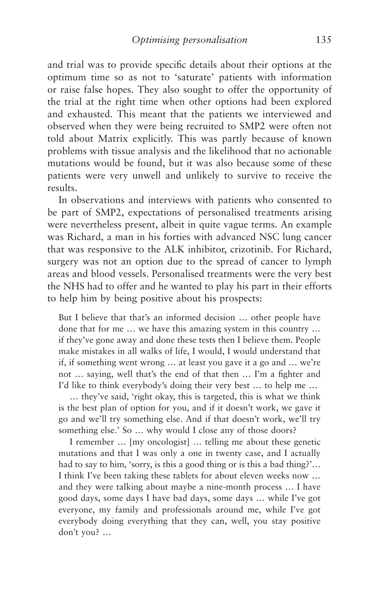and trial was to provide specific details about their options at the optimum time so as not to 'saturate' patients with information or raise false hopes. They also sought to offer the opportunity of the trial at the right time when other options had been explored and exhausted. This meant that the patients we interviewed and observed when they were being recruited to SMP2 were often not told about Matrix explicitly. This was partly because of known problems with tissue analysis and the likelihood that no actionable mutations would be found, but it was also because some of these patients were very unwell and unlikely to survive to receive the results.

In observations and interviews with patients who consented to be part of SMP2, expectations of personalised treatments arising were nevertheless present, albeit in quite vague terms. An example was Richard, a man in his forties with advanced NSC lung cancer that was responsive to the ALK inhibitor, crizotinib. For Richard, surgery was not an option due to the spread of cancer to lymph areas and blood vessels. Personalised treatments were the very best the NHS had to offer and he wanted to play his part in their efforts to help him by being positive about his prospects:

But I believe that that's an informed decision … other people have done that for me … we have this amazing system in this country … if they've gone away and done these tests then I believe them. People make mistakes in all walks of life, I would, I would understand that if, if something went wrong … at least you gave it a go and … we're not … saying, well that's the end of that then … I'm a fighter and I'd like to think everybody's doing their very best … to help me …

… they've said, 'right okay, this is targeted, this is what we think is the best plan of option for you, and if it doesn't work, we gave it go and we'll try something else. And if that doesn't work, we'll try something else.' So ... why would I close any of those doors?

I remember … [my oncologist] … telling me about these genetic mutations and that I was only a one in twenty case, and I actually had to say to him, 'sorry, is this a good thing or is this a bad thing?'… I think I've been taking these tablets for about eleven weeks now … and they were talking about maybe a nine-month process … I have good days, some days I have bad days, some days … while I've got everyone, my family and professionals around me, while I've got everybody doing everything that they can, well, you stay positive don't you? …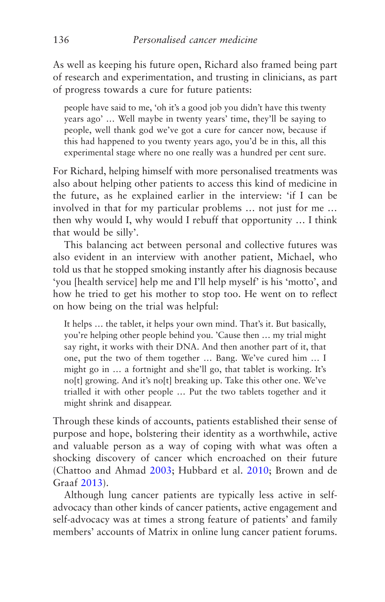As well as keeping his future open, Richard also framed being part of research and experimentation, and trusting in clinicians, as part of progress towards a cure for future patients:

people have said to me, 'oh it's a good job you didn't have this twenty years ago' … Well maybe in twenty years' time, they'll be saying to people, well thank god we've got a cure for cancer now, because if this had happened to you twenty years ago, you'd be in this, all this experimental stage where no one really was a hundred per cent sure.

For Richard, helping himself with more personalised treatments was also about helping other patients to access this kind of medicine in the future, as he explained earlier in the interview: 'if I can be involved in that for my particular problems … not just for me … then why would I, why would I rebuff that opportunity … I think that would be silly'.

This balancing act between personal and collective futures was also evident in an interview with another patient, Michael, who told us that he stopped smoking instantly after his diagnosis because 'you [health service] help me and I'll help myself' is his 'motto', and how he tried to get his mother to stop too. He went on to reflect on how being on the trial was helpful:

It helps … the tablet, it helps your own mind. That's it. But basically, you're helping other people behind you. 'Cause then … my trial might say right, it works with their DNA. And then another part of it, that one, put the two of them together … Bang. We've cured him … I might go in … a fortnight and she'll go, that tablet is working. It's no[t] growing. And it's no[t] breaking up. Take this other one. We've trialled it with other people … Put the two tablets together and it might shrink and disappear.

Through these kinds of accounts, patients established their sense of purpose and hope, bolstering their identity as a worthwhile, active and valuable person as a way of coping with what was often a shocking discovery of cancer which encroached on their future (Chattoo and Ahmad [2003;](#page-266-0) Hubbard et al. [2010](#page-270-0); Brown and de Graaf [2013](#page-266-0)).

Although lung cancer patients are typically less active in selfadvocacy than other kinds of cancer patients, active engagement and self-advocacy was at times a strong feature of patients' and family members' accounts of Matrix in online lung cancer patient forums.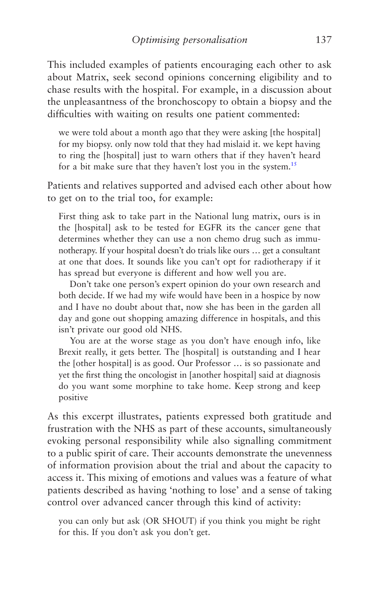<span id="page-145-0"></span>This included examples of patients encouraging each other to ask about Matrix, seek second opinions concerning eligibility and to chase results with the hospital. For example, in a discussion about the unpleasantness of the bronchoscopy to obtain a biopsy and the difficulties with waiting on results one patient commented:

we were told about a month ago that they were asking [the hospital] for my biopsy. only now told that they had mislaid it. we kept having to ring the [hospital] just to warn others that if they haven't heard for a bit make sure that they haven't lost you in the system.<sup>[15](#page-159-0)</sup>

Patients and relatives supported and advised each other about how to get on to the trial too, for example:

First thing ask to take part in the National lung matrix, ours is in the [hospital] ask to be tested for EGFR its the cancer gene that determines whether they can use a non chemo drug such as immunotherapy. If your hospital doesn't do trials like ours … get a consultant at one that does. It sounds like you can't opt for radiotherapy if it has spread but everyone is different and how well you are.

Don't take one person's expert opinion do your own research and both decide. If we had my wife would have been in a hospice by now and I have no doubt about that, now she has been in the garden all day and gone out shopping amazing difference in hospitals, and this isn't private our good old NHS.

You are at the worse stage as you don't have enough info, like Brexit really, it gets better. The [hospital] is outstanding and I hear the [other hospital] is as good. Our Professor … is so passionate and yet the first thing the oncologist in [another hospital] said at diagnosis do you want some morphine to take home. Keep strong and keep positive

As this excerpt illustrates, patients expressed both gratitude and frustration with the NHS as part of these accounts, simultaneously evoking personal responsibility while also signalling commitment to a public spirit of care. Their accounts demonstrate the unevenness of information provision about the trial and about the capacity to access it. This mixing of emotions and values was a feature of what patients described as having 'nothing to lose' and a sense of taking control over advanced cancer through this kind of activity:

you can only but ask (OR SHOUT) if you think you might be right for this. If you don't ask you don't get.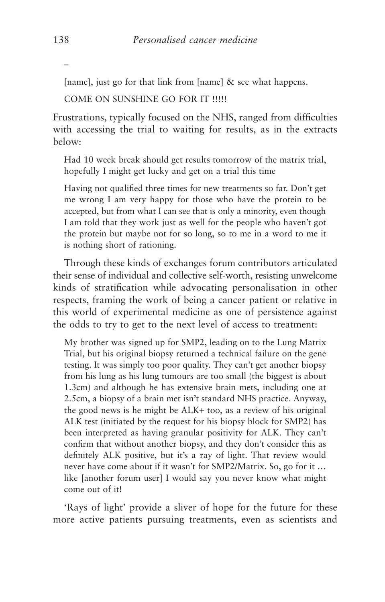[name], just go for that link from [name] & see what happens.

COME ON SUNSHINE GO FOR IT !!!!!

Frustrations, typically focused on the NHS, ranged from difficulties with accessing the trial to waiting for results, as in the extracts below:

Had 10 week break should get results tomorrow of the matrix trial, hopefully I might get lucky and get on a trial this time

Having not qualified three times for new treatments so far. Don't get me wrong I am very happy for those who have the protein to be accepted, but from what I can see that is only a minority, even though I am told that they work just as well for the people who haven't got the protein but maybe not for so long, so to me in a word to me it is nothing short of rationing.

Through these kinds of exchanges forum contributors articulated their sense of individual and collective self-worth, resisting unwelcome kinds of stratification while advocating personalisation in other respects, framing the work of being a cancer patient or relative in this world of experimental medicine as one of persistence against the odds to try to get to the next level of access to treatment:

My brother was signed up for SMP2, leading on to the Lung Matrix Trial, but his original biopsy returned a technical failure on the gene testing. It was simply too poor quality. They can't get another biopsy from his lung as his lung tumours are too small (the biggest is about 1.3cm) and although he has extensive brain mets, including one at 2.5cm, a biopsy of a brain met isn't standard NHS practice. Anyway, the good news is he might be ALK+ too, as a review of his original ALK test (initiated by the request for his biopsy block for SMP2) has been interpreted as having granular positivity for ALK. They can't confirm that without another biopsy, and they don't consider this as definitely ALK positive, but it's a ray of light. That review would never have come about if it wasn't for SMP2/Matrix. So, go for it … like [another forum user] I would say you never know what might come out of it!

'Rays of light' provide a sliver of hope for the future for these more active patients pursuing treatments, even as scientists and

–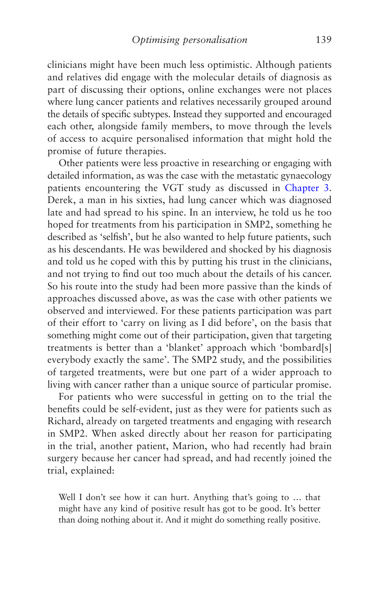clinicians might have been much less optimistic. Although patients and relatives did engage with the molecular details of diagnosis as part of discussing their options, online exchanges were not places where lung cancer patients and relatives necessarily grouped around the details of specific subtypes. Instead they supported and encouraged each other, alongside family members, to move through the levels of access to acquire personalised information that might hold the promise of future therapies.

Other patients were less proactive in researching or engaging with detailed information, as was the case with the metastatic gynaecology patients encountering the VGT study as discussed in [Chapter 3.](#page-96-0) Derek, a man in his sixties, had lung cancer which was diagnosed late and had spread to his spine. In an interview, he told us he too hoped for treatments from his participation in SMP2, something he described as 'selfish', but he also wanted to help future patients, such as his descendants. He was bewildered and shocked by his diagnosis and told us he coped with this by putting his trust in the clinicians, and not trying to find out too much about the details of his cancer. So his route into the study had been more passive than the kinds of approaches discussed above, as was the case with other patients we observed and interviewed. For these patients participation was part of their effort to 'carry on living as I did before', on the basis that something might come out of their participation, given that targeting treatments is better than a 'blanket' approach which 'bombard[s] everybody exactly the same'. The SMP2 study, and the possibilities of targeted treatments, were but one part of a wider approach to living with cancer rather than a unique source of particular promise.

For patients who were successful in getting on to the trial the benefits could be self-evident, just as they were for patients such as Richard, already on targeted treatments and engaging with research in SMP2. When asked directly about her reason for participating in the trial, another patient, Marion, who had recently had brain surgery because her cancer had spread, and had recently joined the trial, explained:

Well I don't see how it can hurt. Anything that's going to ... that might have any kind of positive result has got to be good. It's better than doing nothing about it. And it might do something really positive.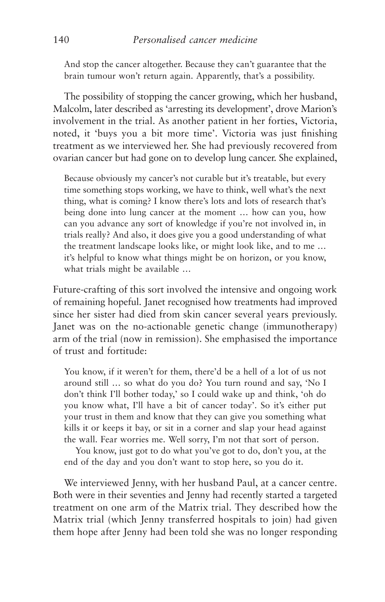And stop the cancer altogether. Because they can't guarantee that the brain tumour won't return again. Apparently, that's a possibility.

The possibility of stopping the cancer growing, which her husband, Malcolm, later described as 'arresting its development', drove Marion's involvement in the trial. As another patient in her forties, Victoria, noted, it 'buys you a bit more time'. Victoria was just finishing treatment as we interviewed her. She had previously recovered from ovarian cancer but had gone on to develop lung cancer. She explained,

Because obviously my cancer's not curable but it's treatable, but every time something stops working, we have to think, well what's the next thing, what is coming? I know there's lots and lots of research that's being done into lung cancer at the moment … how can you, how can you advance any sort of knowledge if you're not involved in, in trials really? And also, it does give you a good understanding of what the treatment landscape looks like, or might look like, and to me … it's helpful to know what things might be on horizon, or you know, what trials might be available …

Future-crafting of this sort involved the intensive and ongoing work of remaining hopeful. Janet recognised how treatments had improved since her sister had died from skin cancer several years previously. Janet was on the no-actionable genetic change (immunotherapy) arm of the trial (now in remission). She emphasised the importance of trust and fortitude:

You know, if it weren't for them, there'd be a hell of a lot of us not around still … so what do you do? You turn round and say, 'No I don't think I'll bother today,' so I could wake up and think, 'oh do you know what, I'll have a bit of cancer today'. So it's either put your trust in them and know that they can give you something what kills it or keeps it bay, or sit in a corner and slap your head against the wall. Fear worries me. Well sorry, I'm not that sort of person.

You know, just got to do what you've got to do, don't you, at the end of the day and you don't want to stop here, so you do it.

We interviewed Jenny, with her husband Paul, at a cancer centre. Both were in their seventies and Jenny had recently started a targeted treatment on one arm of the Matrix trial. They described how the Matrix trial (which Jenny transferred hospitals to join) had given them hope after Jenny had been told she was no longer responding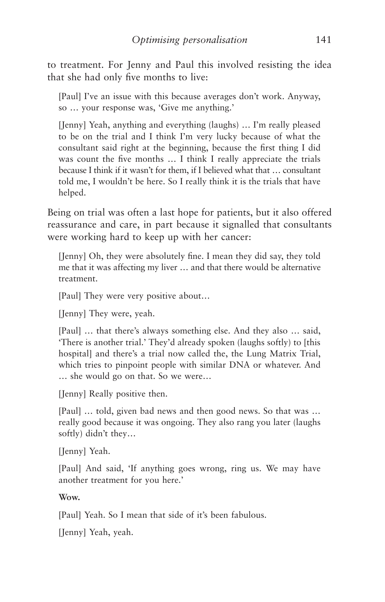to treatment. For Jenny and Paul this involved resisting the idea that she had only five months to live:

[Paul] I've an issue with this because averages don't work. Anyway, so … your response was, 'Give me anything.'

[Jenny] Yeah, anything and everything (laughs) … I'm really pleased to be on the trial and I think I'm very lucky because of what the consultant said right at the beginning, because the first thing I did was count the five months … I think I really appreciate the trials because I think if it wasn't for them, if I believed what that … consultant told me, I wouldn't be here. So I really think it is the trials that have helped.

Being on trial was often a last hope for patients, but it also offered reassurance and care, in part because it signalled that consultants were working hard to keep up with her cancer:

[Jenny] Oh, they were absolutely fine. I mean they did say, they told me that it was affecting my liver … and that there would be alternative treatment.

[Paul] They were very positive about…

[Jenny] They were, yeah.

[Paul] … that there's always something else. And they also … said, 'There is another trial.' They'd already spoken (laughs softly) to [this hospital] and there's a trial now called the, the Lung Matrix Trial, which tries to pinpoint people with similar DNA or whatever. And … she would go on that. So we were…

[Jenny] Really positive then.

[Paul] … told, given bad news and then good news. So that was … really good because it was ongoing. They also rang you later (laughs softly) didn't they…

[Jenny] Yeah.

[Paul] And said, 'If anything goes wrong, ring us. We may have another treatment for you here.'

**Wow.**

[Paul] Yeah. So I mean that side of it's been fabulous.

[Jenny] Yeah, yeah.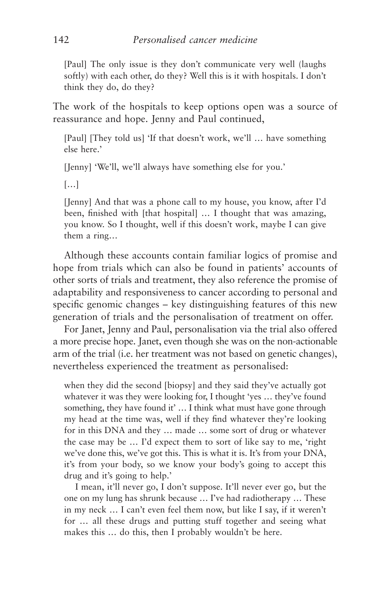[Paul] The only issue is they don't communicate very well (laughs softly) with each other, do they? Well this is it with hospitals. I don't think they do, do they?

The work of the hospitals to keep options open was a source of reassurance and hope. Jenny and Paul continued,

[Paul] [They told us] 'If that doesn't work, we'll … have something else here.'

[Jenny] 'We'll, we'll always have something else for you.'

[…]

[Jenny] And that was a phone call to my house, you know, after I'd been, finished with [that hospital] … I thought that was amazing, you know. So I thought, well if this doesn't work, maybe I can give them a ring…

Although these accounts contain familiar logics of promise and hope from trials which can also be found in patients' accounts of other sorts of trials and treatment, they also reference the promise of adaptability and responsiveness to cancer according to personal and specific genomic changes – key distinguishing features of this new generation of trials and the personalisation of treatment on offer.

For Janet, Jenny and Paul, personalisation via the trial also offered a more precise hope. Janet, even though she was on the non-actionable arm of the trial (i.e. her treatment was not based on genetic changes), nevertheless experienced the treatment as personalised:

when they did the second [biopsy] and they said they've actually got whatever it was they were looking for, I thought 'yes … they've found something, they have found it' ... I think what must have gone through my head at the time was, well if they find whatever they're looking for in this DNA and they … made … some sort of drug or whatever the case may be … I'd expect them to sort of like say to me, 'right we've done this, we've got this. This is what it is. It's from your DNA, it's from your body, so we know your body's going to accept this drug and it's going to help.'

I mean, it'll never go, I don't suppose. It'll never ever go, but the one on my lung has shrunk because … I've had radiotherapy … These in my neck … I can't even feel them now, but like I say, if it weren't for … all these drugs and putting stuff together and seeing what makes this … do this, then I probably wouldn't be here.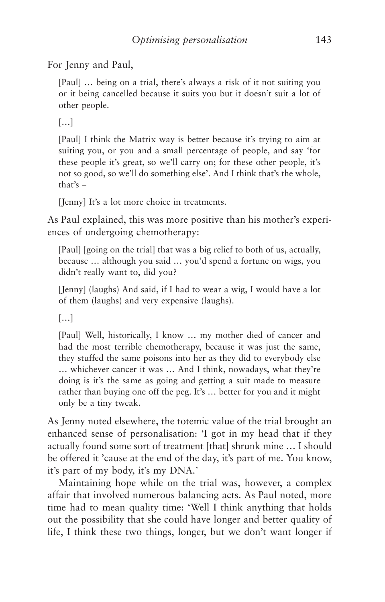For Jenny and Paul.

[Paul] ... being on a trial, there's always a risk of it not suiting you or it being cancelled because it suits you but it doesn't suit a lot of other people.

[…]

[Paul] I think the Matrix way is better because it's trying to aim at suiting you, or you and a small percentage of people, and say 'for these people it's great, so we'll carry on; for these other people, it's not so good, so we'll do something else'. And I think that's the whole, that's –

[Jenny] It's a lot more choice in treatments.

As Paul explained, this was more positive than his mother's experiences of undergoing chemotherapy:

[Paul] [going on the trial] that was a big relief to both of us, actually, because … although you said … you'd spend a fortune on wigs, you didn't really want to, did you?

[Jenny] (laughs) And said, if I had to wear a wig, I would have a lot of them (laughs) and very expensive (laughs).

[…]

[Paul] Well, historically, I know … my mother died of cancer and had the most terrible chemotherapy, because it was just the same, they stuffed the same poisons into her as they did to everybody else … whichever cancer it was … And I think, nowadays, what they're doing is it's the same as going and getting a suit made to measure rather than buying one off the peg. It's … better for you and it might only be a tiny tweak.

As Jenny noted elsewhere, the totemic value of the trial brought an enhanced sense of personalisation: 'I got in my head that if they actually found some sort of treatment [that] shrunk mine … I should be offered it 'cause at the end of the day, it's part of me. You know, it's part of my body, it's my DNA.'

Maintaining hope while on the trial was, however, a complex affair that involved numerous balancing acts. As Paul noted, more time had to mean quality time: 'Well I think anything that holds out the possibility that she could have longer and better quality of life, I think these two things, longer, but we don't want longer if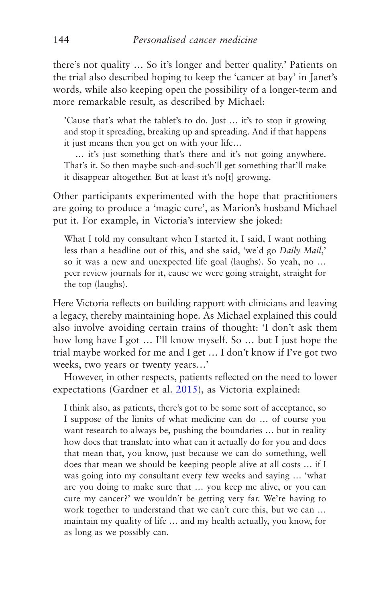there's not quality … So it's longer and better quality.' Patients on the trial also described hoping to keep the 'cancer at bay' in Janet's words, while also keeping open the possibility of a longer-term and more remarkable result, as described by Michael:

'Cause that's what the tablet's to do. Just … it's to stop it growing and stop it spreading, breaking up and spreading. And if that happens it just means then you get on with your life…

… it's just something that's there and it's not going anywhere. That's it. So then maybe such-and-such'll get something that'll make it disappear altogether. But at least it's no[t] growing.

Other participants experimented with the hope that practitioners are going to produce a 'magic cure', as Marion's husband Michael put it. For example, in Victoria's interview she joked:

What I told my consultant when I started it, I said, I want nothing less than a headline out of this, and she said, 'we'd go *Daily Mail*,' so it was a new and unexpected life goal (laughs). So yeah, no … peer review journals for it, cause we were going straight, straight for the top (laughs).

Here Victoria reflects on building rapport with clinicians and leaving a legacy, thereby maintaining hope. As Michael explained this could also involve avoiding certain trains of thought: 'I don't ask them how long have I got … I'll know myself. So … but I just hope the trial maybe worked for me and I get … I don't know if I've got two weeks, two years or twenty years…'

However, in other respects, patients reflected on the need to lower expectations (Gardner et al. [2015](#page-268-0)), as Victoria explained:

I think also, as patients, there's got to be some sort of acceptance, so I suppose of the limits of what medicine can do … of course you want research to always be, pushing the boundaries … but in reality how does that translate into what can it actually do for you and does that mean that, you know, just because we can do something, well does that mean we should be keeping people alive at all costs … if I was going into my consultant every few weeks and saying … 'what are you doing to make sure that … you keep me alive, or you can cure my cancer?' we wouldn't be getting very far. We're having to work together to understand that we can't cure this, but we can … maintain my quality of life … and my health actually, you know, for as long as we possibly can.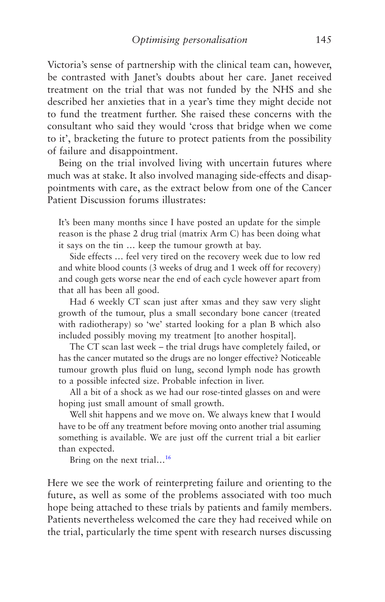<span id="page-153-0"></span>Victoria's sense of partnership with the clinical team can, however, be contrasted with Janet's doubts about her care. Janet received treatment on the trial that was not funded by the NHS and she described her anxieties that in a year's time they might decide not to fund the treatment further. She raised these concerns with the consultant who said they would 'cross that bridge when we come to it', bracketing the future to protect patients from the possibility of failure and disappointment.

Being on the trial involved living with uncertain futures where much was at stake. It also involved managing side-effects and disappointments with care, as the extract below from one of the Cancer Patient Discussion forums illustrates:

It's been many months since I have posted an update for the simple reason is the phase 2 drug trial (matrix Arm C) has been doing what it says on the tin … keep the tumour growth at bay.

Side effects … feel very tired on the recovery week due to low red and white blood counts (3 weeks of drug and 1 week off for recovery) and cough gets worse near the end of each cycle however apart from that all has been all good.

Had 6 weekly CT scan just after xmas and they saw very slight growth of the tumour, plus a small secondary bone cancer (treated with radiotherapy) so 'we' started looking for a plan B which also included possibly moving my treatment [to another hospital].

The CT scan last week – the trial drugs have completely failed, or has the cancer mutated so the drugs are no longer effective? Noticeable tumour growth plus fluid on lung, second lymph node has growth to a possible infected size. Probable infection in liver.

All a bit of a shock as we had our rose-tinted glasses on and were hoping just small amount of small growth.

Well shit happens and we move on. We always knew that I would have to be off any treatment before moving onto another trial assuming something is available. We are just off the current trial a bit earlier than expected.

Bring on the next trial...<sup>[16](#page-159-0)</sup>

Here we see the work of reinterpreting failure and orienting to the future, as well as some of the problems associated with too much hope being attached to these trials by patients and family members. Patients nevertheless welcomed the care they had received while on the trial, particularly the time spent with research nurses discussing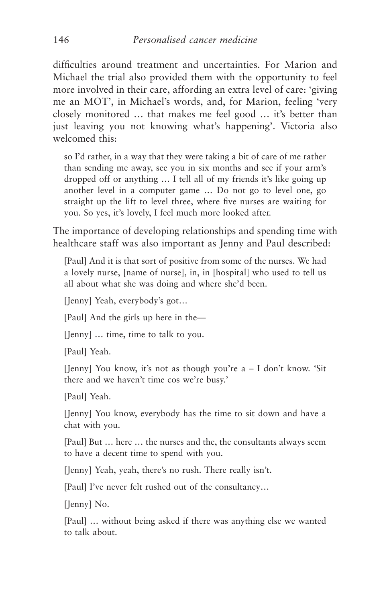difficulties around treatment and uncertainties. For Marion and Michael the trial also provided them with the opportunity to feel more involved in their care, affording an extra level of care: 'giving me an MOT', in Michael's words, and, for Marion, feeling 'very closely monitored … that makes me feel good … it's better than just leaving you not knowing what's happening'. Victoria also welcomed this:

so I'd rather, in a way that they were taking a bit of care of me rather than sending me away, see you in six months and see if your arm's dropped off or anything … I tell all of my friends it's like going up another level in a computer game … Do not go to level one, go straight up the lift to level three, where five nurses are waiting for you. So yes, it's lovely, I feel much more looked after.

The importance of developing relationships and spending time with healthcare staff was also important as Jenny and Paul described:

[Paul] And it is that sort of positive from some of the nurses. We had a lovely nurse, [name of nurse], in, in [hospital] who used to tell us all about what she was doing and where she'd been.

[Jenny] Yeah, everybody's got…

[Paul] And the girls up here in the—

[Jenny] … time, time to talk to you.

[Paul] Yeah.

[Jenny] You know, it's not as though you're a – I don't know. 'Sit there and we haven't time cos we're busy.'

[Paul] Yeah.

[Jenny] You know, everybody has the time to sit down and have a chat with you.

[Paul] But … here … the nurses and the, the consultants always seem to have a decent time to spend with you.

[Jenny] Yeah, yeah, there's no rush. There really isn't.

[Paul] I've never felt rushed out of the consultancy…

[Jenny] No.

[Paul] … without being asked if there was anything else we wanted to talk about.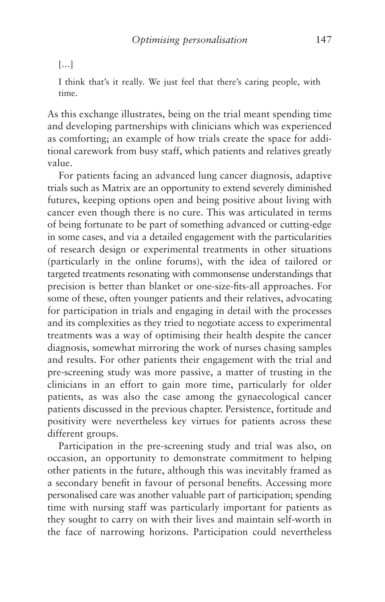# […]

I think that's it really. We just feel that there's caring people, with time.

As this exchange illustrates, being on the trial meant spending time and developing partnerships with clinicians which was experienced as comforting; an example of how trials create the space for additional carework from busy staff, which patients and relatives greatly value.

For patients facing an advanced lung cancer diagnosis, adaptive trials such as Matrix are an opportunity to extend severely diminished futures, keeping options open and being positive about living with cancer even though there is no cure. This was articulated in terms of being fortunate to be part of something advanced or cutting-edge in some cases, and via a detailed engagement with the particularities of research design or experimental treatments in other situations (particularly in the online forums), with the idea of tailored or targeted treatments resonating with commonsense understandings that precision is better than blanket or one-size-fits-all approaches. For some of these, often younger patients and their relatives, advocating for participation in trials and engaging in detail with the processes and its complexities as they tried to negotiate access to experimental treatments was a way of optimising their health despite the cancer diagnosis, somewhat mirroring the work of nurses chasing samples and results. For other patients their engagement with the trial and pre-screening study was more passive, a matter of trusting in the clinicians in an effort to gain more time, particularly for older patients, as was also the case among the gynaecological cancer patients discussed in the previous chapter. Persistence, fortitude and positivity were nevertheless key virtues for patients across these different groups.

Participation in the pre-screening study and trial was also, on occasion, an opportunity to demonstrate commitment to helping other patients in the future, although this was inevitably framed as a secondary benefit in favour of personal benefits. Accessing more personalised care was another valuable part of participation; spending time with nursing staff was particularly important for patients as they sought to carry on with their lives and maintain self-worth in the face of narrowing horizons. Participation could nevertheless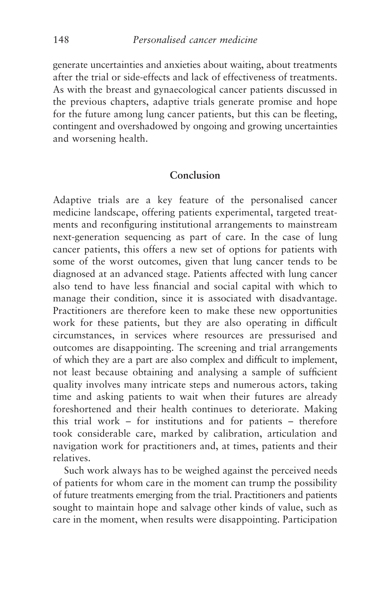generate uncertainties and anxieties about waiting, about treatments after the trial or side-effects and lack of effectiveness of treatments. As with the breast and gynaecological cancer patients discussed in the previous chapters, adaptive trials generate promise and hope for the future among lung cancer patients, but this can be fleeting, contingent and overshadowed by ongoing and growing uncertainties and worsening health.

### **Conclusion**

Adaptive trials are a key feature of the personalised cancer medicine landscape, offering patients experimental, targeted treatments and reconfiguring institutional arrangements to mainstream next-generation sequencing as part of care. In the case of lung cancer patients, this offers a new set of options for patients with some of the worst outcomes, given that lung cancer tends to be diagnosed at an advanced stage. Patients affected with lung cancer also tend to have less financial and social capital with which to manage their condition, since it is associated with disadvantage. Practitioners are therefore keen to make these new opportunities work for these patients, but they are also operating in difficult circumstances, in services where resources are pressurised and outcomes are disappointing. The screening and trial arrangements of which they are a part are also complex and difficult to implement, not least because obtaining and analysing a sample of sufficient quality involves many intricate steps and numerous actors, taking time and asking patients to wait when their futures are already foreshortened and their health continues to deteriorate. Making this trial work – for institutions and for patients – therefore took considerable care, marked by calibration, articulation and navigation work for practitioners and, at times, patients and their relatives.

Such work always has to be weighed against the perceived needs of patients for whom care in the moment can trump the possibility of future treatments emerging from the trial. Practitioners and patients sought to maintain hope and salvage other kinds of value, such as care in the moment, when results were disappointing. Participation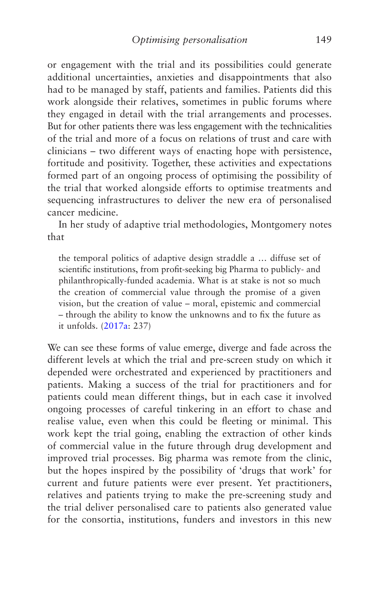or engagement with the trial and its possibilities could generate additional uncertainties, anxieties and disappointments that also had to be managed by staff, patients and families. Patients did this work alongside their relatives, sometimes in public forums where they engaged in detail with the trial arrangements and processes. But for other patients there was less engagement with the technicalities of the trial and more of a focus on relations of trust and care with clinicians – two different ways of enacting hope with persistence, fortitude and positivity. Together, these activities and expectations formed part of an ongoing process of optimising the possibility of the trial that worked alongside efforts to optimise treatments and sequencing infrastructures to deliver the new era of personalised cancer medicine.

In her study of adaptive trial methodologies, Montgomery notes that

the temporal politics of adaptive design straddle a … diffuse set of scientific institutions, from profit-seeking big Pharma to publicly- and philanthropically-funded academia. What is at stake is not so much the creation of commercial value through the promise of a given vision, but the creation of value – moral, epistemic and commercial – through the ability to know the unknowns and to fix the future as it unfolds. ([2017a](#page-273-0): 237)

We can see these forms of value emerge, diverge and fade across the different levels at which the trial and pre-screen study on which it depended were orchestrated and experienced by practitioners and patients. Making a success of the trial for practitioners and for patients could mean different things, but in each case it involved ongoing processes of careful tinkering in an effort to chase and realise value, even when this could be fleeting or minimal. This work kept the trial going, enabling the extraction of other kinds of commercial value in the future through drug development and improved trial processes. Big pharma was remote from the clinic, but the hopes inspired by the possibility of 'drugs that work' for current and future patients were ever present. Yet practitioners, relatives and patients trying to make the pre-screening study and the trial deliver personalised care to patients also generated value for the consortia, institutions, funders and investors in this new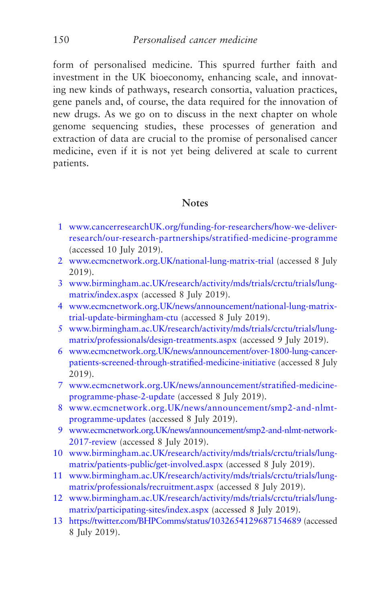form of personalised medicine. This spurred further faith and investment in the UK bioeconomy, enhancing scale, and innovating new kinds of pathways, research consortia, valuation practices, gene panels and, of course, the data required for the innovation of new drugs. As we go on to discuss in the next chapter on whole genome sequencing studies, these processes of generation and extraction of data are crucial to the promise of personalised cancer medicine, even if it is not yet being delivered at scale to current patients.

### **Notes**

- [1](#page-128-0) [www.cancerresearchUK.org/funding-for-researchers/how-we-deliver](http://www.cancerresearchuk.org/funding-for-researchers/how-we-deliver-research/our-research-partnerships/stratified-medicine-programme)[research/our-research-partnerships/stratified-medicine-programme](http://www.cancerresearchuk.org/funding-for-researchers/how-we-deliver-research/our-research-partnerships/stratified-medicine-programme) (accessed 10 July 2019).
- [2](#page-130-0) [www.ecmcnetwork.org.UK/national-lung-matrix-trial](http://www.ecmcnetwork.org.uk/national-lung-matrix-trial) (accessed 8 July 2019).
- [3](#page-130-0) [www.birmingham.ac.UK/research/activity/mds/trials/crctu/trials/lung](http://www.birmingham.ac.uk/research/activity/mds/trials/crctu/trials/lung-matrix/index.aspx)[matrix/index.aspx](http://www.birmingham.ac.uk/research/activity/mds/trials/crctu/trials/lung-matrix/index.aspx) (accessed 8 July 2019).
- [4](#page-130-0) [www.ecmcnetwork.org.UK/news/announcement/national-lung-matrix](http://www.ecmcnetwork.org.uk/news/announcement/national-lung-matrix-trial-update-birmingham-ctu)[trial-update-birmingham-ctu](http://www.ecmcnetwork.org.uk/news/announcement/national-lung-matrix-trial-update-birmingham-ctu) (accessed 8 July 2019).
- [5](#page-131-0) [www.birmingham.ac.UK/research/activity/mds/trials/crctu/trials/lung](http://www.birmingham.ac.uk/research/activity/mds/trials/crctu/trials/lung-matrix/professionals/design-treatments.aspx)[matrix/professionals/design-treatments.aspx](http://www.birmingham.ac.uk/research/activity/mds/trials/crctu/trials/lung-matrix/professionals/design-treatments.aspx) (accessed 9 July 2019).
- [6](#page-131-0) [www.ecmcnetwork.org.UK/news/announcement/over-1800-lung-cancer](http://www.ecmcnetwork.org.uk/news/announcement/over-1800-lung-cancer-patients-screened-through-stratified-medicine-initiative)[patients-screened-through-stratified-medicine-initiative](http://www.ecmcnetwork.org.uk/news/announcement/over-1800-lung-cancer-patients-screened-through-stratified-medicine-initiative) (accessed 8 July 2019).
- [7](#page-131-0) [www.ecmcnetwork.org.UK/news/announcement/stratified-medicine](http://www.ecmcnetwork.org.uk/news/announcement/stratified-medicine-programme-phase-2-update)[programme-phase-2-update](http://www.ecmcnetwork.org.uk/news/announcement/stratified-medicine-programme-phase-2-update) (accessed 8 July 2019).
- [8](#page-132-0) [www.ecmcnetwork.org.UK/news/announcement/smp2-and-nlmt](http://www.ecmcnetwork.org.uk/news/announcement/smp2-and-nlmt-programme-updates)[programme-updates](http://www.ecmcnetwork.org.uk/news/announcement/smp2-and-nlmt-programme-updates) (accessed 8 July 2019).
- [9](#page-132-0) [www.ecmcnetwork.org.UK/news/announcement/smp2-and-nlmt-network-](http://www.ecmcnetwork.org.uk/news/announcement/smp2-and-nlmt-network-2017-review)[2017-review](http://www.ecmcnetwork.org.uk/news/announcement/smp2-and-nlmt-network-2017-review) (accessed 8 July 2019).
- [10](#page-132-0) [www.birmingham.ac.UK/research/activity/mds/trials/crctu/trials/lung](http://www.birmingham.ac.uk/research/activity/mds/trials/crctu/trials/lung-matrix/patients-public/get-involved.aspx)[matrix/patients-public/get-involved.aspx](http://www.birmingham.ac.uk/research/activity/mds/trials/crctu/trials/lung-matrix/patients-public/get-involved.aspx) (accessed 8 July 2019).
- [11](#page-132-0) [www.birmingham.ac.UK/research/activity/mds/trials/crctu/trials/lung](http://www.birmingham.ac.uk/research/activity/mds/trials/crctu/trials/lung-matrix/professionals/recruitment.aspx)[matrix/professionals/recruitment.aspx](http://www.birmingham.ac.uk/research/activity/mds/trials/crctu/trials/lung-matrix/professionals/recruitment.aspx) (accessed 8 July 2019).
- [12](#page-132-0) [www.birmingham.ac.UK/research/activity/mds/trials/crctu/trials/lung](http://www.birmingham.ac.uk/research/activity/mds/trials/crctu/trials/lung-matrix/participating-sites/index.aspx)[matrix/participating-sites/index.aspx](http://www.birmingham.ac.uk/research/activity/mds/trials/crctu/trials/lung-matrix/participating-sites/index.aspx) (accessed 8 July 2019).
- [13](#page-133-0) <https://twitter.com/BHPComms/status/1032654129687154689> (accessed 8 July 2019).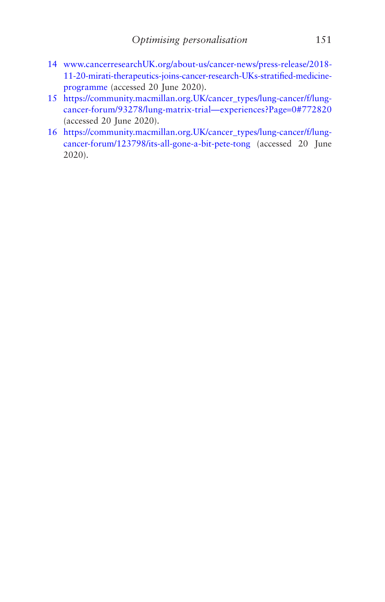- <span id="page-159-0"></span>[14](#page-133-0) [www.cancerresearchUK.org/about-us/cancer-news/press-release/2018-](http://www.cancerresearchuk.org/about-us/cancer-news/press-release/2018-11-20-mirati-therapeutics-joins-cancer-research-UKs-stratified-medicine-programme) [11-20-mirati-therapeutics-joins-cancer-research-UKs-stratified-medicine](http://www.cancerresearchuk.org/about-us/cancer-news/press-release/2018-11-20-mirati-therapeutics-joins-cancer-research-UKs-stratified-medicine-programme)[programme](http://www.cancerresearchuk.org/about-us/cancer-news/press-release/2018-11-20-mirati-therapeutics-joins-cancer-research-UKs-stratified-medicine-programme) (accessed 20 June 2020).
- [15](#page-145-0) [https://community.macmillan.org.UK/cancer\\_types/lung-cancer/f/lung](https://community.macmillan.org.uk/cancer_types/lung-cancer/f/lung-cancer-forum/93278/lung-matrix-trial%E2%80%94experiences?Page=0#772820)[cancer-forum/93278/lung-matrix-trial—experiences?Page](https://community.macmillan.org.uk/cancer_types/lung-cancer/f/lung-cancer-forum/93278/lung-matrix-trial%E2%80%94experiences?Page=0#772820)=0#772820 (accessed 20 June 2020).
- [16](#page-153-0) [https://community.macmillan.org.UK/cancer\\_types/lung-cancer/f/lung](https://community.macmillan.org.uk/cancer_types/lung-cancer/f/lung-cancer-forum/123798/its-all-gone-a-bit-pete-tong)[cancer-forum/123798/its-all-gone-a-bit-pete-tong](https://community.macmillan.org.uk/cancer_types/lung-cancer/f/lung-cancer-forum/123798/its-all-gone-a-bit-pete-tong) (accessed 20 June 2020).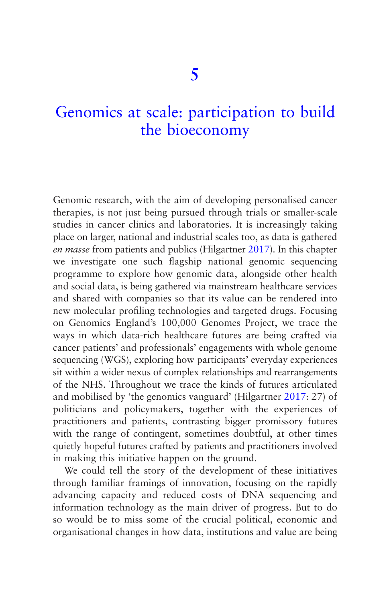# [Genomics at scale: participation to build](#page-5-0)  the bioeconomy

Genomic research, with the aim of developing personalised cancer therapies, is not just being pursued through trials or smaller-scale studies in cancer clinics and laboratories. It is increasingly taking place on larger, national and industrial scales too, as data is gathered *en masse* from patients and publics (Hilgartner [2017](#page-270-0)). In this chapter we investigate one such flagship national genomic sequencing programme to explore how genomic data, alongside other health and social data, is being gathered via mainstream healthcare services and shared with companies so that its value can be rendered into new molecular profiling technologies and targeted drugs. Focusing on Genomics England's 100,000 Genomes Project, we trace the ways in which data-rich healthcare futures are being crafted via cancer patients' and professionals' engagements with whole genome sequencing (WGS), exploring how participants' everyday experiences sit within a wider nexus of complex relationships and rearrangements of the NHS. Throughout we trace the kinds of futures articulated and mobilised by 'the genomics vanguard' (Hilgartner [2017](#page-270-0): 27) of politicians and policymakers, together with the experiences of practitioners and patients, contrasting bigger promissory futures with the range of contingent, sometimes doubtful, at other times quietly hopeful futures crafted by patients and practitioners involved in making this initiative happen on the ground.

We could tell the story of the development of these initiatives through familiar framings of innovation, focusing on the rapidly advancing capacity and reduced costs of DNA sequencing and information technology as the main driver of progress. But to do so would be to miss some of the crucial political, economic and organisational changes in how data, institutions and value are being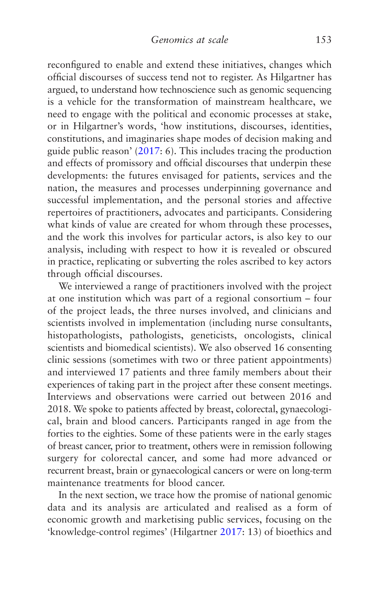reconfigured to enable and extend these initiatives, changes which official discourses of success tend not to register. As Hilgartner has argued, to understand how technoscience such as genomic sequencing is a vehicle for the transformation of mainstream healthcare, we need to engage with the political and economic processes at stake, or in Hilgartner's words, 'how institutions, discourses, identities, constitutions, and imaginaries shape modes of decision making and guide public reason' [\(2017](#page-270-0): 6). This includes tracing the production and effects of promissory and official discourses that underpin these developments: the futures envisaged for patients, services and the nation, the measures and processes underpinning governance and successful implementation, and the personal stories and affective repertoires of practitioners, advocates and participants. Considering what kinds of value are created for whom through these processes, and the work this involves for particular actors, is also key to our analysis, including with respect to how it is revealed or obscured in practice, replicating or subverting the roles ascribed to key actors through official discourses.

We interviewed a range of practitioners involved with the project at one institution which was part of a regional consortium – four of the project leads, the three nurses involved, and clinicians and scientists involved in implementation (including nurse consultants, histopathologists, pathologists, geneticists, oncologists, clinical scientists and biomedical scientists). We also observed 16 consenting clinic sessions (sometimes with two or three patient appointments) and interviewed 17 patients and three family members about their experiences of taking part in the project after these consent meetings. Interviews and observations were carried out between 2016 and 2018. We spoke to patients affected by breast, colorectal, gynaecological, brain and blood cancers. Participants ranged in age from the forties to the eighties. Some of these patients were in the early stages of breast cancer, prior to treatment, others were in remission following surgery for colorectal cancer, and some had more advanced or recurrent breast, brain or gynaecological cancers or were on long-term maintenance treatments for blood cancer.

In the next section, we trace how the promise of national genomic data and its analysis are articulated and realised as a form of economic growth and marketising public services, focusing on the 'knowledge-control regimes' (Hilgartner [2017](#page-270-0): 13) of bioethics and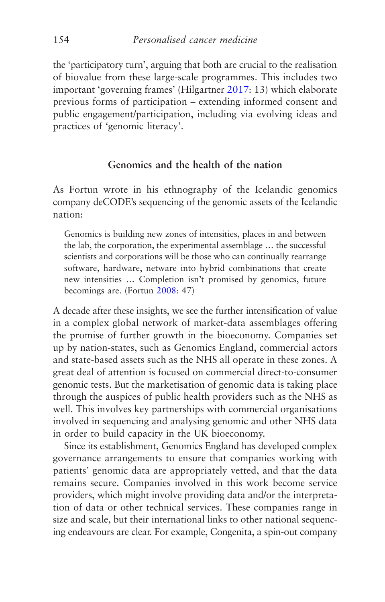the 'participatory turn', arguing that both are crucial to the realisation of biovalue from these large-scale programmes. This includes two important 'governing frames' (Hilgartner [2017:](#page-270-0) 13) which elaborate previous forms of participation – extending informed consent and public engagement/participation, including via evolving ideas and practices of 'genomic literacy'.

# **Genomics and the health of the nation**

As Fortun wrote in his ethnography of the Icelandic genomics company deCODE's sequencing of the genomic assets of the Icelandic nation:

Genomics is building new zones of intensities, places in and between the lab, the corporation, the experimental assemblage … the successful scientists and corporations will be those who can continually rearrange software, hardware, netware into hybrid combinations that create new intensities … Completion isn't promised by genomics, future becomings are. (Fortun [2008](#page-268-0): 47)

A decade after these insights, we see the further intensification of value in a complex global network of market-data assemblages offering the promise of further growth in the bioeconomy. Companies set up by nation-states, such as Genomics England, commercial actors and state-based assets such as the NHS all operate in these zones. A great deal of attention is focused on commercial direct-to-consumer genomic tests. But the marketisation of genomic data is taking place through the auspices of public health providers such as the NHS as well. This involves key partnerships with commercial organisations involved in sequencing and analysing genomic and other NHS data in order to build capacity in the UK bioeconomy.

Since its establishment, Genomics England has developed complex governance arrangements to ensure that companies working with patients' genomic data are appropriately vetted, and that the data remains secure. Companies involved in this work become service providers, which might involve providing data and/or the interpretation of data or other technical services. These companies range in size and scale, but their international links to other national sequencing endeavours are clear. For example, Congenita, a spin-out company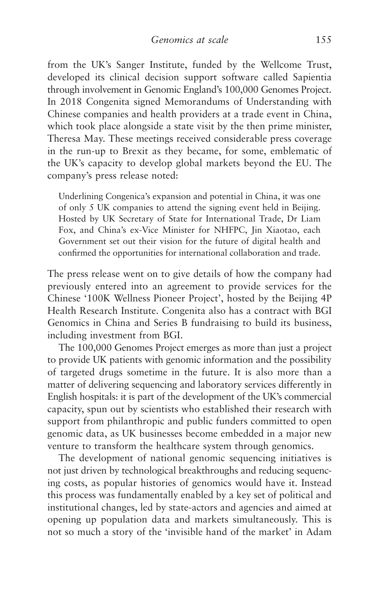from the UK's Sanger Institute, funded by the Wellcome Trust, developed its clinical decision support software called Sapientia through involvement in Genomic England's 100,000 Genomes Project. In 2018 Congenita signed Memorandums of Understanding with Chinese companies and health providers at a trade event in China, which took place alongside a state visit by the then prime minister, Theresa May. These meetings received considerable press coverage in the run-up to Brexit as they became, for some, emblematic of the UK's capacity to develop global markets beyond the EU. The company's press release noted:

Underlining Congenica's expansion and potential in China, it was one of only 5 UK companies to attend the signing event held in Beijing. Hosted by UK Secretary of State for International Trade, Dr Liam Fox, and China's ex-Vice Minister for NHFPC, Jin Xiaotao, each Government set out their vision for the future of digital health and confirmed the opportunities for international collaboration and trade.

The press release went on to give details of how the company had previously entered into an agreement to provide services for the Chinese '100K Wellness Pioneer Project', hosted by the Beijing 4P Health Research Institute. Congenita also has a contract with BGI Genomics in China and Series B fundraising to build its business, including investment from BGI.

The 100,000 Genomes Project emerges as more than just a project to provide UK patients with genomic information and the possibility of targeted drugs sometime in the future. It is also more than a matter of delivering sequencing and laboratory services differently in English hospitals: it is part of the development of the UK's commercial capacity, spun out by scientists who established their research with support from philanthropic and public funders committed to open genomic data, as UK businesses become embedded in a major new venture to transform the healthcare system through genomics.

The development of national genomic sequencing initiatives is not just driven by technological breakthroughs and reducing sequencing costs, as popular histories of genomics would have it. Instead this process was fundamentally enabled by a key set of political and institutional changes, led by state-actors and agencies and aimed at opening up population data and markets simultaneously. This is not so much a story of the 'invisible hand of the market' in Adam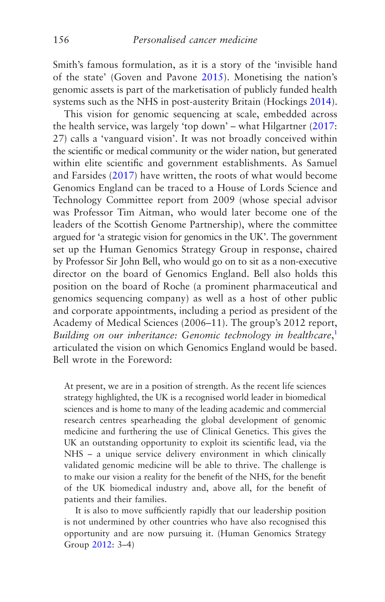Smith's famous formulation, as it is a story of the 'invisible hand of the state' (Goven and Pavone [2015](#page-269-0)). Monetising the nation's genomic assets is part of the marketisation of publicly funded health systems such as the NHS in post-austerity Britain (Hockings [2014](#page-270-0)).

This vision for genomic sequencing at scale, embedded across the health service, was largely 'top down' – what Hilgartner ([2017:](#page-270-0) 27) calls a 'vanguard vision'. It was not broadly conceived within the scientific or medical community or the wider nation, but generated within elite scientific and government establishments. As Samuel and Farsides [\(2017](#page-276-0)) have written, the roots of what would become Genomics England can be traced to a House of Lords Science and Technology Committee report from 2009 (whose special advisor was Professor Tim Aitman, who would later become one of the leaders of the Scottish Genome Partnership), where the committee argued for 'a strategic vision for genomics in the UK'. The government set up the Human Genomics Strategy Group in response, chaired by Professor Sir John Bell, who would go on to sit as a non-executive director on the board of Genomics England. Bell also holds this position on the board of Roche (a prominent pharmaceutical and genomics sequencing company) as well as a host of other public and corporate appointments, including a period as president of the Academy of Medical Sciences (2006–11). The group's 2012 report, *Building on our inheritance: Genomic technology in healthcare*, [1](#page-190-0) articulated the vision on which Genomics England would be based. Bell wrote in the Foreword:

At present, we are in a position of strength. As the recent life sciences strategy highlighted, the UK is a recognised world leader in biomedical sciences and is home to many of the leading academic and commercial research centres spearheading the global development of genomic medicine and furthering the use of Clinical Genetics. This gives the UK an outstanding opportunity to exploit its scientific lead, via the NHS – a unique service delivery environment in which clinically validated genomic medicine will be able to thrive. The challenge is to make our vision a reality for the benefit of the NHS, for the benefit of the UK biomedical industry and, above all, for the benefit of patients and their families.

It is also to move sufficiently rapidly that our leadership position is not undermined by other countries who have also recognised this opportunity and are now pursuing it. (Human Genomics Strategy Group [2012:](#page-270-0) 3–4)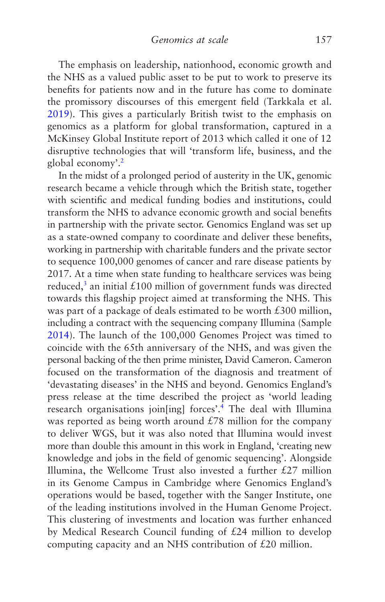The emphasis on leadership, nationhood, economic growth and the NHS as a valued public asset to be put to work to preserve its benefits for patients now and in the future has come to dominate the promissory discourses of this emergent field (Tarkkala et al. [2019](#page-277-0)). This gives a particularly British twist to the emphasis on genomics as a platform for global transformation, captured in a McKinsey Global Institute report of 2013 which called it one of 12 disruptive technologies that will 'transform life, business, and the global economy'.[2](#page-190-0)

In the midst of a prolonged period of austerity in the UK, genomic research became a vehicle through which the British state, together with scientific and medical funding bodies and institutions, could transform the NHS to advance economic growth and social benefits in partnership with the private sector. Genomics England was set up as a state-owned company to coordinate and deliver these benefits, working in partnership with charitable funders and the private sector to sequence 100,000 genomes of cancer and rare disease patients by 2017. At a time when state funding to healthcare services was being reduced,<sup>[3](#page-190-0)</sup> an initial £100 million of government funds was directed towards this flagship project aimed at transforming the NHS. This was part of a package of deals estimated to be worth £300 million. including a contract with the sequencing company Illumina (Sample [2014](#page-276-0)). The launch of the 100,000 Genomes Project was timed to coincide with the 65th anniversary of the NHS, and was given the personal backing of the then prime minister, David Cameron. Cameron focused on the transformation of the diagnosis and treatment of 'devastating diseases' in the NHS and beyond. Genomics England's press release at the time described the project as 'world leading research organisations join[ing] forces'[.4](#page-190-0) The deal with Illumina was reported as being worth around  $£78$  million for the company to deliver WGS, but it was also noted that Illumina would invest more than double this amount in this work in England, 'creating new knowledge and jobs in the field of genomic sequencing'. Alongside Illumina, the Wellcome Trust also invested a further  $£27$  million in its Genome Campus in Cambridge where Genomics England's operations would be based, together with the Sanger Institute, one of the leading institutions involved in the Human Genome Project. This clustering of investments and location was further enhanced by Medical Research Council funding of £24 million to develop computing capacity and an NHS contribution of £20 million.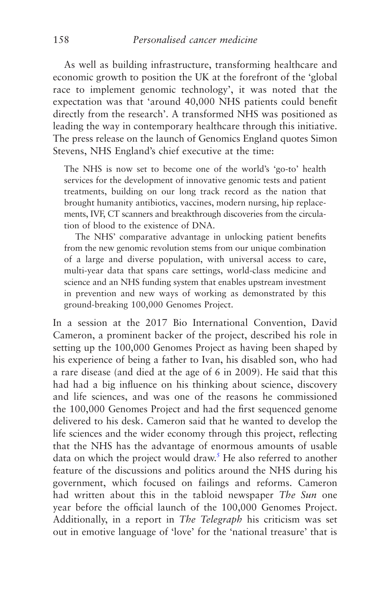As well as building infrastructure, transforming healthcare and economic growth to position the UK at the forefront of the 'global race to implement genomic technology', it was noted that the expectation was that 'around 40,000 NHS patients could benefit directly from the research'. A transformed NHS was positioned as leading the way in contemporary healthcare through this initiative. The press release on the launch of Genomics England quotes Simon Stevens, NHS England's chief executive at the time:

The NHS is now set to become one of the world's 'go-to' health services for the development of innovative genomic tests and patient treatments, building on our long track record as the nation that brought humanity antibiotics, vaccines, modern nursing, hip replacements, IVF, CT scanners and breakthrough discoveries from the circulation of blood to the existence of DNA.

The NHS' comparative advantage in unlocking patient benefits from the new genomic revolution stems from our unique combination of a large and diverse population, with universal access to care, multi-year data that spans care settings, world-class medicine and science and an NHS funding system that enables upstream investment in prevention and new ways of working as demonstrated by this ground-breaking 100,000 Genomes Project.

In a session at the 2017 Bio International Convention, David Cameron, a prominent backer of the project, described his role in setting up the 100,000 Genomes Project as having been shaped by his experience of being a father to Ivan, his disabled son, who had a rare disease (and died at the age of 6 in 2009). He said that this had had a big influence on his thinking about science, discovery and life sciences, and was one of the reasons he commissioned the 100,000 Genomes Project and had the first sequenced genome delivered to his desk. Cameron said that he wanted to develop the life sciences and the wider economy through this project, reflecting that the NHS has the advantage of enormous amounts of usable data on which the project would draw.<sup>5</sup> He also referred to another feature of the discussions and politics around the NHS during his government, which focused on failings and reforms. Cameron had written about this in the tabloid newspaper *The Sun* one year before the official launch of the 100,000 Genomes Project. Additionally, in a report in *The Telegraph* his criticism was set out in emotive language of 'love' for the 'national treasure' that is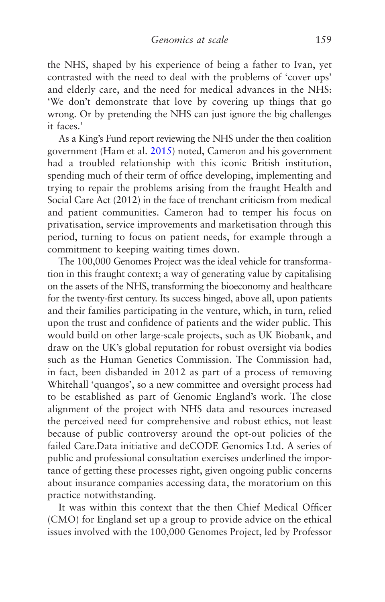the NHS, shaped by his experience of being a father to Ivan, yet contrasted with the need to deal with the problems of 'cover ups' and elderly care, and the need for medical advances in the NHS: 'We don't demonstrate that love by covering up things that go wrong. Or by pretending the NHS can just ignore the big challenges it faces.'

As a King's Fund report reviewing the NHS under the then coalition government (Ham et al. [2015\)](#page-269-0) noted, Cameron and his government had a troubled relationship with this iconic British institution, spending much of their term of office developing, implementing and trying to repair the problems arising from the fraught Health and Social Care Act (2012) in the face of trenchant criticism from medical and patient communities. Cameron had to temper his focus on privatisation, service improvements and marketisation through this period, turning to focus on patient needs, for example through a commitment to keeping waiting times down.

The 100,000 Genomes Project was the ideal vehicle for transformation in this fraught context; a way of generating value by capitalising on the assets of the NHS, transforming the bioeconomy and healthcare for the twenty-first century. Its success hinged, above all, upon patients and their families participating in the venture, which, in turn, relied upon the trust and confidence of patients and the wider public. This would build on other large-scale projects, such as UK Biobank, and draw on the UK's global reputation for robust oversight via bodies such as the Human Genetics Commission. The Commission had, in fact, been disbanded in 2012 as part of a process of removing Whitehall 'quangos', so a new committee and oversight process had to be established as part of Genomic England's work. The close alignment of the project with NHS data and resources increased the perceived need for comprehensive and robust ethics, not least because of public controversy around the opt-out policies of the failed Care.Data initiative and deCODE Genomics Ltd. A series of public and professional consultation exercises underlined the importance of getting these processes right, given ongoing public concerns about insurance companies accessing data, the moratorium on this practice notwithstanding.

It was within this context that the then Chief Medical Officer (CMO) for England set up a group to provide advice on the ethical issues involved with the 100,000 Genomes Project, led by Professor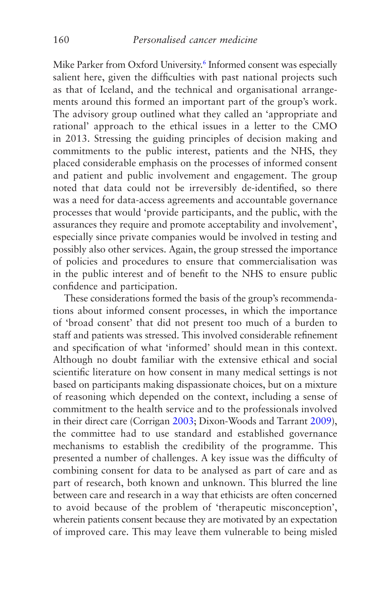Mike Parker from Oxford University.<sup>6</sup> Informed consent was especially salient here, given the difficulties with past national projects such as that of Iceland, and the technical and organisational arrangements around this formed an important part of the group's work. The advisory group outlined what they called an 'appropriate and rational' approach to the ethical issues in a letter to the CMO in 2013. Stressing the guiding principles of decision making and commitments to the public interest, patients and the NHS, they placed considerable emphasis on the processes of informed consent and patient and public involvement and engagement. The group noted that data could not be irreversibly de-identified, so there was a need for data-access agreements and accountable governance processes that would 'provide participants, and the public, with the assurances they require and promote acceptability and involvement', especially since private companies would be involved in testing and possibly also other services. Again, the group stressed the importance of policies and procedures to ensure that commercialisation was in the public interest and of benefit to the NHS to ensure public confidence and participation.

These considerations formed the basis of the group's recommendations about informed consent processes, in which the importance of 'broad consent' that did not present too much of a burden to staff and patients was stressed. This involved considerable refinement and specification of what 'informed' should mean in this context. Although no doubt familiar with the extensive ethical and social scientific literature on how consent in many medical settings is not based on participants making dispassionate choices, but on a mixture of reasoning which depended on the context, including a sense of commitment to the health service and to the professionals involved in their direct care (Corrigan [2003](#page-267-0); Dixon-Woods and Tarrant [2009](#page-268-0)), the committee had to use standard and established governance mechanisms to establish the credibility of the programme. This presented a number of challenges. A key issue was the difficulty of combining consent for data to be analysed as part of care and as part of research, both known and unknown. This blurred the line between care and research in a way that ethicists are often concerned to avoid because of the problem of 'therapeutic misconception', wherein patients consent because they are motivated by an expectation of improved care. This may leave them vulnerable to being misled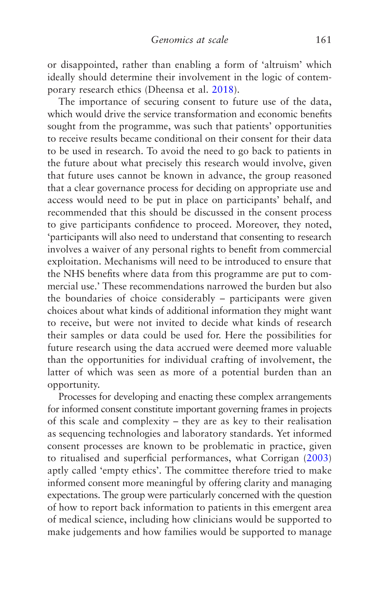or disappointed, rather than enabling a form of 'altruism' which ideally should determine their involvement in the logic of contemporary research ethics (Dheensa et al. [2018\)](#page-267-0).

The importance of securing consent to future use of the data, which would drive the service transformation and economic benefits sought from the programme, was such that patients' opportunities to receive results became conditional on their consent for their data to be used in research. To avoid the need to go back to patients in the future about what precisely this research would involve, given that future uses cannot be known in advance, the group reasoned that a clear governance process for deciding on appropriate use and access would need to be put in place on participants' behalf, and recommended that this should be discussed in the consent process to give participants confidence to proceed. Moreover, they noted, 'participants will also need to understand that consenting to research involves a waiver of any personal rights to benefit from commercial exploitation. Mechanisms will need to be introduced to ensure that the NHS benefits where data from this programme are put to commercial use.' These recommendations narrowed the burden but also the boundaries of choice considerably – participants were given choices about what kinds of additional information they might want to receive, but were not invited to decide what kinds of research their samples or data could be used for. Here the possibilities for future research using the data accrued were deemed more valuable than the opportunities for individual crafting of involvement, the latter of which was seen as more of a potential burden than an opportunity.

Processes for developing and enacting these complex arrangements for informed consent constitute important governing frames in projects of this scale and complexity – they are as key to their realisation as sequencing technologies and laboratory standards. Yet informed consent processes are known to be problematic in practice, given to ritualised and superficial performances, what Corrigan ([2003\)](#page-267-0) aptly called 'empty ethics'. The committee therefore tried to make informed consent more meaningful by offering clarity and managing expectations. The group were particularly concerned with the question of how to report back information to patients in this emergent area of medical science, including how clinicians would be supported to make judgements and how families would be supported to manage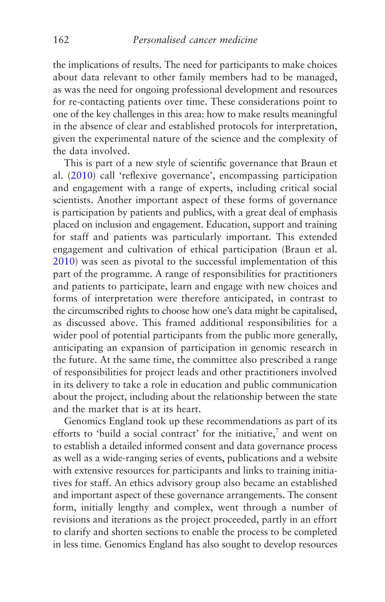the implications of results. The need for participants to make choices about data relevant to other family members had to be managed, as was the need for ongoing professional development and resources for re-contacting patients over time. These considerations point to one of the key challenges in this area: how to make results meaningful in the absence of clear and established protocols for interpretation, given the experimental nature of the science and the complexity of the data involved.

This is part of a new style of scientific governance that Braun et al. [\(2010](#page-265-0)) call 'reflexive governance', encompassing participation and engagement with a range of experts, including critical social scientists. Another important aspect of these forms of governance is participation by patients and publics, with a great deal of emphasis placed on inclusion and engagement. Education, support and training for staff and patients was particularly important. This extended engagement and cultivation of ethical participation (Braun et al. [2010](#page-265-0)) was seen as pivotal to the successful implementation of this part of the programme. A range of responsibilities for practitioners and patients to participate, learn and engage with new choices and forms of interpretation were therefore anticipated, in contrast to the circumscribed rights to choose how one's data might be capitalised, as discussed above. This framed additional responsibilities for a wider pool of potential participants from the public more generally, anticipating an expansion of participation in genomic research in the future. At the same time, the committee also prescribed a range of responsibilities for project leads and other practitioners involved in its delivery to take a role in education and public communication about the project, including about the relationship between the state and the market that is at its heart.

Genomics England took up these recommendations as part of its efforts to 'build a social contract' for the initiative, $\bar{z}$  and went on to establish a detailed informed consent and data governance process as well as a wide-ranging series of events, publications and a website with extensive resources for participants and links to training initiatives for staff. An ethics advisory group also became an established and important aspect of these governance arrangements. The consent form, initially lengthy and complex, went through a number of revisions and iterations as the project proceeded, partly in an effort to clarify and shorten sections to enable the process to be completed in less time. Genomics England has also sought to develop resources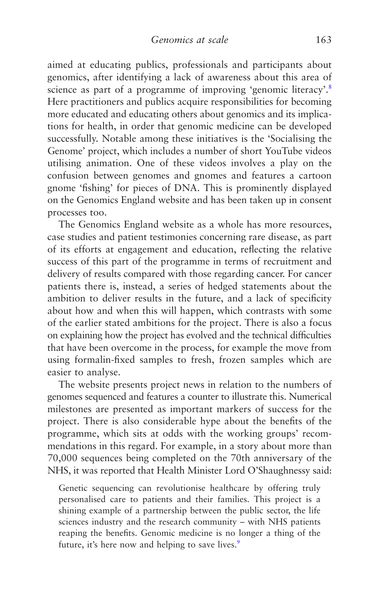aimed at educating publics, professionals and participants about genomics, after identifying a lack of awareness about this area of science as part of a programme of improving 'genomic literacy'.<sup>[8](#page-190-0)</sup> Here practitioners and publics acquire responsibilities for becoming more educated and educating others about genomics and its implications for health, in order that genomic medicine can be developed successfully. Notable among these initiatives is the 'Socialising the Genome' project, which includes a number of short YouTube videos utilising animation. One of these videos involves a play on the confusion between genomes and gnomes and features a cartoon gnome 'fishing' for pieces of DNA. This is prominently displayed on the Genomics England website and has been taken up in consent processes too.

The Genomics England website as a whole has more resources, case studies and patient testimonies concerning rare disease, as part of its efforts at engagement and education, reflecting the relative success of this part of the programme in terms of recruitment and delivery of results compared with those regarding cancer. For cancer patients there is, instead, a series of hedged statements about the ambition to deliver results in the future, and a lack of specificity about how and when this will happen, which contrasts with some of the earlier stated ambitions for the project. There is also a focus on explaining how the project has evolved and the technical difficulties that have been overcome in the process, for example the move from using formalin-fixed samples to fresh, frozen samples which are easier to analyse.

The website presents project news in relation to the numbers of genomes sequenced and features a counter to illustrate this. Numerical milestones are presented as important markers of success for the project. There is also considerable hype about the benefits of the programme, which sits at odds with the working groups' recommendations in this regard. For example, in a story about more than 70,000 sequences being completed on the 70th anniversary of the NHS, it was reported that Health Minister Lord O'Shaughnessy said:

Genetic sequencing can revolutionise healthcare by offering truly personalised care to patients and their families. This project is a shining example of a partnership between the public sector, the life sciences industry and the research community – with NHS patients reaping the benefits. Genomic medicine is no longer a thing of the future, it's here now and helping to save lives.<sup>[9](#page-190-0)</sup>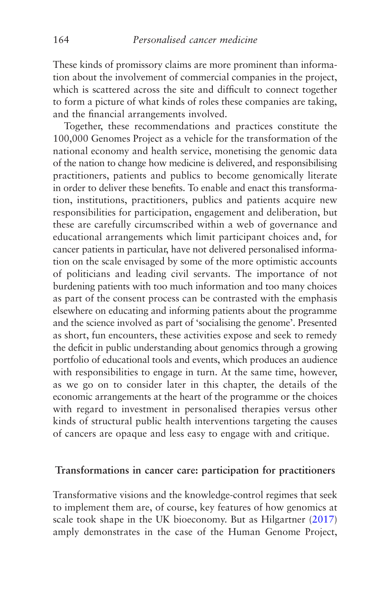These kinds of promissory claims are more prominent than information about the involvement of commercial companies in the project, which is scattered across the site and difficult to connect together to form a picture of what kinds of roles these companies are taking, and the financial arrangements involved.

Together, these recommendations and practices constitute the 100,000 Genomes Project as a vehicle for the transformation of the national economy and health service, monetising the genomic data of the nation to change how medicine is delivered, and responsibilising practitioners, patients and publics to become genomically literate in order to deliver these benefits. To enable and enact this transformation, institutions, practitioners, publics and patients acquire new responsibilities for participation, engagement and deliberation, but these are carefully circumscribed within a web of governance and educational arrangements which limit participant choices and, for cancer patients in particular, have not delivered personalised information on the scale envisaged by some of the more optimistic accounts of politicians and leading civil servants. The importance of not burdening patients with too much information and too many choices as part of the consent process can be contrasted with the emphasis elsewhere on educating and informing patients about the programme and the science involved as part of 'socialising the genome'. Presented as short, fun encounters, these activities expose and seek to remedy the deficit in public understanding about genomics through a growing portfolio of educational tools and events, which produces an audience with responsibilities to engage in turn. At the same time, however, as we go on to consider later in this chapter, the details of the economic arrangements at the heart of the programme or the choices with regard to investment in personalised therapies versus other kinds of structural public health interventions targeting the causes of cancers are opaque and less easy to engage with and critique.

#### **Transformations in cancer care: participation for practitioners**

Transformative visions and the knowledge-control regimes that seek to implement them are, of course, key features of how genomics at scale took shape in the UK bioeconomy. But as Hilgartner [\(2017\)](#page-270-0) amply demonstrates in the case of the Human Genome Project,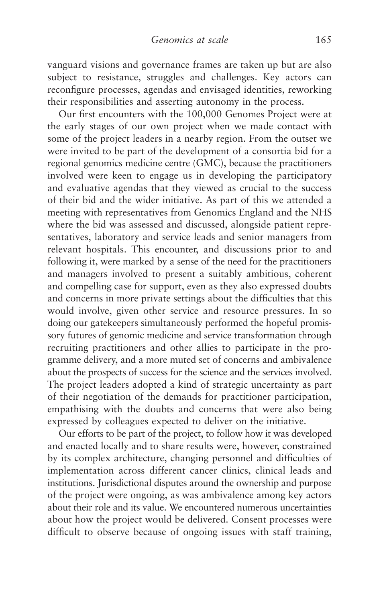vanguard visions and governance frames are taken up but are also subject to resistance, struggles and challenges. Key actors can reconfigure processes, agendas and envisaged identities, reworking their responsibilities and asserting autonomy in the process.

Our first encounters with the 100,000 Genomes Project were at the early stages of our own project when we made contact with some of the project leaders in a nearby region. From the outset we were invited to be part of the development of a consortia bid for a regional genomics medicine centre (GMC), because the practitioners involved were keen to engage us in developing the participatory and evaluative agendas that they viewed as crucial to the success of their bid and the wider initiative. As part of this we attended a meeting with representatives from Genomics England and the NHS where the bid was assessed and discussed, alongside patient representatives, laboratory and service leads and senior managers from relevant hospitals. This encounter, and discussions prior to and following it, were marked by a sense of the need for the practitioners and managers involved to present a suitably ambitious, coherent and compelling case for support, even as they also expressed doubts and concerns in more private settings about the difficulties that this would involve, given other service and resource pressures. In so doing our gatekeepers simultaneously performed the hopeful promissory futures of genomic medicine and service transformation through recruiting practitioners and other allies to participate in the programme delivery, and a more muted set of concerns and ambivalence about the prospects of success for the science and the services involved. The project leaders adopted a kind of strategic uncertainty as part of their negotiation of the demands for practitioner participation, empathising with the doubts and concerns that were also being expressed by colleagues expected to deliver on the initiative.

Our efforts to be part of the project, to follow how it was developed and enacted locally and to share results were, however, constrained by its complex architecture, changing personnel and difficulties of implementation across different cancer clinics, clinical leads and institutions. Jurisdictional disputes around the ownership and purpose of the project were ongoing, as was ambivalence among key actors about their role and its value. We encountered numerous uncertainties about how the project would be delivered. Consent processes were difficult to observe because of ongoing issues with staff training,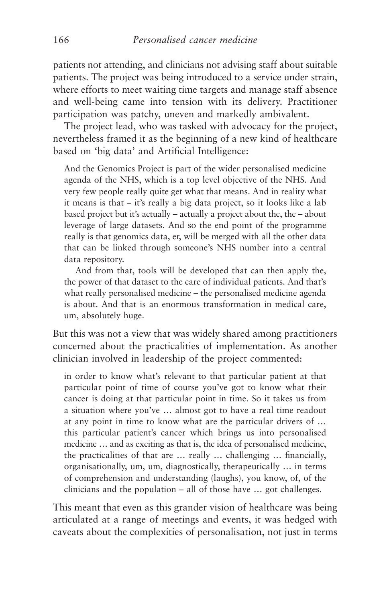patients not attending, and clinicians not advising staff about suitable patients. The project was being introduced to a service under strain, where efforts to meet waiting time targets and manage staff absence and well-being came into tension with its delivery. Practitioner participation was patchy, uneven and markedly ambivalent.

The project lead, who was tasked with advocacy for the project, nevertheless framed it as the beginning of a new kind of healthcare based on 'big data' and Artificial Intelligence:

And the Genomics Project is part of the wider personalised medicine agenda of the NHS, which is a top level objective of the NHS. And very few people really quite get what that means. And in reality what it means is that – it's really a big data project, so it looks like a lab based project but it's actually – actually a project about the, the – about leverage of large datasets. And so the end point of the programme really is that genomics data, er, will be merged with all the other data that can be linked through someone's NHS number into a central data repository.

And from that, tools will be developed that can then apply the, the power of that dataset to the care of individual patients. And that's what really personalised medicine – the personalised medicine agenda is about. And that is an enormous transformation in medical care, um, absolutely huge.

But this was not a view that was widely shared among practitioners concerned about the practicalities of implementation. As another clinician involved in leadership of the project commented:

in order to know what's relevant to that particular patient at that particular point of time of course you've got to know what their cancer is doing at that particular point in time. So it takes us from a situation where you've … almost got to have a real time readout at any point in time to know what are the particular drivers of … this particular patient's cancer which brings us into personalised medicine … and as exciting as that is, the idea of personalised medicine, the practicalities of that are … really … challenging … financially, organisationally, um, um, diagnostically, therapeutically … in terms of comprehension and understanding (laughs), you know, of, of the clinicians and the population – all of those have … got challenges.

This meant that even as this grander vision of healthcare was being articulated at a range of meetings and events, it was hedged with caveats about the complexities of personalisation, not just in terms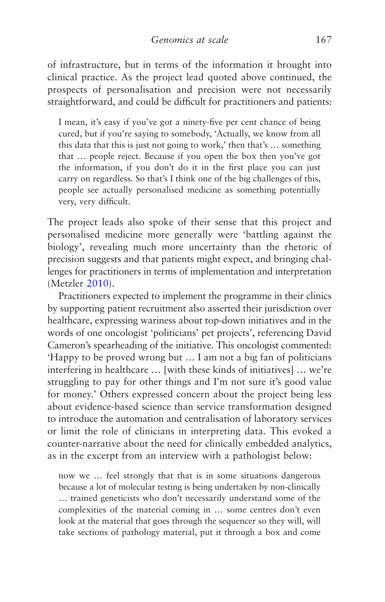of infrastructure, but in terms of the information it brought into clinical practice. As the project lead quoted above continued, the prospects of personalisation and precision were not necessarily straightforward, and could be difficult for practitioners and patients:

I mean, it's easy if you've got a ninety-five per cent chance of being cured, but if you're saying to somebody, 'Actually, we know from all this data that this is just not going to work,' then that's … something that … people reject. Because if you open the box then you've got the information, if you don't do it in the first place you can just carry on regardless. So that's I think one of the big challenges of this, people see actually personalised medicine as something potentially very, very difficult.

The project leads also spoke of their sense that this project and personalised medicine more generally were 'battling against the biology', revealing much more uncertainty than the rhetoric of precision suggests and that patients might expect, and bringing challenges for practitioners in terms of implementation and interpretation (Metzler [2010](#page-273-0)).

Practitioners expected to implement the programme in their clinics by supporting patient recruitment also asserted their jurisdiction over healthcare, expressing wariness about top-down initiatives and in the words of one oncologist 'politicians' pet projects', referencing David Cameron's spearheading of the initiative. This oncologist commented: 'Happy to be proved wrong but … I am not a big fan of politicians interfering in healthcare … [with these kinds of initiatives] … we're struggling to pay for other things and I'm not sure it's good value for money.' Others expressed concern about the project being less about evidence-based science than service transformation designed to introduce the automation and centralisation of laboratory services or limit the role of clinicians in interpreting data. This evoked a counter-narrative about the need for clinically embedded analytics, as in the excerpt from an interview with a pathologist below:

now we … feel strongly that that is in some situations dangerous because a lot of molecular testing is being undertaken by non-clinically … trained geneticists who don't necessarily understand some of the complexities of the material coming in … some centres don't even look at the material that goes through the sequencer so they will, will take sections of pathology material, put it through a box and come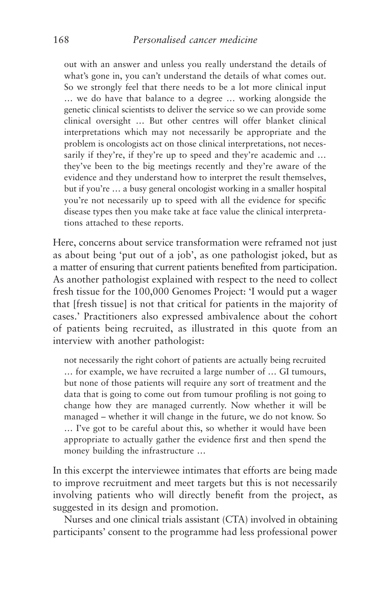out with an answer and unless you really understand the details of what's gone in, you can't understand the details of what comes out. So we strongly feel that there needs to be a lot more clinical input … we do have that balance to a degree … working alongside the genetic clinical scientists to deliver the service so we can provide some clinical oversight … But other centres will offer blanket clinical interpretations which may not necessarily be appropriate and the problem is oncologists act on those clinical interpretations, not necessarily if they're, if they're up to speed and they're academic and ... they've been to the big meetings recently and they're aware of the evidence and they understand how to interpret the result themselves, but if you're … a busy general oncologist working in a smaller hospital you're not necessarily up to speed with all the evidence for specific disease types then you make take at face value the clinical interpretations attached to these reports.

Here, concerns about service transformation were reframed not just as about being 'put out of a job', as one pathologist joked, but as a matter of ensuring that current patients benefited from participation. As another pathologist explained with respect to the need to collect fresh tissue for the 100,000 Genomes Project: 'I would put a wager that [fresh tissue] is not that critical for patients in the majority of cases.' Practitioners also expressed ambivalence about the cohort of patients being recruited, as illustrated in this quote from an interview with another pathologist:

not necessarily the right cohort of patients are actually being recruited … for example, we have recruited a large number of … GI tumours, but none of those patients will require any sort of treatment and the data that is going to come out from tumour profiling is not going to change how they are managed currently. Now whether it will be managed – whether it will change in the future, we do not know. So … I've got to be careful about this, so whether it would have been appropriate to actually gather the evidence first and then spend the money building the infrastructure …

In this excerpt the interviewee intimates that efforts are being made to improve recruitment and meet targets but this is not necessarily involving patients who will directly benefit from the project, as suggested in its design and promotion.

Nurses and one clinical trials assistant (CTA) involved in obtaining participants' consent to the programme had less professional power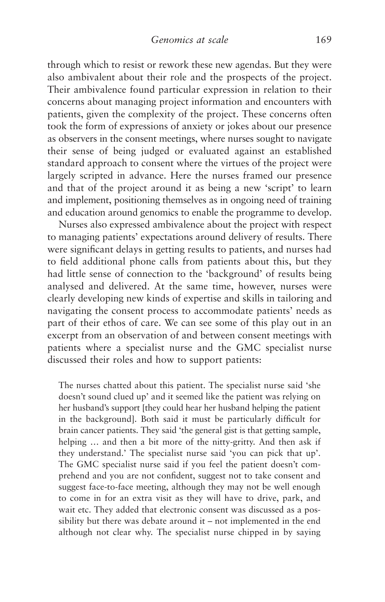through which to resist or rework these new agendas. But they were also ambivalent about their role and the prospects of the project. Their ambivalence found particular expression in relation to their concerns about managing project information and encounters with patients, given the complexity of the project. These concerns often took the form of expressions of anxiety or jokes about our presence as observers in the consent meetings, where nurses sought to navigate their sense of being judged or evaluated against an established standard approach to consent where the virtues of the project were largely scripted in advance. Here the nurses framed our presence and that of the project around it as being a new 'script' to learn and implement, positioning themselves as in ongoing need of training and education around genomics to enable the programme to develop.

Nurses also expressed ambivalence about the project with respect to managing patients' expectations around delivery of results. There were significant delays in getting results to patients, and nurses had to field additional phone calls from patients about this, but they had little sense of connection to the 'background' of results being analysed and delivered. At the same time, however, nurses were clearly developing new kinds of expertise and skills in tailoring and navigating the consent process to accommodate patients' needs as part of their ethos of care. We can see some of this play out in an excerpt from an observation of and between consent meetings with patients where a specialist nurse and the GMC specialist nurse discussed their roles and how to support patients:

The nurses chatted about this patient. The specialist nurse said 'she doesn't sound clued up' and it seemed like the patient was relying on her husband's support [they could hear her husband helping the patient in the background]. Both said it must be particularly difficult for brain cancer patients. They said 'the general gist is that getting sample, helping … and then a bit more of the nitty-gritty. And then ask if they understand.' The specialist nurse said 'you can pick that up'. The GMC specialist nurse said if you feel the patient doesn't comprehend and you are not confident, suggest not to take consent and suggest face-to-face meeting, although they may not be well enough to come in for an extra visit as they will have to drive, park, and wait etc. They added that electronic consent was discussed as a possibility but there was debate around it – not implemented in the end although not clear why. The specialist nurse chipped in by saying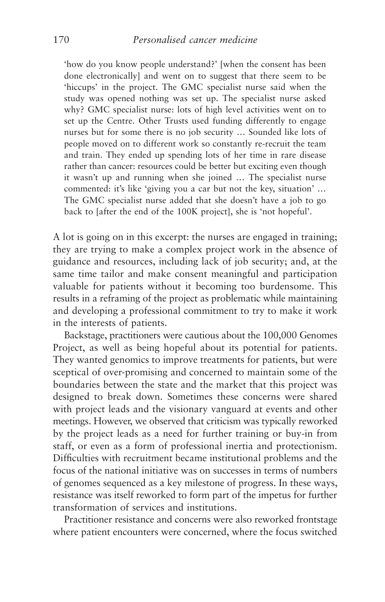'how do you know people understand?' [when the consent has been done electronically] and went on to suggest that there seem to be 'hiccups' in the project. The GMC specialist nurse said when the study was opened nothing was set up. The specialist nurse asked why? GMC specialist nurse: lots of high level activities went on to set up the Centre. Other Trusts used funding differently to engage nurses but for some there is no job security … Sounded like lots of people moved on to different work so constantly re-recruit the team and train. They ended up spending lots of her time in rare disease rather than cancer: resources could be better but exciting even though it wasn't up and running when she joined … The specialist nurse commented: it's like 'giving you a car but not the key, situation' … The GMC specialist nurse added that she doesn't have a job to go back to [after the end of the 100K project], she is 'not hopeful'.

A lot is going on in this excerpt: the nurses are engaged in training; they are trying to make a complex project work in the absence of guidance and resources, including lack of job security; and, at the same time tailor and make consent meaningful and participation valuable for patients without it becoming too burdensome. This results in a reframing of the project as problematic while maintaining and developing a professional commitment to try to make it work in the interests of patients.

Backstage, practitioners were cautious about the 100,000 Genomes Project, as well as being hopeful about its potential for patients. They wanted genomics to improve treatments for patients, but were sceptical of over-promising and concerned to maintain some of the boundaries between the state and the market that this project was designed to break down. Sometimes these concerns were shared with project leads and the visionary vanguard at events and other meetings. However, we observed that criticism was typically reworked by the project leads as a need for further training or buy-in from staff, or even as a form of professional inertia and protectionism. Difficulties with recruitment became institutional problems and the focus of the national initiative was on successes in terms of numbers of genomes sequenced as a key milestone of progress. In these ways, resistance was itself reworked to form part of the impetus for further transformation of services and institutions.

Practitioner resistance and concerns were also reworked frontstage where patient encounters were concerned, where the focus switched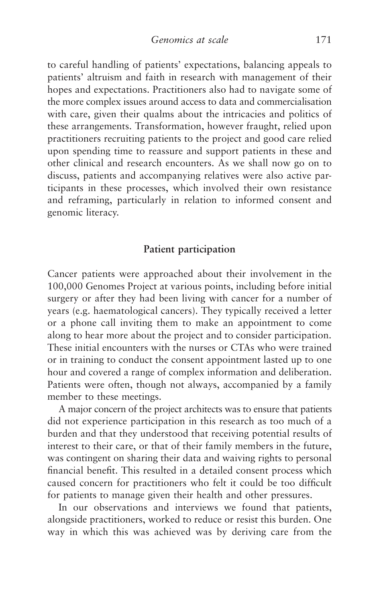to careful handling of patients' expectations, balancing appeals to patients' altruism and faith in research with management of their hopes and expectations. Practitioners also had to navigate some of the more complex issues around access to data and commercialisation with care, given their qualms about the intricacies and politics of these arrangements. Transformation, however fraught, relied upon practitioners recruiting patients to the project and good care relied upon spending time to reassure and support patients in these and other clinical and research encounters. As we shall now go on to discuss, patients and accompanying relatives were also active participants in these processes, which involved their own resistance and reframing, particularly in relation to informed consent and genomic literacy.

# **Patient participation**

Cancer patients were approached about their involvement in the 100,000 Genomes Project at various points, including before initial surgery or after they had been living with cancer for a number of years (e.g. haematological cancers). They typically received a letter or a phone call inviting them to make an appointment to come along to hear more about the project and to consider participation. These initial encounters with the nurses or CTAs who were trained or in training to conduct the consent appointment lasted up to one hour and covered a range of complex information and deliberation. Patients were often, though not always, accompanied by a family member to these meetings.

A major concern of the project architects was to ensure that patients did not experience participation in this research as too much of a burden and that they understood that receiving potential results of interest to their care, or that of their family members in the future, was contingent on sharing their data and waiving rights to personal financial benefit. This resulted in a detailed consent process which caused concern for practitioners who felt it could be too difficult for patients to manage given their health and other pressures.

In our observations and interviews we found that patients, alongside practitioners, worked to reduce or resist this burden. One way in which this was achieved was by deriving care from the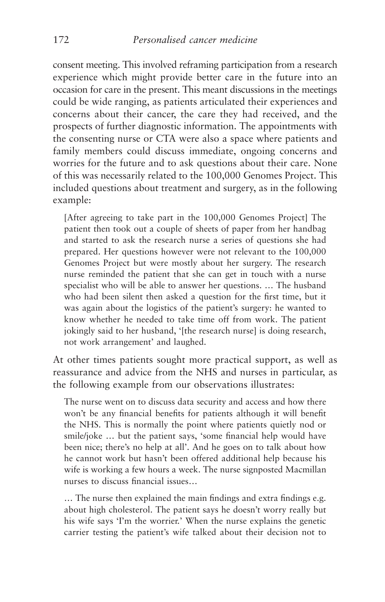consent meeting. This involved reframing participation from a research experience which might provide better care in the future into an occasion for care in the present. This meant discussions in the meetings could be wide ranging, as patients articulated their experiences and concerns about their cancer, the care they had received, and the prospects of further diagnostic information. The appointments with the consenting nurse or CTA were also a space where patients and family members could discuss immediate, ongoing concerns and worries for the future and to ask questions about their care. None of this was necessarily related to the 100,000 Genomes Project. This included questions about treatment and surgery, as in the following example:

[After agreeing to take part in the 100,000 Genomes Project] The patient then took out a couple of sheets of paper from her handbag and started to ask the research nurse a series of questions she had prepared. Her questions however were not relevant to the 100,000 Genomes Project but were mostly about her surgery. The research nurse reminded the patient that she can get in touch with a nurse specialist who will be able to answer her questions. … The husband who had been silent then asked a question for the first time, but it was again about the logistics of the patient's surgery: he wanted to know whether he needed to take time off from work. The patient jokingly said to her husband, '[the research nurse] is doing research, not work arrangement' and laughed.

At other times patients sought more practical support, as well as reassurance and advice from the NHS and nurses in particular, as the following example from our observations illustrates:

The nurse went on to discuss data security and access and how there won't be any financial benefits for patients although it will benefit the NHS. This is normally the point where patients quietly nod or smile/joke … but the patient says, 'some financial help would have been nice; there's no help at all'. And he goes on to talk about how he cannot work but hasn't been offered additional help because his wife is working a few hours a week. The nurse signposted Macmillan nurses to discuss financial issues…

… The nurse then explained the main findings and extra findings e.g. about high cholesterol. The patient says he doesn't worry really but his wife says 'I'm the worrier.' When the nurse explains the genetic carrier testing the patient's wife talked about their decision not to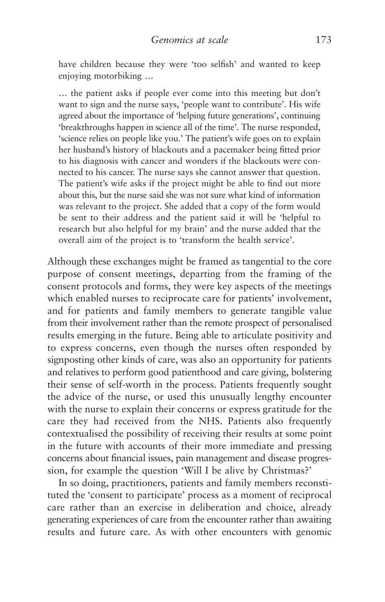have children because they were 'too selfish' and wanted to keep enjoying motorbiking …

… the patient asks if people ever come into this meeting but don't want to sign and the nurse says, 'people want to contribute'. His wife agreed about the importance of 'helping future generations', continuing 'breakthroughs happen in science all of the time'. The nurse responded, 'science relies on people like you.' The patient's wife goes on to explain her husband's history of blackouts and a pacemaker being fitted prior to his diagnosis with cancer and wonders if the blackouts were connected to his cancer. The nurse says she cannot answer that question. The patient's wife asks if the project might be able to find out more about this, but the nurse said she was not sure what kind of information was relevant to the project. She added that a copy of the form would be sent to their address and the patient said it will be 'helpful to research but also helpful for my brain' and the nurse added that the overall aim of the project is to 'transform the health service'.

Although these exchanges might be framed as tangential to the core purpose of consent meetings, departing from the framing of the consent protocols and forms, they were key aspects of the meetings which enabled nurses to reciprocate care for patients' involvement, and for patients and family members to generate tangible value from their involvement rather than the remote prospect of personalised results emerging in the future. Being able to articulate positivity and to express concerns, even though the nurses often responded by signposting other kinds of care, was also an opportunity for patients and relatives to perform good patienthood and care giving, bolstering their sense of self-worth in the process. Patients frequently sought the advice of the nurse, or used this unusually lengthy encounter with the nurse to explain their concerns or express gratitude for the care they had received from the NHS. Patients also frequently contextualised the possibility of receiving their results at some point in the future with accounts of their more immediate and pressing concerns about financial issues, pain management and disease progression, for example the question 'Will I be alive by Christmas?'

In so doing, practitioners, patients and family members reconstituted the 'consent to participate' process as a moment of reciprocal care rather than an exercise in deliberation and choice, already generating experiences of care from the encounter rather than awaiting results and future care. As with other encounters with genomic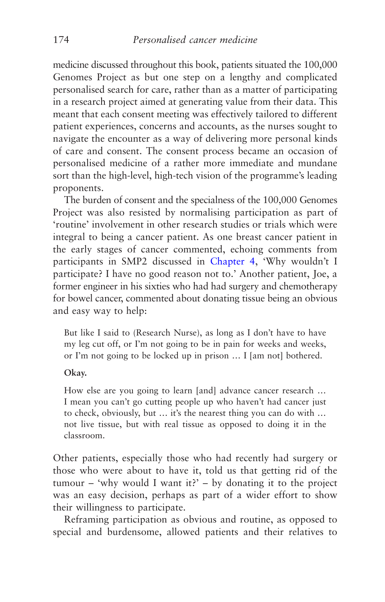medicine discussed throughout this book, patients situated the 100,000 Genomes Project as but one step on a lengthy and complicated personalised search for care, rather than as a matter of participating in a research project aimed at generating value from their data. This meant that each consent meeting was effectively tailored to different patient experiences, concerns and accounts, as the nurses sought to navigate the encounter as a way of delivering more personal kinds of care and consent. The consent process became an occasion of personalised medicine of a rather more immediate and mundane sort than the high-level, high-tech vision of the programme's leading proponents.

The burden of consent and the specialness of the 100,000 Genomes Project was also resisted by normalising participation as part of 'routine' involvement in other research studies or trials which were integral to being a cancer patient. As one breast cancer patient in the early stages of cancer commented, echoing comments from participants in SMP2 discussed in [Chapter 4](#page-126-0), 'Why wouldn't I participate? I have no good reason not to.' Another patient, Joe, a former engineer in his sixties who had had surgery and chemotherapy for bowel cancer, commented about donating tissue being an obvious and easy way to help:

But like I said to (Research Nurse), as long as I don't have to have my leg cut off, or I'm not going to be in pain for weeks and weeks, or I'm not going to be locked up in prison … I [am not] bothered.

#### **Okay.**

How else are you going to learn [and] advance cancer research … I mean you can't go cutting people up who haven't had cancer just to check, obviously, but … it's the nearest thing you can do with … not live tissue, but with real tissue as opposed to doing it in the classroom.

Other patients, especially those who had recently had surgery or those who were about to have it, told us that getting rid of the tumour – 'why would I want it?' – by donating it to the project was an easy decision, perhaps as part of a wider effort to show their willingness to participate.

Reframing participation as obvious and routine, as opposed to special and burdensome, allowed patients and their relatives to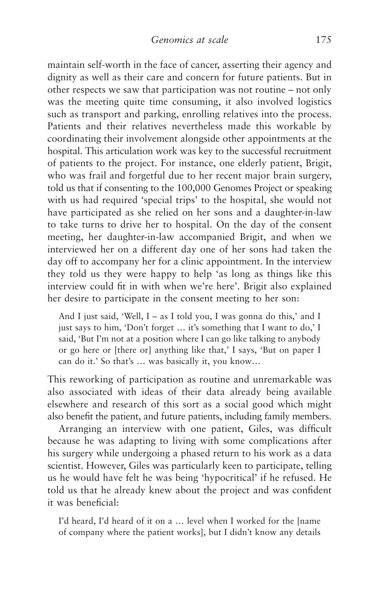maintain self-worth in the face of cancer, asserting their agency and dignity as well as their care and concern for future patients. But in other respects we saw that participation was not routine – not only was the meeting quite time consuming, it also involved logistics such as transport and parking, enrolling relatives into the process. Patients and their relatives nevertheless made this workable by coordinating their involvement alongside other appointments at the hospital. This articulation work was key to the successful recruitment of patients to the project. For instance, one elderly patient, Brigit, who was frail and forgetful due to her recent major brain surgery, told us that if consenting to the 100,000 Genomes Project or speaking with us had required 'special trips' to the hospital, she would not have participated as she relied on her sons and a daughter-in-law to take turns to drive her to hospital. On the day of the consent meeting, her daughter-in-law accompanied Brigit, and when we interviewed her on a different day one of her sons had taken the day off to accompany her for a clinic appointment. In the interview they told us they were happy to help 'as long as things like this interview could fit in with when we're here'. Brigit also explained her desire to participate in the consent meeting to her son:

And I just said, 'Well, I – as I told you, I was gonna do this,' and I just says to him, 'Don't forget … it's something that I want to do,' I said, 'But I'm not at a position where I can go like talking to anybody or go here or [there or] anything like that,' I says, 'But on paper I can do it.' So that's … was basically it, you know…

This reworking of participation as routine and unremarkable was also associated with ideas of their data already being available elsewhere and research of this sort as a social good which might also benefit the patient, and future patients, including family members.

Arranging an interview with one patient, Giles, was difficult because he was adapting to living with some complications after his surgery while undergoing a phased return to his work as a data scientist. However, Giles was particularly keen to participate, telling us he would have felt he was being 'hypocritical' if he refused. He told us that he already knew about the project and was confident it was beneficial:

I'd heard, I'd heard of it on a … level when I worked for the [name of company where the patient works], but I didn't know any details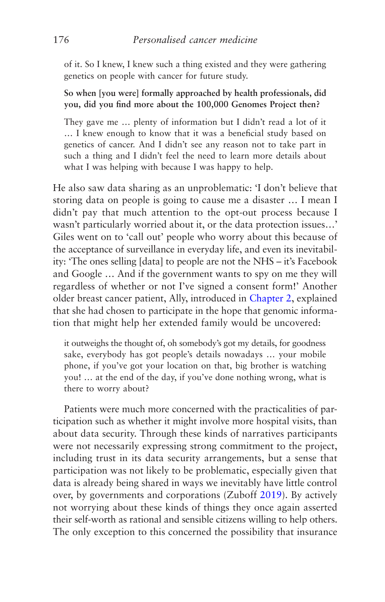of it. So I knew, I knew such a thing existed and they were gathering genetics on people with cancer for future study.

**So when [you were] formally approached by health professionals, did you, did you find more about the 100,000 Genomes Project then?**

They gave me … plenty of information but I didn't read a lot of it … I knew enough to know that it was a beneficial study based on genetics of cancer. And I didn't see any reason not to take part in such a thing and I didn't feel the need to learn more details about what I was helping with because I was happy to help.

He also saw data sharing as an unproblematic: 'I don't believe that storing data on people is going to cause me a disaster … I mean I didn't pay that much attention to the opt-out process because I wasn't particularly worried about it, or the data protection issues…' Giles went on to 'call out' people who worry about this because of the acceptance of surveillance in everyday life, and even its inevitability: 'The ones selling [data] to people are not the NHS – it's Facebook and Google … And if the government wants to spy on me they will regardless of whether or not I've signed a consent form!' Another older breast cancer patient, Ally, introduced in [Chapter 2](#page-66-0), explained that she had chosen to participate in the hope that genomic information that might help her extended family would be uncovered:

it outweighs the thought of, oh somebody's got my details, for goodness sake, everybody has got people's details nowadays … your mobile phone, if you've got your location on that, big brother is watching you! … at the end of the day, if you've done nothing wrong, what is there to worry about?

Patients were much more concerned with the practicalities of participation such as whether it might involve more hospital visits, than about data security. Through these kinds of narratives participants were not necessarily expressing strong commitment to the project, including trust in its data security arrangements, but a sense that participation was not likely to be problematic, especially given that data is already being shared in ways we inevitably have little control over, by governments and corporations (Zuboff [2019\)](#page-278-0). By actively not worrying about these kinds of things they once again asserted their self-worth as rational and sensible citizens willing to help others. The only exception to this concerned the possibility that insurance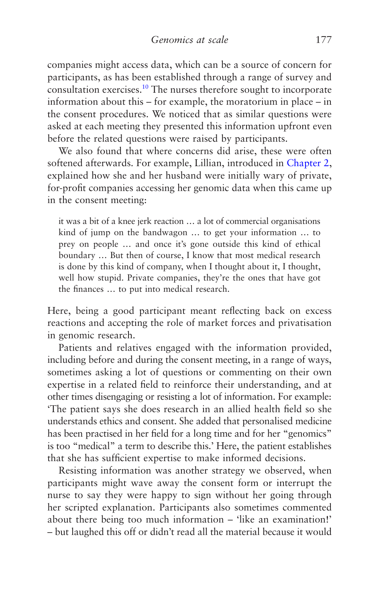<span id="page-185-0"></span>companies might access data, which can be a source of concern for participants, as has been established through a range of survey and consultation exercises[.10](#page-190-0) The nurses therefore sought to incorporate information about this – for example, the moratorium in place – in the consent procedures. We noticed that as similar questions were asked at each meeting they presented this information upfront even before the related questions were raised by participants.

We also found that where concerns did arise, these were often softened afterwards. For example, Lillian, introduced in [Chapter 2,](#page-66-0) explained how she and her husband were initially wary of private, for-profit companies accessing her genomic data when this came up in the consent meeting:

it was a bit of a knee jerk reaction … a lot of commercial organisations kind of jump on the bandwagon … to get your information … to prey on people … and once it's gone outside this kind of ethical boundary … But then of course, I know that most medical research is done by this kind of company, when I thought about it, I thought, well how stupid. Private companies, they're the ones that have got the finances … to put into medical research.

Here, being a good participant meant reflecting back on excess reactions and accepting the role of market forces and privatisation in genomic research.

Patients and relatives engaged with the information provided, including before and during the consent meeting, in a range of ways, sometimes asking a lot of questions or commenting on their own expertise in a related field to reinforce their understanding, and at other times disengaging or resisting a lot of information. For example: 'The patient says she does research in an allied health field so she understands ethics and consent. She added that personalised medicine has been practised in her field for a long time and for her "genomics" is too "medical" a term to describe this.' Here, the patient establishes that she has sufficient expertise to make informed decisions.

Resisting information was another strategy we observed, when participants might wave away the consent form or interrupt the nurse to say they were happy to sign without her going through her scripted explanation. Participants also sometimes commented about there being too much information – 'like an examination!' – but laughed this off or didn't read all the material because it would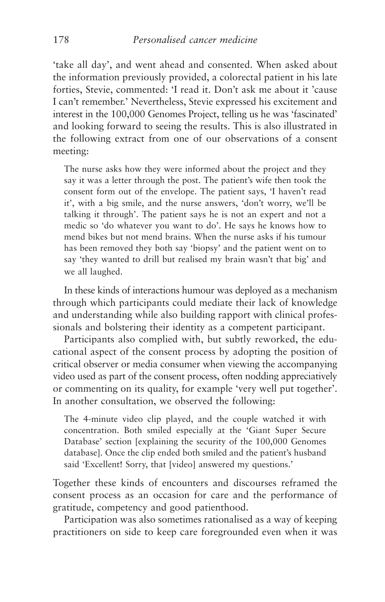'take all day', and went ahead and consented. When asked about the information previously provided, a colorectal patient in his late forties, Stevie, commented: 'I read it. Don't ask me about it 'cause I can't remember.' Nevertheless, Stevie expressed his excitement and interest in the 100,000 Genomes Project, telling us he was 'fascinated' and looking forward to seeing the results. This is also illustrated in the following extract from one of our observations of a consent meeting:

The nurse asks how they were informed about the project and they say it was a letter through the post. The patient's wife then took the consent form out of the envelope. The patient says, 'I haven't read it', with a big smile, and the nurse answers, 'don't worry, we'll be talking it through'. The patient says he is not an expert and not a medic so 'do whatever you want to do'. He says he knows how to mend bikes but not mend brains. When the nurse asks if his tumour has been removed they both say 'biopsy' and the patient went on to say 'they wanted to drill but realised my brain wasn't that big' and we all laughed.

In these kinds of interactions humour was deployed as a mechanism through which participants could mediate their lack of knowledge and understanding while also building rapport with clinical professionals and bolstering their identity as a competent participant.

Participants also complied with, but subtly reworked, the educational aspect of the consent process by adopting the position of critical observer or media consumer when viewing the accompanying video used as part of the consent process, often nodding appreciatively or commenting on its quality, for example 'very well put together'. In another consultation, we observed the following:

The 4-minute video clip played, and the couple watched it with concentration. Both smiled especially at the 'Giant Super Secure Database' section [explaining the security of the 100,000 Genomes database]. Once the clip ended both smiled and the patient's husband said 'Excellent! Sorry, that [video] answered my questions.'

Together these kinds of encounters and discourses reframed the consent process as an occasion for care and the performance of gratitude, competency and good patienthood.

Participation was also sometimes rationalised as a way of keeping practitioners on side to keep care foregrounded even when it was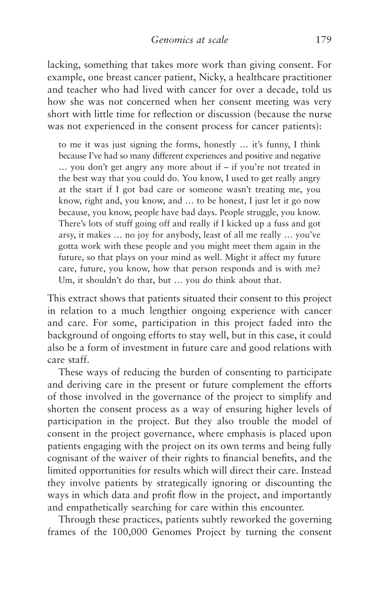lacking, something that takes more work than giving consent. For example, one breast cancer patient, Nicky, a healthcare practitioner and teacher who had lived with cancer for over a decade, told us how she was not concerned when her consent meeting was very short with little time for reflection or discussion (because the nurse was not experienced in the consent process for cancer patients):

to me it was just signing the forms, honestly … it's funny, I think because I've had so many different experiences and positive and negative … you don't get angry any more about if – if you're not treated in the best way that you could do. You know, I used to get really angry at the start if I got bad care or someone wasn't treating me, you know, right and, you know, and … to be honest, I just let it go now because, you know, people have bad days. People struggle, you know. There's lots of stuff going off and really if I kicked up a fuss and got arsy, it makes … no joy for anybody, least of all me really … you've gotta work with these people and you might meet them again in the future, so that plays on your mind as well. Might it affect my future care, future, you know, how that person responds and is with me? Um, it shouldn't do that, but … you do think about that.

This extract shows that patients situated their consent to this project in relation to a much lengthier ongoing experience with cancer and care. For some, participation in this project faded into the background of ongoing efforts to stay well, but in this case, it could also be a form of investment in future care and good relations with care staff.

These ways of reducing the burden of consenting to participate and deriving care in the present or future complement the efforts of those involved in the governance of the project to simplify and shorten the consent process as a way of ensuring higher levels of participation in the project. But they also trouble the model of consent in the project governance, where emphasis is placed upon patients engaging with the project on its own terms and being fully cognisant of the waiver of their rights to financial benefits, and the limited opportunities for results which will direct their care. Instead they involve patients by strategically ignoring or discounting the ways in which data and profit flow in the project, and importantly and empathetically searching for care within this encounter.

Through these practices, patients subtly reworked the governing frames of the 100,000 Genomes Project by turning the consent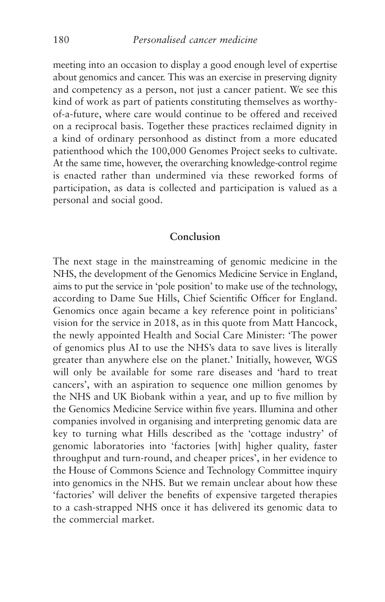meeting into an occasion to display a good enough level of expertise about genomics and cancer. This was an exercise in preserving dignity and competency as a person, not just a cancer patient. We see this kind of work as part of patients constituting themselves as worthyof-a-future, where care would continue to be offered and received on a reciprocal basis. Together these practices reclaimed dignity in a kind of ordinary personhood as distinct from a more educated patienthood which the 100,000 Genomes Project seeks to cultivate. At the same time, however, the overarching knowledge-control regime is enacted rather than undermined via these reworked forms of participation, as data is collected and participation is valued as a personal and social good.

## **Conclusion**

The next stage in the mainstreaming of genomic medicine in the NHS, the development of the Genomics Medicine Service in England, aims to put the service in 'pole position' to make use of the technology, according to Dame Sue Hills, Chief Scientific Officer for England. Genomics once again became a key reference point in politicians' vision for the service in 2018, as in this quote from Matt Hancock, the newly appointed Health and Social Care Minister: 'The power of genomics plus AI to use the NHS's data to save lives is literally greater than anywhere else on the planet.' Initially, however, WGS will only be available for some rare diseases and 'hard to treat cancers', with an aspiration to sequence one million genomes by the NHS and UK Biobank within a year, and up to five million by the Genomics Medicine Service within five years. Illumina and other companies involved in organising and interpreting genomic data are key to turning what Hills described as the 'cottage industry' of genomic laboratories into 'factories [with] higher quality, faster throughput and turn-round, and cheaper prices', in her evidence to the House of Commons Science and Technology Committee inquiry into genomics in the NHS. But we remain unclear about how these 'factories' will deliver the benefits of expensive targeted therapies to a cash-strapped NHS once it has delivered its genomic data to the commercial market.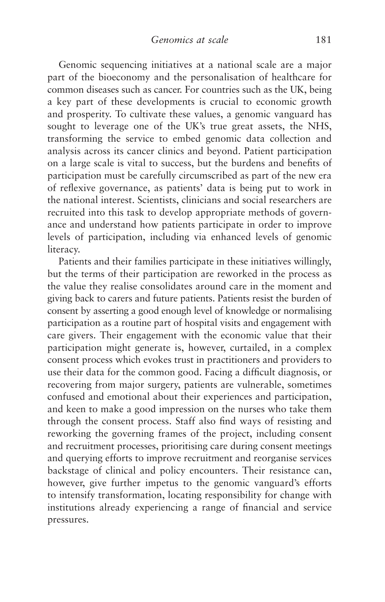Genomic sequencing initiatives at a national scale are a major part of the bioeconomy and the personalisation of healthcare for common diseases such as cancer. For countries such as the UK, being a key part of these developments is crucial to economic growth and prosperity. To cultivate these values, a genomic vanguard has sought to leverage one of the UK's true great assets, the NHS, transforming the service to embed genomic data collection and analysis across its cancer clinics and beyond. Patient participation on a large scale is vital to success, but the burdens and benefits of participation must be carefully circumscribed as part of the new era of reflexive governance, as patients' data is being put to work in the national interest. Scientists, clinicians and social researchers are recruited into this task to develop appropriate methods of governance and understand how patients participate in order to improve levels of participation, including via enhanced levels of genomic literacy.

Patients and their families participate in these initiatives willingly, but the terms of their participation are reworked in the process as the value they realise consolidates around care in the moment and giving back to carers and future patients. Patients resist the burden of consent by asserting a good enough level of knowledge or normalising participation as a routine part of hospital visits and engagement with care givers. Their engagement with the economic value that their participation might generate is, however, curtailed, in a complex consent process which evokes trust in practitioners and providers to use their data for the common good. Facing a difficult diagnosis, or recovering from major surgery, patients are vulnerable, sometimes confused and emotional about their experiences and participation, and keen to make a good impression on the nurses who take them through the consent process. Staff also find ways of resisting and reworking the governing frames of the project, including consent and recruitment processes, prioritising care during consent meetings and querying efforts to improve recruitment and reorganise services backstage of clinical and policy encounters. Their resistance can, however, give further impetus to the genomic vanguard's efforts to intensify transformation, locating responsibility for change with institutions already experiencing a range of financial and service pressures.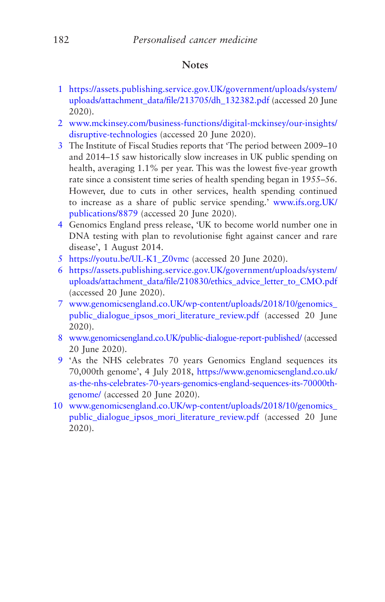# **Notes**

- <span id="page-190-0"></span>[1](#page-164-0) [https://assets.publishing.service.gov.UK/government/uploads/system/](https://assets.publishing.service.gov.uk/government/uploads/system/uploads/attachment_data/file/213705/dh_132382.pdf) [uploads/attachment\\_data/file/213705/dh\\_132382.pdf](https://assets.publishing.service.gov.uk/government/uploads/system/uploads/attachment_data/file/213705/dh_132382.pdf) (accessed 20 June 2020).
- [2](#page-165-0) [www.mckinsey.com/business-functions/digital-mckinsey/our-insights/](http://www.mckinsey.com/business-functions/digital-mckinsey/our-insights/disruptive-technologies) [disruptive-technologies](http://www.mckinsey.com/business-functions/digital-mckinsey/our-insights/disruptive-technologies) (accessed 20 June 2020).
- [3](#page-165-0) The Institute of Fiscal Studies reports that 'The period between 2009–10 and 2014–15 saw historically slow increases in UK public spending on health, averaging 1.1% per year. This was the lowest five-year growth rate since a consistent time series of health spending began in 1955–56. However, due to cuts in other services, health spending continued to increase as a share of public service spending.' [www.ifs.org.UK/](http://www.ifs.org.uk/publications/8879) [publications/8879](http://www.ifs.org.uk/publications/8879) (accessed 20 June 2020).
- [4](#page-165-0) Genomics England press release, 'UK to become world number one in DNA testing with plan to revolutionise fight against cancer and rare disease', 1 August 2014.
- [5](#page-166-0) [https://youtu.be/UL-K1\\_Z0vmc](https://youtu.be/UL-K1_Z0vmc) (accessed 20 June 2020).
- [6](#page-168-0) [https://assets.publishing.service.gov.UK/government/uploads/system/](https://assets.publishing.service.gov.uk/government/uploads/system/uploads/attachment_data/file/210830/ethics_advice_letter_to_CMO.pdf) [uploads/attachment\\_data/file/210830/ethics\\_advice\\_letter\\_to\\_CMO.pdf](https://assets.publishing.service.gov.uk/government/uploads/system/uploads/attachment_data/file/210830/ethics_advice_letter_to_CMO.pdf) (accessed 20 June 2020).
- [7](#page-170-0) [www.genomicsengland.co.UK/wp-content/uploads/2018/10/genomics\\_](http://www.genomicsengland.co.uk/wp-content/uploads/2018/10/genomics_public_dialogue_ipsos_mori_literature_review.pdf) [public\\_dialogue\\_ipsos\\_mori\\_literature\\_review.pdf](http://www.genomicsengland.co.uk/wp-content/uploads/2018/10/genomics_public_dialogue_ipsos_mori_literature_review.pdf) (accessed 20 June 2020).
- [8](#page-171-0) [www.genomicsengland.co.UK/public-dialogue-report-published/](http://www.genomicsengland.co.uk/public-dialogue-report-published/) (accessed 20 June 2020).
- [9](#page-171-0) 'As the NHS celebrates 70 years Genomics England sequences its 70,000th genome', 4 July 2018, [https://www.genomicsengland.co.uk/](https://www.genomicsengland.co.uk/as-the-nhs-celebrates-70-years-genomics-england-sequences-its-70000th-genome/) [as-the-nhs-celebrates-70-years-genomics-england-sequences-its-70000th](https://www.genomicsengland.co.uk/as-the-nhs-celebrates-70-years-genomics-england-sequences-its-70000th-genome/)[genome/](https://www.genomicsengland.co.uk/as-the-nhs-celebrates-70-years-genomics-england-sequences-its-70000th-genome/) (accessed 20 June 2020).
- [10](#page-185-0) [www.genomicsengland.co.UK/wp-content/uploads/2018/10/genomics\\_](http://www.genomicsengland.co.uk/wp-content/uploads/2018/10/genomics_public_dialogue_ipsos_mori_literature_review.pdf) [public\\_dialogue\\_ipsos\\_mori\\_literature\\_review.pdf](http://www.genomicsengland.co.uk/wp-content/uploads/2018/10/genomics_public_dialogue_ipsos_mori_literature_review.pdf) (accessed 20 June 2020).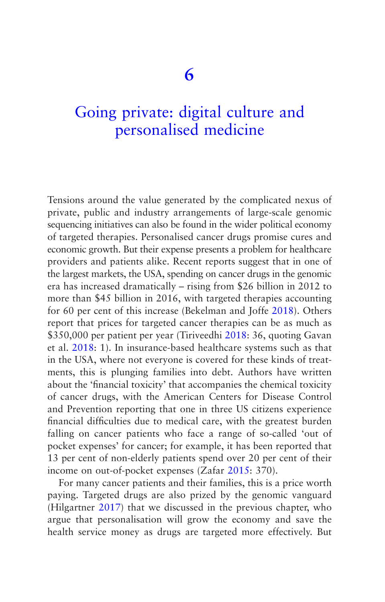# [Going private: digital culture and](#page-5-0)  personalised medicine

Tensions around the value generated by the complicated nexus of private, public and industry arrangements of large-scale genomic sequencing initiatives can also be found in the wider political economy of targeted therapies. Personalised cancer drugs promise cures and economic growth. But their expense presents a problem for healthcare providers and patients alike. Recent reports suggest that in one of the largest markets, the USA, spending on cancer drugs in the genomic era has increased dramatically – rising from \$26 billion in 2012 to more than \$45 billion in 2016, with targeted therapies accounting for 60 per cent of this increase (Bekelman and Joffe [2018\)](#page-265-0). Others report that prices for targeted cancer therapies can be as much as \$350,000 per patient per year (Tiriveedhi [2018:](#page-277-0) 36, quoting Gavan et al. [2018](#page-268-0): 1). In insurance-based healthcare systems such as that in the USA, where not everyone is covered for these kinds of treatments, this is plunging families into debt. Authors have written about the 'financial toxicity' that accompanies the chemical toxicity of cancer drugs, with the American Centers for Disease Control and Prevention reporting that one in three US citizens experience financial difficulties due to medical care, with the greatest burden falling on cancer patients who face a range of so-called 'out of pocket expenses' for cancer; for example, it has been reported that 13 per cent of non-elderly patients spend over 20 per cent of their income on out-of-pocket expenses (Zafar [2015:](#page-278-0) 370).

For many cancer patients and their families, this is a price worth paying. Targeted drugs are also prized by the genomic vanguard (Hilgartner [2017\)](#page-270-0) that we discussed in the previous chapter, who argue that personalisation will grow the economy and save the health service money as drugs are targeted more effectively. But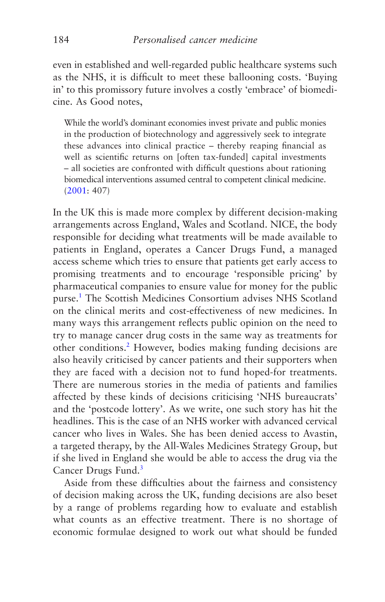even in established and well-regarded public healthcare systems such as the NHS, it is difficult to meet these ballooning costs. 'Buying in' to this promissory future involves a costly 'embrace' of biomedicine. As Good notes,

While the world's dominant economies invest private and public monies in the production of biotechnology and aggressively seek to integrate these advances into clinical practice – thereby reaping financial as well as scientific returns on [often tax-funded] capital investments – all societies are confronted with difficult questions about rationing biomedical interventions assumed central to competent clinical medicine. [\(2001](#page-269-0): 407)

In the UK this is made more complex by different decision-making arrangements across England, Wales and Scotland. NICE, the body responsible for deciding what treatments will be made available to patients in England, operates a Cancer Drugs Fund, a managed access scheme which tries to ensure that patients get early access to promising treatments and to encourage 'responsible pricing' by pharmaceutical companies to ensure value for money for the public purse.[1](#page-217-0) The Scottish Medicines Consortium advises NHS Scotland on the clinical merits and cost-effectiveness of new medicines. In many ways this arrangement reflects public opinion on the need to try to manage cancer drug costs in the same way as treatments for other conditions.<sup>[2](#page-217-0)</sup> However, bodies making funding decisions are also heavily criticised by cancer patients and their supporters when they are faced with a decision not to fund hoped-for treatments. There are numerous stories in the media of patients and families affected by these kinds of decisions criticising 'NHS bureaucrats' and the 'postcode lottery'. As we write, one such story has hit the headlines. This is the case of an NHS worker with advanced cervical cancer who lives in Wales. She has been denied access to Avastin, a targeted therapy, by the All-Wales Medicines Strategy Group, but if she lived in England she would be able to access the drug via the Cancer Drugs Fund.<sup>3</sup>

Aside from these difficulties about the fairness and consistency of decision making across the UK, funding decisions are also beset by a range of problems regarding how to evaluate and establish what counts as an effective treatment. There is no shortage of economic formulae designed to work out what should be funded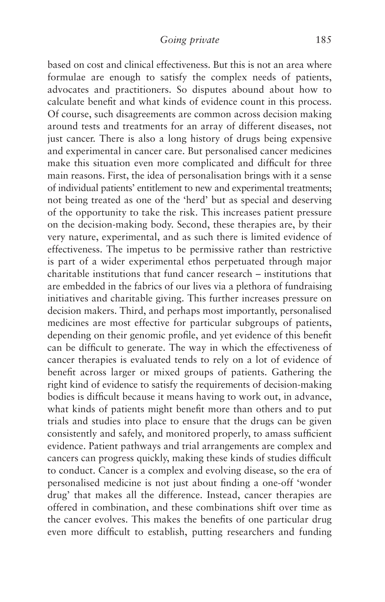based on cost and clinical effectiveness. But this is not an area where formulae are enough to satisfy the complex needs of patients, advocates and practitioners. So disputes abound about how to calculate benefit and what kinds of evidence count in this process. Of course, such disagreements are common across decision making around tests and treatments for an array of different diseases, not just cancer. There is also a long history of drugs being expensive and experimental in cancer care. But personalised cancer medicines make this situation even more complicated and difficult for three main reasons. First, the idea of personalisation brings with it a sense of individual patients' entitlement to new and experimental treatments; not being treated as one of the 'herd' but as special and deserving of the opportunity to take the risk. This increases patient pressure on the decision-making body. Second, these therapies are, by their very nature, experimental, and as such there is limited evidence of effectiveness. The impetus to be permissive rather than restrictive is part of a wider experimental ethos perpetuated through major charitable institutions that fund cancer research – institutions that are embedded in the fabrics of our lives via a plethora of fundraising initiatives and charitable giving. This further increases pressure on decision makers. Third, and perhaps most importantly, personalised medicines are most effective for particular subgroups of patients, depending on their genomic profile, and yet evidence of this benefit can be difficult to generate. The way in which the effectiveness of cancer therapies is evaluated tends to rely on a lot of evidence of benefit across larger or mixed groups of patients. Gathering the right kind of evidence to satisfy the requirements of decision-making bodies is difficult because it means having to work out, in advance, what kinds of patients might benefit more than others and to put trials and studies into place to ensure that the drugs can be given consistently and safely, and monitored properly, to amass sufficient evidence. Patient pathways and trial arrangements are complex and cancers can progress quickly, making these kinds of studies difficult to conduct. Cancer is a complex and evolving disease, so the era of personalised medicine is not just about finding a one-off 'wonder drug' that makes all the difference. Instead, cancer therapies are offered in combination, and these combinations shift over time as the cancer evolves. This makes the benefits of one particular drug even more difficult to establish, putting researchers and funding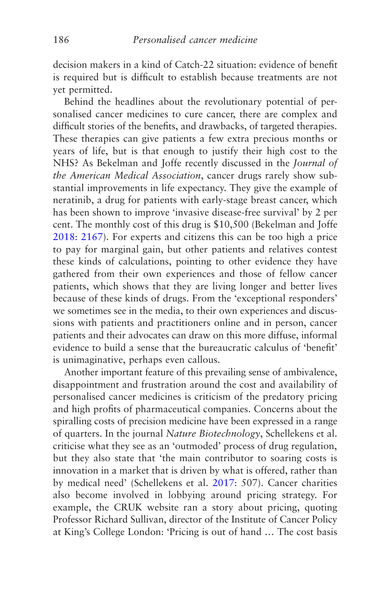decision makers in a kind of Catch-22 situation: evidence of benefit is required but is difficult to establish because treatments are not yet permitted.

Behind the headlines about the revolutionary potential of personalised cancer medicines to cure cancer, there are complex and difficult stories of the benefits, and drawbacks, of targeted therapies. These therapies can give patients a few extra precious months or years of life, but is that enough to justify their high cost to the NHS? As Bekelman and Joffe recently discussed in the *Journal of the American Medical Association*, cancer drugs rarely show substantial improvements in life expectancy. They give the example of neratinib, a drug for patients with early-stage breast cancer, which has been shown to improve 'invasive disease-free survival' by 2 per cent. The monthly cost of this drug is \$10,500 (Bekelman and Joffe [2018: 2167\)](#page-265-0). For experts and citizens this can be too high a price to pay for marginal gain, but other patients and relatives contest these kinds of calculations, pointing to other evidence they have gathered from their own experiences and those of fellow cancer patients, which shows that they are living longer and better lives because of these kinds of drugs. From the 'exceptional responders' we sometimes see in the media, to their own experiences and discussions with patients and practitioners online and in person, cancer patients and their advocates can draw on this more diffuse, informal evidence to build a sense that the bureaucratic calculus of 'benefit' is unimaginative, perhaps even callous.

Another important feature of this prevailing sense of ambivalence, disappointment and frustration around the cost and availability of personalised cancer medicines is criticism of the predatory pricing and high profits of pharmaceutical companies. Concerns about the spiralling costs of precision medicine have been expressed in a range of quarters. In the journal *Nature Biotechnology*, Schellekens et al. criticise what they see as an 'outmoded' process of drug regulation, but they also state that 'the main contributor to soaring costs is innovation in a market that is driven by what is offered, rather than by medical need' (Schellekens et al. [2017](#page-276-0): 507). Cancer charities also become involved in lobbying around pricing strategy. For example, the CRUK website ran a story about pricing, quoting Professor Richard Sullivan, director of the Institute of Cancer Policy at King's College London: 'Pricing is out of hand … The cost basis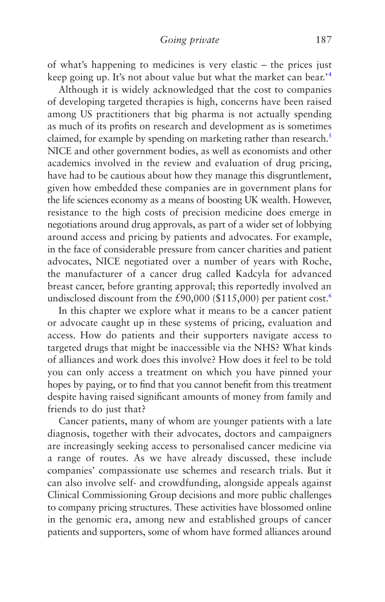of what's happening to medicines is very elastic – the prices just keep going up. It's not about value but what the market can bear.'[4](#page-217-0)

Although it is widely acknowledged that the cost to companies of developing targeted therapies is high, concerns have been raised among US practitioners that big pharma is not actually spending as much of its profits on research and development as is sometimes claimed, for example by spending on marketing rather than research.<sup>5</sup> NICE and other government bodies, as well as economists and other academics involved in the review and evaluation of drug pricing, have had to be cautious about how they manage this disgruntlement, given how embedded these companies are in government plans for the life sciences economy as a means of boosting UK wealth. However, resistance to the high costs of precision medicine does emerge in negotiations around drug approvals, as part of a wider set of lobbying around access and pricing by patients and advocates. For example, in the face of considerable pressure from cancer charities and patient advocates, NICE negotiated over a number of years with Roche, the manufacturer of a cancer drug called Kadcyla for advanced breast cancer, before granting approval; this reportedly involved an undisclosed discount from the  $£90,000$  (\$115,000) per patient cost.<sup>6</sup>

In this chapter we explore what it means to be a cancer patient or advocate caught up in these systems of pricing, evaluation and access. How do patients and their supporters navigate access to targeted drugs that might be inaccessible via the NHS? What kinds of alliances and work does this involve? How does it feel to be told you can only access a treatment on which you have pinned your hopes by paying, or to find that you cannot benefit from this treatment despite having raised significant amounts of money from family and friends to do just that?

Cancer patients, many of whom are younger patients with a late diagnosis, together with their advocates, doctors and campaigners are increasingly seeking access to personalised cancer medicine via a range of routes. As we have already discussed, these include companies' compassionate use schemes and research trials. But it can also involve self- and crowdfunding, alongside appeals against Clinical Commissioning Group decisions and more public challenges to company pricing structures. These activities have blossomed online in the genomic era, among new and established groups of cancer patients and supporters, some of whom have formed alliances around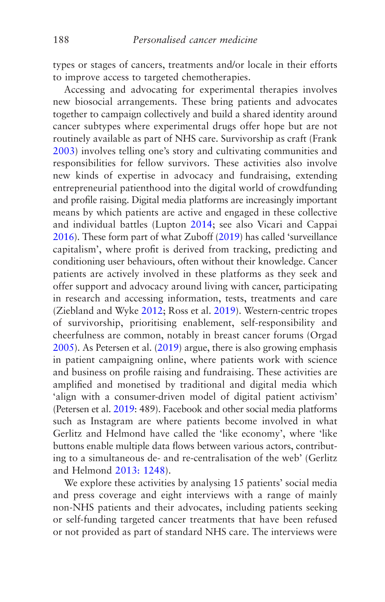types or stages of cancers, treatments and/or locale in their efforts to improve access to targeted chemotherapies.

Accessing and advocating for experimental therapies involves new biosocial arrangements. These bring patients and advocates together to campaign collectively and build a shared identity around cancer subtypes where experimental drugs offer hope but are not routinely available as part of NHS care. Survivorship as craft (Frank [2003](#page-268-0)) involves telling one's story and cultivating communities and responsibilities for fellow survivors. These activities also involve new kinds of expertise in advocacy and fundraising, extending entrepreneurial patienthood into the digital world of crowdfunding and profile raising. Digital media platforms are increasingly important means by which patients are active and engaged in these collective and individual battles (Lupton [2014;](#page-272-0) see also Vicari and Cappai [2016](#page-277-0)). These form part of what Zuboff [\(2019\)](#page-278-0) has called 'surveillance capitalism', where profit is derived from tracking, predicting and conditioning user behaviours, often without their knowledge. Cancer patients are actively involved in these platforms as they seek and offer support and advocacy around living with cancer, participating in research and accessing information, tests, treatments and care (Ziebland and Wyke [2012;](#page-278-0) Ross et al. [2019](#page-275-0)). Western-centric tropes of survivorship, prioritising enablement, self-responsibility and cheerfulness are common, notably in breast cancer forums (Orgad [2005](#page-275-0)). As Petersen et al. [\(2019\)](#page-275-0) argue, there is also growing emphasis in patient campaigning online, where patients work with science and business on profile raising and fundraising. These activities are amplified and monetised by traditional and digital media which 'align with a consumer-driven model of digital patient activism' (Petersen et al. [2019:](#page-275-0) 489). Facebook and other social media platforms such as Instagram are where patients become involved in what Gerlitz and Helmond have called the 'like economy', where 'like buttons enable multiple data flows between various actors, contributing to a simultaneous de- and re-centralisation of the web' (Gerlitz and Helmond [2013: 1248\)](#page-268-0).

We explore these activities by analysing 15 patients' social media and press coverage and eight interviews with a range of mainly non-NHS patients and their advocates, including patients seeking or self-funding targeted cancer treatments that have been refused or not provided as part of standard NHS care. The interviews were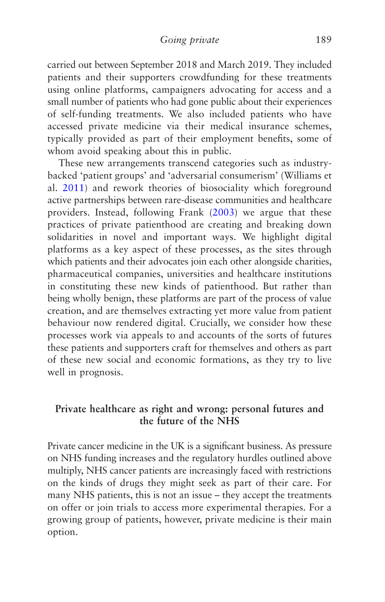carried out between September 2018 and March 2019. They included patients and their supporters crowdfunding for these treatments using online platforms, campaigners advocating for access and a small number of patients who had gone public about their experiences of self-funding treatments. We also included patients who have accessed private medicine via their medical insurance schemes, typically provided as part of their employment benefits, some of whom avoid speaking about this in public.

These new arrangements transcend categories such as industrybacked 'patient groups' and 'adversarial consumerism' (Williams et al. [2011\)](#page-278-0) and rework theories of biosociality which foreground active partnerships between rare-disease communities and healthcare providers. Instead, following Frank [\(2003](#page-268-0)) we argue that these practices of private patienthood are creating and breaking down solidarities in novel and important ways. We highlight digital platforms as a key aspect of these processes, as the sites through which patients and their advocates join each other alongside charities, pharmaceutical companies, universities and healthcare institutions in constituting these new kinds of patienthood. But rather than being wholly benign, these platforms are part of the process of value creation, and are themselves extracting yet more value from patient behaviour now rendered digital. Crucially, we consider how these processes work via appeals to and accounts of the sorts of futures these patients and supporters craft for themselves and others as part of these new social and economic formations, as they try to live well in prognosis.

# **Private healthcare as right and wrong: personal futures and the future of the NHS**

Private cancer medicine in the UK is a significant business. As pressure on NHS funding increases and the regulatory hurdles outlined above multiply, NHS cancer patients are increasingly faced with restrictions on the kinds of drugs they might seek as part of their care. For many NHS patients, this is not an issue – they accept the treatments on offer or join trials to access more experimental therapies. For a growing group of patients, however, private medicine is their main option.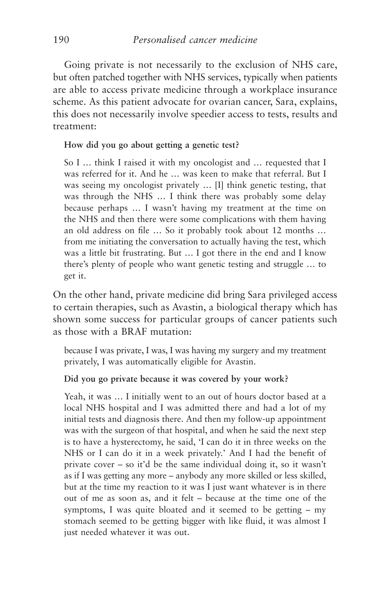Going private is not necessarily to the exclusion of NHS care, but often patched together with NHS services, typically when patients are able to access private medicine through a workplace insurance scheme. As this patient advocate for ovarian cancer, Sara, explains, this does not necessarily involve speedier access to tests, results and treatment:

#### **How did you go about getting a genetic test?**

So I … think I raised it with my oncologist and … requested that I was referred for it. And he … was keen to make that referral. But I was seeing my oncologist privately … [I] think genetic testing, that was through the NHS … I think there was probably some delay because perhaps … I wasn't having my treatment at the time on the NHS and then there were some complications with them having an old address on file … So it probably took about 12 months … from me initiating the conversation to actually having the test, which was a little bit frustrating. But … I got there in the end and I know there's plenty of people who want genetic testing and struggle … to get it.

On the other hand, private medicine did bring Sara privileged access to certain therapies, such as Avastin, a biological therapy which has shown some success for particular groups of cancer patients such as those with a BRAF mutation:

because I was private, I was, I was having my surgery and my treatment privately, I was automatically eligible for Avastin.

## **Did you go private because it was covered by your work?**

Yeah, it was … I initially went to an out of hours doctor based at a local NHS hospital and I was admitted there and had a lot of my initial tests and diagnosis there. And then my follow-up appointment was with the surgeon of that hospital, and when he said the next step is to have a hysterectomy, he said, 'I can do it in three weeks on the NHS or I can do it in a week privately.' And I had the benefit of private cover – so it'd be the same individual doing it, so it wasn't as if I was getting any more – anybody any more skilled or less skilled, but at the time my reaction to it was I just want whatever is in there out of me as soon as, and it felt – because at the time one of the symptoms, I was quite bloated and it seemed to be getting – my stomach seemed to be getting bigger with like fluid, it was almost I just needed whatever it was out.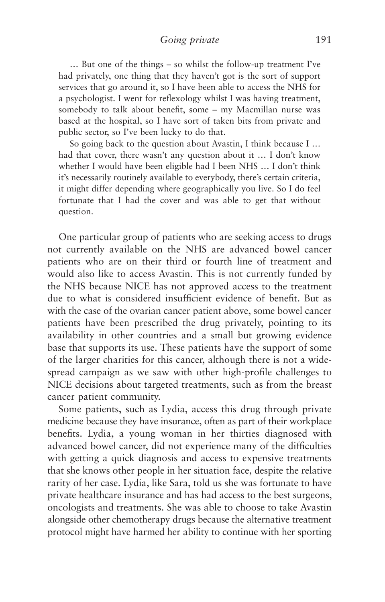… But one of the things – so whilst the follow-up treatment I've had privately, one thing that they haven't got is the sort of support services that go around it, so I have been able to access the NHS for a psychologist. I went for reflexology whilst I was having treatment, somebody to talk about benefit, some – my Macmillan nurse was based at the hospital, so I have sort of taken bits from private and public sector, so I've been lucky to do that.

So going back to the question about Avastin, I think because I … had that cover, there wasn't any question about it … I don't know whether I would have been eligible had I been NHS … I don't think it's necessarily routinely available to everybody, there's certain criteria, it might differ depending where geographically you live. So I do feel fortunate that I had the cover and was able to get that without question.

One particular group of patients who are seeking access to drugs not currently available on the NHS are advanced bowel cancer patients who are on their third or fourth line of treatment and would also like to access Avastin. This is not currently funded by the NHS because NICE has not approved access to the treatment due to what is considered insufficient evidence of benefit. But as with the case of the ovarian cancer patient above, some bowel cancer patients have been prescribed the drug privately, pointing to its availability in other countries and a small but growing evidence base that supports its use. These patients have the support of some of the larger charities for this cancer, although there is not a widespread campaign as we saw with other high-profile challenges to NICE decisions about targeted treatments, such as from the breast cancer patient community.

Some patients, such as Lydia, access this drug through private medicine because they have insurance, often as part of their workplace benefits. Lydia, a young woman in her thirties diagnosed with advanced bowel cancer, did not experience many of the difficulties with getting a quick diagnosis and access to expensive treatments that she knows other people in her situation face, despite the relative rarity of her case. Lydia, like Sara, told us she was fortunate to have private healthcare insurance and has had access to the best surgeons, oncologists and treatments. She was able to choose to take Avastin alongside other chemotherapy drugs because the alternative treatment protocol might have harmed her ability to continue with her sporting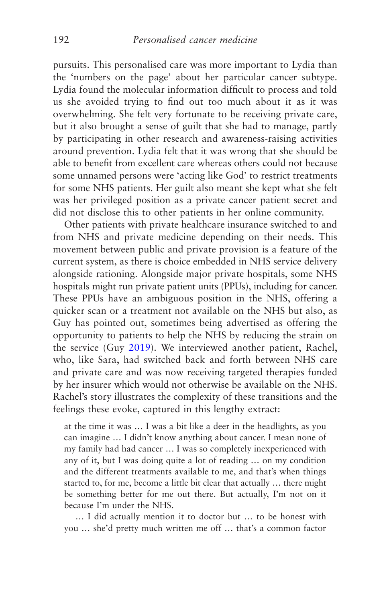pursuits. This personalised care was more important to Lydia than the 'numbers on the page' about her particular cancer subtype. Lydia found the molecular information difficult to process and told us she avoided trying to find out too much about it as it was overwhelming. She felt very fortunate to be receiving private care, but it also brought a sense of guilt that she had to manage, partly by participating in other research and awareness-raising activities around prevention. Lydia felt that it was wrong that she should be able to benefit from excellent care whereas others could not because some unnamed persons were 'acting like God' to restrict treatments for some NHS patients. Her guilt also meant she kept what she felt was her privileged position as a private cancer patient secret and did not disclose this to other patients in her online community.

Other patients with private healthcare insurance switched to and from NHS and private medicine depending on their needs. This movement between public and private provision is a feature of the current system, as there is choice embedded in NHS service delivery alongside rationing. Alongside major private hospitals, some NHS hospitals might run private patient units (PPUs), including for cancer. These PPUs have an ambiguous position in the NHS, offering a quicker scan or a treatment not available on the NHS but also, as Guy has pointed out, sometimes being advertised as offering the opportunity to patients to help the NHS by reducing the strain on the service (Guy [2019](#page-269-0)). We interviewed another patient, Rachel, who, like Sara, had switched back and forth between NHS care and private care and was now receiving targeted therapies funded by her insurer which would not otherwise be available on the NHS. Rachel's story illustrates the complexity of these transitions and the feelings these evoke, captured in this lengthy extract:

at the time it was … I was a bit like a deer in the headlights, as you can imagine … I didn't know anything about cancer. I mean none of my family had had cancer … I was so completely inexperienced with any of it, but I was doing quite a lot of reading … on my condition and the different treatments available to me, and that's when things started to, for me, become a little bit clear that actually … there might be something better for me out there. But actually, I'm not on it because I'm under the NHS.

… I did actually mention it to doctor but … to be honest with you … she'd pretty much written me off … that's a common factor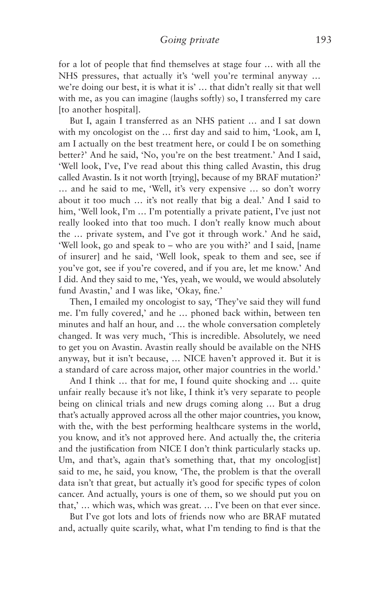for a lot of people that find themselves at stage four … with all the NHS pressures, that actually it's 'well you're terminal anyway … we're doing our best, it is what it is' … that didn't really sit that well with me, as you can imagine (laughs softly) so, I transferred my care [to another hospital].

But I, again I transferred as an NHS patient … and I sat down with my oncologist on the … first day and said to him, 'Look, am I, am I actually on the best treatment here, or could I be on something better?' And he said, 'No, you're on the best treatment.' And I said, 'Well look, I've, I've read about this thing called Avastin, this drug called Avastin. Is it not worth [trying], because of my BRAF mutation?' … and he said to me, 'Well, it's very expensive … so don't worry about it too much … it's not really that big a deal.' And I said to him, 'Well look, I'm ... I'm potentially a private patient, I've just not really looked into that too much. I don't really know much about the … private system, and I've got it through work.' And he said, 'Well look, go and speak to – who are you with?' and I said, [name of insurer] and he said, 'Well look, speak to them and see, see if you've got, see if you're covered, and if you are, let me know.' And I did. And they said to me, 'Yes, yeah, we would, we would absolutely fund Avastin,' and I was like, 'Okay, fine.'

Then, I emailed my oncologist to say, 'They've said they will fund me. I'm fully covered,' and he … phoned back within, between ten minutes and half an hour, and … the whole conversation completely changed. It was very much, 'This is incredible. Absolutely, we need to get you on Avastin. Avastin really should be available on the NHS anyway, but it isn't because, … NICE haven't approved it. But it is a standard of care across major, other major countries in the world.'

And I think … that for me, I found quite shocking and … quite unfair really because it's not like, I think it's very separate to people being on clinical trials and new drugs coming along … But a drug that's actually approved across all the other major countries, you know, with the, with the best performing healthcare systems in the world, you know, and it's not approved here. And actually the, the criteria and the justification from NICE I don't think particularly stacks up. Um, and that's, again that's something that, that my oncolog[ist] said to me, he said, you know, 'The, the problem is that the overall data isn't that great, but actually it's good for specific types of colon cancer. And actually, yours is one of them, so we should put you on that,' … which was, which was great. … I've been on that ever since.

But I've got lots and lots of friends now who are BRAF mutated and, actually quite scarily, what, what I'm tending to find is that the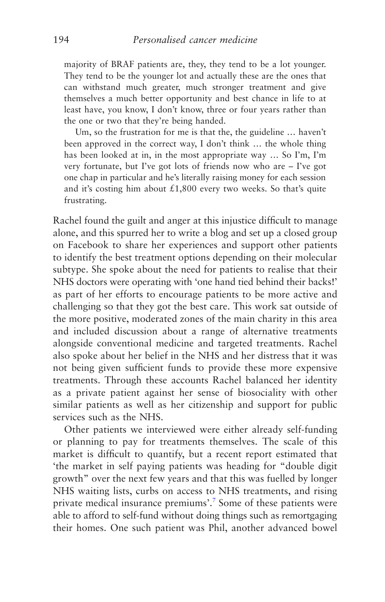majority of BRAF patients are, they, they tend to be a lot younger. They tend to be the younger lot and actually these are the ones that can withstand much greater, much stronger treatment and give themselves a much better opportunity and best chance in life to at least have, you know, I don't know, three or four years rather than the one or two that they're being handed.

Um, so the frustration for me is that the, the guideline … haven't been approved in the correct way, I don't think … the whole thing has been looked at in, in the most appropriate way … So I'm, I'm very fortunate, but I've got lots of friends now who are – I've got one chap in particular and he's literally raising money for each session and it's costing him about  $£1,800$  every two weeks. So that's quite frustrating.

Rachel found the guilt and anger at this injustice difficult to manage alone, and this spurred her to write a blog and set up a closed group on Facebook to share her experiences and support other patients to identify the best treatment options depending on their molecular subtype. She spoke about the need for patients to realise that their NHS doctors were operating with 'one hand tied behind their backs!' as part of her efforts to encourage patients to be more active and challenging so that they got the best care. This work sat outside of the more positive, moderated zones of the main charity in this area and included discussion about a range of alternative treatments alongside conventional medicine and targeted treatments. Rachel also spoke about her belief in the NHS and her distress that it was not being given sufficient funds to provide these more expensive treatments. Through these accounts Rachel balanced her identity as a private patient against her sense of biosociality with other similar patients as well as her citizenship and support for public services such as the NHS.

Other patients we interviewed were either already self-funding or planning to pay for treatments themselves. The scale of this market is difficult to quantify, but a recent report estimated that 'the market in self paying patients was heading for "double digit growth" over the next few years and that this was fuelled by longer NHS waiting lists, curbs on access to NHS treatments, and rising private medical insurance premiums'.<sup>[7](#page-217-0)</sup> Some of these patients were able to afford to self-fund without doing things such as remortgaging their homes. One such patient was Phil, another advanced bowel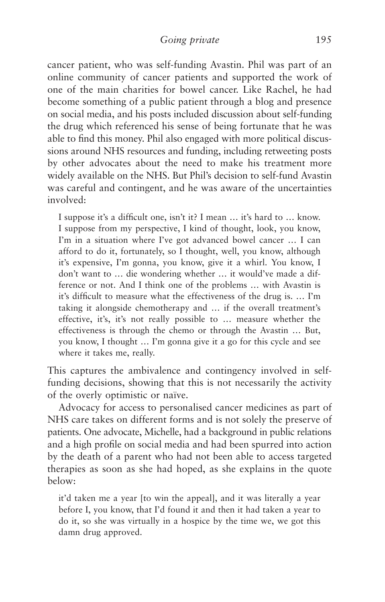cancer patient, who was self-funding Avastin. Phil was part of an online community of cancer patients and supported the work of one of the main charities for bowel cancer. Like Rachel, he had become something of a public patient through a blog and presence on social media, and his posts included discussion about self-funding the drug which referenced his sense of being fortunate that he was able to find this money. Phil also engaged with more political discussions around NHS resources and funding, including retweeting posts by other advocates about the need to make his treatment more widely available on the NHS. But Phil's decision to self-fund Avastin was careful and contingent, and he was aware of the uncertainties involved:

I suppose it's a difficult one, isn't it? I mean … it's hard to … know. I suppose from my perspective, I kind of thought, look, you know, I'm in a situation where I've got advanced bowel cancer … I can afford to do it, fortunately, so I thought, well, you know, although it's expensive, I'm gonna, you know, give it a whirl. You know, I don't want to … die wondering whether … it would've made a difference or not. And I think one of the problems … with Avastin is it's difficult to measure what the effectiveness of the drug is. … I'm taking it alongside chemotherapy and … if the overall treatment's effective, it's, it's not really possible to … measure whether the effectiveness is through the chemo or through the Avastin … But, you know, I thought … I'm gonna give it a go for this cycle and see where it takes me, really.

This captures the ambivalence and contingency involved in selffunding decisions, showing that this is not necessarily the activity of the overly optimistic or naïve.

Advocacy for access to personalised cancer medicines as part of NHS care takes on different forms and is not solely the preserve of patients. One advocate, Michelle, had a background in public relations and a high profile on social media and had been spurred into action by the death of a parent who had not been able to access targeted therapies as soon as she had hoped, as she explains in the quote below:

it'd taken me a year [to win the appeal], and it was literally a year before I, you know, that I'd found it and then it had taken a year to do it, so she was virtually in a hospice by the time we, we got this damn drug approved.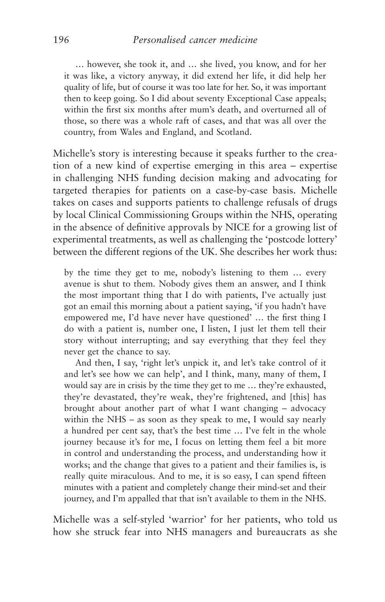… however, she took it, and … she lived, you know, and for her it was like, a victory anyway, it did extend her life, it did help her quality of life, but of course it was too late for her. So, it was important then to keep going. So I did about seventy Exceptional Case appeals; within the first six months after mum's death, and overturned all of those, so there was a whole raft of cases, and that was all over the country, from Wales and England, and Scotland.

Michelle's story is interesting because it speaks further to the creation of a new kind of expertise emerging in this area – expertise in challenging NHS funding decision making and advocating for targeted therapies for patients on a case-by-case basis. Michelle takes on cases and supports patients to challenge refusals of drugs by local Clinical Commissioning Groups within the NHS, operating in the absence of definitive approvals by NICE for a growing list of experimental treatments, as well as challenging the 'postcode lottery' between the different regions of the UK. She describes her work thus:

by the time they get to me, nobody's listening to them … every avenue is shut to them. Nobody gives them an answer, and I think the most important thing that I do with patients, I've actually just got an email this morning about a patient saying, 'if you hadn't have empowered me, I'd have never have questioned' … the first thing I do with a patient is, number one, I listen, I just let them tell their story without interrupting; and say everything that they feel they never get the chance to say.

And then, I say, 'right let's unpick it, and let's take control of it and let's see how we can help', and I think, many, many of them, I would say are in crisis by the time they get to me … they're exhausted, they're devastated, they're weak, they're frightened, and [this] has brought about another part of what I want changing – advocacy within the NHS – as soon as they speak to me, I would say nearly a hundred per cent say, that's the best time … I've felt in the whole journey because it's for me, I focus on letting them feel a bit more in control and understanding the process, and understanding how it works; and the change that gives to a patient and their families is, is really quite miraculous. And to me, it is so easy, I can spend fifteen minutes with a patient and completely change their mind-set and their journey, and I'm appalled that that isn't available to them in the NHS.

Michelle was a self-styled 'warrior' for her patients, who told us how she struck fear into NHS managers and bureaucrats as she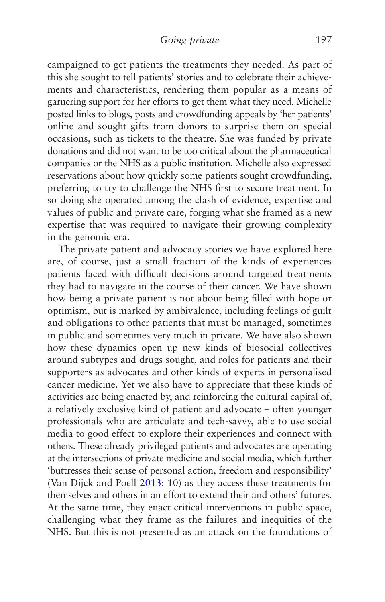campaigned to get patients the treatments they needed. As part of this she sought to tell patients' stories and to celebrate their achievements and characteristics, rendering them popular as a means of garnering support for her efforts to get them what they need. Michelle posted links to blogs, posts and crowdfunding appeals by 'her patients' online and sought gifts from donors to surprise them on special occasions, such as tickets to the theatre. She was funded by private donations and did not want to be too critical about the pharmaceutical companies or the NHS as a public institution. Michelle also expressed reservations about how quickly some patients sought crowdfunding, preferring to try to challenge the NHS first to secure treatment. In so doing she operated among the clash of evidence, expertise and values of public and private care, forging what she framed as a new expertise that was required to navigate their growing complexity in the genomic era.

The private patient and advocacy stories we have explored here are, of course, just a small fraction of the kinds of experiences patients faced with difficult decisions around targeted treatments they had to navigate in the course of their cancer. We have shown how being a private patient is not about being filled with hope or optimism, but is marked by ambivalence, including feelings of guilt and obligations to other patients that must be managed, sometimes in public and sometimes very much in private. We have also shown how these dynamics open up new kinds of biosocial collectives around subtypes and drugs sought, and roles for patients and their supporters as advocates and other kinds of experts in personalised cancer medicine. Yet we also have to appreciate that these kinds of activities are being enacted by, and reinforcing the cultural capital of, a relatively exclusive kind of patient and advocate – often younger professionals who are articulate and tech-savvy, able to use social media to good effect to explore their experiences and connect with others. These already privileged patients and advocates are operating at the intersections of private medicine and social media, which further 'buttresses their sense of personal action, freedom and responsibility' (Van Dijck and Poell [2013](#page-277-0): 10) as they access these treatments for themselves and others in an effort to extend their and others' futures. At the same time, they enact critical interventions in public space, challenging what they frame as the failures and inequities of the NHS. But this is not presented as an attack on the foundations of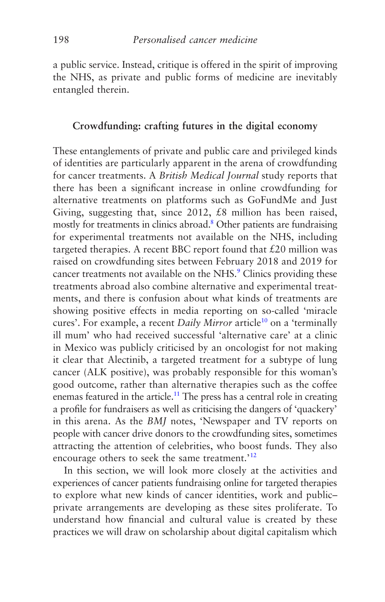a public service. Instead, critique is offered in the spirit of improving the NHS, as private and public forms of medicine are inevitably entangled therein.

# **Crowdfunding: crafting futures in the digital economy**

These entanglements of private and public care and privileged kinds of identities are particularly apparent in the arena of crowdfunding for cancer treatments. A *British Medical Journal* study reports that there has been a significant increase in online crowdfunding for alternative treatments on platforms such as GoFundMe and Just Giving, suggesting that, since 2012, £8 million has been raised, mostly for treatments in clinics abroad.<sup>8</sup> Other patients are fundraising for experimental treatments not available on the NHS, including targeted therapies. A recent BBC report found that  $£20$  million was raised on crowdfunding sites between February 2018 and 2019 for cancer treatments not available on the NHS.<sup>[9](#page-218-0)</sup> Clinics providing these treatments abroad also combine alternative and experimental treatments, and there is confusion about what kinds of treatments are showing positive effects in media reporting on so-called 'miracle cures'. For example, a recent *Daily Mirror* article<sup>10</sup> on a 'terminally ill mum' who had received successful 'alternative care' at a clinic in Mexico was publicly criticised by an oncologist for not making it clear that Alectinib, a targeted treatment for a subtype of lung cancer (ALK positive), was probably responsible for this woman's good outcome, rather than alternative therapies such as the coffee enemas featured in the article.<sup>11</sup> The press has a central role in creating a profile for fundraisers as well as criticising the dangers of 'quackery' in this arena. As the *BMJ* notes, 'Newspaper and TV reports on people with cancer drive donors to the crowdfunding sites, sometimes attracting the attention of celebrities, who boost funds. They also encourage others to seek the same treatment.<sup>'[12](#page-218-0)</sup>

In this section, we will look more closely at the activities and experiences of cancer patients fundraising online for targeted therapies to explore what new kinds of cancer identities, work and public– private arrangements are developing as these sites proliferate. To understand how financial and cultural value is created by these practices we will draw on scholarship about digital capitalism which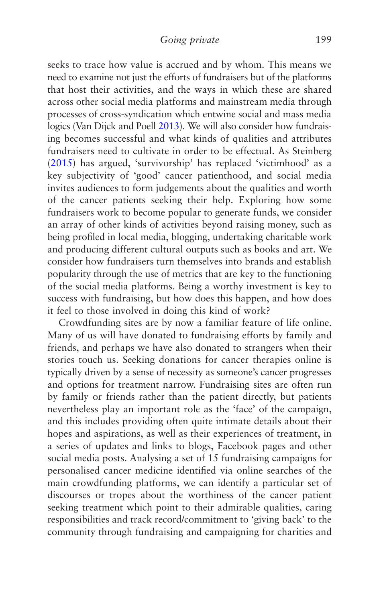seeks to trace how value is accrued and by whom. This means we need to examine not just the efforts of fundraisers but of the platforms that host their activities, and the ways in which these are shared across other social media platforms and mainstream media through processes of cross-syndication which entwine social and mass media logics (Van Dijck and Poell [2013](#page-277-0)). We will also consider how fundraising becomes successful and what kinds of qualities and attributes fundraisers need to cultivate in order to be effectual. As Steinberg ([2015\)](#page-276-0) has argued, 'survivorship' has replaced 'victimhood' as a key subjectivity of 'good' cancer patienthood, and social media invites audiences to form judgements about the qualities and worth of the cancer patients seeking their help. Exploring how some fundraisers work to become popular to generate funds, we consider an array of other kinds of activities beyond raising money, such as being profiled in local media, blogging, undertaking charitable work and producing different cultural outputs such as books and art. We consider how fundraisers turn themselves into brands and establish popularity through the use of metrics that are key to the functioning of the social media platforms. Being a worthy investment is key to success with fundraising, but how does this happen, and how does it feel to those involved in doing this kind of work?

Crowdfunding sites are by now a familiar feature of life online. Many of us will have donated to fundraising efforts by family and friends, and perhaps we have also donated to strangers when their stories touch us. Seeking donations for cancer therapies online is typically driven by a sense of necessity as someone's cancer progresses and options for treatment narrow. Fundraising sites are often run by family or friends rather than the patient directly, but patients nevertheless play an important role as the 'face' of the campaign, and this includes providing often quite intimate details about their hopes and aspirations, as well as their experiences of treatment, in a series of updates and links to blogs, Facebook pages and other social media posts. Analysing a set of 15 fundraising campaigns for personalised cancer medicine identified via online searches of the main crowdfunding platforms, we can identify a particular set of discourses or tropes about the worthiness of the cancer patient seeking treatment which point to their admirable qualities, caring responsibilities and track record/commitment to 'giving back' to the community through fundraising and campaigning for charities and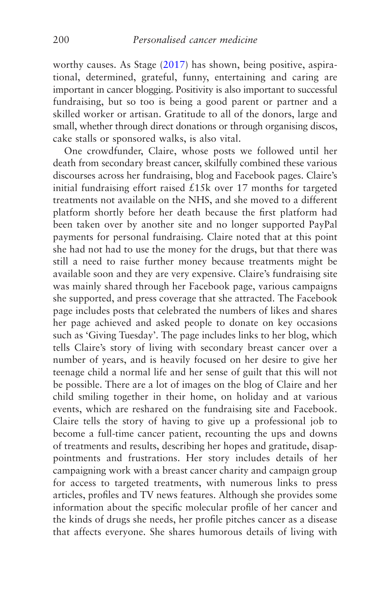worthy causes. As Stage ([2017](#page-276-0)) has shown, being positive, aspirational, determined, grateful, funny, entertaining and caring are important in cancer blogging. Positivity is also important to successful fundraising, but so too is being a good parent or partner and a skilled worker or artisan. Gratitude to all of the donors, large and small, whether through direct donations or through organising discos, cake stalls or sponsored walks, is also vital.

One crowdfunder, Claire, whose posts we followed until her death from secondary breast cancer, skilfully combined these various discourses across her fundraising, blog and Facebook pages. Claire's initial fundraising effort raised £15k over 17 months for targeted treatments not available on the NHS, and she moved to a different platform shortly before her death because the first platform had been taken over by another site and no longer supported PayPal payments for personal fundraising. Claire noted that at this point she had not had to use the money for the drugs, but that there was still a need to raise further money because treatments might be available soon and they are very expensive. Claire's fundraising site was mainly shared through her Facebook page, various campaigns she supported, and press coverage that she attracted. The Facebook page includes posts that celebrated the numbers of likes and shares her page achieved and asked people to donate on key occasions such as 'Giving Tuesday'. The page includes links to her blog, which tells Claire's story of living with secondary breast cancer over a number of years, and is heavily focused on her desire to give her teenage child a normal life and her sense of guilt that this will not be possible. There are a lot of images on the blog of Claire and her child smiling together in their home, on holiday and at various events, which are reshared on the fundraising site and Facebook. Claire tells the story of having to give up a professional job to become a full-time cancer patient, recounting the ups and downs of treatments and results, describing her hopes and gratitude, disappointments and frustrations. Her story includes details of her campaigning work with a breast cancer charity and campaign group for access to targeted treatments, with numerous links to press articles, profiles and TV news features. Although she provides some information about the specific molecular profile of her cancer and the kinds of drugs she needs, her profile pitches cancer as a disease that affects everyone. She shares humorous details of living with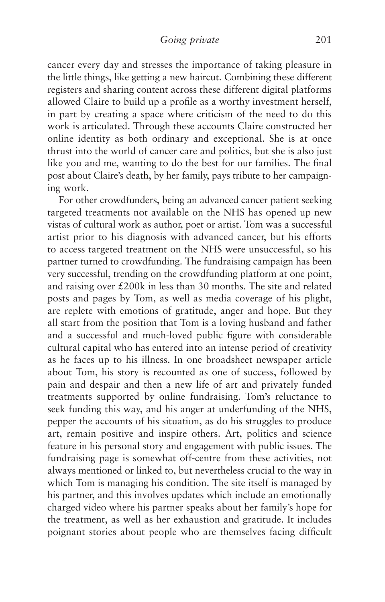cancer every day and stresses the importance of taking pleasure in the little things, like getting a new haircut. Combining these different registers and sharing content across these different digital platforms allowed Claire to build up a profile as a worthy investment herself, in part by creating a space where criticism of the need to do this work is articulated. Through these accounts Claire constructed her online identity as both ordinary and exceptional. She is at once thrust into the world of cancer care and politics, but she is also just like you and me, wanting to do the best for our families. The final post about Claire's death, by her family, pays tribute to her campaigning work.

For other crowdfunders, being an advanced cancer patient seeking targeted treatments not available on the NHS has opened up new vistas of cultural work as author, poet or artist. Tom was a successful artist prior to his diagnosis with advanced cancer, but his efforts to access targeted treatment on the NHS were unsuccessful, so his partner turned to crowdfunding. The fundraising campaign has been very successful, trending on the crowdfunding platform at one point, and raising over £200k in less than 30 months. The site and related posts and pages by Tom, as well as media coverage of his plight, are replete with emotions of gratitude, anger and hope. But they all start from the position that Tom is a loving husband and father and a successful and much-loved public figure with considerable cultural capital who has entered into an intense period of creativity as he faces up to his illness. In one broadsheet newspaper article about Tom, his story is recounted as one of success, followed by pain and despair and then a new life of art and privately funded treatments supported by online fundraising. Tom's reluctance to seek funding this way, and his anger at underfunding of the NHS, pepper the accounts of his situation, as do his struggles to produce art, remain positive and inspire others. Art, politics and science feature in his personal story and engagement with public issues. The fundraising page is somewhat off-centre from these activities, not always mentioned or linked to, but nevertheless crucial to the way in which Tom is managing his condition. The site itself is managed by his partner, and this involves updates which include an emotionally charged video where his partner speaks about her family's hope for the treatment, as well as her exhaustion and gratitude. It includes poignant stories about people who are themselves facing difficult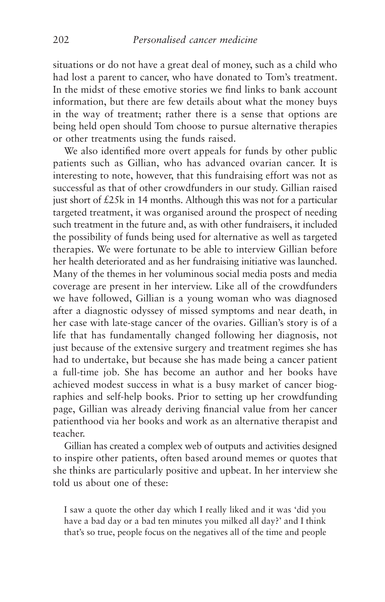situations or do not have a great deal of money, such as a child who had lost a parent to cancer, who have donated to Tom's treatment. In the midst of these emotive stories we find links to bank account information, but there are few details about what the money buys in the way of treatment; rather there is a sense that options are being held open should Tom choose to pursue alternative therapies or other treatments using the funds raised.

We also identified more overt appeals for funds by other public patients such as Gillian, who has advanced ovarian cancer. It is interesting to note, however, that this fundraising effort was not as successful as that of other crowdfunders in our study. Gillian raised just short of £25k in 14 months. Although this was not for a particular targeted treatment, it was organised around the prospect of needing such treatment in the future and, as with other fundraisers, it included the possibility of funds being used for alternative as well as targeted therapies. We were fortunate to be able to interview Gillian before her health deteriorated and as her fundraising initiative was launched. Many of the themes in her voluminous social media posts and media coverage are present in her interview. Like all of the crowdfunders we have followed, Gillian is a young woman who was diagnosed after a diagnostic odyssey of missed symptoms and near death, in her case with late-stage cancer of the ovaries. Gillian's story is of a life that has fundamentally changed following her diagnosis, not just because of the extensive surgery and treatment regimes she has had to undertake, but because she has made being a cancer patient a full-time job. She has become an author and her books have achieved modest success in what is a busy market of cancer biographies and self-help books. Prior to setting up her crowdfunding page, Gillian was already deriving financial value from her cancer patienthood via her books and work as an alternative therapist and teacher.

Gillian has created a complex web of outputs and activities designed to inspire other patients, often based around memes or quotes that she thinks are particularly positive and upbeat. In her interview she told us about one of these:

I saw a quote the other day which I really liked and it was 'did you have a bad day or a bad ten minutes you milked all day?' and I think that's so true, people focus on the negatives all of the time and people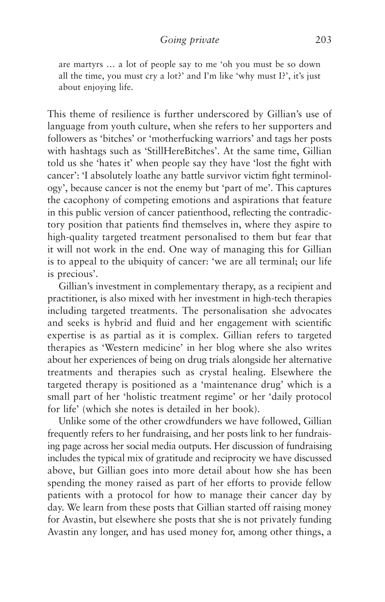are martyrs … a lot of people say to me 'oh you must be so down all the time, you must cry a lot?' and I'm like 'why must I?', it's just about enjoying life.

This theme of resilience is further underscored by Gillian's use of language from youth culture, when she refers to her supporters and followers as 'bitches' or 'motherfucking warriors' and tags her posts with hashtags such as 'StillHereBitches'. At the same time, Gillian told us she 'hates it' when people say they have 'lost the fight with cancer': 'I absolutely loathe any battle survivor victim fight terminology', because cancer is not the enemy but 'part of me'. This captures the cacophony of competing emotions and aspirations that feature in this public version of cancer patienthood, reflecting the contradictory position that patients find themselves in, where they aspire to high-quality targeted treatment personalised to them but fear that it will not work in the end. One way of managing this for Gillian is to appeal to the ubiquity of cancer: 'we are all terminal; our life is precious'.

Gillian's investment in complementary therapy, as a recipient and practitioner, is also mixed with her investment in high-tech therapies including targeted treatments. The personalisation she advocates and seeks is hybrid and fluid and her engagement with scientific expertise is as partial as it is complex. Gillian refers to targeted therapies as 'Western medicine' in her blog where she also writes about her experiences of being on drug trials alongside her alternative treatments and therapies such as crystal healing. Elsewhere the targeted therapy is positioned as a 'maintenance drug' which is a small part of her 'holistic treatment regime' or her 'daily protocol for life' (which she notes is detailed in her book).

Unlike some of the other crowdfunders we have followed, Gillian frequently refers to her fundraising, and her posts link to her fundraising page across her social media outputs. Her discussion of fundraising includes the typical mix of gratitude and reciprocity we have discussed above, but Gillian goes into more detail about how she has been spending the money raised as part of her efforts to provide fellow patients with a protocol for how to manage their cancer day by day. We learn from these posts that Gillian started off raising money for Avastin, but elsewhere she posts that she is not privately funding Avastin any longer, and has used money for, among other things, a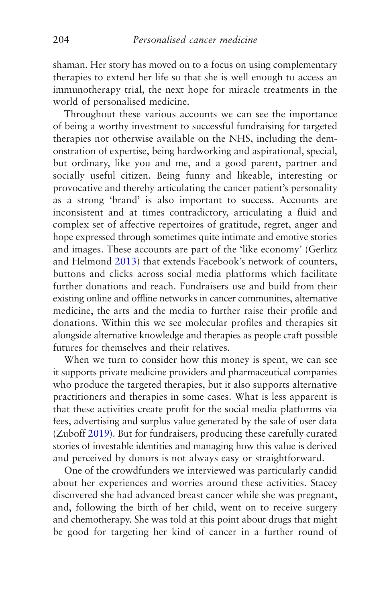shaman. Her story has moved on to a focus on using complementary therapies to extend her life so that she is well enough to access an immunotherapy trial, the next hope for miracle treatments in the world of personalised medicine.

Throughout these various accounts we can see the importance of being a worthy investment to successful fundraising for targeted therapies not otherwise available on the NHS, including the demonstration of expertise, being hardworking and aspirational, special, but ordinary, like you and me, and a good parent, partner and socially useful citizen. Being funny and likeable, interesting or provocative and thereby articulating the cancer patient's personality as a strong 'brand' is also important to success. Accounts are inconsistent and at times contradictory, articulating a fluid and complex set of affective repertoires of gratitude, regret, anger and hope expressed through sometimes quite intimate and emotive stories and images. These accounts are part of the 'like economy' (Gerlitz and Helmond [2013\)](#page-268-0) that extends Facebook's network of counters, buttons and clicks across social media platforms which facilitate further donations and reach. Fundraisers use and build from their existing online and offline networks in cancer communities, alternative medicine, the arts and the media to further raise their profile and donations. Within this we see molecular profiles and therapies sit alongside alternative knowledge and therapies as people craft possible futures for themselves and their relatives.

When we turn to consider how this money is spent, we can see it supports private medicine providers and pharmaceutical companies who produce the targeted therapies, but it also supports alternative practitioners and therapies in some cases. What is less apparent is that these activities create profit for the social media platforms via fees, advertising and surplus value generated by the sale of user data (Zuboff [2019](#page-278-0)). But for fundraisers, producing these carefully curated stories of investable identities and managing how this value is derived and perceived by donors is not always easy or straightforward.

One of the crowdfunders we interviewed was particularly candid about her experiences and worries around these activities. Stacey discovered she had advanced breast cancer while she was pregnant, and, following the birth of her child, went on to receive surgery and chemotherapy. She was told at this point about drugs that might be good for targeting her kind of cancer in a further round of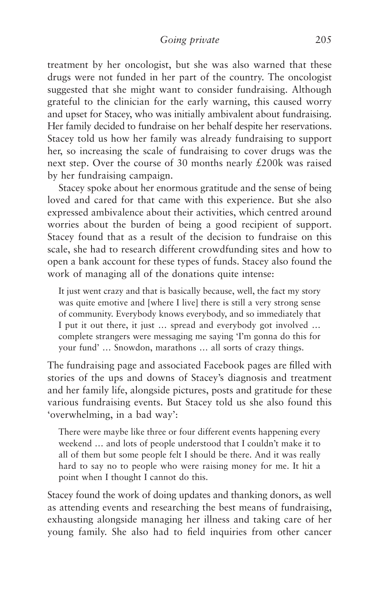treatment by her oncologist, but she was also warned that these drugs were not funded in her part of the country. The oncologist suggested that she might want to consider fundraising. Although grateful to the clinician for the early warning, this caused worry and upset for Stacey, who was initially ambivalent about fundraising. Her family decided to fundraise on her behalf despite her reservations. Stacey told us how her family was already fundraising to support her, so increasing the scale of fundraising to cover drugs was the next step. Over the course of 30 months nearly £200k was raised by her fundraising campaign.

Stacey spoke about her enormous gratitude and the sense of being loved and cared for that came with this experience. But she also expressed ambivalence about their activities, which centred around worries about the burden of being a good recipient of support. Stacey found that as a result of the decision to fundraise on this scale, she had to research different crowdfunding sites and how to open a bank account for these types of funds. Stacey also found the work of managing all of the donations quite intense:

It just went crazy and that is basically because, well, the fact my story was quite emotive and [where I live] there is still a very strong sense of community. Everybody knows everybody, and so immediately that I put it out there, it just … spread and everybody got involved … complete strangers were messaging me saying 'I'm gonna do this for your fund' … Snowdon, marathons … all sorts of crazy things.

The fundraising page and associated Facebook pages are filled with stories of the ups and downs of Stacey's diagnosis and treatment and her family life, alongside pictures, posts and gratitude for these various fundraising events. But Stacey told us she also found this 'overwhelming, in a bad way':

There were maybe like three or four different events happening every weekend … and lots of people understood that I couldn't make it to all of them but some people felt I should be there. And it was really hard to say no to people who were raising money for me. It hit a point when I thought I cannot do this.

Stacey found the work of doing updates and thanking donors, as well as attending events and researching the best means of fundraising, exhausting alongside managing her illness and taking care of her young family. She also had to field inquiries from other cancer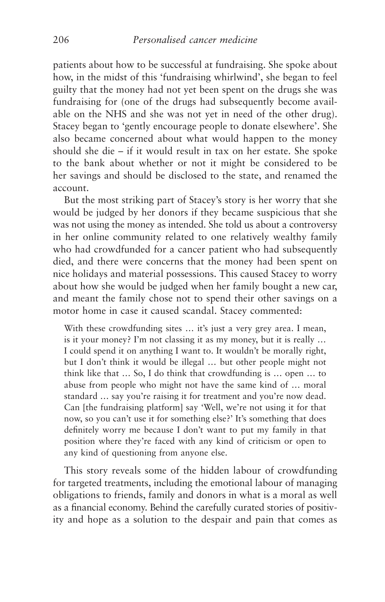patients about how to be successful at fundraising. She spoke about how, in the midst of this 'fundraising whirlwind', she began to feel guilty that the money had not yet been spent on the drugs she was fundraising for (one of the drugs had subsequently become available on the NHS and she was not yet in need of the other drug). Stacey began to 'gently encourage people to donate elsewhere'. She also became concerned about what would happen to the money should she die – if it would result in tax on her estate. She spoke to the bank about whether or not it might be considered to be her savings and should be disclosed to the state, and renamed the account.

But the most striking part of Stacey's story is her worry that she would be judged by her donors if they became suspicious that she was not using the money as intended. She told us about a controversy in her online community related to one relatively wealthy family who had crowdfunded for a cancer patient who had subsequently died, and there were concerns that the money had been spent on nice holidays and material possessions. This caused Stacey to worry about how she would be judged when her family bought a new car, and meant the family chose not to spend their other savings on a motor home in case it caused scandal. Stacey commented:

With these crowdfunding sites ... it's just a very grey area. I mean, is it your money? I'm not classing it as my money, but it is really … I could spend it on anything I want to. It wouldn't be morally right, but I don't think it would be illegal … but other people might not think like that … So, I do think that crowdfunding is … open … to abuse from people who might not have the same kind of … moral standard … say you're raising it for treatment and you're now dead. Can [the fundraising platform] say 'Well, we're not using it for that now, so you can't use it for something else?' It's something that does definitely worry me because I don't want to put my family in that position where they're faced with any kind of criticism or open to any kind of questioning from anyone else.

This story reveals some of the hidden labour of crowdfunding for targeted treatments, including the emotional labour of managing obligations to friends, family and donors in what is a moral as well as a financial economy. Behind the carefully curated stories of positivity and hope as a solution to the despair and pain that comes as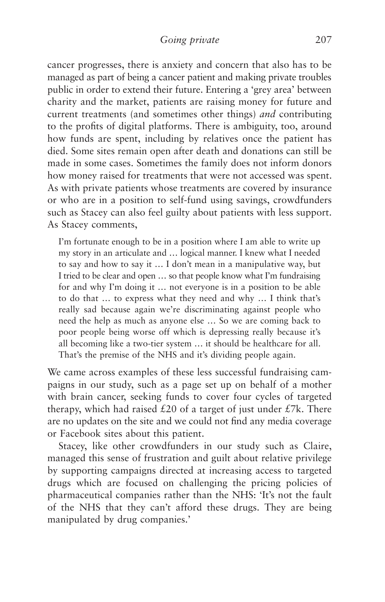cancer progresses, there is anxiety and concern that also has to be managed as part of being a cancer patient and making private troubles public in order to extend their future. Entering a 'grey area' between charity and the market, patients are raising money for future and current treatments (and sometimes other things) *and* contributing to the profits of digital platforms. There is ambiguity, too, around how funds are spent, including by relatives once the patient has died. Some sites remain open after death and donations can still be made in some cases. Sometimes the family does not inform donors how money raised for treatments that were not accessed was spent. As with private patients whose treatments are covered by insurance or who are in a position to self-fund using savings, crowdfunders such as Stacey can also feel guilty about patients with less support. As Stacey comments,

I'm fortunate enough to be in a position where I am able to write up my story in an articulate and … logical manner. I knew what I needed to say and how to say it … I don't mean in a manipulative way, but I tried to be clear and open … so that people know what I'm fundraising for and why I'm doing it … not everyone is in a position to be able to do that … to express what they need and why … I think that's really sad because again we're discriminating against people who need the help as much as anyone else … So we are coming back to poor people being worse off which is depressing really because it's all becoming like a two-tier system … it should be healthcare for all. That's the premise of the NHS and it's dividing people again.

We came across examples of these less successful fundraising campaigns in our study, such as a page set up on behalf of a mother with brain cancer, seeking funds to cover four cycles of targeted therapy, which had raised  $£20$  of a target of just under  $£7k$ . There are no updates on the site and we could not find any media coverage or Facebook sites about this patient.

Stacey, like other crowdfunders in our study such as Claire, managed this sense of frustration and guilt about relative privilege by supporting campaigns directed at increasing access to targeted drugs which are focused on challenging the pricing policies of pharmaceutical companies rather than the NHS: 'It's not the fault of the NHS that they can't afford these drugs. They are being manipulated by drug companies.'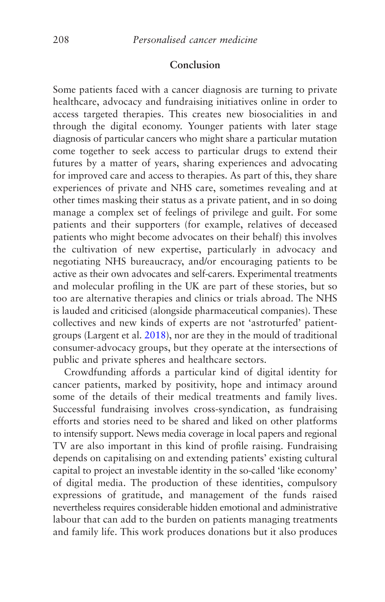## **Conclusion**

Some patients faced with a cancer diagnosis are turning to private healthcare, advocacy and fundraising initiatives online in order to access targeted therapies. This creates new biosocialities in and through the digital economy. Younger patients with later stage diagnosis of particular cancers who might share a particular mutation come together to seek access to particular drugs to extend their futures by a matter of years, sharing experiences and advocating for improved care and access to therapies. As part of this, they share experiences of private and NHS care, sometimes revealing and at other times masking their status as a private patient, and in so doing manage a complex set of feelings of privilege and guilt. For some patients and their supporters (for example, relatives of deceased patients who might become advocates on their behalf) this involves the cultivation of new expertise, particularly in advocacy and negotiating NHS bureaucracy, and/or encouraging patients to be active as their own advocates and self-carers. Experimental treatments and molecular profiling in the UK are part of these stories, but so too are alternative therapies and clinics or trials abroad. The NHS is lauded and criticised (alongside pharmaceutical companies). These collectives and new kinds of experts are not 'astroturfed' patientgroups (Largent et al. [2018\)](#page-271-0), nor are they in the mould of traditional consumer-advocacy groups, but they operate at the intersections of public and private spheres and healthcare sectors.

Crowdfunding affords a particular kind of digital identity for cancer patients, marked by positivity, hope and intimacy around some of the details of their medical treatments and family lives. Successful fundraising involves cross-syndication, as fundraising efforts and stories need to be shared and liked on other platforms to intensify support. News media coverage in local papers and regional TV are also important in this kind of profile raising. Fundraising depends on capitalising on and extending patients' existing cultural capital to project an investable identity in the so-called 'like economy' of digital media. The production of these identities, compulsory expressions of gratitude, and management of the funds raised nevertheless requires considerable hidden emotional and administrative labour that can add to the burden on patients managing treatments and family life. This work produces donations but it also produces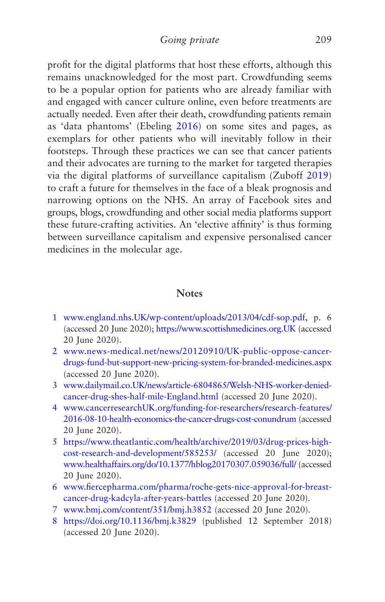profit for the digital platforms that host these efforts, although this remains unacknowledged for the most part. Crowdfunding seems to be a popular option for patients who are already familiar with and engaged with cancer culture online, even before treatments are actually needed. Even after their death, crowdfunding patients remain as 'data phantoms' (Ebeling [2016\)](#page-268-0) on some sites and pages, as exemplars for other patients who will inevitably follow in their footsteps. Through these practices we can see that cancer patients and their advocates are turning to the market for targeted therapies via the digital platforms of surveillance capitalism (Zuboff [2019](#page-278-0)) to craft a future for themselves in the face of a bleak prognosis and narrowing options on the NHS. An array of Facebook sites and groups, blogs, crowdfunding and other social media platforms support these future-crafting activities. An 'elective affinity' is thus forming between surveillance capitalism and expensive personalised cancer medicines in the molecular age.

## **Notes**

- [1](#page-192-0) [www.england.nhs.UK/wp-content/uploads/2013/04/cdf-sop.pdf](http://www.england.nhs.uk/wp-content/uploads/2013/04/cdf-sop.pdf), p. 6 (accessed 20 June 2020); [https://www.scottishmedicines.org.UK](https://www.scottishmedicines.org.uk/) (accessed 20 June 2020).
- [2](#page-192-0) [www.news-medical.net/news/20120910/UK-public-oppose-cancer](http://www.news-medical.net/news/20120910/UK-public-oppose-cancer-drugs-fund-but-support-new-pricing-system-for-branded-medicines.aspx)[drugs-fund-but-support-new-pricing-system-for-branded-medicines.aspx](http://www.news-medical.net/news/20120910/UK-public-oppose-cancer-drugs-fund-but-support-new-pricing-system-for-branded-medicines.aspx) (accessed 20 June 2020).
- [3](#page-192-0) [www.dailymail.co.UK/news/article-6804865/Welsh-NHS-worker-denied](http://www.dailymail.co.uk/news/article-6804865/Welsh-NHS-worker-denied-cancer-drug-shes-half-mile-England.html)[cancer-drug-shes-half-mile-England.html](http://www.dailymail.co.uk/news/article-6804865/Welsh-NHS-worker-denied-cancer-drug-shes-half-mile-England.html) (accessed 20 June 2020).
- [4](#page-195-0) [www.cancerresearchUK.org/funding-for-researchers/research-features/](http://www.cancerresearchuk.org/funding-for-researchers/research-features/2016-08-10-health-economics-the-cancer-drugs-cost-conundrum) [2016-08-10-health-economics-the-cancer-drugs-cost-conundrum](http://www.cancerresearchuk.org/funding-for-researchers/research-features/2016-08-10-health-economics-the-cancer-drugs-cost-conundrum) (accessed 20 June 2020).
- [5](#page-195-0) [https://www.theatlantic.com/health/archive/2019/03/drug-prices-high](https://www.theatlantic.com/health/archive/2019/03/drug-prices-high-cost-research-and-development/585253/)[cost-research-and-development/585253/](https://www.theatlantic.com/health/archive/2019/03/drug-prices-high-cost-research-and-development/585253/) (accessed 20 June 2020); [www.healthaffairs.org/do/10.1377/hblog20170307.059036/full/](http://www.healthaffairs.org/do/10.1377/hblog20170307.059036/full/) (accessed 20 June 2020).
- [6](#page-195-0) [www.fiercepharma.com/pharma/roche-gets-nice-approval-for-breast](http://www.fiercepharma.com/pharma/roche-gets-nice-approval-for-breast-cancer-drug-kadcyla-after-years-battles)[cancer-drug-kadcyla-after-years-battles](http://www.fiercepharma.com/pharma/roche-gets-nice-approval-for-breast-cancer-drug-kadcyla-after-years-battles) (accessed 20 June 2020).
- [7](#page-202-0) [www.bmj.com/content/351/bmj.h3852](http://www.bmj.com/content/351/bmj.h3852) (accessed 20 June 2020).
- [8](#page-206-0) <https://doi.org/10.1136/bmj.k3829>(published 12 September 2018) (accessed 20 June 2020).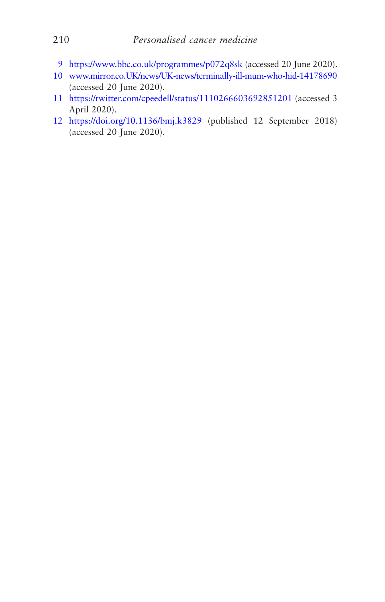- <https://www.bbc.co.uk/programmes/p072q8sk> (accessed 20 June 2020).
- [www.mirror.co.UK/news/UK-news/terminally-ill-mum-who-hid-14178690](http://www.mirror.co.uk/news/UK-news/terminally-ill-mum-who-hid-14178690) (accessed 20 June 2020).
- <https://twitter.com/cpeedell/status/1110266603692851201> (accessed 3 April 2020).
- <https://doi.org/10.1136/bmj.k3829> (published 12 September 2018) (accessed 20 June 2020).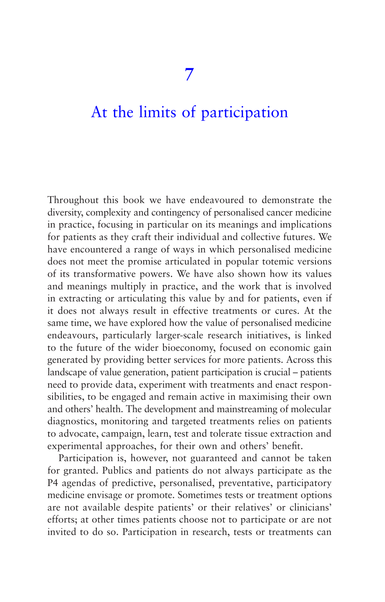## [At the limits of participation](#page-5-0)

Throughout this book we have endeavoured to demonstrate the diversity, complexity and contingency of personalised cancer medicine in practice, focusing in particular on its meanings and implications for patients as they craft their individual and collective futures. We have encountered a range of ways in which personalised medicine does not meet the promise articulated in popular totemic versions of its transformative powers. We have also shown how its values and meanings multiply in practice, and the work that is involved in extracting or articulating this value by and for patients, even if it does not always result in effective treatments or cures. At the same time, we have explored how the value of personalised medicine endeavours, particularly larger-scale research initiatives, is linked to the future of the wider bioeconomy, focused on economic gain generated by providing better services for more patients. Across this landscape of value generation, patient participation is crucial – patients need to provide data, experiment with treatments and enact responsibilities, to be engaged and remain active in maximising their own and others' health. The development and mainstreaming of molecular diagnostics, monitoring and targeted treatments relies on patients to advocate, campaign, learn, test and tolerate tissue extraction and experimental approaches, for their own and others' benefit.

Participation is, however, not guaranteed and cannot be taken for granted. Publics and patients do not always participate as the P4 agendas of predictive, personalised, preventative, participatory medicine envisage or promote. Sometimes tests or treatment options are not available despite patients' or their relatives' or clinicians' efforts; at other times patients choose not to participate or are not invited to do so. Participation in research, tests or treatments can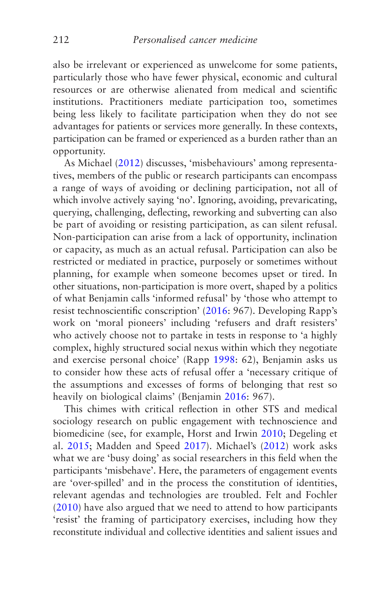also be irrelevant or experienced as unwelcome for some patients, particularly those who have fewer physical, economic and cultural resources or are otherwise alienated from medical and scientific institutions. Practitioners mediate participation too, sometimes being less likely to facilitate participation when they do not see advantages for patients or services more generally. In these contexts, participation can be framed or experienced as a burden rather than an opportunity.

As Michael [\(2012](#page-273-0)) discusses, 'misbehaviours' among representatives, members of the public or research participants can encompass a range of ways of avoiding or declining participation, not all of which involve actively saying 'no'. Ignoring, avoiding, prevaricating, querying, challenging, deflecting, reworking and subverting can also be part of avoiding or resisting participation, as can silent refusal. Non-participation can arise from a lack of opportunity, inclination or capacity, as much as an actual refusal. Participation can also be restricted or mediated in practice, purposely or sometimes without planning, for example when someone becomes upset or tired. In other situations, non-participation is more overt, shaped by a politics of what Benjamin calls 'informed refusal' by 'those who attempt to resist technoscientific conscription' [\(2016](#page-265-0): 967). Developing Rapp's work on 'moral pioneers' including 'refusers and draft resisters' who actively choose not to partake in tests in response to 'a highly complex, highly structured social nexus within which they negotiate and exercise personal choice' (Rapp [1998](#page-275-0): 62), Benjamin asks us to consider how these acts of refusal offer a 'necessary critique of the assumptions and excesses of forms of belonging that rest so heavily on biological claims' (Benjamin [2016:](#page-265-0) 967).

This chimes with critical reflection in other STS and medical sociology research on public engagement with technoscience and biomedicine (see, for example, Horst and Irwin [2010;](#page-270-0) Degeling et al. [2015;](#page-267-0) Madden and Speed [2017](#page-272-0)). Michael's [\(2012](#page-273-0)) work asks what we are 'busy doing' as social researchers in this field when the participants 'misbehave'. Here, the parameters of engagement events are 'over-spilled' and in the process the constitution of identities, relevant agendas and technologies are troubled. Felt and Fochler [\(2010](#page-268-0)) have also argued that we need to attend to how participants 'resist' the framing of participatory exercises, including how they reconstitute individual and collective identities and salient issues and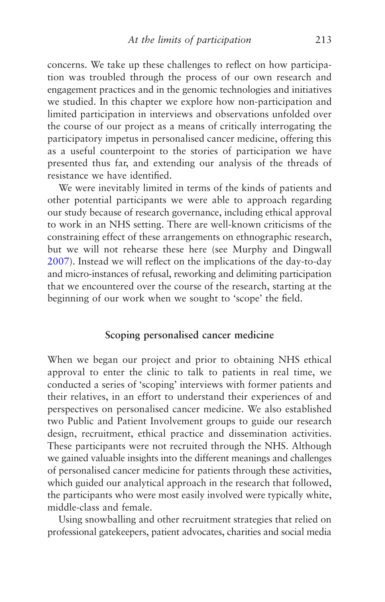concerns. We take up these challenges to reflect on how participation was troubled through the process of our own research and engagement practices and in the genomic technologies and initiatives we studied. In this chapter we explore how non-participation and limited participation in interviews and observations unfolded over the course of our project as a means of critically interrogating the participatory impetus in personalised cancer medicine, offering this as a useful counterpoint to the stories of participation we have presented thus far, and extending our analysis of the threads of resistance we have identified.

We were inevitably limited in terms of the kinds of patients and other potential participants we were able to approach regarding our study because of research governance, including ethical approval to work in an NHS setting. There are well-known criticisms of the constraining effect of these arrangements on ethnographic research, but we will not rehearse these here (see Murphy and Dingwall [2007](#page-274-0)). Instead we will reflect on the implications of the day-to-day and micro-instances of refusal, reworking and delimiting participation that we encountered over the course of the research, starting at the beginning of our work when we sought to 'scope' the field.

## **Scoping personalised cancer medicine**

When we began our project and prior to obtaining NHS ethical approval to enter the clinic to talk to patients in real time, we conducted a series of 'scoping' interviews with former patients and their relatives, in an effort to understand their experiences of and perspectives on personalised cancer medicine. We also established two Public and Patient Involvement groups to guide our research design, recruitment, ethical practice and dissemination activities. These participants were not recruited through the NHS. Although we gained valuable insights into the different meanings and challenges of personalised cancer medicine for patients through these activities, which guided our analytical approach in the research that followed, the participants who were most easily involved were typically white, middle-class and female.

Using snowballing and other recruitment strategies that relied on professional gatekeepers, patient advocates, charities and social media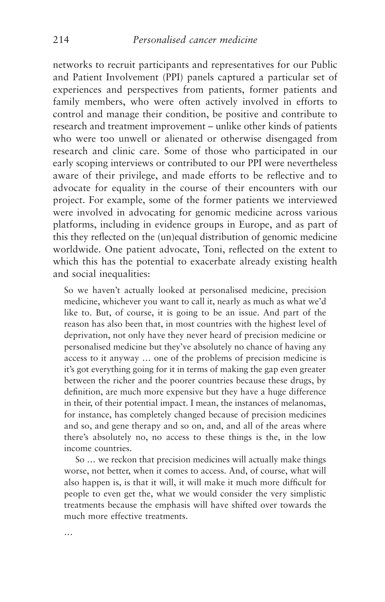networks to recruit participants and representatives for our Public and Patient Involvement (PPI) panels captured a particular set of experiences and perspectives from patients, former patients and family members, who were often actively involved in efforts to control and manage their condition, be positive and contribute to research and treatment improvement – unlike other kinds of patients who were too unwell or alienated or otherwise disengaged from research and clinic care. Some of those who participated in our early scoping interviews or contributed to our PPI were nevertheless aware of their privilege, and made efforts to be reflective and to advocate for equality in the course of their encounters with our project. For example, some of the former patients we interviewed were involved in advocating for genomic medicine across various platforms, including in evidence groups in Europe, and as part of this they reflected on the (un)equal distribution of genomic medicine worldwide. One patient advocate, Toni, reflected on the extent to which this has the potential to exacerbate already existing health and social inequalities:

So we haven't actually looked at personalised medicine, precision medicine, whichever you want to call it, nearly as much as what we'd like to. But, of course, it is going to be an issue. And part of the reason has also been that, in most countries with the highest level of deprivation, not only have they never heard of precision medicine or personalised medicine but they've absolutely no chance of having any access to it anyway … one of the problems of precision medicine is it's got everything going for it in terms of making the gap even greater between the richer and the poorer countries because these drugs, by definition, are much more expensive but they have a huge difference in their, of their potential impact. I mean, the instances of melanomas, for instance, has completely changed because of precision medicines and so, and gene therapy and so on, and, and all of the areas where there's absolutely no, no access to these things is the, in the low income countries.

So … we reckon that precision medicines will actually make things worse, not better, when it comes to access. And, of course, what will also happen is, is that it will, it will make it much more difficult for people to even get the, what we would consider the very simplistic treatments because the emphasis will have shifted over towards the much more effective treatments.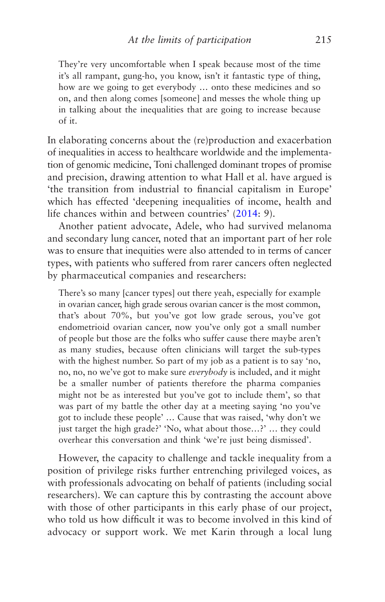They're very uncomfortable when I speak because most of the time it's all rampant, gung-ho, you know, isn't it fantastic type of thing, how are we going to get everybody … onto these medicines and so on, and then along comes [someone] and messes the whole thing up in talking about the inequalities that are going to increase because of it.

In elaborating concerns about the (re)production and exacerbation of inequalities in access to healthcare worldwide and the implementation of genomic medicine, Toni challenged dominant tropes of promise and precision, drawing attention to what Hall et al. have argued is 'the transition from industrial to financial capitalism in Europe' which has effected 'deepening inequalities of income, health and life chances within and between countries' ([2014](#page-269-0): 9).

Another patient advocate, Adele, who had survived melanoma and secondary lung cancer, noted that an important part of her role was to ensure that inequities were also attended to in terms of cancer types, with patients who suffered from rarer cancers often neglected by pharmaceutical companies and researchers:

There's so many [cancer types] out there yeah, especially for example in ovarian cancer, high grade serous ovarian cancer is the most common, that's about 70%, but you've got low grade serous, you've got endometrioid ovarian cancer, now you've only got a small number of people but those are the folks who suffer cause there maybe aren't as many studies, because often clinicians will target the sub-types with the highest number. So part of my job as a patient is to say 'no, no, no, no we've got to make sure *everybody* is included, and it might be a smaller number of patients therefore the pharma companies might not be as interested but you've got to include them', so that was part of my battle the other day at a meeting saying 'no you've got to include these people' … Cause that was raised, 'why don't we just target the high grade?' 'No, what about those…?' … they could overhear this conversation and think 'we're just being dismissed'.

However, the capacity to challenge and tackle inequality from a position of privilege risks further entrenching privileged voices, as with professionals advocating on behalf of patients (including social researchers). We can capture this by contrasting the account above with those of other participants in this early phase of our project, who told us how difficult it was to become involved in this kind of advocacy or support work. We met Karin through a local lung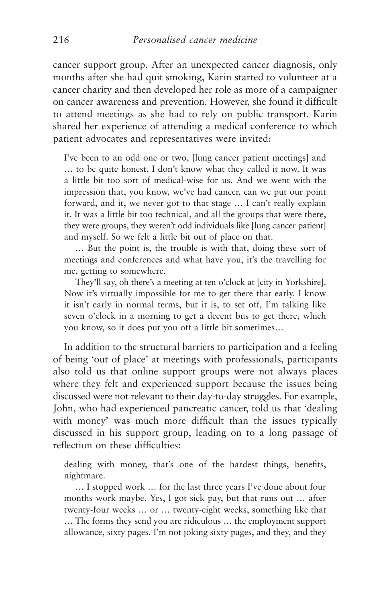cancer support group. After an unexpected cancer diagnosis, only months after she had quit smoking, Karin started to volunteer at a cancer charity and then developed her role as more of a campaigner on cancer awareness and prevention. However, she found it difficult to attend meetings as she had to rely on public transport. Karin shared her experience of attending a medical conference to which patient advocates and representatives were invited:

I've been to an odd one or two, [lung cancer patient meetings] and … to be quite honest, I don't know what they called it now. It was a little bit too sort of medical-wise for us. And we went with the impression that, you know, we've had cancer, can we put our point forward, and it, we never got to that stage … I can't really explain it. It was a little bit too technical, and all the groups that were there, they were groups, they weren't odd individuals like [lung cancer patient] and myself. So we felt a little bit out of place on that.

… But the point is, the trouble is with that, doing these sort of meetings and conferences and what have you, it's the travelling for me, getting to somewhere.

They'll say, oh there's a meeting at ten o'clock at [city in Yorkshire]. Now it's virtually impossible for me to get there that early. I know it isn't early in normal terms, but it is, to set off, I'm talking like seven o'clock in a morning to get a decent bus to get there, which you know, so it does put you off a little bit sometimes…

In addition to the structural barriers to participation and a feeling of being 'out of place' at meetings with professionals, participants also told us that online support groups were not always places where they felt and experienced support because the issues being discussed were not relevant to their day-to-day struggles. For example, John, who had experienced pancreatic cancer, told us that 'dealing with money' was much more difficult than the issues typically discussed in his support group, leading on to a long passage of reflection on these difficulties:

dealing with money, that's one of the hardest things, benefits, nightmare.

… I stopped work … for the last three years I've done about four months work maybe. Yes, I got sick pay, but that runs out … after twenty-four weeks … or … twenty-eight weeks, something like that … The forms they send you are ridiculous … the employment support allowance, sixty pages. I'm not joking sixty pages, and they, and they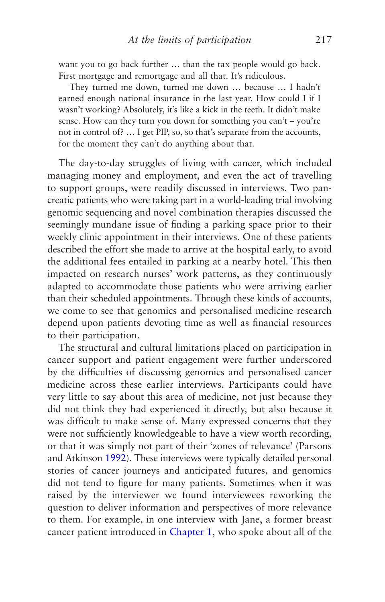want you to go back further … than the tax people would go back. First mortgage and remortgage and all that. It's ridiculous.

They turned me down, turned me down … because … I hadn't earned enough national insurance in the last year. How could I if I wasn't working? Absolutely, it's like a kick in the teeth. It didn't make sense. How can they turn you down for something you can't – you're not in control of? … I get PIP, so, so that's separate from the accounts, for the moment they can't do anything about that.

The day-to-day struggles of living with cancer, which included managing money and employment, and even the act of travelling to support groups, were readily discussed in interviews. Two pancreatic patients who were taking part in a world-leading trial involving genomic sequencing and novel combination therapies discussed the seemingly mundane issue of finding a parking space prior to their weekly clinic appointment in their interviews. One of these patients described the effort she made to arrive at the hospital early, to avoid the additional fees entailed in parking at a nearby hotel. This then impacted on research nurses' work patterns, as they continuously adapted to accommodate those patients who were arriving earlier than their scheduled appointments. Through these kinds of accounts, we come to see that genomics and personalised medicine research depend upon patients devoting time as well as financial resources to their participation.

The structural and cultural limitations placed on participation in cancer support and patient engagement were further underscored by the difficulties of discussing genomics and personalised cancer medicine across these earlier interviews. Participants could have very little to say about this area of medicine, not just because they did not think they had experienced it directly, but also because it was difficult to make sense of. Many expressed concerns that they were not sufficiently knowledgeable to have a view worth recording, or that it was simply not part of their 'zones of relevance' (Parsons and Atkinson [1992](#page-275-0)). These interviews were typically detailed personal stories of cancer journeys and anticipated futures, and genomics did not tend to figure for many patients. Sometimes when it was raised by the interviewer we found interviewees reworking the question to deliver information and perspectives of more relevance to them. For example, in one interview with Jane, a former breast cancer patient introduced in [Chapter 1,](#page-30-0) who spoke about all of the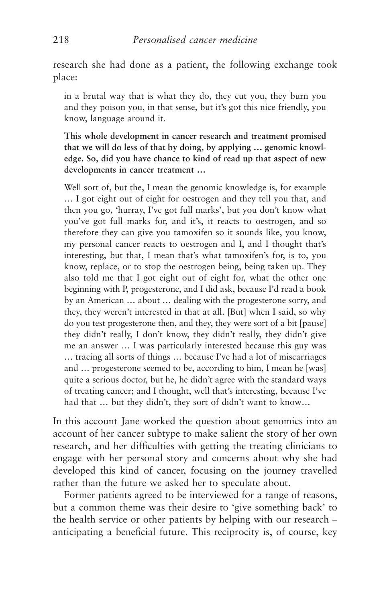research she had done as a patient, the following exchange took place:

in a brutal way that is what they do, they cut you, they burn you and they poison you, in that sense, but it's got this nice friendly, you know, language around it.

**This whole development in cancer research and treatment promised that we will do less of that by doing, by applying … genomic knowledge. So, did you have chance to kind of read up that aspect of new developments in cancer treatment …**

Well sort of, but the, I mean the genomic knowledge is, for example … I got eight out of eight for oestrogen and they tell you that, and then you go, 'hurray, I've got full marks', but you don't know what you've got full marks for, and it's, it reacts to oestrogen, and so therefore they can give you tamoxifen so it sounds like, you know, my personal cancer reacts to oestrogen and I, and I thought that's interesting, but that, I mean that's what tamoxifen's for, is to, you know, replace, or to stop the oestrogen being, being taken up. They also told me that I got eight out of eight for, what the other one beginning with P, progesterone, and I did ask, because I'd read a book by an American … about … dealing with the progesterone sorry, and they, they weren't interested in that at all. [But] when I said, so why do you test progesterone then, and they, they were sort of a bit [pause] they didn't really, I don't know, they didn't really, they didn't give me an answer … I was particularly interested because this guy was … tracing all sorts of things … because I've had a lot of miscarriages and … progesterone seemed to be, according to him, I mean he [was] quite a serious doctor, but he, he didn't agree with the standard ways of treating cancer; and I thought, well that's interesting, because I've had that … but they didn't, they sort of didn't want to know…

In this account Jane worked the question about genomics into an account of her cancer subtype to make salient the story of her own research, and her difficulties with getting the treating clinicians to engage with her personal story and concerns about why she had developed this kind of cancer, focusing on the journey travelled rather than the future we asked her to speculate about.

Former patients agreed to be interviewed for a range of reasons, but a common theme was their desire to 'give something back' to the health service or other patients by helping with our research – anticipating a beneficial future. This reciprocity is, of course, key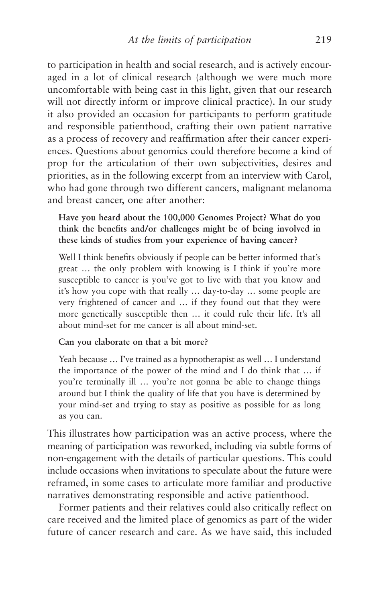to participation in health and social research, and is actively encouraged in a lot of clinical research (although we were much more uncomfortable with being cast in this light, given that our research will not directly inform or improve clinical practice). In our study it also provided an occasion for participants to perform gratitude and responsible patienthood, crafting their own patient narrative as a process of recovery and reaffirmation after their cancer experiences. Questions about genomics could therefore become a kind of prop for the articulation of their own subjectivities, desires and priorities, as in the following excerpt from an interview with Carol, who had gone through two different cancers, malignant melanoma and breast cancer, one after another:

**Have you heard about the 100,000 Genomes Project? What do you think the benefits and/or challenges might be of being involved in these kinds of studies from your experience of having cancer?**

Well I think benefits obviously if people can be better informed that's great … the only problem with knowing is I think if you're more susceptible to cancer is you've got to live with that you know and it's how you cope with that really … day-to-day … some people are very frightened of cancer and … if they found out that they were more genetically susceptible then … it could rule their life. It's all about mind-set for me cancer is all about mind-set.

#### **Can you elaborate on that a bit more?**

Yeah because … I've trained as a hypnotherapist as well … I understand the importance of the power of the mind and I do think that … if you're terminally ill … you're not gonna be able to change things around but I think the quality of life that you have is determined by your mind-set and trying to stay as positive as possible for as long as you can.

This illustrates how participation was an active process, where the meaning of participation was reworked, including via subtle forms of non-engagement with the details of particular questions. This could include occasions when invitations to speculate about the future were reframed, in some cases to articulate more familiar and productive narratives demonstrating responsible and active patienthood.

Former patients and their relatives could also critically reflect on care received and the limited place of genomics as part of the wider future of cancer research and care. As we have said, this included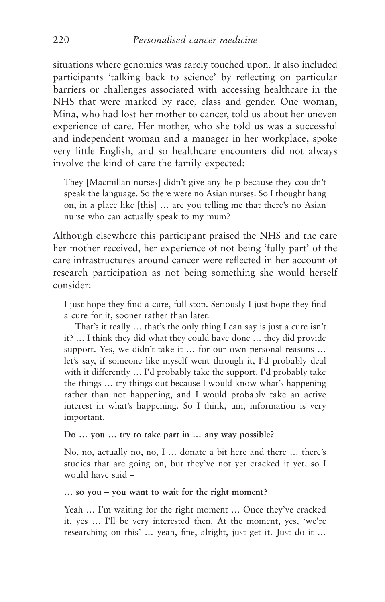situations where genomics was rarely touched upon. It also included participants 'talking back to science' by reflecting on particular barriers or challenges associated with accessing healthcare in the NHS that were marked by race, class and gender. One woman, Mina, who had lost her mother to cancer, told us about her uneven experience of care. Her mother, who she told us was a successful and independent woman and a manager in her workplace, spoke very little English, and so healthcare encounters did not always involve the kind of care the family expected:

They [Macmillan nurses] didn't give any help because they couldn't speak the language. So there were no Asian nurses. So I thought hang on, in a place like [this] … are you telling me that there's no Asian nurse who can actually speak to my mum?

Although elsewhere this participant praised the NHS and the care her mother received, her experience of not being 'fully part' of the care infrastructures around cancer were reflected in her account of research participation as not being something she would herself consider:

I just hope they find a cure, full stop. Seriously I just hope they find a cure for it, sooner rather than later.

That's it really … that's the only thing I can say is just a cure isn't it? … I think they did what they could have done … they did provide support. Yes, we didn't take it … for our own personal reasons … let's say, if someone like myself went through it, I'd probably deal with it differently … I'd probably take the support. I'd probably take the things … try things out because I would know what's happening rather than not happening, and I would probably take an active interest in what's happening. So I think, um, information is very important.

#### **Do … you … try to take part in … any way possible?**

No, no, actually no, no, I … donate a bit here and there … there's studies that are going on, but they've not yet cracked it yet, so I would have said –

#### **… so you – you want to wait for the right moment?**

Yeah … I'm waiting for the right moment … Once they've cracked it, yes … I'll be very interested then. At the moment, yes, 'we're researching on this' … yeah, fine, alright, just get it. Just do it …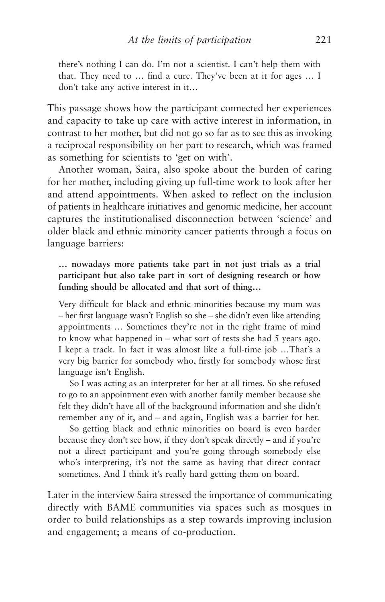there's nothing I can do. I'm not a scientist. I can't help them with that. They need to … find a cure. They've been at it for ages … I don't take any active interest in it…

This passage shows how the participant connected her experiences and capacity to take up care with active interest in information, in contrast to her mother, but did not go so far as to see this as invoking a reciprocal responsibility on her part to research, which was framed as something for scientists to 'get on with'.

Another woman, Saira, also spoke about the burden of caring for her mother, including giving up full-time work to look after her and attend appointments. When asked to reflect on the inclusion of patients in healthcare initiatives and genomic medicine, her account captures the institutionalised disconnection between 'science' and older black and ethnic minority cancer patients through a focus on language barriers:

**… nowadays more patients take part in not just trials as a trial participant but also take part in sort of designing research or how funding should be allocated and that sort of thing…**

Very difficult for black and ethnic minorities because my mum was – her first language wasn't English so she – she didn't even like attending appointments … Sometimes they're not in the right frame of mind to know what happened in – what sort of tests she had 5 years ago. I kept a track. In fact it was almost like a full-time job …That's a very big barrier for somebody who, firstly for somebody whose first language isn't English.

So I was acting as an interpreter for her at all times. So she refused to go to an appointment even with another family member because she felt they didn't have all of the background information and she didn't remember any of it, and – and again, English was a barrier for her.

So getting black and ethnic minorities on board is even harder because they don't see how, if they don't speak directly – and if you're not a direct participant and you're going through somebody else who's interpreting, it's not the same as having that direct contact sometimes. And I think it's really hard getting them on board.

Later in the interview Saira stressed the importance of communicating directly with BAME communities via spaces such as mosques in order to build relationships as a step towards improving inclusion and engagement; a means of co-production.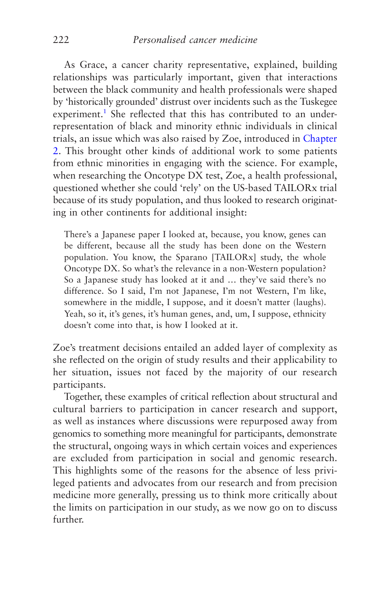<span id="page-230-0"></span>As Grace, a cancer charity representative, explained, building relationships was particularly important, given that interactions between the black community and health professionals were shaped by 'historically grounded' distrust over incidents such as the Tuskegee experiment.<sup>[1](#page-248-0)</sup> She reflected that this has contributed to an underrepresentation of black and minority ethnic individuals in clinical trials, an issue which was also raised by Zoe, introduced in [Chapter](#page-66-0) [2](#page-66-0). This brought other kinds of additional work to some patients from ethnic minorities in engaging with the science. For example, when researching the Oncotype DX test, Zoe, a health professional, questioned whether she could 'rely' on the US-based TAILORx trial because of its study population, and thus looked to research originating in other continents for additional insight:

There's a Japanese paper I looked at, because, you know, genes can be different, because all the study has been done on the Western population. You know, the Sparano [TAILORx] study, the whole Oncotype DX. So what's the relevance in a non-Western population? So a Japanese study has looked at it and … they've said there's no difference. So I said, I'm not Japanese, I'm not Western, I'm like, somewhere in the middle, I suppose, and it doesn't matter (laughs). Yeah, so it, it's genes, it's human genes, and, um, I suppose, ethnicity doesn't come into that, is how I looked at it.

Zoe's treatment decisions entailed an added layer of complexity as she reflected on the origin of study results and their applicability to her situation, issues not faced by the majority of our research participants.

Together, these examples of critical reflection about structural and cultural barriers to participation in cancer research and support, as well as instances where discussions were repurposed away from genomics to something more meaningful for participants, demonstrate the structural, ongoing ways in which certain voices and experiences are excluded from participation in social and genomic research. This highlights some of the reasons for the absence of less privileged patients and advocates from our research and from precision medicine more generally, pressing us to think more critically about the limits on participation in our study, as we now go on to discuss further.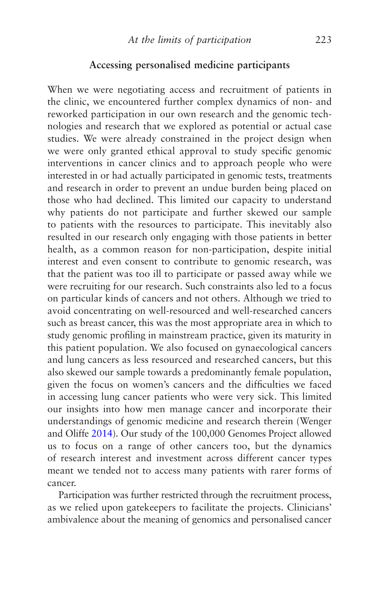## **Accessing personalised medicine participants**

When we were negotiating access and recruitment of patients in the clinic, we encountered further complex dynamics of non- and reworked participation in our own research and the genomic technologies and research that we explored as potential or actual case studies. We were already constrained in the project design when we were only granted ethical approval to study specific genomic interventions in cancer clinics and to approach people who were interested in or had actually participated in genomic tests, treatments and research in order to prevent an undue burden being placed on those who had declined. This limited our capacity to understand why patients do not participate and further skewed our sample to patients with the resources to participate. This inevitably also resulted in our research only engaging with those patients in better health, as a common reason for non-participation, despite initial interest and even consent to contribute to genomic research, was that the patient was too ill to participate or passed away while we were recruiting for our research. Such constraints also led to a focus on particular kinds of cancers and not others. Although we tried to avoid concentrating on well-resourced and well-researched cancers such as breast cancer, this was the most appropriate area in which to study genomic profiling in mainstream practice, given its maturity in this patient population. We also focused on gynaecological cancers and lung cancers as less resourced and researched cancers, but this also skewed our sample towards a predominantly female population, given the focus on women's cancers and the difficulties we faced in accessing lung cancer patients who were very sick. This limited our insights into how men manage cancer and incorporate their understandings of genomic medicine and research therein (Wenger and Oliffe [2014](#page-277-0)). Our study of the 100,000 Genomes Project allowed us to focus on a range of other cancers too, but the dynamics of research interest and investment across different cancer types meant we tended not to access many patients with rarer forms of cancer.

Participation was further restricted through the recruitment process, as we relied upon gatekeepers to facilitate the projects. Clinicians' ambivalence about the meaning of genomics and personalised cancer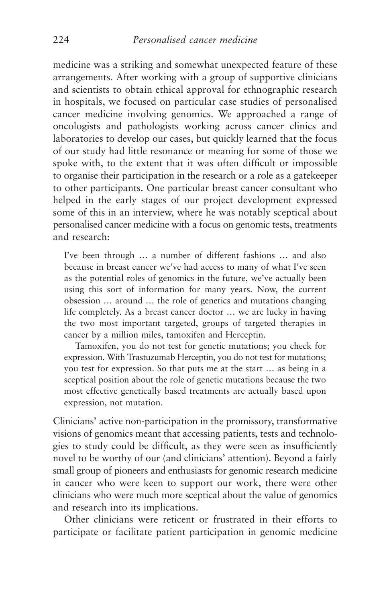medicine was a striking and somewhat unexpected feature of these arrangements. After working with a group of supportive clinicians and scientists to obtain ethical approval for ethnographic research in hospitals, we focused on particular case studies of personalised cancer medicine involving genomics. We approached a range of oncologists and pathologists working across cancer clinics and laboratories to develop our cases, but quickly learned that the focus of our study had little resonance or meaning for some of those we spoke with, to the extent that it was often difficult or impossible to organise their participation in the research or a role as a gatekeeper to other participants. One particular breast cancer consultant who helped in the early stages of our project development expressed some of this in an interview, where he was notably sceptical about personalised cancer medicine with a focus on genomic tests, treatments and research:

I've been through … a number of different fashions … and also because in breast cancer we've had access to many of what I've seen as the potential roles of genomics in the future, we've actually been using this sort of information for many years. Now, the current obsession … around … the role of genetics and mutations changing life completely. As a breast cancer doctor … we are lucky in having the two most important targeted, groups of targeted therapies in cancer by a million miles, tamoxifen and Herceptin.

Tamoxifen, you do not test for genetic mutations; you check for expression. With Trastuzumab Herceptin, you do not test for mutations; you test for expression. So that puts me at the start … as being in a sceptical position about the role of genetic mutations because the two most effective genetically based treatments are actually based upon expression, not mutation.

Clinicians' active non-participation in the promissory, transformative visions of genomics meant that accessing patients, tests and technologies to study could be difficult, as they were seen as insufficiently novel to be worthy of our (and clinicians' attention). Beyond a fairly small group of pioneers and enthusiasts for genomic research medicine in cancer who were keen to support our work, there were other clinicians who were much more sceptical about the value of genomics and research into its implications.

Other clinicians were reticent or frustrated in their efforts to participate or facilitate patient participation in genomic medicine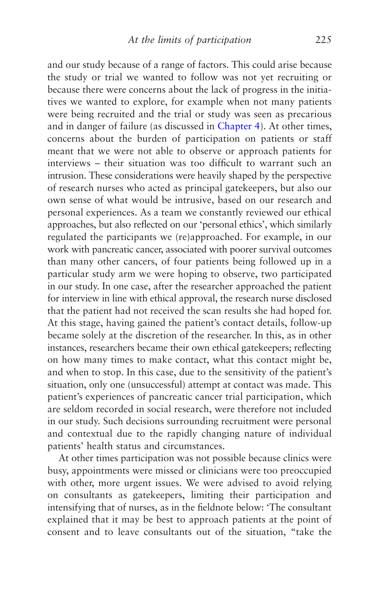and our study because of a range of factors. This could arise because the study or trial we wanted to follow was not yet recruiting or because there were concerns about the lack of progress in the initiatives we wanted to explore, for example when not many patients were being recruited and the trial or study was seen as precarious and in danger of failure (as discussed in [Chapter 4](#page-126-0)). At other times, concerns about the burden of participation on patients or staff meant that we were not able to observe or approach patients for interviews – their situation was too difficult to warrant such an intrusion. These considerations were heavily shaped by the perspective of research nurses who acted as principal gatekeepers, but also our own sense of what would be intrusive, based on our research and personal experiences. As a team we constantly reviewed our ethical approaches, but also reflected on our 'personal ethics', which similarly regulated the participants we (re)approached. For example, in our work with pancreatic cancer, associated with poorer survival outcomes than many other cancers, of four patients being followed up in a particular study arm we were hoping to observe, two participated in our study. In one case, after the researcher approached the patient for interview in line with ethical approval, the research nurse disclosed that the patient had not received the scan results she had hoped for. At this stage, having gained the patient's contact details, follow-up became solely at the discretion of the researcher. In this, as in other instances, researchers became their own ethical gatekeepers; reflecting on how many times to make contact, what this contact might be, and when to stop. In this case, due to the sensitivity of the patient's situation, only one (unsuccessful) attempt at contact was made. This patient's experiences of pancreatic cancer trial participation, which are seldom recorded in social research, were therefore not included in our study. Such decisions surrounding recruitment were personal and contextual due to the rapidly changing nature of individual patients' health status and circumstances.

At other times participation was not possible because clinics were busy, appointments were missed or clinicians were too preoccupied with other, more urgent issues. We were advised to avoid relying on consultants as gatekeepers, limiting their participation and intensifying that of nurses, as in the fieldnote below: 'The consultant explained that it may be best to approach patients at the point of consent and to leave consultants out of the situation, "take the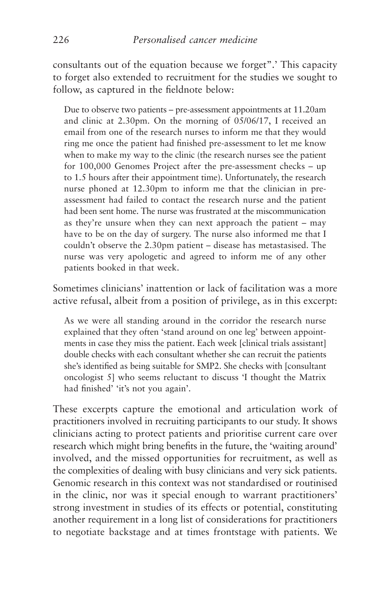consultants out of the equation because we forget".' This capacity to forget also extended to recruitment for the studies we sought to follow, as captured in the fieldnote below:

Due to observe two patients – pre-assessment appointments at 11.20am and clinic at 2.30pm. On the morning of 05/06/17, I received an email from one of the research nurses to inform me that they would ring me once the patient had finished pre-assessment to let me know when to make my way to the clinic (the research nurses see the patient for 100,000 Genomes Project after the pre-assessment checks – up to 1.5 hours after their appointment time). Unfortunately, the research nurse phoned at 12.30pm to inform me that the clinician in preassessment had failed to contact the research nurse and the patient had been sent home. The nurse was frustrated at the miscommunication as they're unsure when they can next approach the patient – may have to be on the day of surgery. The nurse also informed me that I couldn't observe the 2.30pm patient – disease has metastasised. The nurse was very apologetic and agreed to inform me of any other patients booked in that week.

Sometimes clinicians' inattention or lack of facilitation was a more active refusal, albeit from a position of privilege, as in this excerpt:

As we were all standing around in the corridor the research nurse explained that they often 'stand around on one leg' between appointments in case they miss the patient. Each week [clinical trials assistant] double checks with each consultant whether she can recruit the patients she's identified as being suitable for SMP2. She checks with [consultant oncologist 5] who seems reluctant to discuss 'I thought the Matrix had finished' 'it's not you again'.

These excerpts capture the emotional and articulation work of practitioners involved in recruiting participants to our study. It shows clinicians acting to protect patients and prioritise current care over research which might bring benefits in the future, the 'waiting around' involved, and the missed opportunities for recruitment, as well as the complexities of dealing with busy clinicians and very sick patients. Genomic research in this context was not standardised or routinised in the clinic, nor was it special enough to warrant practitioners' strong investment in studies of its effects or potential, constituting another requirement in a long list of considerations for practitioners to negotiate backstage and at times frontstage with patients. We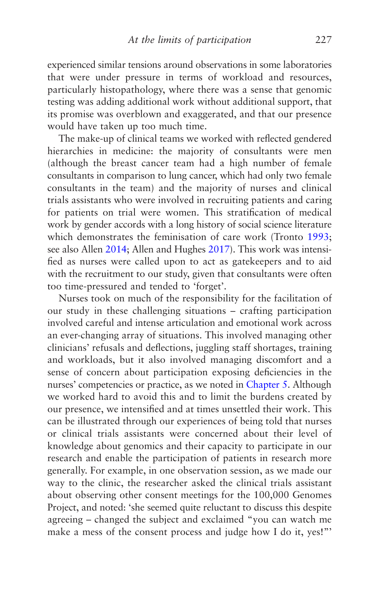experienced similar tensions around observations in some laboratories that were under pressure in terms of workload and resources, particularly histopathology, where there was a sense that genomic testing was adding additional work without additional support, that its promise was overblown and exaggerated, and that our presence would have taken up too much time.

The make-up of clinical teams we worked with reflected gendered hierarchies in medicine: the majority of consultants were men (although the breast cancer team had a high number of female consultants in comparison to lung cancer, which had only two female consultants in the team) and the majority of nurses and clinical trials assistants who were involved in recruiting patients and caring for patients on trial were women. This stratification of medical work by gender accords with a long history of social science literature which demonstrates the feminisation of care work (Tronto [1993;](#page-277-0) see also Allen [2014;](#page-264-0) Allen and Hughes [2017](#page-264-0)). This work was intensified as nurses were called upon to act as gatekeepers and to aid with the recruitment to our study, given that consultants were often too time-pressured and tended to 'forget'.

Nurses took on much of the responsibility for the facilitation of our study in these challenging situations – crafting participation involved careful and intense articulation and emotional work across an ever-changing array of situations. This involved managing other clinicians' refusals and deflections, juggling staff shortages, training and workloads, but it also involved managing discomfort and a sense of concern about participation exposing deficiencies in the nurses' competencies or practice, as we noted in [Chapter 5.](#page-160-0) Although we worked hard to avoid this and to limit the burdens created by our presence, we intensified and at times unsettled their work. This can be illustrated through our experiences of being told that nurses or clinical trials assistants were concerned about their level of knowledge about genomics and their capacity to participate in our research and enable the participation of patients in research more generally. For example, in one observation session, as we made our way to the clinic, the researcher asked the clinical trials assistant about observing other consent meetings for the 100,000 Genomes Project, and noted: 'she seemed quite reluctant to discuss this despite agreeing – changed the subject and exclaimed "you can watch me make a mess of the consent process and judge how I do it, yes!"'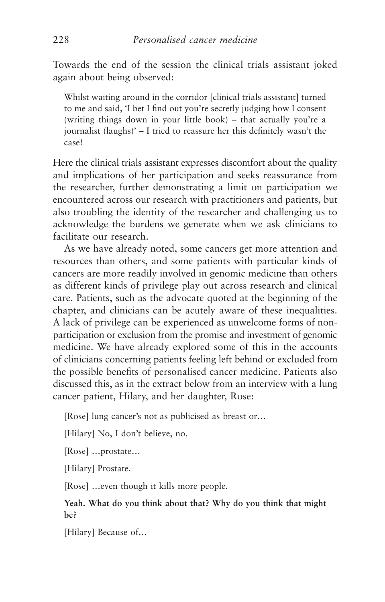Towards the end of the session the clinical trials assistant joked again about being observed:

Whilst waiting around in the corridor [clinical trials assistant] turned to me and said, 'I bet I find out you're secretly judging how I consent (writing things down in your little book) – that actually you're a journalist (laughs)' – I tried to reassure her this definitely wasn't the case!

Here the clinical trials assistant expresses discomfort about the quality and implications of her participation and seeks reassurance from the researcher, further demonstrating a limit on participation we encountered across our research with practitioners and patients, but also troubling the identity of the researcher and challenging us to acknowledge the burdens we generate when we ask clinicians to facilitate our research.

As we have already noted, some cancers get more attention and resources than others, and some patients with particular kinds of cancers are more readily involved in genomic medicine than others as different kinds of privilege play out across research and clinical care. Patients, such as the advocate quoted at the beginning of the chapter, and clinicians can be acutely aware of these inequalities. A lack of privilege can be experienced as unwelcome forms of nonparticipation or exclusion from the promise and investment of genomic medicine. We have already explored some of this in the accounts of clinicians concerning patients feeling left behind or excluded from the possible benefits of personalised cancer medicine. Patients also discussed this, as in the extract below from an interview with a lung cancer patient, Hilary, and her daughter, Rose:

[Rose] lung cancer's not as publicised as breast or…

[Hilary] No, I don't believe, no.

[Rose] …prostate…

[Hilary] Prostate.

[Rose] …even though it kills more people.

## **Yeah. What do you think about that? Why do you think that might be?**

[Hilary] Because of…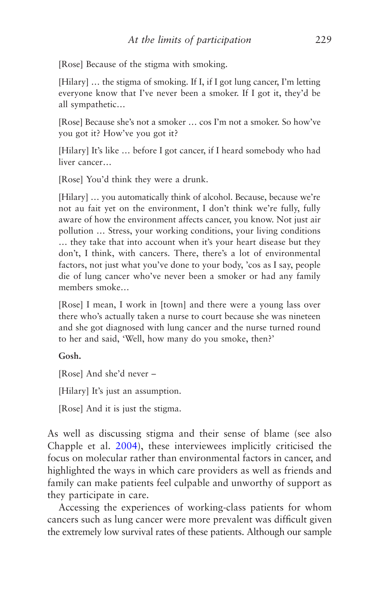[Rose] Because of the stigma with smoking.

[Hilary] ... the stigma of smoking. If I, if I got lung cancer, I'm letting everyone know that I've never been a smoker. If I got it, they'd be all sympathetic…

[Rose] Because she's not a smoker … cos I'm not a smoker. So how've you got it? How've you got it?

[Hilary] It's like ... before I got cancer, if I heard somebody who had liver cancer…

[Rose] You'd think they were a drunk.

[Hilary] ... you automatically think of alcohol. Because, because we're not au fait yet on the environment, I don't think we're fully, fully aware of how the environment affects cancer, you know. Not just air pollution … Stress, your working conditions, your living conditions … they take that into account when it's your heart disease but they don't, I think, with cancers. There, there's a lot of environmental factors, not just what you've done to your body, 'cos as I say, people die of lung cancer who've never been a smoker or had any family members smoke…

[Rose] I mean, I work in [town] and there were a young lass over there who's actually taken a nurse to court because she was nineteen and she got diagnosed with lung cancer and the nurse turned round to her and said, 'Well, how many do you smoke, then?'

#### **Gosh.**

[Rose] And she'd never –

[Hilary] It's just an assumption.

[Rose] And it is just the stigma.

As well as discussing stigma and their sense of blame (see also Chapple et al. [2004\)](#page-266-0), these interviewees implicitly criticised the focus on molecular rather than environmental factors in cancer, and highlighted the ways in which care providers as well as friends and family can make patients feel culpable and unworthy of support as they participate in care.

Accessing the experiences of working-class patients for whom cancers such as lung cancer were more prevalent was difficult given the extremely low survival rates of these patients. Although our sample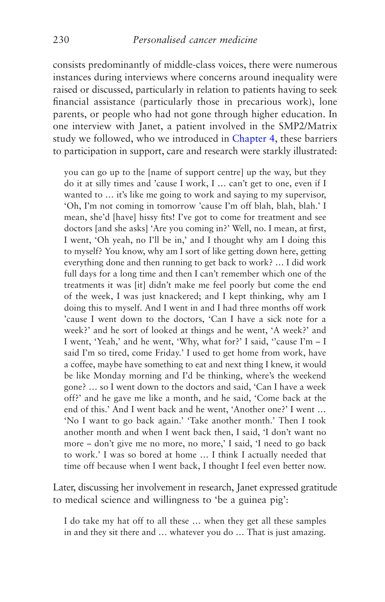consists predominantly of middle-class voices, there were numerous instances during interviews where concerns around inequality were raised or discussed, particularly in relation to patients having to seek financial assistance (particularly those in precarious work), lone parents, or people who had not gone through higher education. In one interview with Janet, a patient involved in the SMP2/Matrix study we followed, who we introduced in [Chapter 4,](#page-126-0) these barriers to participation in support, care and research were starkly illustrated:

you can go up to the [name of support centre] up the way, but they do it at silly times and 'cause I work, I … can't get to one, even if I wanted to … it's like me going to work and saying to my supervisor, 'Oh, I'm not coming in tomorrow 'cause I'm off blah, blah, blah.' I mean, she'd [have] hissy fits! I've got to come for treatment and see doctors [and she asks] 'Are you coming in?' Well, no. I mean, at first, I went, 'Oh yeah, no I'll be in,' and I thought why am I doing this to myself? You know, why am I sort of like getting down here, getting everything done and then running to get back to work? … I did work full days for a long time and then I can't remember which one of the treatments it was [it] didn't make me feel poorly but come the end of the week, I was just knackered; and I kept thinking, why am I doing this to myself. And I went in and I had three months off work 'cause I went down to the doctors, 'Can I have a sick note for a week?' and he sort of looked at things and he went, 'A week?' and I went, 'Yeah,' and he went, 'Why, what for?' I said, "cause I'm - I said I'm so tired, come Friday.' I used to get home from work, have a coffee, maybe have something to eat and next thing I knew, it would be like Monday morning and I'd be thinking, where's the weekend gone? … so I went down to the doctors and said, 'Can I have a week off?' and he gave me like a month, and he said, 'Come back at the end of this.' And I went back and he went, 'Another one?' I went … 'No I want to go back again.' 'Take another month.' Then I took another month and when I went back then, I said, 'I don't want no more – don't give me no more, no more,' I said, 'I need to go back to work.' I was so bored at home … I think I actually needed that time off because when I went back, I thought I feel even better now.

Later, discussing her involvement in research, Janet expressed gratitude to medical science and willingness to 'be a guinea pig':

I do take my hat off to all these … when they get all these samples in and they sit there and … whatever you do … That is just amazing.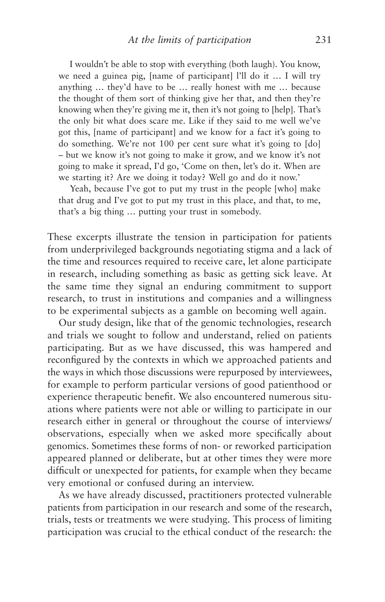I wouldn't be able to stop with everything (both laugh). You know, we need a guinea pig, [name of participant] l'll do it … I will try anything … they'd have to be … really honest with me … because the thought of them sort of thinking give her that, and then they're knowing when they're giving me it, then it's not going to [help]. That's the only bit what does scare me. Like if they said to me well we've got this, [name of participant] and we know for a fact it's going to do something. We're not 100 per cent sure what it's going to [do] – but we know it's not going to make it grow, and we know it's not going to make it spread, I'd go, 'Come on then, let's do it. When are we starting it? Are we doing it today? Well go and do it now.'

Yeah, because I've got to put my trust in the people [who] make that drug and I've got to put my trust in this place, and that, to me, that's a big thing … putting your trust in somebody.

These excerpts illustrate the tension in participation for patients from underprivileged backgrounds negotiating stigma and a lack of the time and resources required to receive care, let alone participate in research, including something as basic as getting sick leave. At the same time they signal an enduring commitment to support research, to trust in institutions and companies and a willingness to be experimental subjects as a gamble on becoming well again.

Our study design, like that of the genomic technologies, research and trials we sought to follow and understand, relied on patients participating. But as we have discussed, this was hampered and reconfigured by the contexts in which we approached patients and the ways in which those discussions were repurposed by interviewees, for example to perform particular versions of good patienthood or experience therapeutic benefit. We also encountered numerous situations where patients were not able or willing to participate in our research either in general or throughout the course of interviews/ observations, especially when we asked more specifically about genomics. Sometimes these forms of non- or reworked participation appeared planned or deliberate, but at other times they were more difficult or unexpected for patients, for example when they became very emotional or confused during an interview.

As we have already discussed, practitioners protected vulnerable patients from participation in our research and some of the research, trials, tests or treatments we were studying. This process of limiting participation was crucial to the ethical conduct of the research: the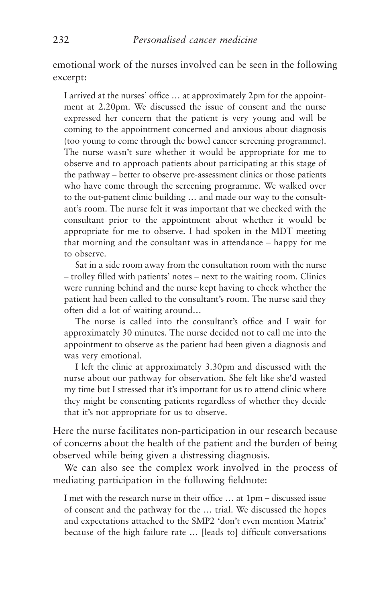emotional work of the nurses involved can be seen in the following excerpt:

I arrived at the nurses' office … at approximately 2pm for the appointment at 2.20pm. We discussed the issue of consent and the nurse expressed her concern that the patient is very young and will be coming to the appointment concerned and anxious about diagnosis (too young to come through the bowel cancer screening programme). The nurse wasn't sure whether it would be appropriate for me to observe and to approach patients about participating at this stage of the pathway – better to observe pre-assessment clinics or those patients who have come through the screening programme. We walked over to the out-patient clinic building … and made our way to the consultant's room. The nurse felt it was important that we checked with the consultant prior to the appointment about whether it would be appropriate for me to observe. I had spoken in the MDT meeting that morning and the consultant was in attendance – happy for me to observe.

Sat in a side room away from the consultation room with the nurse – trolley filled with patients' notes – next to the waiting room. Clinics were running behind and the nurse kept having to check whether the patient had been called to the consultant's room. The nurse said they often did a lot of waiting around…

The nurse is called into the consultant's office and I wait for approximately 30 minutes. The nurse decided not to call me into the appointment to observe as the patient had been given a diagnosis and was very emotional.

I left the clinic at approximately 3.30pm and discussed with the nurse about our pathway for observation. She felt like she'd wasted my time but I stressed that it's important for us to attend clinic where they might be consenting patients regardless of whether they decide that it's not appropriate for us to observe.

Here the nurse facilitates non-participation in our research because of concerns about the health of the patient and the burden of being observed while being given a distressing diagnosis.

We can also see the complex work involved in the process of mediating participation in the following fieldnote:

I met with the research nurse in their office … at 1pm – discussed issue of consent and the pathway for the … trial. We discussed the hopes and expectations attached to the SMP2 'don't even mention Matrix' because of the high failure rate … [leads to] difficult conversations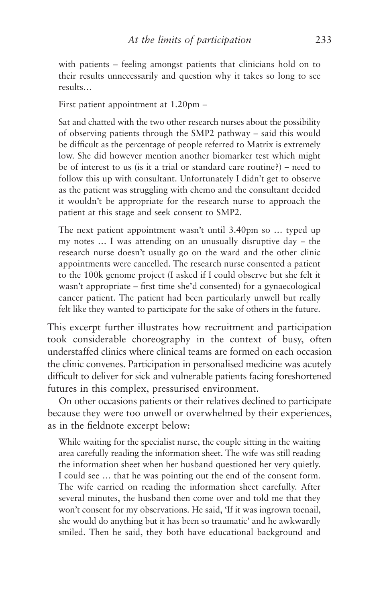with patients – feeling amongst patients that clinicians hold on to their results unnecessarily and question why it takes so long to see results…

First patient appointment at 1.20pm –

Sat and chatted with the two other research nurses about the possibility of observing patients through the SMP2 pathway – said this would be difficult as the percentage of people referred to Matrix is extremely low. She did however mention another biomarker test which might be of interest to us (is it a trial or standard care routine?) – need to follow this up with consultant. Unfortunately I didn't get to observe as the patient was struggling with chemo and the consultant decided it wouldn't be appropriate for the research nurse to approach the patient at this stage and seek consent to SMP2.

The next patient appointment wasn't until 3.40pm so … typed up my notes … I was attending on an unusually disruptive day – the research nurse doesn't usually go on the ward and the other clinic appointments were cancelled. The research nurse consented a patient to the 100k genome project (I asked if I could observe but she felt it wasn't appropriate – first time she'd consented) for a gynaecological cancer patient. The patient had been particularly unwell but really felt like they wanted to participate for the sake of others in the future.

This excerpt further illustrates how recruitment and participation took considerable choreography in the context of busy, often understaffed clinics where clinical teams are formed on each occasion the clinic convenes. Participation in personalised medicine was acutely difficult to deliver for sick and vulnerable patients facing foreshortened futures in this complex, pressurised environment.

On other occasions patients or their relatives declined to participate because they were too unwell or overwhelmed by their experiences, as in the fieldnote excerpt below:

While waiting for the specialist nurse, the couple sitting in the waiting area carefully reading the information sheet. The wife was still reading the information sheet when her husband questioned her very quietly. I could see … that he was pointing out the end of the consent form. The wife carried on reading the information sheet carefully. After several minutes, the husband then come over and told me that they won't consent for my observations. He said, 'If it was ingrown toenail, she would do anything but it has been so traumatic' and he awkwardly smiled. Then he said, they both have educational background and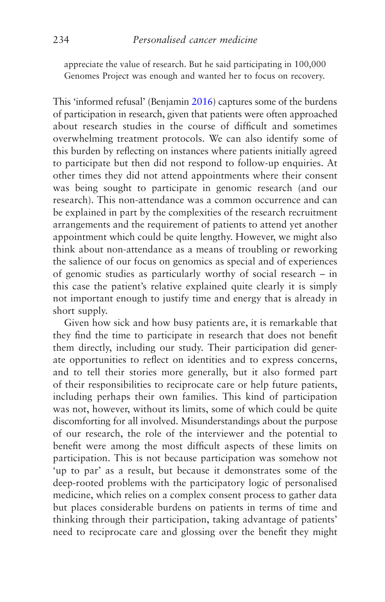appreciate the value of research. But he said participating in 100,000 Genomes Project was enough and wanted her to focus on recovery.

This 'informed refusal' (Benjamin [2016](#page-265-0)) captures some of the burdens of participation in research, given that patients were often approached about research studies in the course of difficult and sometimes overwhelming treatment protocols. We can also identify some of this burden by reflecting on instances where patients initially agreed to participate but then did not respond to follow-up enquiries. At other times they did not attend appointments where their consent was being sought to participate in genomic research (and our research). This non-attendance was a common occurrence and can be explained in part by the complexities of the research recruitment arrangements and the requirement of patients to attend yet another appointment which could be quite lengthy. However, we might also think about non-attendance as a means of troubling or reworking the salience of our focus on genomics as special and of experiences of genomic studies as particularly worthy of social research – in this case the patient's relative explained quite clearly it is simply not important enough to justify time and energy that is already in short supply.

Given how sick and how busy patients are, it is remarkable that they find the time to participate in research that does not benefit them directly, including our study. Their participation did generate opportunities to reflect on identities and to express concerns, and to tell their stories more generally, but it also formed part of their responsibilities to reciprocate care or help future patients, including perhaps their own families. This kind of participation was not, however, without its limits, some of which could be quite discomforting for all involved. Misunderstandings about the purpose of our research, the role of the interviewer and the potential to benefit were among the most difficult aspects of these limits on participation. This is not because participation was somehow not 'up to par' as a result, but because it demonstrates some of the deep-rooted problems with the participatory logic of personalised medicine, which relies on a complex consent process to gather data but places considerable burdens on patients in terms of time and thinking through their participation, taking advantage of patients' need to reciprocate care and glossing over the benefit they might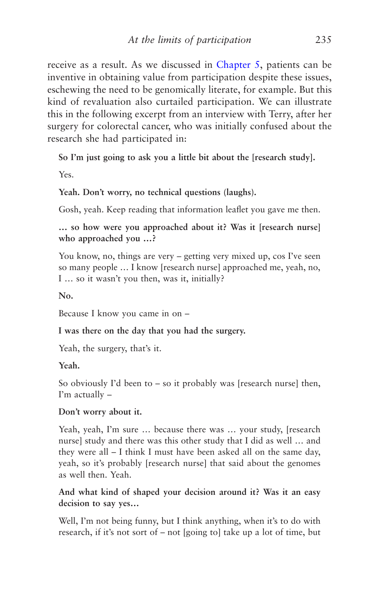receive as a result. As we discussed in [Chapter 5](#page-160-0), patients can be inventive in obtaining value from participation despite these issues, eschewing the need to be genomically literate, for example. But this kind of revaluation also curtailed participation. We can illustrate this in the following excerpt from an interview with Terry, after her surgery for colorectal cancer, who was initially confused about the research she had participated in:

**So I'm just going to ask you a little bit about the [research study].**

Yes.

**Yeah. Don't worry, no technical questions (laughs).**

Gosh, yeah. Keep reading that information leaflet you gave me then.

**… so how were you approached about it? Was it [research nurse] who approached you …?**

You know, no, things are very – getting very mixed up, cos I've seen so many people … I know [research nurse] approached me, yeah, no, I … so it wasn't you then, was it, initially?

**No.**

Because I know you came in on –

**I was there on the day that you had the surgery.**

Yeah, the surgery, that's it.

**Yeah.**

So obviously I'd been to  $-$  so it probably was [research nurse] then, I'm actually –

## **Don't worry about it.**

Yeah, yeah, I'm sure … because there was … your study, [research nurse] study and there was this other study that I did as well … and they were all – I think I must have been asked all on the same day, yeah, so it's probably [research nurse] that said about the genomes as well then. Yeah.

**And what kind of shaped your decision around it? Was it an easy decision to say yes…**

Well, I'm not being funny, but I think anything, when it's to do with research, if it's not sort of – not [going to] take up a lot of time, but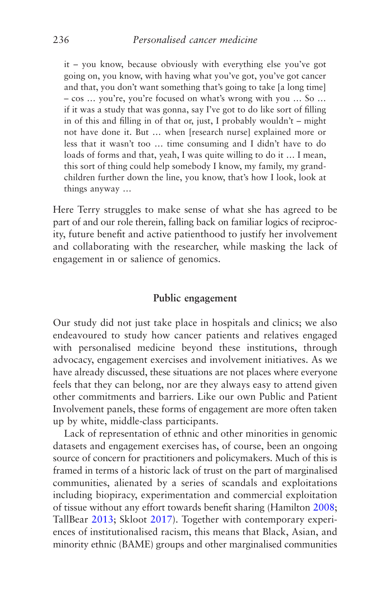it – you know, because obviously with everything else you've got going on, you know, with having what you've got, you've got cancer and that, you don't want something that's going to take [a long time] – cos … you're, you're focused on what's wrong with you … So … if it was a study that was gonna, say I've got to do like sort of filling in of this and filling in of that or, just, I probably wouldn't – might not have done it. But … when [research nurse] explained more or less that it wasn't too … time consuming and I didn't have to do loads of forms and that, yeah, I was quite willing to do it … I mean, this sort of thing could help somebody I know, my family, my grandchildren further down the line, you know, that's how I look, look at things anyway …

Here Terry struggles to make sense of what she has agreed to be part of and our role therein, falling back on familiar logics of reciprocity, future benefit and active patienthood to justify her involvement and collaborating with the researcher, while masking the lack of engagement in or salience of genomics.

## **Public engagement**

Our study did not just take place in hospitals and clinics; we also endeavoured to study how cancer patients and relatives engaged with personalised medicine beyond these institutions, through advocacy, engagement exercises and involvement initiatives. As we have already discussed, these situations are not places where everyone feels that they can belong, nor are they always easy to attend given other commitments and barriers. Like our own Public and Patient Involvement panels, these forms of engagement are more often taken up by white, middle-class participants.

Lack of representation of ethnic and other minorities in genomic datasets and engagement exercises has, of course, been an ongoing source of concern for practitioners and policymakers. Much of this is framed in terms of a historic lack of trust on the part of marginalised communities, alienated by a series of scandals and exploitations including biopiracy, experimentation and commercial exploitation of tissue without any effort towards benefit sharing (Hamilton [2008](#page-269-0); TallBear [2013](#page-277-0); Skloot [2017](#page-276-0)). Together with contemporary experiences of institutionalised racism, this means that Black, Asian, and minority ethnic (BAME) groups and other marginalised communities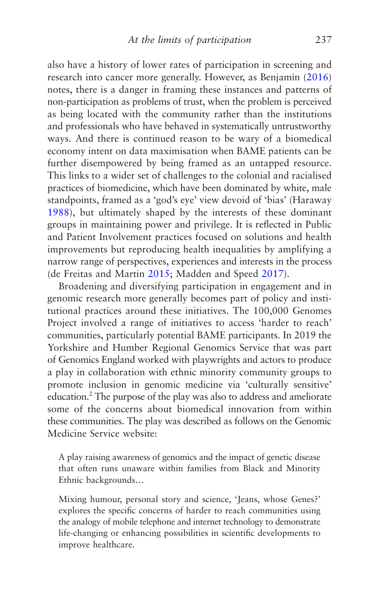<span id="page-245-0"></span>also have a history of lower rates of participation in screening and research into cancer more generally. However, as Benjamin ([2016\)](#page-265-0) notes, there is a danger in framing these instances and patterns of non-participation as problems of trust, when the problem is perceived as being located with the community rather than the institutions and professionals who have behaved in systematically untrustworthy ways. And there is continued reason to be wary of a biomedical economy intent on data maximisation when BAME patients can be further disempowered by being framed as an untapped resource. This links to a wider set of challenges to the colonial and racialised practices of biomedicine, which have been dominated by white, male standpoints, framed as a 'god's eye' view devoid of 'bias' (Haraway [1988](#page-269-0)), but ultimately shaped by the interests of these dominant groups in maintaining power and privilege. It is reflected in Public and Patient Involvement practices focused on solutions and health improvements but reproducing health inequalities by amplifying a narrow range of perspectives, experiences and interests in the process (de Freitas and Martin [2015;](#page-267-0) Madden and Speed [2017](#page-272-0)).

Broadening and diversifying participation in engagement and in genomic research more generally becomes part of policy and institutional practices around these initiatives. The 100,000 Genomes Project involved a range of initiatives to access 'harder to reach' communities, particularly potential BAME participants. In 2019 the Yorkshire and Humber Regional Genomics Service that was part of Genomics England worked with playwrights and actors to produce a play in collaboration with ethnic minority community groups to promote inclusion in genomic medicine via 'culturally sensitive' education.<sup>[2](#page-248-0)</sup> The purpose of the play was also to address and ameliorate some of the concerns about biomedical innovation from within these communities. The play was described as follows on the Genomic Medicine Service website:

A play raising awareness of genomics and the impact of genetic disease that often runs unaware within families from Black and Minority Ethnic backgrounds…

Mixing humour, personal story and science, 'Jeans, whose Genes?' explores the specific concerns of harder to reach communities using the analogy of mobile telephone and internet technology to demonstrate life-changing or enhancing possibilities in scientific developments to improve healthcare.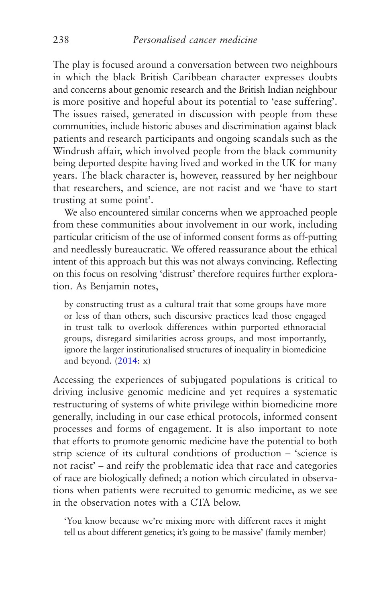The play is focused around a conversation between two neighbours in which the black British Caribbean character expresses doubts and concerns about genomic research and the British Indian neighbour is more positive and hopeful about its potential to 'ease suffering'. The issues raised, generated in discussion with people from these communities, include historic abuses and discrimination against black patients and research participants and ongoing scandals such as the Windrush affair, which involved people from the black community being deported despite having lived and worked in the UK for many years. The black character is, however, reassured by her neighbour that researchers, and science, are not racist and we 'have to start trusting at some point'.

We also encountered similar concerns when we approached people from these communities about involvement in our work, including particular criticism of the use of informed consent forms as off-putting and needlessly bureaucratic. We offered reassurance about the ethical intent of this approach but this was not always convincing. Reflecting on this focus on resolving 'distrust' therefore requires further exploration. As Benjamin notes,

by constructing trust as a cultural trait that some groups have more or less of than others, such discursive practices lead those engaged in trust talk to overlook differences within purported ethnoracial groups, disregard similarities across groups, and most importantly, ignore the larger institutionalised structures of inequality in biomedicine and beyond.  $(2014: x)$  $(2014: x)$  $(2014: x)$ 

Accessing the experiences of subjugated populations is critical to driving inclusive genomic medicine and yet requires a systematic restructuring of systems of white privilege within biomedicine more generally, including in our case ethical protocols, informed consent processes and forms of engagement. It is also important to note that efforts to promote genomic medicine have the potential to both strip science of its cultural conditions of production – 'science is not racist' – and reify the problematic idea that race and categories of race are biologically defined; a notion which circulated in observations when patients were recruited to genomic medicine, as we see in the observation notes with a CTA below.

'You know because we're mixing more with different races it might tell us about different genetics; it's going to be massive' (family member)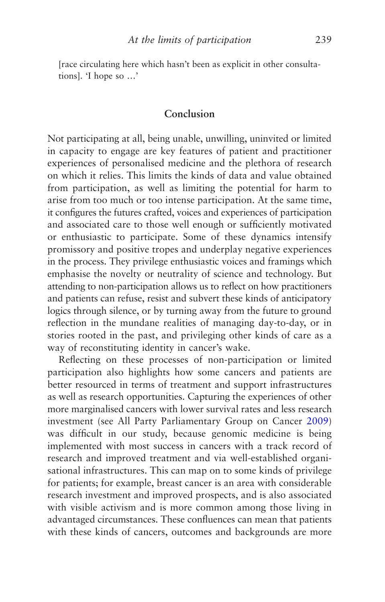[race circulating here which hasn't been as explicit in other consultations]. 'I hope so …'

## **Conclusion**

Not participating at all, being unable, unwilling, uninvited or limited in capacity to engage are key features of patient and practitioner experiences of personalised medicine and the plethora of research on which it relies. This limits the kinds of data and value obtained from participation, as well as limiting the potential for harm to arise from too much or too intense participation. At the same time, it configures the futures crafted, voices and experiences of participation and associated care to those well enough or sufficiently motivated or enthusiastic to participate. Some of these dynamics intensify promissory and positive tropes and underplay negative experiences in the process. They privilege enthusiastic voices and framings which emphasise the novelty or neutrality of science and technology. But attending to non-participation allows us to reflect on how practitioners and patients can refuse, resist and subvert these kinds of anticipatory logics through silence, or by turning away from the future to ground reflection in the mundane realities of managing day-to-day, or in stories rooted in the past, and privileging other kinds of care as a way of reconstituting identity in cancer's wake.

Reflecting on these processes of non-participation or limited participation also highlights how some cancers and patients are better resourced in terms of treatment and support infrastructures as well as research opportunities. Capturing the experiences of other more marginalised cancers with lower survival rates and less research investment (see All Party Parliamentary Group on Cancer [2009](#page-264-0)) was difficult in our study, because genomic medicine is being implemented with most success in cancers with a track record of research and improved treatment and via well-established organisational infrastructures. This can map on to some kinds of privilege for patients; for example, breast cancer is an area with considerable research investment and improved prospects, and is also associated with visible activism and is more common among those living in advantaged circumstances. These confluences can mean that patients with these kinds of cancers, outcomes and backgrounds are more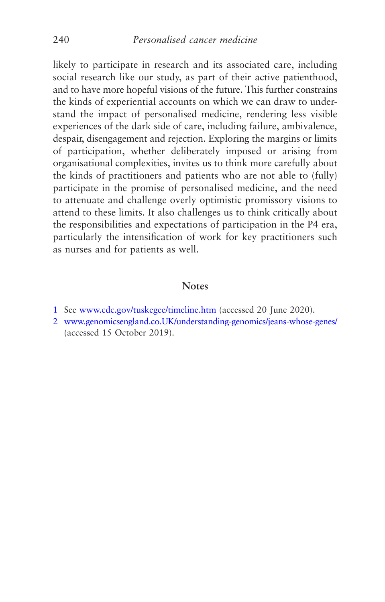<span id="page-248-0"></span>likely to participate in research and its associated care, including social research like our study, as part of their active patienthood, and to have more hopeful visions of the future. This further constrains the kinds of experiential accounts on which we can draw to understand the impact of personalised medicine, rendering less visible experiences of the dark side of care, including failure, ambivalence, despair, disengagement and rejection. Exploring the margins or limits of participation, whether deliberately imposed or arising from organisational complexities, invites us to think more carefully about the kinds of practitioners and patients who are not able to (fully) participate in the promise of personalised medicine, and the need to attenuate and challenge overly optimistic promissory visions to attend to these limits. It also challenges us to think critically about the responsibilities and expectations of participation in the P4 era, particularly the intensification of work for key practitioners such as nurses and for patients as well.

## **Notes**

- [1](#page-230-0) See [www.cdc.gov/tuskegee/timeline.htm](http://www.cdc.gov/tuskegee/timeline.htm) (accessed 20 June 2020).
- [2](#page-245-0) [www.genomicsengland.co.UK/understanding-genomics/jeans-whose-genes/](http://www.genomicsengland.co.uk/understanding-genomics/jeans-whose-genes/) (accessed 15 October 2019).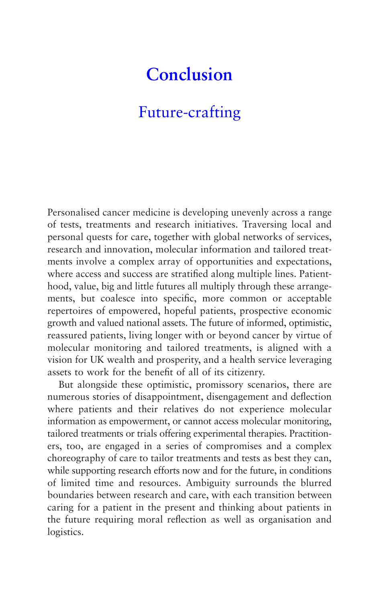# **Conclusion**

# [Future-crafting](#page-5-0)

Personalised cancer medicine is developing unevenly across a range of tests, treatments and research initiatives. Traversing local and personal quests for care, together with global networks of services, research and innovation, molecular information and tailored treatments involve a complex array of opportunities and expectations, where access and success are stratified along multiple lines. Patienthood, value, big and little futures all multiply through these arrangements, but coalesce into specific, more common or acceptable repertoires of empowered, hopeful patients, prospective economic growth and valued national assets. The future of informed, optimistic, reassured patients, living longer with or beyond cancer by virtue of molecular monitoring and tailored treatments, is aligned with a vision for UK wealth and prosperity, and a health service leveraging assets to work for the benefit of all of its citizenry.

But alongside these optimistic, promissory scenarios, there are numerous stories of disappointment, disengagement and deflection where patients and their relatives do not experience molecular information as empowerment, or cannot access molecular monitoring, tailored treatments or trials offering experimental therapies. Practitioners, too, are engaged in a series of compromises and a complex choreography of care to tailor treatments and tests as best they can, while supporting research efforts now and for the future, in conditions of limited time and resources. Ambiguity surrounds the blurred boundaries between research and care, with each transition between caring for a patient in the present and thinking about patients in the future requiring moral reflection as well as organisation and logistics.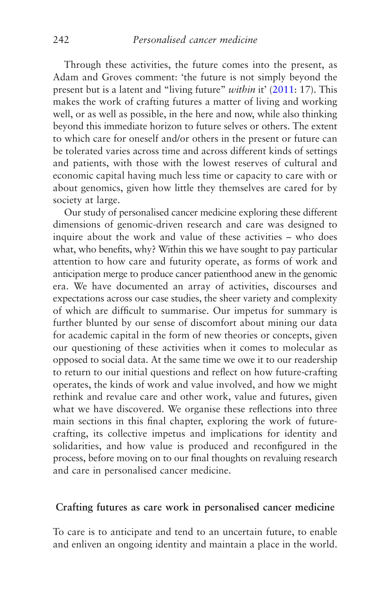Through these activities, the future comes into the present, as Adam and Groves comment: 'the future is not simply beyond the present but is a latent and "living future" *within* it' [\(2011](#page-264-0): 17). This makes the work of crafting futures a matter of living and working well, or as well as possible, in the here and now, while also thinking beyond this immediate horizon to future selves or others. The extent to which care for oneself and/or others in the present or future can be tolerated varies across time and across different kinds of settings and patients, with those with the lowest reserves of cultural and economic capital having much less time or capacity to care with or about genomics, given how little they themselves are cared for by society at large.

Our study of personalised cancer medicine exploring these different dimensions of genomic-driven research and care was designed to inquire about the work and value of these activities – who does what, who benefits, why? Within this we have sought to pay particular attention to how care and futurity operate, as forms of work and anticipation merge to produce cancer patienthood anew in the genomic era. We have documented an array of activities, discourses and expectations across our case studies, the sheer variety and complexity of which are difficult to summarise. Our impetus for summary is further blunted by our sense of discomfort about mining our data for academic capital in the form of new theories or concepts, given our questioning of these activities when it comes to molecular as opposed to social data. At the same time we owe it to our readership to return to our initial questions and reflect on how future-crafting operates, the kinds of work and value involved, and how we might rethink and revalue care and other work, value and futures, given what we have discovered. We organise these reflections into three main sections in this final chapter, exploring the work of futurecrafting, its collective impetus and implications for identity and solidarities, and how value is produced and reconfigured in the process, before moving on to our final thoughts on revaluing research and care in personalised cancer medicine.

## **Crafting futures as care work in personalised cancer medicine**

To care is to anticipate and tend to an uncertain future, to enable and enliven an ongoing identity and maintain a place in the world.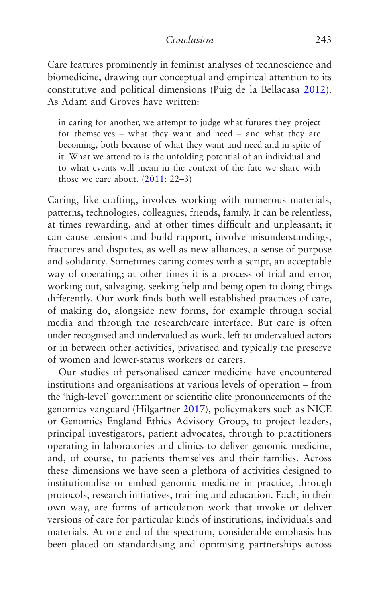Care features prominently in feminist analyses of technoscience and biomedicine, drawing our conceptual and empirical attention to its constitutive and political dimensions (Puig de la Bellacasa [2012](#page-275-0)). As Adam and Groves have written:

in caring for another, we attempt to judge what futures they project for themselves – what they want and need – and what they are becoming, both because of what they want and need and in spite of it. What we attend to is the unfolding potential of an individual and to what events will mean in the context of the fate we share with those we care about. [\(2011](#page-264-0): 22–3)

Caring, like crafting, involves working with numerous materials, patterns, technologies, colleagues, friends, family. It can be relentless, at times rewarding, and at other times difficult and unpleasant; it can cause tensions and build rapport, involve misunderstandings, fractures and disputes, as well as new alliances, a sense of purpose and solidarity. Sometimes caring comes with a script, an acceptable way of operating; at other times it is a process of trial and error, working out, salvaging, seeking help and being open to doing things differently. Our work finds both well-established practices of care, of making do, alongside new forms, for example through social media and through the research/care interface. But care is often under-recognised and undervalued as work, left to undervalued actors or in between other activities, privatised and typically the preserve of women and lower-status workers or carers.

Our studies of personalised cancer medicine have encountered institutions and organisations at various levels of operation – from the 'high-level' government or scientific elite pronouncements of the genomics vanguard (Hilgartner [2017](#page-270-0)), policymakers such as NICE or Genomics England Ethics Advisory Group, to project leaders, principal investigators, patient advocates, through to practitioners operating in laboratories and clinics to deliver genomic medicine, and, of course, to patients themselves and their families. Across these dimensions we have seen a plethora of activities designed to institutionalise or embed genomic medicine in practice, through protocols, research initiatives, training and education. Each, in their own way, are forms of articulation work that invoke or deliver versions of care for particular kinds of institutions, individuals and materials. At one end of the spectrum, considerable emphasis has been placed on standardising and optimising partnerships across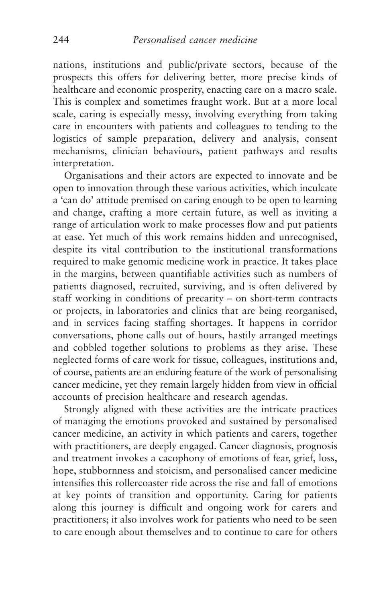<span id="page-252-0"></span>nations, institutions and public/private sectors, because of the prospects this offers for delivering better, more precise kinds of healthcare and economic prosperity, enacting care on a macro scale. This is complex and sometimes fraught work. But at a more local scale, caring is especially messy, involving everything from taking care in encounters with patients and colleagues to tending to the logistics of sample preparation, delivery and analysis, consent mechanisms, clinician behaviours, patient pathways and results interpretation.

Organisations and their actors are expected to innovate and be open to innovation through these various activities, which inculcate a 'can do' attitude premised on caring enough to be open to learning and change, crafting a more certain future, as well as inviting a range of articulation work to make processes flow and put patients at ease. Yet much of this work remains hidden and unrecognised, despite its vital contribution to the institutional transformations required to make genomic medicine work in practice. It takes place in the margins, between quantifiable activities such as numbers of patients diagnosed, recruited, surviving, and is often delivered by staff working in conditions of precarity – on short-term contracts or projects, in laboratories and clinics that are being reorganised, and in services facing staffing shortages. It happens in corridor conversations, phone calls out of hours, hastily arranged meetings and cobbled together solutions to problems as they arise. These neglected forms of care work for tissue, colleagues, institutions and, of course, patients are an enduring feature of the work of personalising cancer medicine, yet they remain largely hidden from view in official accounts of precision healthcare and research agendas.

Strongly aligned with these activities are the intricate practices of managing the emotions provoked and sustained by personalised cancer medicine, an activity in which patients and carers, together with practitioners, are deeply engaged. Cancer diagnosis, prognosis and treatment invokes a cacophony of emotions of fear, grief, loss, hope, stubbornness and stoicism, and personalised cancer medicine intensifies this rollercoaster ride across the rise and fall of emotions at key points of transition and opportunity. Caring for patients along this journey is difficult and ongoing work for carers and practitioners; it also involves work for patients who need to be seen to care enough about themselves and to continue to care for others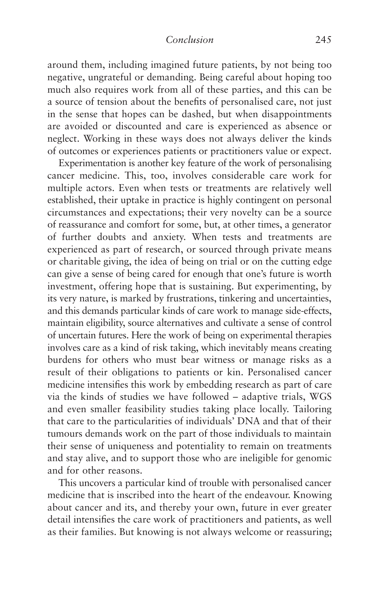#### *Conclusion* 245

<span id="page-253-0"></span>around them, including imagined future patients, by not being too negative, ungrateful or demanding. Being careful about hoping too much also requires work from all of these parties, and this can be a source of tension about the benefits of personalised care, not just in the sense that hopes can be dashed, but when disappointments are avoided or discounted and care is experienced as absence or neglect. Working in these ways does not always deliver the kinds of outcomes or experiences patients or practitioners value or expect.

Experimentation is another key feature of the work of personalising cancer medicine. This, too, involves considerable care work for multiple actors. Even when tests or treatments are relatively well established, their uptake in practice is highly contingent on personal circumstances and expectations; their very novelty can be a source of reassurance and comfort for some, but, at other times, a generator of further doubts and anxiety. When tests and treatments are experienced as part of research, or sourced through private means or charitable giving, the idea of being on trial or on the cutting edge can give a sense of being cared for enough that one's future is worth investment, offering hope that is sustaining. But experimenting, by its very nature, is marked by frustrations, tinkering and uncertainties, and this demands particular kinds of care work to manage side-effects, maintain eligibility, source alternatives and cultivate a sense of control of uncertain futures. Here the work of being on experimental therapies involves care as a kind of risk taking, which inevitably means creating burdens for others who must bear witness or manage risks as a result of their obligations to patients or kin. Personalised cancer medicine intensifies this work by embedding research as part of care via the kinds of studies we have followed – adaptive trials, WGS and even smaller feasibility studies taking place locally. Tailoring that care to the particularities of individuals' DNA and that of their tumours demands work on the part of those individuals to maintain their sense of uniqueness and potentiality to remain on treatments and stay alive, and to support those who are ineligible for genomic and for other reasons.

This uncovers a particular kind of trouble with personalised cancer medicine that is inscribed into the heart of the endeavour. Knowing about cancer and its, and thereby your own, future in ever greater detail intensifies the care work of practitioners and patients, as well as their families. But knowing is not always welcome or reassuring;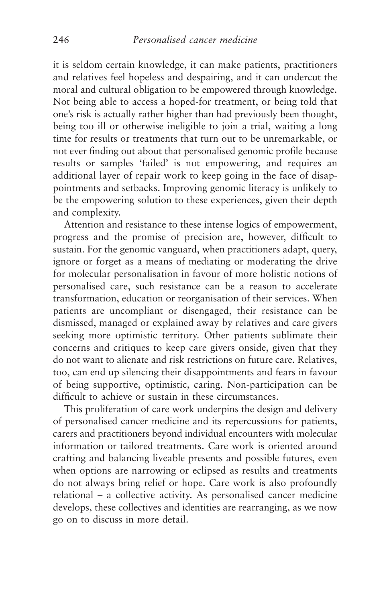<span id="page-254-0"></span>it is seldom certain knowledge, it can make patients, practitioners and relatives feel hopeless and despairing, and it can undercut the moral and cultural obligation to be empowered through knowledge. Not being able to access a hoped-for treatment, or being told that one's risk is actually rather higher than had previously been thought, being too ill or otherwise ineligible to join a trial, waiting a long time for results or treatments that turn out to be unremarkable, or not ever finding out about that personalised genomic profile because results or samples 'failed' is not empowering, and requires an additional layer of repair work to keep going in the face of disappointments and setbacks. Improving genomic literacy is unlikely to be the empowering solution to these experiences, given their depth and complexity.

Attention and resistance to these intense logics of empowerment, progress and the promise of precision are, however, difficult to sustain. For the genomic vanguard, when practitioners adapt, query, ignore or forget as a means of mediating or moderating the drive for molecular personalisation in favour of more holistic notions of personalised care, such resistance can be a reason to accelerate transformation, education or reorganisation of their services. When patients are uncompliant or disengaged, their resistance can be dismissed, managed or explained away by relatives and care givers seeking more optimistic territory. Other patients sublimate their concerns and critiques to keep care givers onside, given that they do not want to alienate and risk restrictions on future care. Relatives, too, can end up silencing their disappointments and fears in favour of being supportive, optimistic, caring. Non-participation can be difficult to achieve or sustain in these circumstances.

This proliferation of care work underpins the design and delivery of personalised cancer medicine and its repercussions for patients, carers and practitioners beyond individual encounters with molecular information or tailored treatments. Care work is oriented around crafting and balancing liveable presents and possible futures, even when options are narrowing or eclipsed as results and treatments do not always bring relief or hope. Care work is also profoundly relational – a collective activity. As personalised cancer medicine develops, these collectives and identities are rearranging, as we now go on to discuss in more detail.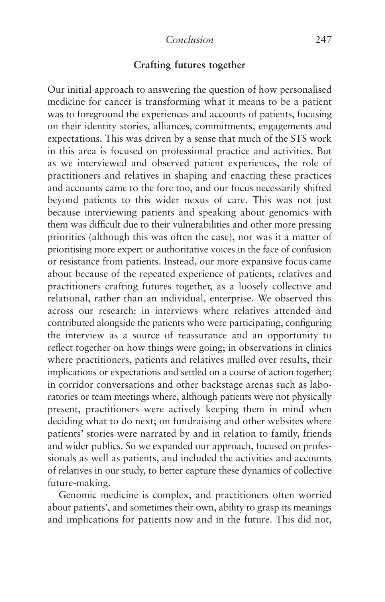## **Crafting futures together**

<span id="page-255-0"></span>Our initial approach to answering the question of how personalised medicine for cancer is transforming what it means to be a patient was to foreground the experiences and accounts of patients, focusing on their identity stories, alliances, commitments, engagements and expectations. This was driven by a sense that much of the STS work in this area is focused on professional practice and activities. But as we interviewed and observed patient experiences, the role of practitioners and relatives in shaping and enacting these practices and accounts came to the fore too, and our focus necessarily shifted beyond patients to this wider nexus of care. This was not just because interviewing patients and speaking about genomics with them was difficult due to their vulnerabilities and other more pressing priorities (although this was often the case), nor was it a matter of prioritising more expert or authoritative voices in the face of confusion or resistance from patients. Instead, our more expansive focus came about because of the repeated experience of patients, relatives and practitioners crafting futures together, as a loosely collective and relational, rather than an individual, enterprise. We observed this across our research: in interviews where relatives attended and contributed alongside the patients who were participating, configuring the interview as a source of reassurance and an opportunity to reflect together on how things were going; in observations in clinics where practitioners, patients and relatives mulled over results, their implications or expectations and settled on a course of action together; in corridor conversations and other backstage arenas such as laboratories or team meetings where, although patients were not physically present, practitioners were actively keeping them in mind when deciding what to do next; on fundraising and other websites where patients' stories were narrated by and in relation to family, friends and wider publics. So we expanded our approach, focused on professionals as well as patients, and included the activities and accounts of relatives in our study, to better capture these dynamics of collective future-making.

Genomic medicine is complex, and practitioners often worried about patients', and sometimes their own, ability to grasp its meanings and implications for patients now and in the future. This did not,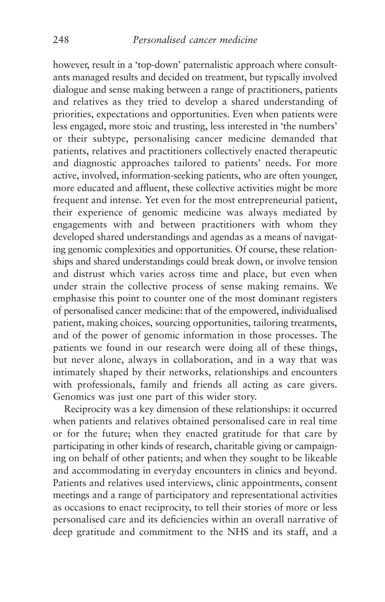<span id="page-256-0"></span>however, result in a 'top-down' paternalistic approach where consultants managed results and decided on treatment, but typically involved dialogue and sense making between a range of practitioners, patients and relatives as they tried to develop a shared understanding of priorities, expectations and opportunities. Even when patients were less engaged, more stoic and trusting, less interested in 'the numbers' or their subtype, personalising cancer medicine demanded that patients, relatives and practitioners collectively enacted therapeutic and diagnostic approaches tailored to patients' needs. For more active, involved, information-seeking patients, who are often younger, more educated and affluent, these collective activities might be more frequent and intense. Yet even for the most entrepreneurial patient, their experience of genomic medicine was always mediated by engagements with and between practitioners with whom they developed shared understandings and agendas as a means of navigating genomic complexities and opportunities. Of course, these relationships and shared understandings could break down, or involve tension and distrust which varies across time and place, but even when under strain the collective process of sense making remains. We emphasise this point to counter one of the most dominant registers of personalised cancer medicine: that of the empowered, individualised patient, making choices, sourcing opportunities, tailoring treatments, and of the power of genomic information in those processes. The patients we found in our research were doing all of these things, but never alone, always in collaboration, and in a way that was intimately shaped by their networks, relationships and encounters with professionals, family and friends all acting as care givers. Genomics was just one part of this wider story.

Reciprocity was a key dimension of these relationships: it occurred when patients and relatives obtained personalised care in real time or for the future; when they enacted gratitude for that care by participating in other kinds of research, charitable giving or campaigning on behalf of other patients; and when they sought to be likeable and accommodating in everyday encounters in clinics and beyond. Patients and relatives used interviews, clinic appointments, consent meetings and a range of participatory and representational activities as occasions to enact reciprocity, to tell their stories of more or less personalised care and its deficiencies within an overall narrative of deep gratitude and commitment to the NHS and its staff, and a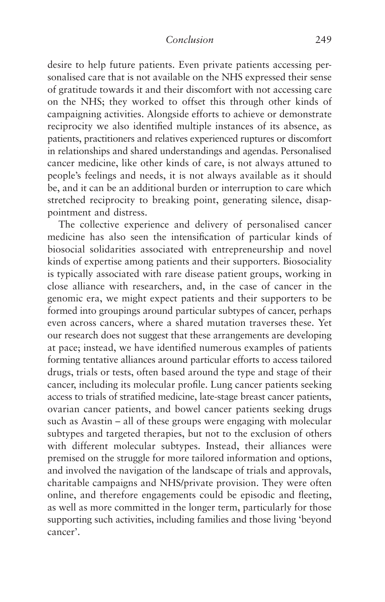<span id="page-257-0"></span>desire to help future patients. Even private patients accessing personalised care that is not available on the NHS expressed their sense of gratitude towards it and their discomfort with not accessing care on the NHS; they worked to offset this through other kinds of campaigning activities. Alongside efforts to achieve or demonstrate reciprocity we also identified multiple instances of its absence, as patients, practitioners and relatives experienced ruptures or discomfort in relationships and shared understandings and agendas. Personalised cancer medicine, like other kinds of care, is not always attuned to people's feelings and needs, it is not always available as it should be, and it can be an additional burden or interruption to care which stretched reciprocity to breaking point, generating silence, disappointment and distress.

The collective experience and delivery of personalised cancer medicine has also seen the intensification of particular kinds of biosocial solidarities associated with entrepreneurship and novel kinds of expertise among patients and their supporters. Biosociality is typically associated with rare disease patient groups, working in close alliance with researchers, and, in the case of cancer in the genomic era, we might expect patients and their supporters to be formed into groupings around particular subtypes of cancer, perhaps even across cancers, where a shared mutation traverses these. Yet our research does not suggest that these arrangements are developing at pace; instead, we have identified numerous examples of patients forming tentative alliances around particular efforts to access tailored drugs, trials or tests, often based around the type and stage of their cancer, including its molecular profile. Lung cancer patients seeking access to trials of stratified medicine, late-stage breast cancer patients, ovarian cancer patients, and bowel cancer patients seeking drugs such as Avastin – all of these groups were engaging with molecular subtypes and targeted therapies, but not to the exclusion of others with different molecular subtypes. Instead, their alliances were premised on the struggle for more tailored information and options, and involved the navigation of the landscape of trials and approvals, charitable campaigns and NHS/private provision. They were often online, and therefore engagements could be episodic and fleeting, as well as more committed in the longer term, particularly for those supporting such activities, including families and those living 'beyond cancer'.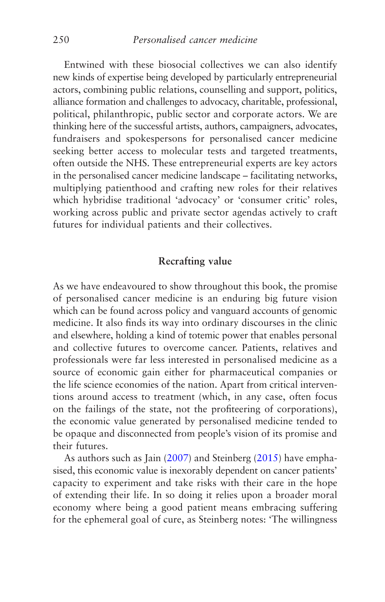<span id="page-258-0"></span>Entwined with these biosocial collectives we can also identify new kinds of expertise being developed by particularly entrepreneurial actors, combining public relations, counselling and support, politics, alliance formation and challenges to advocacy, charitable, professional, political, philanthropic, public sector and corporate actors. We are thinking here of the successful artists, authors, campaigners, advocates, fundraisers and spokespersons for personalised cancer medicine seeking better access to molecular tests and targeted treatments, often outside the NHS. These entrepreneurial experts are key actors in the personalised cancer medicine landscape – facilitating networks, multiplying patienthood and crafting new roles for their relatives which hybridise traditional 'advocacy' or 'consumer critic' roles, working across public and private sector agendas actively to craft futures for individual patients and their collectives.

## **Recrafting value**

As we have endeavoured to show throughout this book, the promise of personalised cancer medicine is an enduring big future vision which can be found across policy and vanguard accounts of genomic medicine. It also finds its way into ordinary discourses in the clinic and elsewhere, holding a kind of totemic power that enables personal and collective futures to overcome cancer. Patients, relatives and professionals were far less interested in personalised medicine as a source of economic gain either for pharmaceutical companies or the life science economies of the nation. Apart from critical interventions around access to treatment (which, in any case, often focus on the failings of the state, not the profiteering of corporations), the economic value generated by personalised medicine tended to be opaque and disconnected from people's vision of its promise and their futures.

As authors such as Jain ([2007\)](#page-270-0) and Steinberg [\(2015\)](#page-276-0) have emphasised, this economic value is inexorably dependent on cancer patients' capacity to experiment and take risks with their care in the hope of extending their life. In so doing it relies upon a broader moral economy where being a good patient means embracing suffering for the ephemeral goal of cure, as Steinberg notes: 'The willingness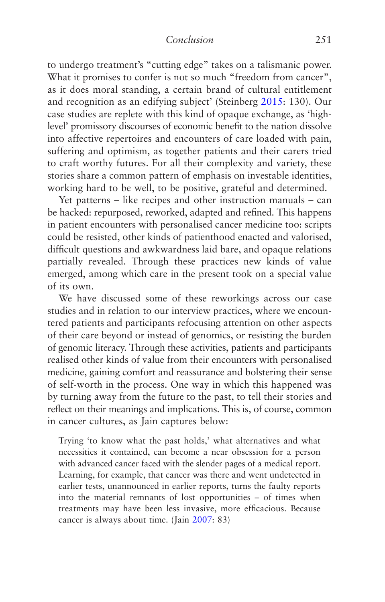<span id="page-259-0"></span>to undergo treatment's "cutting edge" takes on a talismanic power. What it promises to confer is not so much "freedom from cancer", as it does moral standing, a certain brand of cultural entitlement and recognition as an edifying subject' (Steinberg [2015:](#page-276-0) 130). Our case studies are replete with this kind of opaque exchange, as 'highlevel' promissory discourses of economic benefit to the nation dissolve into affective repertoires and encounters of care loaded with pain, suffering and optimism, as together patients and their carers tried to craft worthy futures. For all their complexity and variety, these stories share a common pattern of emphasis on investable identities, working hard to be well, to be positive, grateful and determined.

Yet patterns – like recipes and other instruction manuals – can be hacked: repurposed, reworked, adapted and refined. This happens in patient encounters with personalised cancer medicine too: scripts could be resisted, other kinds of patienthood enacted and valorised, difficult questions and awkwardness laid bare, and opaque relations partially revealed. Through these practices new kinds of value emerged, among which care in the present took on a special value of its own.

We have discussed some of these reworkings across our case studies and in relation to our interview practices, where we encountered patients and participants refocusing attention on other aspects of their care beyond or instead of genomics, or resisting the burden of genomic literacy. Through these activities, patients and participants realised other kinds of value from their encounters with personalised medicine, gaining comfort and reassurance and bolstering their sense of self-worth in the process. One way in which this happened was by turning away from the future to the past, to tell their stories and reflect on their meanings and implications. This is, of course, common in cancer cultures, as Jain captures below:

Trying 'to know what the past holds,' what alternatives and what necessities it contained, can become a near obsession for a person with advanced cancer faced with the slender pages of a medical report. Learning, for example, that cancer was there and went undetected in earlier tests, unannounced in earlier reports, turns the faulty reports into the material remnants of lost opportunities – of times when treatments may have been less invasive, more efficacious. Because cancer is always about time. (Jain [2007:](#page-270-0) 83)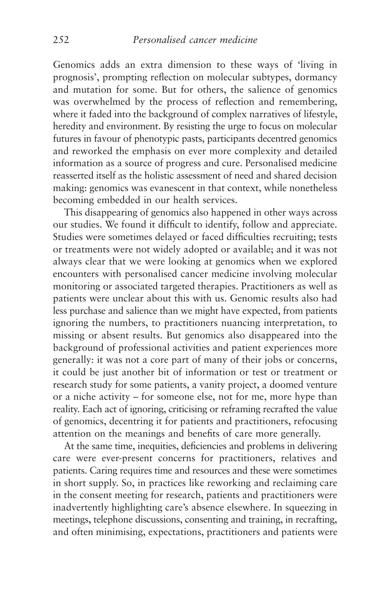<span id="page-260-0"></span>Genomics adds an extra dimension to these ways of 'living in prognosis', prompting reflection on molecular subtypes, dormancy and mutation for some. But for others, the salience of genomics was overwhelmed by the process of reflection and remembering, where it faded into the background of complex narratives of lifestyle, heredity and environment. By resisting the urge to focus on molecular futures in favour of phenotypic pasts, participants decentred genomics and reworked the emphasis on ever more complexity and detailed information as a source of progress and cure. Personalised medicine reasserted itself as the holistic assessment of need and shared decision making: genomics was evanescent in that context, while nonetheless becoming embedded in our health services.

This disappearing of genomics also happened in other ways across our studies. We found it difficult to identify, follow and appreciate. Studies were sometimes delayed or faced difficulties recruiting; tests or treatments were not widely adopted or available; and it was not always clear that we were looking at genomics when we explored encounters with personalised cancer medicine involving molecular monitoring or associated targeted therapies. Practitioners as well as patients were unclear about this with us. Genomic results also had less purchase and salience than we might have expected, from patients ignoring the numbers, to practitioners nuancing interpretation, to missing or absent results. But genomics also disappeared into the background of professional activities and patient experiences more generally: it was not a core part of many of their jobs or concerns, it could be just another bit of information or test or treatment or research study for some patients, a vanity project, a doomed venture or a niche activity – for someone else, not for me, more hype than reality. Each act of ignoring, criticising or reframing recrafted the value of genomics, decentring it for patients and practitioners, refocusing attention on the meanings and benefits of care more generally.

At the same time, inequities, deficiencies and problems in delivering care were ever-present concerns for practitioners, relatives and patients. Caring requires time and resources and these were sometimes in short supply. So, in practices like reworking and reclaiming care in the consent meeting for research, patients and practitioners were inadvertently highlighting care's absence elsewhere. In squeezing in meetings, telephone discussions, consenting and training, in recrafting, and often minimising, expectations, practitioners and patients were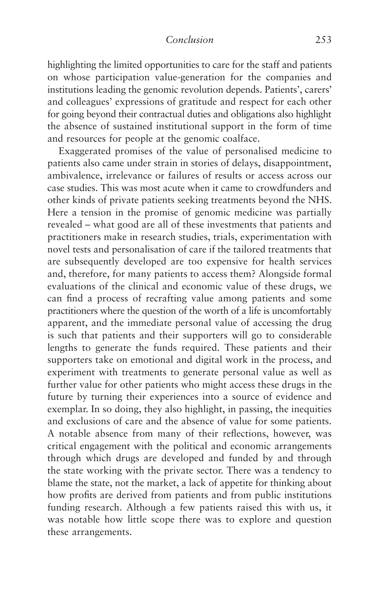<span id="page-261-0"></span>highlighting the limited opportunities to care for the staff and patients on whose participation value-generation for the companies and institutions leading the genomic revolution depends. Patients', carers' and colleagues' expressions of gratitude and respect for each other for going beyond their contractual duties and obligations also highlight the absence of sustained institutional support in the form of time and resources for people at the genomic coalface.

Exaggerated promises of the value of personalised medicine to patients also came under strain in stories of delays, disappointment, ambivalence, irrelevance or failures of results or access across our case studies. This was most acute when it came to crowdfunders and other kinds of private patients seeking treatments beyond the NHS. Here a tension in the promise of genomic medicine was partially revealed – what good are all of these investments that patients and practitioners make in research studies, trials, experimentation with novel tests and personalisation of care if the tailored treatments that are subsequently developed are too expensive for health services and, therefore, for many patients to access them? Alongside formal evaluations of the clinical and economic value of these drugs, we can find a process of recrafting value among patients and some practitioners where the question of the worth of a life is uncomfortably apparent, and the immediate personal value of accessing the drug is such that patients and their supporters will go to considerable lengths to generate the funds required. These patients and their supporters take on emotional and digital work in the process, and experiment with treatments to generate personal value as well as further value for other patients who might access these drugs in the future by turning their experiences into a source of evidence and exemplar. In so doing, they also highlight, in passing, the inequities and exclusions of care and the absence of value for some patients. A notable absence from many of their reflections, however, was critical engagement with the political and economic arrangements through which drugs are developed and funded by and through the state working with the private sector. There was a tendency to blame the state, not the market, a lack of appetite for thinking about how profits are derived from patients and from public institutions funding research. Although a few patients raised this with us, it was notable how little scope there was to explore and question these arrangements.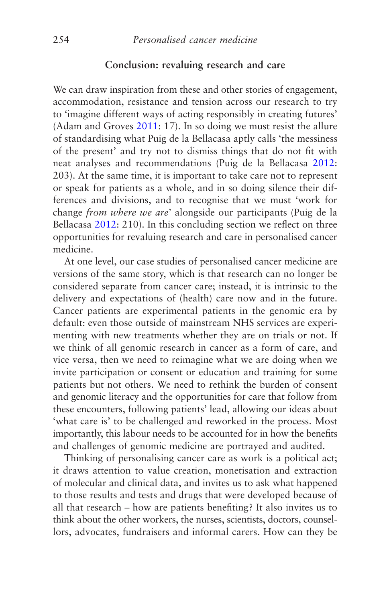#### **Conclusion: revaluing research and care**

<span id="page-262-0"></span>We can draw inspiration from these and other stories of engagement, accommodation, resistance and tension across our research to try to 'imagine different ways of acting responsibly in creating futures' (Adam and Groves [2011:](#page-264-0) 17). In so doing we must resist the allure of standardising what Puig de la Bellacasa aptly calls 'the messiness of the present' and try not to dismiss things that do not fit with neat analyses and recommendations (Puig de la Bellacasa [2012](#page-275-0): 203). At the same time, it is important to take care not to represent or speak for patients as a whole, and in so doing silence their differences and divisions, and to recognise that we must 'work for change *from where we are*' alongside our participants (Puig de la Bellacasa [2012](#page-275-0): 210). In this concluding section we reflect on three opportunities for revaluing research and care in personalised cancer medicine.

At one level, our case studies of personalised cancer medicine are versions of the same story, which is that research can no longer be considered separate from cancer care; instead, it is intrinsic to the delivery and expectations of (health) care now and in the future. Cancer patients are experimental patients in the genomic era by default: even those outside of mainstream NHS services are experimenting with new treatments whether they are on trials or not. If we think of all genomic research in cancer as a form of care, and vice versa, then we need to reimagine what we are doing when we invite participation or consent or education and training for some patients but not others. We need to rethink the burden of consent and genomic literacy and the opportunities for care that follow from these encounters, following patients' lead, allowing our ideas about 'what care is' to be challenged and reworked in the process. Most importantly, this labour needs to be accounted for in how the benefits and challenges of genomic medicine are portrayed and audited.

Thinking of personalising cancer care as work is a political act; it draws attention to value creation, monetisation and extraction of molecular and clinical data, and invites us to ask what happened to those results and tests and drugs that were developed because of all that research – how are patients benefiting? It also invites us to think about the other workers, the nurses, scientists, doctors, counsellors, advocates, fundraisers and informal carers. How can they be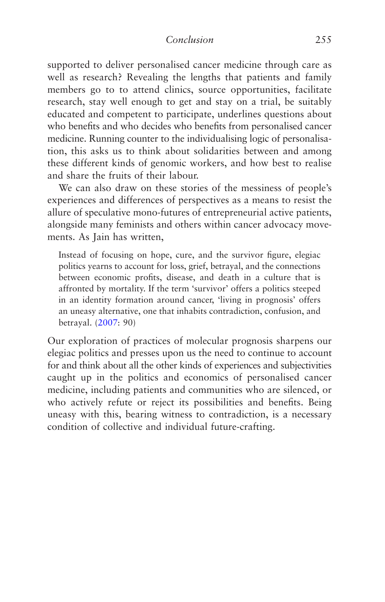<span id="page-263-0"></span>supported to deliver personalised cancer medicine through care as well as research? Revealing the lengths that patients and family members go to to attend clinics, source opportunities, facilitate research, stay well enough to get and stay on a trial, be suitably educated and competent to participate, underlines questions about who benefits and who decides who benefits from personalised cancer medicine. Running counter to the individualising logic of personalisation, this asks us to think about solidarities between and among these different kinds of genomic workers, and how best to realise and share the fruits of their labour.

We can also draw on these stories of the messiness of people's experiences and differences of perspectives as a means to resist the allure of speculative mono-futures of entrepreneurial active patients, alongside many feminists and others within cancer advocacy movements. As Jain has written,

Instead of focusing on hope, cure, and the survivor figure, elegiac politics yearns to account for loss, grief, betrayal, and the connections between economic profits, disease, and death in a culture that is affronted by mortality. If the term 'survivor' offers a politics steeped in an identity formation around cancer, 'living in prognosis' offers an uneasy alternative, one that inhabits contradiction, confusion, and betrayal. ([2007:](#page-270-0) 90)

Our exploration of practices of molecular prognosis sharpens our elegiac politics and presses upon us the need to continue to account for and think about all the other kinds of experiences and subjectivities caught up in the politics and economics of personalised cancer medicine, including patients and communities who are silenced, or who actively refute or reject its possibilities and benefits. Being uneasy with this, bearing witness to contradiction, is a necessary condition of collective and individual future-crafting.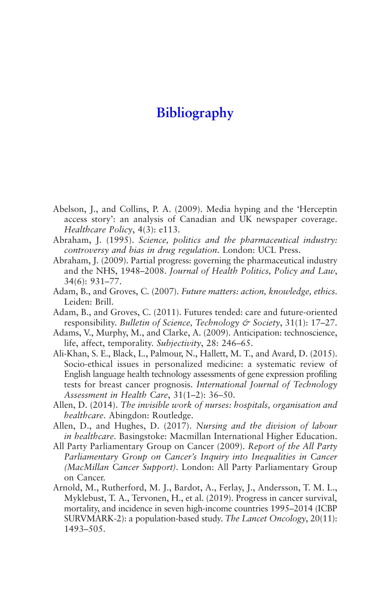# <span id="page-264-0"></span>**[Bibliography](#page-5-0)**

- Abelson, J., and Collins, P. A. (2009). Media hyping and the 'Herceptin access story': an analysis of Canadian and UK newspaper coverage. *Healthcare Policy*, 4(3): e113.
- Abraham, J. (1995). *Science, politics and the pharmaceutical industry: controversy and bias in drug regulation*. London: UCL Press.
- Abraham, J. (2009). Partial progress: governing the pharmaceutical industry and the NHS, 1948–2008. *Journal of Health Politics, Policy and Law*, 34(6): 931–77.
- Adam, B., and Groves, C. (2007). *Future matters: action, knowledge, ethics*. Leiden: Brill.
- Adam, B., and Groves, C. (2011). Futures tended: care and future-oriented responsibility. *Bulletin of Science, Technology & Society*, 31(1): 17–27.
- Adams, V., Murphy, M., and Clarke, A. (2009). Anticipation: technoscience, life, affect, temporality. *Subjectivity*, 28: 246–65.
- Ali-Khan, S. E., Black, L., Palmour, N., Hallett, M. T., and Avard, D. (2015). Socio-ethical issues in personalized medicine: a systematic review of English language health technology assessments of gene expression profiling tests for breast cancer prognosis. *International Journal of Technology Assessment in Health Care*, 31(1–2): 36–50.
- Allen, D. (2014). *The invisible work of nurses: hospitals, organisation and healthcare*. Abingdon: Routledge.
- Allen, D., and Hughes, D. (2017). *Nursing and the division of labour in healthcare*. Basingstoke: Macmillan International Higher Education.
- All Party Parliamentary Group on Cancer (2009). *Report of the All Party Parliamentary Group on Cancer's Inquiry into Inequalities in Cancer (MacMillan Cancer Support)*. London: All Party Parliamentary Group on Cancer.
- Arnold, M., Rutherford, M. J., Bardot, A., Ferlay, J., Andersson, T. M. L., Myklebust, T. A., Tervonen, H., et al. (2019). Progress in cancer survival, mortality, and incidence in seven high-income countries 1995–2014 (ICBP SURVMARK-2): a population-based study. *The Lancet Oncology*, 20(11): 1493–505.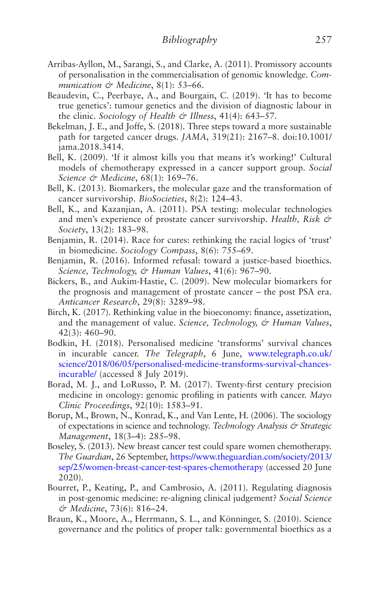- Arribas-Ayllon, M., Sarangi, S., and Clarke, A. (2011). Promissory accounts of personalisation in the commercialisation of genomic knowledge. *Communication & Medicine*, 8(1): 53–66.
- Beaudevin, C., Peerbaye, A., and Bourgain, C. (2019). 'It has to become true genetics': tumour genetics and the division of diagnostic labour in the clinic. *Sociology of Health & Illness*, 41(4): 643–57.
- Bekelman, J. E., and Joffe, S. (2018). Three steps toward a more sustainable path for targeted cancer drugs. *JAMA*, 319(21): 2167–8. doi:10.1001/ jama.2018.3414.
- Bell, K. (2009). 'If it almost kills you that means it's working!' Cultural models of chemotherapy expressed in a cancer support group. *Social Science & Medicine*, 68(1): 169–76.
- Bell, K. (2013). Biomarkers, the molecular gaze and the transformation of cancer survivorship. *BioSocieties*, 8(2): 124–43.
- Bell, K., and Kazanjian, A. (2011). PSA testing: molecular technologies and men's experience of prostate cancer survivorship. *Health, Risk & Society*, 13(2): 183–98.
- Benjamin, R. (2014). Race for cures: rethinking the racial logics of 'trust' in biomedicine. *Sociology Compass*, 8(6): 755–69.
- Benjamin, R. (2016). Informed refusal: toward a justice-based bioethics. *Science, Technology, & Human Values*, 41(6): 967–90.
- Bickers, B., and Aukim-Hastie, C. (2009). New molecular biomarkers for the prognosis and management of prostate cancer – the post PSA era. *Anticancer Research*, 29(8): 3289–98.
- Birch, K. (2017). Rethinking value in the bioeconomy: finance, assetization, and the management of value. *Science, Technology, & Human Values*, 42(3): 460–90.
- Bodkin, H. (2018). Personalised medicine 'transforms' survival chances in incurable cancer. *The Telegraph*, 6 June, [www.telegraph.co.uk/](http://www.telegraph.co.uk/science/2018/06/05/personalised-medicine-transforms-survival-chances-incurable/) [science/2018/06/05/personalised-medicine-transforms-survival-chances](http://www.telegraph.co.uk/science/2018/06/05/personalised-medicine-transforms-survival-chances-incurable/)[incurable/](http://www.telegraph.co.uk/science/2018/06/05/personalised-medicine-transforms-survival-chances-incurable/) (accessed 8 July 2019).
- Borad, M. J., and LoRusso, P. M. (2017). Twenty-first century precision medicine in oncology: genomic profiling in patients with cancer. *Mayo Clinic Proceedings*, 92(10): 1583–91.
- Borup, M., Brown, N., Konrad, K., and Van Lente, H. (2006). The sociology of expectations in science and technology. *Technology Analysis & Strategic Management*, 18(3–4): 285–98.
- Boseley, S. (2013). New breast cancer test could spare women chemotherapy. *The Guardian*, 26 September, [https://www.theguardian.com/society/2013/](https://www.theguardian.com/society/2013/sep/25/women-breast-cancer-test-spares-chemotherapy) [sep/25/women-breast-cancer-test-spares-chemotherapy](https://www.theguardian.com/society/2013/sep/25/women-breast-cancer-test-spares-chemotherapy) (accessed 20 June 2020).
- Bourret, P., Keating, P., and Cambrosio, A. (2011). Regulating diagnosis in post-genomic medicine: re-aligning clinical judgement? *Social Science & Medicine*, 73(6): 816–24.
- Braun, K., Moore, A., Herrmann, S. L., and Könninger, S. (2010). Science governance and the politics of proper talk: governmental bioethics as a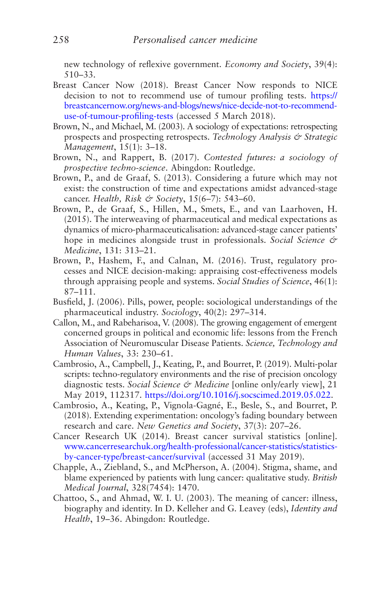new technology of reflexive government. *Economy and Society*, 39(4): 510–33.

- Breast Cancer Now (2018). Breast Cancer Now responds to NICE decision to not to recommend use of tumour profiling tests. [https://](https://breastcancernow.org/news-and-blogs/news/nice-decide-not-to-recommend-use-of-tumour-profiling-tests) [breastcancernow.org/news-and-blogs/news/nice-decide-not-to-recommend](https://breastcancernow.org/news-and-blogs/news/nice-decide-not-to-recommend-use-of-tumour-profiling-tests)[use-of-tumour-profiling-tests](https://breastcancernow.org/news-and-blogs/news/nice-decide-not-to-recommend-use-of-tumour-profiling-tests) (accessed 5 March 2018).
- Brown, N., and Michael, M. (2003). A sociology of expectations: retrospecting prospects and prospecting retrospects. *Technology Analysis & Strategic Management*, 15(1): 3–18.
- Brown, N., and Rappert, B. (2017). *Contested futures: a sociology of prospective techno-science*. Abingdon: Routledge.
- Brown, P., and de Graaf, S. (2013). Considering a future which may not exist: the construction of time and expectations amidst advanced-stage cancer. *Health, Risk & Society*, 15(6–7): 543–60.
- Brown, P., de Graaf, S., Hillen, M., Smets, E., and van Laarhoven, H. (2015). The interweaving of pharmaceutical and medical expectations as dynamics of micro-pharmaceuticalisation: advanced-stage cancer patients' hope in medicines alongside trust in professionals. *Social Science & Medicine*, 131: 313–21.
- Brown, P., Hashem, F., and Calnan, M. (2016). Trust, regulatory processes and NICE decision-making: appraising cost-effectiveness models through appraising people and systems. *Social Studies of Science*, 46(1): 87–111.
- Busfield, J. (2006). Pills, power, people: sociological understandings of the pharmaceutical industry. *Sociology*, 40(2): 297–314.
- Callon, M., and Rabeharisoa, V. (2008). The growing engagement of emergent concerned groups in political and economic life: lessons from the French Association of Neuromuscular Disease Patients. *Science, Technology and Human Values*, 33: 230–61.
- Cambrosio, A., Campbell, J., Keating, P., and Bourret, P. (2019). Multi-polar scripts: techno-regulatory environments and the rise of precision oncology diagnostic tests. *Social Science & Medicine* [online only/early view], 21 May 2019, 112317. <https://doi.org/10.1016/j.socscimed.2019.05.022>.
- Cambrosio, A., Keating, P., Vignola-Gagné, E., Besle, S., and Bourret, P. (2018). Extending experimentation: oncology's fading boundary between research and care. *New Genetics and Society*, 37(3): 207–26.
- Cancer Research UK (2014). Breast cancer survival statistics [online]. [www.cancerresearchuk.org/health-professional/cancer-statistics/statistics](http://www.cancerresearchuk.org/health-professional/cancer-statistics/statistics-by-cancer-type/breast-cancer/survival)[by-cancer-type/breast-cancer/survival](http://www.cancerresearchuk.org/health-professional/cancer-statistics/statistics-by-cancer-type/breast-cancer/survival) (accessed 31 May 2019).
- Chapple, A., Ziebland, S., and McPherson, A. (2004). Stigma, shame, and blame experienced by patients with lung cancer: qualitative study. *British Medical Journal*, 328(7454): 1470.
- Chattoo, S., and Ahmad, W. I. U. (2003). The meaning of cancer: illness, biography and identity. In D. Kelleher and G. Leavey (eds), *Identity and Health*, 19–36. Abingdon: Routledge.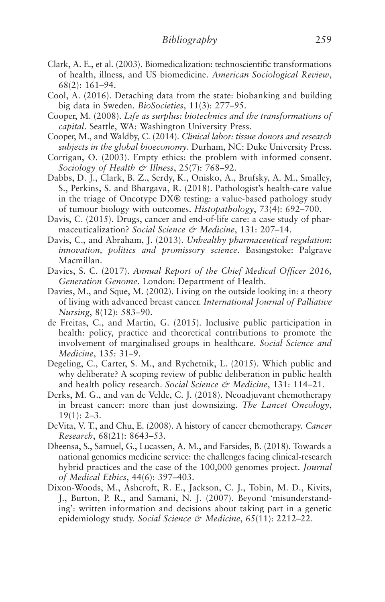- Clark, A. E., et al. (2003). Biomedicalization: technoscientific transformations of health, illness, and US biomedicine. *American Sociological Review*, 68(2): 161–94.
- Cool, A. (2016). Detaching data from the state: biobanking and building big data in Sweden. *BioSocieties*, 11(3): 277–95.
- Cooper, M. (2008). *Life as surplus: biotechnics and the transformations of capital*. Seattle, WA: Washington University Press.
- Cooper, M., and Waldby, C. (2014). *Clinical labor: tissue donors and research subjects in the global bioeconomy*. Durham, NC: Duke University Press.
- Corrigan, O. (2003). Empty ethics: the problem with informed consent. *Sociology of Health & Illness*, 25(7): 768–92.
- Dabbs, D. J., Clark, B. Z., Serdy, K., Onisko, A., Brufsky, A. M., Smalley, S., Perkins, S. and Bhargava, R. (2018). Pathologist's health-care value in the triage of Oncotype DX® testing: a value-based pathology study of tumour biology with outcomes. *Histopathology*, 73(4): 692–700.
- Davis, C. (2015). Drugs, cancer and end-of-life care: a case study of pharmaceuticalization? *Social Science & Medicine*, 131: 207–14.
- Davis, C., and Abraham, J. (2013). *Unhealthy pharmaceutical regulation: innovation, politics and promissory science*. Basingstoke: Palgrave Macmillan.
- Davies, S. C. (2017). *Annual Report of the Chief Medical Officer 2016, Generation Genome*. London: Department of Health.
- Davies, M., and Sque, M. (2002). Living on the outside looking in: a theory of living with advanced breast cancer. *International Journal of Palliative Nursing*, 8(12): 583–90.
- de Freitas, C., and Martin, G. (2015). Inclusive public participation in health: policy, practice and theoretical contributions to promote the involvement of marginalised groups in healthcare. *Social Science and Medicine*, 135: 31–9.
- Degeling, C., Carter, S. M., and Rychetnik, L. (2015). Which public and why deliberate? A scoping review of public deliberation in public health and health policy research. *Social Science & Medicine*, 131: 114–21.
- Derks, M. G., and van de Velde, C. J. (2018). Neoadjuvant chemotherapy in breast cancer: more than just downsizing. *The Lancet Oncology*,  $19(1): 2-3.$
- DeVita, V. T., and Chu, E. (2008). A history of cancer chemotherapy. *Cancer Research*, 68(21): 8643–53.
- Dheensa, S., Samuel, G., Lucassen, A. M., and Farsides, B. (2018). Towards a national genomics medicine service: the challenges facing clinical-research hybrid practices and the case of the 100,000 genomes project. *Journal of Medical Ethics*, 44(6): 397–403.
- Dixon-Woods, M., Ashcroft, R. E., Jackson, C. J., Tobin, M. D., Kivits, J., Burton, P. R., and Samani, N. J. (2007). Beyond 'misunderstanding': written information and decisions about taking part in a genetic epidemiology study. *Social Science & Medicine*, 65(11): 2212–22.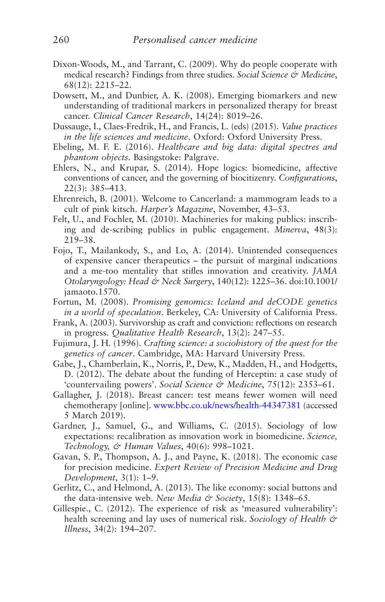- Dixon-Woods, M., and Tarrant, C. (2009). Why do people cooperate with medical research? Findings from three studies. *Social Science & Medicine*, 68(12): 2215–22.
- Dowsett, M., and Dunbier, A. K. (2008). Emerging biomarkers and new understanding of traditional markers in personalized therapy for breast cancer. *Clinical Cancer Research*, 14(24): 8019–26.
- Dussauge, I., Claes-Fredrik, H., and Francis, L. (eds) (2015). *Value practices in the life sciences and medicine*. Oxford: Oxford University Press.
- Ebeling, M. F. E. (2016). *Healthcare and big data: digital spectres and phantom objects*. Basingstoke: Palgrave.
- Ehlers, N., and Krupar, S. (2014). Hope logics: biomedicine, affective conventions of cancer, and the governing of biocitizenry. *Configurations*, 22(3): 385–413.
- Ehrenreich, B. (2001). Welcome to Cancerland: a mammogram leads to a cult of pink kitsch. *Harper's Magazine*, November, 43–53.
- Felt, U., and Fochler, M. (2010). Machineries for making publics: inscribing and de-scribing publics in public engagement. *Minerva*, 48(3): 219–38.
- Fojo, T., Mailankody, S., and Lo, A. (2014). Unintended consequences of expensive cancer therapeutics – the pursuit of marginal indications and a me-too mentality that stifles innovation and creativity. *JAMA Otolaryngology: Head & Neck Surgery*, 140(12): 1225–36. doi:10.1001/ jamaoto.1570.
- Fortun, M. (2008). *Promising genomics: Iceland and deCODE genetics in a world of speculation*. Berkeley, CA: University of California Press.
- Frank, A. (2003). Survivorship as craft and conviction: reflections on research in progress. *Qualitative Health Research*, 13(2): 247–55.
- Fujimura, J. H. (1996). *Crafting science: a sociohistory of the quest for the genetics of cancer*. Cambridge, MA: Harvard University Press.
- Gabe, J., Chamberlain, K., Norris, P., Dew, K., Madden, H., and Hodgetts, D. (2012). The debate about the funding of Herceptin: a case study of 'countervailing powers'. *Social Science & Medicine*, 75(12): 2353–61.
- Gallagher, J. (2018). Breast cancer: test means fewer women will need chemotherapy [online]. [www.bbc.co.uk/news/health-44347381](http://www.bbc.co.uk/news/health-44347381) (accessed 5 March 2019).
- Gardner, J., Samuel, G., and Williams, C. (2015). Sociology of low expectations: recalibration as innovation work in biomedicine. *Science, Technology, & Human Values*, 40(6): 998–1021.
- Gavan, S. P., Thompson, A. J., and Payne, K. (2018). The economic case for precision medicine. *Expert Review of Precision Medicine and Drug Development*, 3(1): 1–9.
- Gerlitz, C., and Helmond, A. (2013). The like economy: social buttons and the data-intensive web. *New Media & Society*, 15(8): 1348–65.
- Gillespie., C. (2012). The experience of risk as 'measured vulnerability': health screening and lay uses of numerical risk. *Sociology of Health & Illness*, 34(2): 194–207.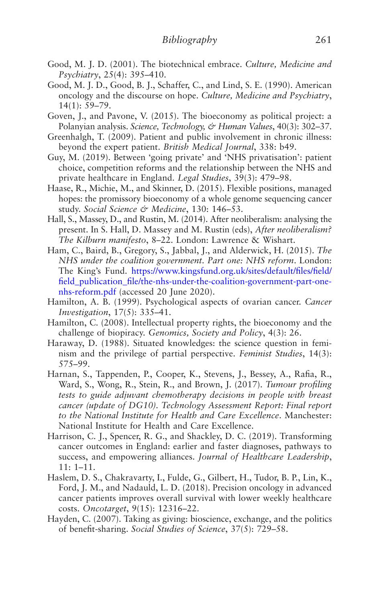- Good, M. J. D. (2001). The biotechnical embrace. *Culture, Medicine and Psychiatry*, 25(4): 395–410.
- Good, M. J. D., Good, B. J., Schaffer, C., and Lind, S. E. (1990). American oncology and the discourse on hope. *Culture, Medicine and Psychiatry*, 14(1): 59–79.
- Goven, J., and Pavone, V. (2015). The bioeconomy as political project: a Polanyian analysis. *Science, Technology, & Human Values*, 40(3): 302–37.
- Greenhalgh, T. (2009). Patient and public involvement in chronic illness: beyond the expert patient. *British Medical Journal*, 338: b49.
- Guy, M. (2019). Between 'going private' and 'NHS privatisation': patient choice, competition reforms and the relationship between the NHS and private healthcare in England. *Legal Studies*, 39(3): 479–98.
- Haase, R., Michie, M., and Skinner, D. (2015). Flexible positions, managed hopes: the promissory bioeconomy of a whole genome sequencing cancer study. *Social Science & Medicine*, 130: 146–53.
- Hall, S., Massey, D., and Rustin, M. (2014). After neoliberalism: analysing the present. In S. Hall, D. Massey and M. Rustin (eds), *After neoliberalism? The Kilburn manifesto*, 8–22. London: Lawrence & Wishart.
- Ham, C., Baird, B., Gregory, S., Jabbal, J., and Alderwick, H. (2015). *The NHS under the coalition government. Part one: NHS reform*. London: The King's Fund. [https://www.kingsfund.org.uk/sites/default/files/field/](https://www.kingsfund.org.uk/sites/default/files/field/field_publication_file/the-nhs-under-the-coalition-government-part-one-nhs-reform.pdf) [field\\_publication\\_file/the-nhs-under-the-coalition-government-part-one](https://www.kingsfund.org.uk/sites/default/files/field/field_publication_file/the-nhs-under-the-coalition-government-part-one-nhs-reform.pdf)[nhs-reform.pdf](https://www.kingsfund.org.uk/sites/default/files/field/field_publication_file/the-nhs-under-the-coalition-government-part-one-nhs-reform.pdf) (accessed 20 June 2020).
- Hamilton, A. B. (1999). Psychological aspects of ovarian cancer. *Cancer Investigation*, 17(5): 335–41.
- Hamilton, C. (2008). Intellectual property rights, the bioeconomy and the challenge of biopiracy. *Genomics, Society and Policy*, 4(3): 26.
- Haraway, D. (1988). Situated knowledges: the science question in feminism and the privilege of partial perspective. *Feminist Studies*, 14(3): 575–99.
- Harnan, S., Tappenden, P., Cooper, K., Stevens, J., Bessey, A., Rafia, R., Ward, S., Wong, R., Stein, R., and Brown, J. (2017). *Tumour profiling tests to guide adjuvant chemotherapy decisions in people with breast cancer (update of DG10). Technology Assessment Report: Final report to the National Institute for Health and Care Excellence*. Manchester: National Institute for Health and Care Excellence.
- Harrison, C. J., Spencer, R. G., and Shackley, D. C. (2019). Transforming cancer outcomes in England: earlier and faster diagnoses, pathways to success, and empowering alliances. *Journal of Healthcare Leadership*, 11: 1–11.
- Haslem, D. S., Chakravarty, I., Fulde, G., Gilbert, H., Tudor, B. P., Lin, K., Ford, J. M., and Nadauld, L. D. (2018). Precision oncology in advanced cancer patients improves overall survival with lower weekly healthcare costs. *Oncotarget*, 9(15): 12316–22.
- Hayden, C. (2007). Taking as giving: bioscience, exchange, and the politics of benefit-sharing. *Social Studies of Science*, 37(5): 729–58.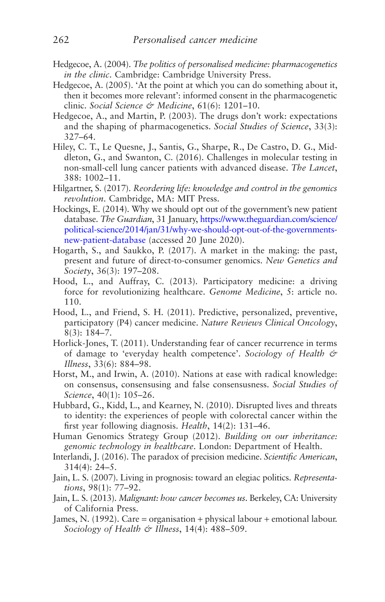- <span id="page-270-0"></span>Hedgecoe, A. (2004). *The politics of personalised medicine: pharmacogenetics in the clinic*. Cambridge: Cambridge University Press.
- Hedgecoe, A. (2005). 'At the point at which you can do something about it, then it becomes more relevant': informed consent in the pharmacogenetic clinic. *Social Science & Medicine*, 61(6): 1201–10.
- Hedgecoe, A., and Martin, P. (2003). The drugs don't work: expectations and the shaping of pharmacogenetics. *Social Studies of Science*, 33(3): 327–64.
- Hiley, C. T., Le Quesne, J., Santis, G., Sharpe, R., De Castro, D. G., Middleton, G., and Swanton, C. (2016). Challenges in molecular testing in non-small-cell lung cancer patients with advanced disease. *The Lancet*, 388: 1002–11.
- Hilgartner, S. (2017). *Reordering life: knowledge and control in the genomics revolution*. Cambridge, MA: MIT Press.
- Hockings, E. (2014). Why we should opt out of the government's new patient database. *The Guardian*, 31 January, [https://www.theguardian.com/science/](https://www.theguardian.com/science/political-science/2014/jan/31/why-we-should-opt-out-of-the-governments-new-patient-database) [political-science/2014/jan/31/why-we-should-opt-out-of-the-governments](https://www.theguardian.com/science/political-science/2014/jan/31/why-we-should-opt-out-of-the-governments-new-patient-database)[new-patient-database](https://www.theguardian.com/science/political-science/2014/jan/31/why-we-should-opt-out-of-the-governments-new-patient-database) (accessed 20 June 2020).
- Hogarth, S., and Saukko, P. (2017). A market in the making: the past, present and future of direct-to-consumer genomics. *New Genetics and Society*, 36(3): 197–208.
- Hood, L., and Auffray, C. (2013). Participatory medicine: a driving force for revolutionizing healthcare. *Genome Medicine*, 5: article no. 110.
- Hood, L., and Friend, S. H. (2011). Predictive, personalized, preventive, participatory (P4) cancer medicine. *Nature Reviews Clinical Oncology*, 8(3): 184–7.
- Horlick-Jones, T. (2011). Understanding fear of cancer recurrence in terms of damage to 'everyday health competence'. *Sociology of Health & Illness*, 33(6): 884–98.
- Horst, M., and Irwin, A. (2010). Nations at ease with radical knowledge: on consensus, consensusing and false consensusness. *Social Studies of Science*, 40(1): 105–26.
- Hubbard, G., Kidd, L., and Kearney, N. (2010). Disrupted lives and threats to identity: the experiences of people with colorectal cancer within the first year following diagnosis. *Health*, 14(2): 131–46.
- Human Genomics Strategy Group (2012). *Building on our inheritance: genomic technology in healthcare*. London: Department of Health.
- Interlandi, J. (2016). The paradox of precision medicine. *Scientific American*, 314(4): 24–5.
- Jain, L. S. (2007). Living in prognosis: toward an elegiac politics. *Representations*, 98(1): 77–92.
- Jain, L. S. (2013). *Malignant: how cancer becomes us*. Berkeley, CA: University of California Press.
- James, N. (1992). Care = organisation + physical labour + emotional labour. *Sociology of Health & Illness*, 14(4): 488–509.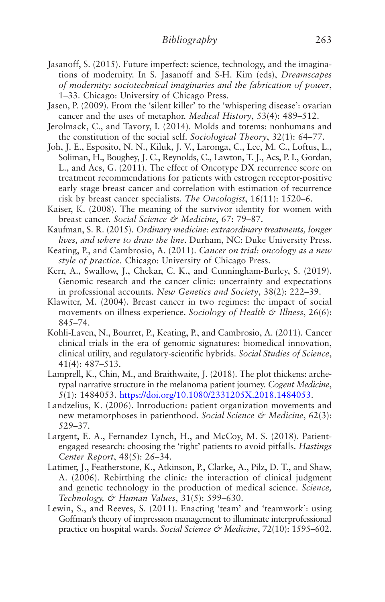- Jasanoff, S. (2015). Future imperfect: science, technology, and the imaginations of modernity. In S. Jasanoff and S-H. Kim (eds), *Dreamscapes of modernity: sociotechnical imaginaries and the fabrication of power*, 1–33. Chicago: University of Chicago Press.
- Jasen, P. (2009). From the 'silent killer' to the 'whispering disease': ovarian cancer and the uses of metaphor. *Medical History*, 53(4): 489–512.
- Jerolmack, C., and Tavory, I. (2014). Molds and totems: nonhumans and the constitution of the social self. *Sociological Theory*, 32(1): 64–77.
- Joh, J. E., Esposito, N. N., Kiluk, J. V., Laronga, C., Lee, M. C., Loftus, L., Soliman, H., Boughey, J. C., Reynolds, C., Lawton, T. J., Acs, P. I., Gordan, L., and Acs, G. (2011). The effect of Oncotype DX recurrence score on treatment recommendations for patients with estrogen receptor-positive early stage breast cancer and correlation with estimation of recurrence risk by breast cancer specialists. *The Oncologist*, 16(11): 1520–6.
- Kaiser, K. (2008). The meaning of the survivor identity for women with breast cancer. *Social Science & Medicine*, 67: 79–87.
- Kaufman, S. R. (2015). *Ordinary medicine: extraordinary treatments, longer lives, and where to draw the line*. Durham, NC: Duke University Press.
- Keating, P., and Cambrosio, A. (2011). *Cancer on trial: oncology as a new style of practice*. Chicago: University of Chicago Press.
- Kerr, A., Swallow, J., Chekar, C. K., and Cunningham-Burley, S. (2019). Genomic research and the cancer clinic: uncertainty and expectations in professional accounts. *New Genetics and Society*, 38(2): 222–39.
- Klawiter, M. (2004). Breast cancer in two regimes: the impact of social movements on illness experience. *Sociology of Health & Illness*, 26(6): 845–74.
- Kohli-Laven, N., Bourret, P., Keating, P., and Cambrosio, A. (2011). Cancer clinical trials in the era of genomic signatures: biomedical innovation, clinical utility, and regulatory-scientific hybrids. *Social Studies of Science*, 41(4): 487–513.
- Lamprell, K., Chin, M., and Braithwaite, J. (2018). The plot thickens: archetypal narrative structure in the melanoma patient journey. *Cogent Medicine*, 5(1): 1484053. <https://doi.org/10.1080/2331205X.2018.1484053>.
- Landzelius, K. (2006). Introduction: patient organization movements and new metamorphoses in patienthood. *Social Science & Medicine*, 62(3): 529–37.
- Largent, E. A., Fernandez Lynch, H., and McCoy, M. S. (2018). Patientengaged research: choosing the 'right' patients to avoid pitfalls. *Hastings Center Report*, 48(5): 26–34.
- Latimer, J., Featherstone, K., Atkinson, P., Clarke, A., Pilz, D. T., and Shaw, A. (2006). Rebirthing the clinic: the interaction of clinical judgment and genetic technology in the production of medical science. *Science, Technology, & Human Values*, 31(5): 599–630.
- Lewin, S., and Reeves, S. (2011). Enacting 'team' and 'teamwork': using Goffman's theory of impression management to illuminate interprofessional practice on hospital wards. *Social Science & Medicine*, 72(10): 1595–602.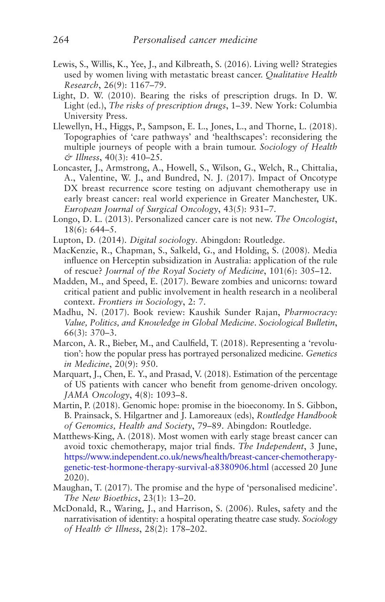- Lewis, S., Willis, K., Yee, J., and Kilbreath, S. (2016). Living well? Strategies used by women living with metastatic breast cancer. *Qualitative Health Research*, 26(9): 1167–79.
- Light, D. W. (2010). Bearing the risks of prescription drugs. In D. W. Light (ed.), *The risks of prescription drugs*, 1–39. New York: Columbia University Press.
- Llewellyn, H., Higgs, P., Sampson, E. L., Jones, L., and Thorne, L. (2018). Topographies of 'care pathways' and 'healthscapes': reconsidering the multiple journeys of people with a brain tumour. *Sociology of Health & Illness*, 40(3): 410–25.
- Loncaster, J., Armstrong, A., Howell, S., Wilson, G., Welch, R., Chittalia, A., Valentine, W. J., and Bundred, N. J. (2017). Impact of Oncotype DX breast recurrence score testing on adjuvant chemotherapy use in early breast cancer: real world experience in Greater Manchester, UK. *European Journal of Surgical Oncology*, 43(5): 931–7.
- Longo, D. L. (2013). Personalized cancer care is not new. *The Oncologist*, 18(6): 644–5.
- Lupton, D. (2014). *Digital sociology*. Abingdon: Routledge.
- MacKenzie, R., Chapman, S., Salkeld, G., and Holding, S. (2008). Media influence on Herceptin subsidization in Australia: application of the rule of rescue? *Journal of the Royal Society of Medicine*, 101(6): 305–12.
- Madden, M., and Speed, E. (2017). Beware zombies and unicorns: toward critical patient and public involvement in health research in a neoliberal context. *Frontiers in Sociology*, 2: 7.
- Madhu, N. (2017). Book review: Kaushik Sunder Rajan, *Pharmocracy: Value, Politics, and Knowledge in Global Medicine*. *Sociological Bulletin*, 66(3): 370–3.
- Marcon, A. R., Bieber, M., and Caulfield, T. (2018). Representing a 'revolution': how the popular press has portrayed personalized medicine. *Genetics in Medicine*, 20(9): 950.
- Marquart, J., Chen, E. Y., and Prasad, V. (2018). Estimation of the percentage of US patients with cancer who benefit from genome-driven oncology. *JAMA Oncology*, 4(8): 1093–8.
- Martin, P. (2018). Genomic hope: promise in the bioeconomy. In S. Gibbon, B. Prainsack, S. Hilgartner and J. Lamoreaux (eds), *Routledge Handbook of Genomics, Health and Society*, 79–89. Abingdon: Routledge.
- Matthews-King, A. (2018). Most women with early stage breast cancer can avoid toxic chemotherapy, major trial finds. *The Independent*, 3 June, [https://www.independent.co.uk/news/health/breast-cancer-chemotherapy](https://www.independent.co.uk/news/health/breast-cancer-chemotherapy-genetic-test-hormone-therapy-survival-a8380906.html)[genetic-test-hormone-therapy-survival-a8380906.html](https://www.independent.co.uk/news/health/breast-cancer-chemotherapy-genetic-test-hormone-therapy-survival-a8380906.html) (accessed 20 June 2020).
- Maughan, T. (2017). The promise and the hype of 'personalised medicine'. *The New Bioethics*, 23(1): 13–20.
- McDonald, R., Waring, J., and Harrison, S. (2006). Rules, safety and the narrativisation of identity: a hospital operating theatre case study. *Sociology of Health & Illness*, 28(2): 178–202.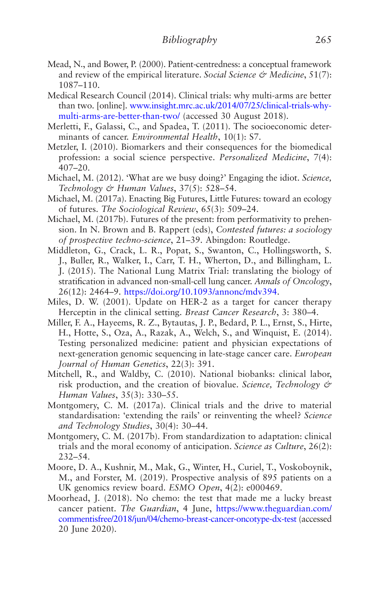- Mead, N., and Bower, P. (2000). Patient-centredness: a conceptual framework and review of the empirical literature. *Social Science & Medicine*, 51(7): 1087–110.
- Medical Research Council (2014). Clinical trials: why multi-arms are better than two. [online]. [www.insight.mrc.ac.uk/2014/07/25/clinical-trials-why](http://www.insight.mrc.ac.uk/2014/07/25/clinical-trials-why-multi-arms-are-better-than-two/)[multi-arms-are-better-than-two/](http://www.insight.mrc.ac.uk/2014/07/25/clinical-trials-why-multi-arms-are-better-than-two/) (accessed 30 August 2018).
- Merletti, F., Galassi, C., and Spadea, T. (2011). The socioeconomic determinants of cancer. *Environmental Health*, 10(1): S7.
- Metzler, I. (2010). Biomarkers and their consequences for the biomedical profession: a social science perspective. *Personalized Medicine*, 7(4): 407–20.
- Michael, M. (2012). 'What are we busy doing?' Engaging the idiot. *Science, Technology & Human Values*, 37(5): 528–54.
- Michael, M. (2017a). Enacting Big Futures, Little Futures: toward an ecology of futures. *The Sociological Review*, 65(3): 509–24.
- Michael, M. (2017b). Futures of the present: from performativity to prehension. In N. Brown and B. Rappert (eds), *Contested futures: a sociology of prospective techno-science*, 21–39. Abingdon: Routledge.
- Middleton, G., Crack, L. R., Popat, S., Swanton, C., Hollingsworth, S. J., Buller, R., Walker, I., Carr, T. H., Wherton, D., and Billingham, L. J. (2015). The National Lung Matrix Trial: translating the biology of stratification in advanced non-small-cell lung cancer. *Annals of Oncology*, 26(12): 2464–9. [https://doi.org/10.1093/annonc/mdv394.](https://doi.org/10.1093/annonc/mdv394)
- Miles, D. W. (2001). Update on HER-2 as a target for cancer therapy Herceptin in the clinical setting. *Breast Cancer Research*, 3: 380–4.
- Miller, F. A., Hayeems, R. Z., Bytautas, J. P., Bedard, P. L., Ernst, S., Hirte, H., Hotte, S., Oza, A., Razak, A., Welch, S., and Winquist, E. (2014). Testing personalized medicine: patient and physician expectations of next-generation genomic sequencing in late-stage cancer care. *European Journal of Human Genetics*, 22(3): 391.
- Mitchell, R., and Waldby, C. (2010). National biobanks: clinical labor, risk production, and the creation of biovalue. *Science, Technology & Human Values*, 35(3): 330–55.
- Montgomery, C. M. (2017a). Clinical trials and the drive to material standardisation: 'extending the rails' or reinventing the wheel? *Science and Technology Studies*, 30(4): 30–44.
- Montgomery, C. M. (2017b). From standardization to adaptation: clinical trials and the moral economy of anticipation. *Science as Culture*, 26(2): 232–54.
- Moore, D. A., Kushnir, M., Mak, G., Winter, H., Curiel, T., Voskoboynik, M., and Forster, M. (2019). Prospective analysis of 895 patients on a UK genomics review board. *ESMO Open*, 4(2): e000469.
- Moorhead, J. (2018). No chemo: the test that made me a lucky breast cancer patient. *The Guardian*, 4 June, [https://www.theguardian.com/](https://www.theguardian.com/commentisfree/2018/jun/04/chemo-breast-cancer-oncotype-dx-test) [commentisfree/2018/jun/04/chemo-breast-cancer-oncotype-dx-test](https://www.theguardian.com/commentisfree/2018/jun/04/chemo-breast-cancer-oncotype-dx-test) (accessed 20 June 2020).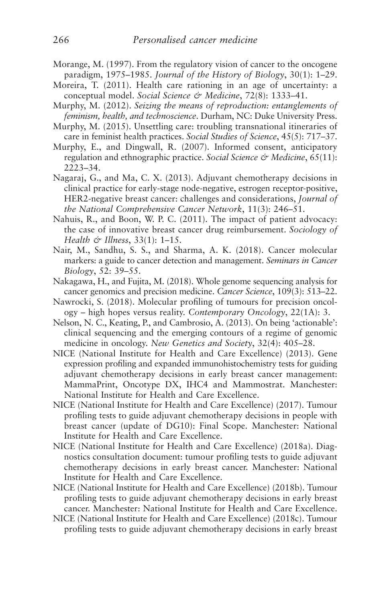- Morange, M. (1997). From the regulatory vision of cancer to the oncogene paradigm, 1975–1985. *Journal of the History of Biology*, 30(1): 1–29.
- Moreira, T. (2011). Health care rationing in an age of uncertainty: a conceptual model. *Social Science & Medicine*, 72(8): 1333–41.
- Murphy, M. (2012). *Seizing the means of reproduction: entanglements of feminism, health, and technoscience*. Durham, NC: Duke University Press.
- Murphy, M. (2015). Unsettling care: troubling transnational itineraries of care in feminist health practices. *Social Studies of Science*, 45(5): 717–37.
- Murphy, E., and Dingwall, R. (2007). Informed consent, anticipatory regulation and ethnographic practice. *Social Science & Medicine*, 65(11): 2223–34.
- Nagaraj, G., and Ma, C. X. (2013). Adjuvant chemotherapy decisions in clinical practice for early-stage node-negative, estrogen receptor-positive, HER2-negative breast cancer: challenges and considerations, *Journal of the National Comprehensive Cancer Network*, 11(3): 246–51.
- Nahuis, R., and Boon, W. P. C. (2011). The impact of patient advocacy: the case of innovative breast cancer drug reimbursement. *Sociology of Health & Illness*, 33(1): 1–15.
- Nair, M., Sandhu, S. S., and Sharma, A. K. (2018). Cancer molecular markers: a guide to cancer detection and management. *Seminars in Cancer Biology*, 52: 39–55.
- Nakagawa, H., and Fujita, M. (2018). Whole genome sequencing analysis for cancer genomics and precision medicine. *Cancer Science*, 109(3): 513–22.
- Nawrocki, S. (2018). Molecular profiling of tumours for precision oncology – high hopes versus reality. *Contemporary Oncology*, 22(1A): 3.
- Nelson, N. C., Keating, P., and Cambrosio, A. (2013). On being 'actionable': clinical sequencing and the emerging contours of a regime of genomic medicine in oncology. *New Genetics and Society*, 32(4): 405–28.
- NICE (National Institute for Health and Care Excellence) (2013). Gene expression profiling and expanded immunohistochemistry tests for guiding adjuvant chemotherapy decisions in early breast cancer management: MammaPrint, Oncotype DX, IHC4 and Mammostrat. Manchester: National Institute for Health and Care Excellence.
- NICE (National Institute for Health and Care Excellence) (2017). Tumour profiling tests to guide adjuvant chemotherapy decisions in people with breast cancer (update of DG10): Final Scope. Manchester: National Institute for Health and Care Excellence.
- NICE (National Institute for Health and Care Excellence) (2018a). Diagnostics consultation document: tumour profiling tests to guide adjuvant chemotherapy decisions in early breast cancer. Manchester: National Institute for Health and Care Excellence.
- NICE (National Institute for Health and Care Excellence) (2018b). Tumour profiling tests to guide adjuvant chemotherapy decisions in early breast cancer. Manchester: National Institute for Health and Care Excellence.
- NICE (National Institute for Health and Care Excellence) (2018c). Tumour profiling tests to guide adjuvant chemotherapy decisions in early breast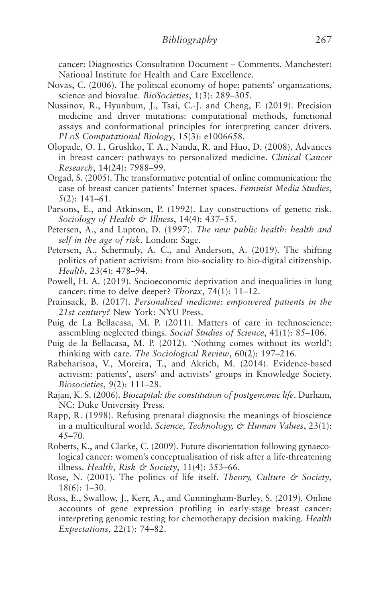<span id="page-275-0"></span>cancer: Diagnostics Consultation Document – Comments. Manchester: National Institute for Health and Care Excellence.

- Novas, C. (2006). The political economy of hope: patients' organizations, science and biovalue. *BioSocieties*, 1(3): 289–305.
- Nussinov, R., Hyunbum, J., Tsai, C.-J. and Cheng, F. (2019). Precision medicine and driver mutations: computational methods, functional assays and conformational principles for interpreting cancer drivers. *PLoS Computational Biology*, 15(3): e1006658.
- Olopade, O. I., Grushko, T. A., Nanda, R. and Huo, D. (2008). Advances in breast cancer: pathways to personalized medicine. *Clinical Cancer Research*, 14(24): 7988–99.
- Orgad, S. (2005). The transformative potential of online communication: the case of breast cancer patients' Internet spaces. *Feminist Media Studies*, 5(2): 141–61.
- Parsons, E., and Atkinson, P. (1992). Lay constructions of genetic risk. *Sociology of Health & Illness*, 14(4): 437–55.
- Petersen, A., and Lupton, D. (1997). *The new public health: health and self in the age of risk*. London: Sage.
- Petersen, A., Schermuly, A. C., and Anderson, A. (2019). The shifting politics of patient activism: from bio-sociality to bio-digital citizenship. *Health*, 23(4): 478–94.
- Powell, H. A. (2019). Socioeconomic deprivation and inequalities in lung cancer: time to delve deeper? *Thorax*, 74(1): 11–12.
- Prainsack, B. (2017). *Personalized medicine: empowered patients in the 21st century?* New York: NYU Press.
- Puig de La Bellacasa, M. P. (2011). Matters of care in technoscience: assembling neglected things. *Social Studies of Science*, 41(1): 85–106.
- Puig de la Bellacasa, M. P. (2012). 'Nothing comes without its world': thinking with care. *The Sociological Review*, 60(2): 197–216.
- Rabeharisoa, V., Moreira, T., and Akrich, M. (2014). Evidence-based activism: patients', users' and activists' groups in Knowledge Society. *Biosocieties*, 9(2): 111–28.
- Rajan, K. S. (2006). *Biocapital: the constitution of postgenomic life*. Durham, NC: Duke University Press.
- Rapp, R. (1998). Refusing prenatal diagnosis: the meanings of bioscience in a multicultural world. *Science, Technology, & Human Values*, 23(1):  $45 - 70.$
- Roberts, K., and Clarke, C. (2009). Future disorientation following gynaecological cancer: women's conceptualisation of risk after a life-threatening illness. *Health, Risk & Society*, 11(4): 353–66.
- Rose, N. (2001). The politics of life itself. *Theory, Culture & Society*, 18(6): 1–30.
- Ross, E., Swallow, J., Kerr, A., and Cunningham-Burley, S. (2019). Online accounts of gene expression profiling in early-stage breast cancer: interpreting genomic testing for chemotherapy decision making. *Health Expectations*, 22(1): 74–82.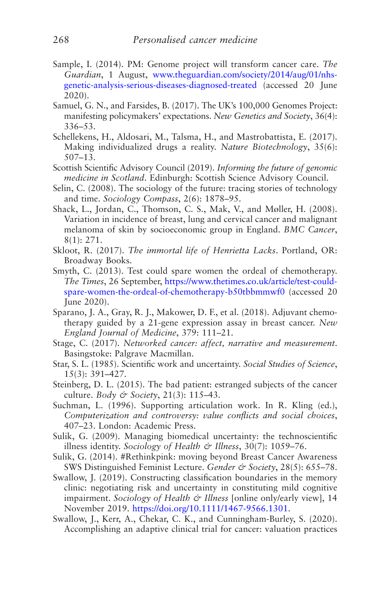- <span id="page-276-0"></span>Sample, I. (2014). PM: Genome project will transform cancer care. *The Guardian*, 1 August, [www.theguardian.com/society/2014/aug/01/nhs](http://www.theguardian.com/society/2014/aug/01/nhs-genetic-analysis-serious-diseases-diagnosed-treated)[genetic-analysis-serious-diseases-diagnosed-treated](http://www.theguardian.com/society/2014/aug/01/nhs-genetic-analysis-serious-diseases-diagnosed-treated) (accessed 20 June 2020).
- Samuel, G. N., and Farsides, B. (2017). The UK's 100,000 Genomes Project: manifesting policymakers' expectations. *New Genetics and Society*, 36(4): 336–53.
- Schellekens, H., Aldosari, M., Talsma, H., and Mastrobattista, E. (2017). Making individualized drugs a reality. *Nature Biotechnology*, 35(6): 507–13.
- Scottish Scientific Advisory Council (2019). *Informing the future of genomic medicine in Scotland*. Edinburgh: Scottish Science Advisory Council.
- Selin, C. (2008). The sociology of the future: tracing stories of technology and time. *Sociology Compass*, 2(6): 1878–95.
- Shack, L., Jordan, C., Thomson, C. S., Mak, V., and Møller, H. (2008). Variation in incidence of breast, lung and cervical cancer and malignant melanoma of skin by socioeconomic group in England. *BMC Cancer*, 8(1): 271.
- Skloot, R. (2017). *The immortal life of Henrietta Lacks*. Portland, OR: Broadway Books.
- Smyth, C. (2013). Test could spare women the ordeal of chemotherapy. *The Times*, 26 September, [https://www.thetimes.co.uk/article/test-could](https://www.thetimes.co.uk/article/test-could-spare-women-the-ordeal-of-chemotherapy-b50tbbmmwf0)[spare-women-the-ordeal-of-chemotherapy-b50tbbmmwf0](https://www.thetimes.co.uk/article/test-could-spare-women-the-ordeal-of-chemotherapy-b50tbbmmwf0) (accessed 20 June 2020).
- Sparano, J. A., Gray, R. J., Makower, D. F., et al. (2018). Adjuvant chemotherapy guided by a 21-gene expression assay in breast cancer. *New England Journal of Medicine*, 379: 111–21.
- Stage, C. (2017). *Networked cancer: affect, narrative and measurement*. Basingstoke: Palgrave Macmillan.
- Star, S. L. (1985). Scientific work and uncertainty. *Social Studies of Science*, 15(3): 391–427.
- Steinberg, D. L. (2015). The bad patient: estranged subjects of the cancer culture. *Body & Society*, 21(3): 115–43.
- Suchman, L. (1996). Supporting articulation work. In R. Kling (ed.), *Computerization and controversy: value conflicts and social choices*, 407–23. London: Academic Press.
- Sulik, G. (2009). Managing biomedical uncertainty: the technoscientific illness identity. *Sociology of Health & Illness*, 30(7): 1059–76.
- Sulik, G. (2014). #Rethinkpink: moving beyond Breast Cancer Awareness SWS Distinguished Feminist Lecture. *Gender & Society*, 28(5): 655-78.
- Swallow, J. (2019). Constructing classification boundaries in the memory clinic: negotiating risk and uncertainty in constituting mild cognitive impairment. *Sociology of Health & Illness* [online only/early view], 14 November 2019. [https://doi.org/10.1111/1467-9566.1301.](https://doi.org/10.1111/1467-9566.1301)
- Swallow, J., Kerr, A., Chekar, C. K., and Cunningham-Burley, S. (2020). Accomplishing an adaptive clinical trial for cancer: valuation practices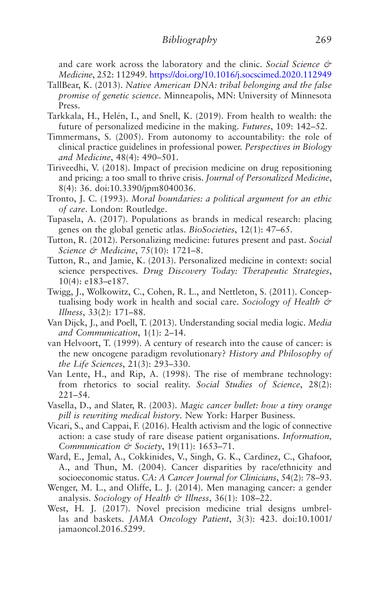and care work across the laboratory and the clinic. *Social Science & Medicine*, 252: 112949.<https://doi.org/10.1016/j.socscimed.2020.112949>

- TallBear, K. (2013). *Native American DNA: tribal belonging and the false promise of genetic science*. Minneapolis, MN: University of Minnesota Press.
- Tarkkala, H., Helén, I., and Snell, K. (2019). From health to wealth: the future of personalized medicine in the making. *Futures*, 109: 142–52.
- Timmermans, S. (2005). From autonomy to accountability: the role of clinical practice guidelines in professional power. *Perspectives in Biology and Medicine*, 48(4): 490–501.
- Tiriveedhi, V. (2018). Impact of precision medicine on drug repositioning and pricing: a too small to thrive crisis. *Journal of Personalized Medicine*, 8(4): 36. doi:10.3390/jpm8040036.
- Tronto, J. C. (1993). *Moral boundaries: a political argument for an ethic of care*. London: Routledge.
- Tupasela, A. (2017). Populations as brands in medical research: placing genes on the global genetic atlas. *BioSocieties*, 12(1): 47–65.
- Tutton, R. (2012). Personalizing medicine: futures present and past. *Social Science & Medicine*, 75(10): 1721–8.
- Tutton, R., and Jamie, K. (2013). Personalized medicine in context: social science perspectives. *Drug Discovery Today: Therapeutic Strategies*, 10(4): e183–e187.
- Twigg, J., Wolkowitz, C., Cohen, R. L., and Nettleton, S. (2011). Conceptualising body work in health and social care. *Sociology of Health & Illness*, 33(2): 171–88.
- Van Dijck, J., and Poell, T. (2013). Understanding social media logic. *Media and Communication*, 1(1): 2–14.
- van Helvoort, T. (1999). A century of research into the cause of cancer: is the new oncogene paradigm revolutionary? *History and Philosophy of the Life Sciences*, 21(3): 293–330.
- Van Lente, H., and Rip, A. (1998). The rise of membrane technology: from rhetorics to social reality. *Social Studies of Science*, 28(2): 221–54.
- Vasella, D., and Slater, R. (2003). *Magic cancer bullet: how a tiny orange pill is rewriting medical history*. New York: Harper Business.
- Vicari, S., and Cappai, F. (2016). Health activism and the logic of connective action: a case study of rare disease patient organisations. *Information, Communication & Society*, 19(11): 1653–71.
- Ward, E., Jemal, A., Cokkinides, V., Singh, G. K., Cardinez, C., Ghafoor, A., and Thun, M. (2004). Cancer disparities by race/ethnicity and socioeconomic status. *CA: A Cancer Journal for Clinicians*, 54(2): 78–93.
- Wenger, M. L., and Oliffe, L. J. (2014). Men managing cancer: a gender analysis. *Sociology of Health & Illness*, 36(1): 108–22.
- West, H. J. (2017). Novel precision medicine trial designs umbrellas and baskets. *JAMA Oncology Patient*, 3(3): 423. doi:10.1001/ jamaoncol.2016.5299.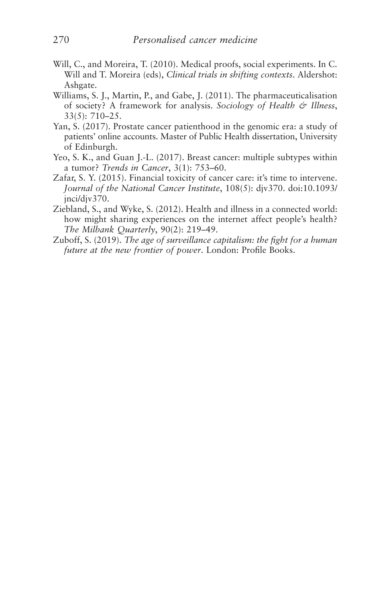- Will, C., and Moreira, T. (2010). Medical proofs, social experiments. In C. Will and T. Moreira (eds), *Clinical trials in shifting contexts*. Aldershot: Ashgate.
- Williams, S. J., Martin, P., and Gabe, J. (2011). The pharmaceuticalisation of society? A framework for analysis. *Sociology of Health & Illness*, 33(5): 710–25.
- Yan, S. (2017). Prostate cancer patienthood in the genomic era: a study of patients' online accounts. Master of Public Health dissertation, University of Edinburgh.
- Yeo, S. K., and Guan J.-L. (2017). Breast cancer: multiple subtypes within a tumor? *Trends in Cancer*, 3(1): 753–60.
- Zafar, S. Y. (2015). Financial toxicity of cancer care: it's time to intervene. *Journal of the National Cancer Institute*, 108(5): djv370. doi:10.1093/ jnci/djv370.
- Ziebland, S., and Wyke, S. (2012). Health and illness in a connected world: how might sharing experiences on the internet affect people's health? *The Milbank Quarterly*, 90(2): 219–49.
- Zuboff, S. (2019). *The age of surveillance capitalism: the fight for a human future at the new frontier of power*. London: Profile Books.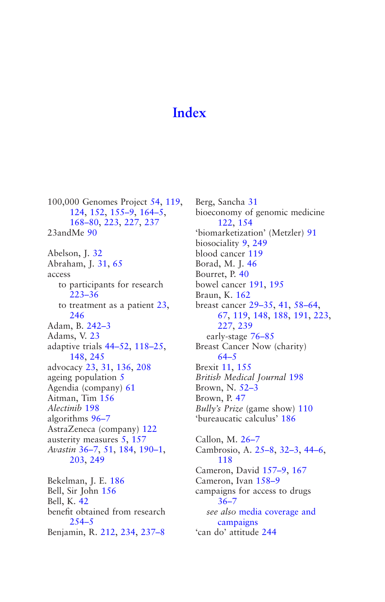# **[Index](#page-5-0)**

100,000 Genomes Project [54,](#page-62-0) [119](#page-127-0), [124,](#page-132-0) [152](#page-160-0), [155–9](#page-163-0), [164–5](#page-172-0), [168–80](#page-176-0), [223,](#page-231-0) [227](#page-235-0), [237](#page-245-0) 23andMe [90](#page-98-0) Abelson, J. [32](#page-40-0) Abraham, J. [31](#page-39-0), [65](#page-73-0) access to participants for research [223–36](#page-231-0) to treatment as a patient [23,](#page-31-0) [246](#page-254-0) Adam, B. [242–3](#page-250-0) Adams, V. [23](#page-31-0) adaptive trials [44–52](#page-52-0), [118–25](#page-126-0), [148,](#page-156-0) [245](#page-253-0) advocacy [23](#page-31-0), [31,](#page-39-0) [136](#page-144-0), [208](#page-216-0) ageing population [5](#page-13-0) Agendia (company) [61](#page-69-0) Aitman, Tim [156](#page-164-0) *Alectinib* [198](#page-206-0) algorithms [96–7](#page-104-0) AstraZeneca (company) [122](#page-130-0) austerity measures [5](#page-13-0), [157](#page-165-0) *Avastin* [36–7,](#page-44-0) [51](#page-59-0), [184,](#page-192-0) [190–1,](#page-198-0) [203,](#page-211-0) [249](#page-257-0)

Bekelman, J. E. [186](#page-194-0) Bell, Sir John [156](#page-164-0) Bell, K. [42](#page-50-0) benefit obtained from research [254–5](#page-262-0) Benjamin, R. [212](#page-220-0), [234,](#page-242-0) [237–8](#page-245-0) Berg, Sancha [31](#page-39-0) bioeconomy of genomic medicine [122](#page-130-0), [154](#page-162-0) 'biomarketization' (Metzler) [91](#page-99-0) biosociality [9](#page-17-0), [249](#page-257-0) blood cancer [119](#page-127-0) Borad, M. J. [46](#page-54-0) Bourret, P. [40](#page-48-0) bowel cancer [191](#page-199-0), [195](#page-203-0) Braun, K. [162](#page-170-0) breast cancer [29–35,](#page-37-0) [41](#page-49-0), [58–64](#page-66-0), [67](#page-75-0), [119,](#page-127-0) [148](#page-156-0), [188,](#page-196-0) [191,](#page-199-0) [223](#page-231-0), [227](#page-235-0), [239](#page-247-0) early-stage [76–85](#page-84-0) Breast Cancer Now (charity) [64–5](#page-72-0) Brexit [11](#page-19-0), [155](#page-163-0) *British Medical Journal* [198](#page-206-0) Brown, N. [52–3](#page-60-0) Brown, P. [47](#page-55-0) *Bully's Prize* (game show) [110](#page-118-0) 'bureaucatic calculus' [186](#page-194-0) Callon, M. [26–7](#page-34-0) Cambrosio, A. [25–8,](#page-33-0) [32–3,](#page-40-0) [44–6,](#page-52-0) [118](#page-126-0) Cameron, David [157–9](#page-165-0), [167](#page-175-0) Cameron, Ivan [158–9](#page-166-0)

campaigns for access to drugs [36–7](#page-44-0) *see also* [media coverage and](#page-282-0)  [campaigns](#page-282-0) 'can do' attitude [244](#page-252-0)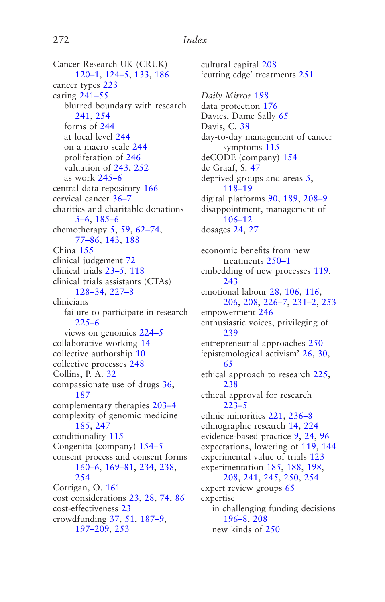#### <span id="page-280-0"></span>272 *Index*

Cancer Research UK (CRUK) [120–1](#page-128-0), [124–5](#page-132-0), [133,](#page-141-0) [186](#page-194-0) cancer types [223](#page-231-0) caring [241–55](#page-249-0) blurred boundary with research [241,](#page-249-0) [254](#page-262-0) forms of [244](#page-252-0) at local level [244](#page-252-0) on a macro scale [244](#page-252-0) proliferation of [246](#page-254-0) valuation of [243,](#page-251-0) [252](#page-260-0) as work [245–6](#page-253-0) central data repository [166](#page-174-0) cervical cancer [36–7](#page-44-0) charities and charitable donations [5–6](#page-13-0), [185–6](#page-193-0) chemotherapy [5,](#page-13-0) [59](#page-67-0), [62–74](#page-70-0), [77–86](#page-85-0), [143,](#page-151-0) [188](#page-196-0) China [155](#page-163-0) clinical judgement [72](#page-80-0) clinical trials [23–5](#page-31-0), [118](#page-126-0) clinical trials assistants (CTAs) [128–34](#page-136-0), [227–8](#page-235-0) clinicians failure to participate in research [225–6](#page-233-0) views on genomics [224–5](#page-232-0) collaborative working [14](#page-22-0) collective authorship [10](#page-18-0) collective processes [248](#page-256-0) Collins, P. A. [32](#page-40-0) compassionate use of drugs [36,](#page-44-0) [187](#page-195-0) complementary therapies [203–4](#page-211-0) complexity of genomic medicine [185,](#page-193-0) [247](#page-255-0) conditionality [115](#page-123-0) Congenita (company) [154–5](#page-162-0) consent process and consent forms [160–6](#page-168-0), [169–81](#page-177-0), [234,](#page-242-0) [238](#page-246-0), [254](#page-262-0) Corrigan, O. [161](#page-169-0) cost considerations [23](#page-31-0), [28,](#page-36-0) [74](#page-82-0), [86](#page-94-0) cost-effectiveness [23](#page-31-0) crowdfunding [37](#page-45-0), [51,](#page-59-0) [187–9,](#page-195-0) [197–209](#page-205-0), [253](#page-261-0)

cultural capital [208](#page-216-0) 'cutting edge' treatments [251](#page-259-0) *Daily Mirror* [198](#page-206-0) data protection [176](#page-184-0) Davies, Dame Sally [65](#page-73-0) Davis, C. [38](#page-46-0) day-to-day management of cancer symptoms [115](#page-123-0) deCODE (company) [154](#page-162-0) de Graaf, S. [47](#page-55-0) deprived groups and areas [5,](#page-13-0) [118–19](#page-126-0) digital platforms [90](#page-98-0), [189,](#page-197-0) [208–9](#page-216-0) disappointment, management of [106–12](#page-114-0) dosages [24](#page-32-0), [27](#page-35-0)

economic benefits from new treatments [250–1](#page-258-0) embedding of new processes [119,](#page-127-0) [243](#page-251-0) emotional labour [28](#page-36-0), [106](#page-114-0), [116,](#page-124-0) [206,](#page-214-0) [208](#page-216-0), [226–7,](#page-234-0) [231–2,](#page-239-0) [253](#page-261-0) empowerment [246](#page-254-0) enthusiastic voices, privileging of [239](#page-247-0) entrepreneurial approaches [250](#page-258-0) 'epistemological activism' [26](#page-34-0), [30,](#page-38-0) [65](#page-73-0) ethical approach to research [225](#page-233-0), [238](#page-246-0) ethical approval for research [223–5](#page-231-0) ethnic minorities [221,](#page-229-0) [236–8](#page-244-0) ethnographic research [14](#page-22-0), [224](#page-232-0) evidence-based practice [9,](#page-17-0) [24](#page-32-0), [96](#page-104-0) expectations, lowering of [119](#page-127-0), [144](#page-152-0) experimental value of trials [123](#page-131-0) experimentation [185,](#page-193-0) [188](#page-196-0), [198,](#page-206-0) [208](#page-216-0), [241,](#page-249-0) [245](#page-253-0), [250,](#page-258-0) [254](#page-262-0) expert review groups [65](#page-73-0) expertise in challenging funding decisions [196–8,](#page-204-0) [208](#page-216-0) new kinds of [250](#page-258-0)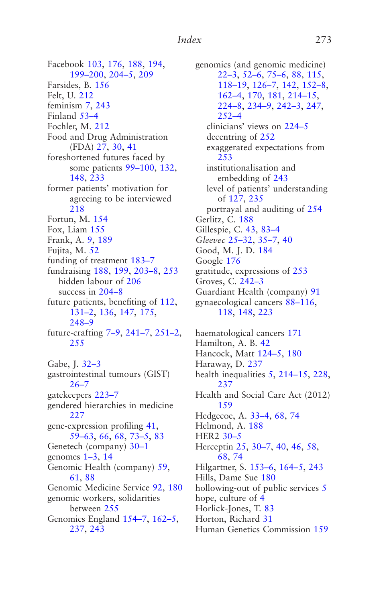<span id="page-281-0"></span>Facebook [103,](#page-111-0) [176](#page-184-0), [188,](#page-196-0) [194](#page-202-0), [199–200](#page-207-0), [204–5](#page-212-0), [209](#page-217-0) Farsides, B. [156](#page-164-0) Felt, U. [212](#page-220-0) feminism [7,](#page-15-0) [243](#page-251-0) Finland [53–4](#page-61-0) Fochler, M. [212](#page-220-0) Food and Drug Administration (FDA) [27](#page-35-0), [30,](#page-38-0) [41](#page-49-0) foreshortened futures faced by some patients [99–100,](#page-107-0) [132](#page-140-0), [148,](#page-156-0) [233](#page-241-0) former patients' motivation for agreeing to be interviewed [218](#page-226-0) Fortun, M. [154](#page-162-0) Fox, Liam [155](#page-163-0) Frank, A. [9,](#page-17-0) [189](#page-197-0) Fujita, M. [52](#page-60-0) funding of treatment [183–7](#page-191-0) fundraising [188](#page-196-0), [199,](#page-207-0) [203–8,](#page-211-0) [253](#page-261-0) hidden labour of [206](#page-214-0) success in [204–8](#page-212-0) future patients, benefiting of [112,](#page-120-0) [131–2](#page-139-0), [136,](#page-144-0) [147](#page-155-0), [175,](#page-183-0) [248–9](#page-256-0) future-crafting [7–9](#page-15-0), [241–7](#page-249-0), [251–2](#page-259-0), [255](#page-263-0) Gabe, J. [32–3](#page-40-0) gastrointestinal tumours (GIST)  $26 - 7$ gatekeepers [223–7](#page-231-0) gendered hierarchies in medicine [227](#page-235-0) gene-expression profiling [41,](#page-49-0)

[59–63](#page-67-0), [66,](#page-74-0) [68](#page-76-0), [73–5](#page-81-0), [83](#page-91-0) Genetech (company) [30–1](#page-38-0) genomes [1–3](#page-9-0), [14](#page-22-0) Genomic Health (company) [59](#page-67-0), [61,](#page-69-0) [88](#page-96-0) Genomic Medicine Service [92](#page-100-0), [180](#page-188-0) genomic workers, solidarities between [255](#page-263-0) Genomics England [154–7](#page-162-0), [162–5](#page-170-0), [237,](#page-245-0) [243](#page-251-0)

genomics (and genomic medicine) [22–3,](#page-30-0) [52–6,](#page-60-0) [75–6,](#page-83-0) [88](#page-96-0), [115](#page-123-0), [118–19,](#page-126-0) [126–7,](#page-134-0) [142](#page-150-0), [152–8,](#page-160-0) [162–4,](#page-170-0) [170](#page-178-0), [181,](#page-189-0) [214–15](#page-222-0), [224–8,](#page-232-0) [234–9,](#page-242-0) [242–3,](#page-250-0) [247,](#page-255-0) [252–4](#page-260-0) clinicians' views on [224–5](#page-232-0) decentring of [252](#page-260-0) exaggerated expectations from [253](#page-261-0) institutionalisation and embedding of [243](#page-251-0) level of patients' understanding of [127](#page-135-0), [235](#page-243-0) portrayal and auditing of [254](#page-262-0) Gerlitz, C. [188](#page-196-0) Gillespie, C. [43,](#page-51-0) [83–4](#page-91-0) *Gleevec* [25–32,](#page-33-0) [35–7,](#page-43-0) [40](#page-48-0) Good, M. J. D. [184](#page-192-0) Google [176](#page-184-0) gratitude, expressions of [253](#page-261-0) Groves, C. [242–3](#page-250-0) Guardiant Health (company) [91](#page-99-0) gynaecological cancers [88–116,](#page-96-0) [118](#page-126-0), [148,](#page-156-0) [223](#page-231-0)

haematological cancers [171](#page-179-0) Hamilton, A. B. [42](#page-50-0) Hancock, Matt [124–5](#page-132-0), [180](#page-188-0) Haraway, D. [237](#page-245-0) health inequalities [5,](#page-13-0) [214–15,](#page-222-0) [228](#page-236-0), [237](#page-245-0) Health and Social Care Act (2012) [159](#page-167-0) Hedgecoe, A. [33–4,](#page-41-0) [68](#page-76-0), [74](#page-82-0) Helmond, A. [188](#page-196-0) HER2 [30–5](#page-38-0) Herceptin [25](#page-33-0), [30–7](#page-38-0), [40,](#page-48-0) [46](#page-54-0), [58,](#page-66-0) [68](#page-76-0), [74](#page-82-0) Hilgartner, S. [153–6](#page-161-0), [164–5](#page-172-0), [243](#page-251-0) Hills, Dame Sue [180](#page-188-0) hollowing-out of public services [5](#page-13-0) hope, culture of [4](#page-12-0) Horlick-Jones, T. [83](#page-91-0) Horton, Richard [31](#page-39-0) Human Genetics Commission [159](#page-167-0)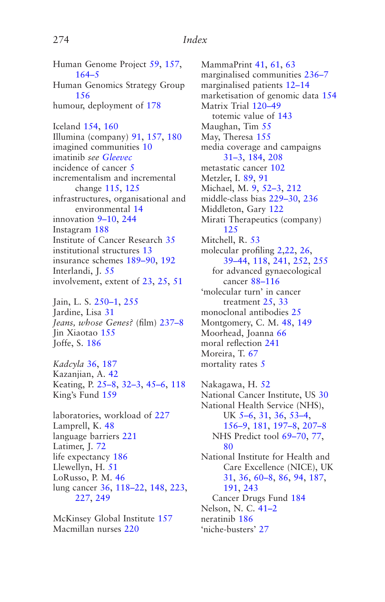<span id="page-282-0"></span>Human Genome Project [59,](#page-67-0) [157](#page-165-0), [164–5](#page-172-0) Human Genomics Strategy Group [156](#page-164-0) humour, deployment of [178](#page-186-0)

Iceland [154,](#page-162-0) [160](#page-168-0) Illumina (company) [91,](#page-99-0) [157](#page-165-0), [180](#page-188-0) imagined communities [10](#page-18-0) imatinib *see [Gleevec](#page-281-0)* incidence of cancer [5](#page-13-0) incrementalism and incremental change [115,](#page-123-0) [125](#page-133-0) infrastructures, organisational and environmental [14](#page-22-0) innovation [9–10](#page-17-0), [244](#page-252-0) Instagram [188](#page-196-0) Institute of Cancer Research [35](#page-43-0) institutional structures [13](#page-21-0) insurance schemes [189–90,](#page-197-0) [192](#page-200-0) Interlandi, J. [55](#page-63-0) involvement, extent of [23,](#page-31-0) [25](#page-33-0), [51](#page-59-0)

Jain, L. S. [250–1](#page-258-0), [255](#page-263-0) Jardine, Lisa [31](#page-39-0) *Jeans, whose Genes?* (film) [237–8](#page-245-0) Jin Xiaotao [155](#page-163-0) Joffe, S. [186](#page-194-0)

*Kadcyla* [36](#page-44-0), [187](#page-195-0) Kazanjian, A. [42](#page-50-0) Keating, P. [25–8](#page-33-0), [32–3](#page-40-0), [45–6](#page-53-0), [118](#page-126-0) King's Fund [159](#page-167-0)

laboratories, workload of [227](#page-235-0) Lamprell, K. [48](#page-56-0) language barriers [221](#page-229-0) Latimer, J. [72](#page-80-0) life expectancy [186](#page-194-0) Llewellyn, H. [51](#page-59-0) LoRusso, P. M. [46](#page-54-0) lung cancer [36,](#page-44-0) [118–22,](#page-126-0) [148](#page-156-0), [223,](#page-231-0) [227,](#page-235-0) [249](#page-257-0)

McKinsey Global Institute [157](#page-165-0) Macmillan nurses [220](#page-228-0)

MammaPrint [41](#page-49-0), [61,](#page-69-0) [63](#page-71-0) marginalised communities [236–7](#page-244-0) marginalised patients [12–14](#page-20-0) marketisation of genomic data [154](#page-162-0) Matrix Trial [120–49](#page-128-0) totemic value of [143](#page-151-0) Maughan, Tim [55](#page-63-0) May, Theresa [155](#page-163-0) media coverage and campaigns [31–3,](#page-39-0) [184](#page-192-0), [208](#page-216-0) metastatic cancer [102](#page-110-0) Metzler, I. [89](#page-97-0), [91](#page-99-0) Michael, M. [9,](#page-17-0) [52–3,](#page-60-0) [212](#page-220-0) middle-class bias [229–30,](#page-237-0) [236](#page-244-0) Middleton, Gary [122](#page-130-0) Mirati Therapeutics (company) [125](#page-133-0) Mitchell, R. [53](#page-61-0) molecular profiling [2](#page-10-0)[,22](#page-30-0), [26,](#page-34-0) [39–44,](#page-47-0) [118](#page-126-0), [241,](#page-249-0) [252](#page-260-0), [255](#page-263-0) for advanced gynaecological cancer [88–116](#page-96-0) 'molecular turn' in cancer treatment [25,](#page-33-0) [33](#page-41-0) monoclonal antibodies [25](#page-33-0) Montgomery, C. M. [48,](#page-56-0) [149](#page-157-0) Moorhead, Joanna [66](#page-74-0) moral reflection [241](#page-249-0) Moreira, T. [67](#page-75-0) mortality rates [5](#page-13-0)

Nakagawa, H. [52](#page-60-0) National Cancer Institute, US [30](#page-38-0) National Health Service (NHS), UK [5–6,](#page-13-0) [31](#page-39-0), [36,](#page-44-0) [53–4,](#page-61-0) [156–9,](#page-164-0) [181](#page-189-0), [197–8](#page-205-0), [207–8](#page-215-0) NHS Predict tool [69–70](#page-77-0), [77,](#page-85-0) [80](#page-88-0) National Institute for Health and Care Excellence (NICE), UK [31](#page-39-0), [36,](#page-44-0) [60–8,](#page-68-0) [86](#page-94-0), [94,](#page-102-0) [187](#page-195-0), [191](#page-199-0), [243](#page-251-0) Cancer Drugs Fund [184](#page-192-0) Nelson, N. C. [41–2](#page-49-0) neratinib [186](#page-194-0) 'niche-busters' [27](#page-35-0)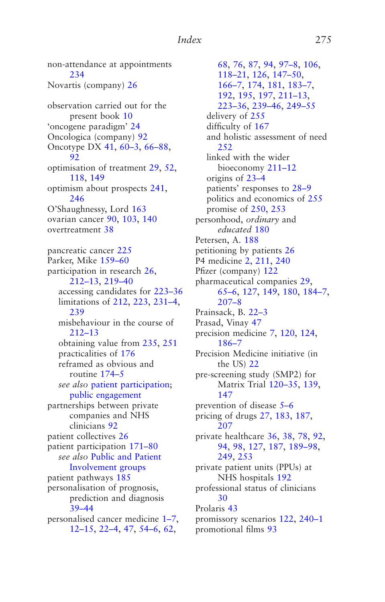[234](#page-242-0) Novartis (company) [26](#page-34-0) observation carried out for the present book [10](#page-18-0) 'oncogene paradigm' [24](#page-32-0) Oncologica (company) [92](#page-100-0) Oncotype DX [41](#page-49-0), [60–3](#page-68-0), [66–88](#page-74-0), [92](#page-100-0) optimisation of treatment [29,](#page-37-0) [52](#page-60-0), [118,](#page-126-0) [149](#page-157-0) optimism about prospects [241,](#page-249-0) [246](#page-254-0) O'Shaughnessy, Lord [163](#page-171-0) ovarian cancer [90,](#page-98-0) [103](#page-111-0), [140](#page-148-0) overtreatment [38](#page-46-0) pancreatic cancer [225](#page-233-0) Parker, Mike [159–60](#page-167-0) participation in research [26,](#page-34-0) [212–13](#page-220-0), [219–40](#page-227-0) accessing candidates for [223–36](#page-231-0) limitations of [212,](#page-220-0) [223,](#page-231-0) [231–4,](#page-239-0) [239](#page-247-0) misbehaviour in the course of [212–13](#page-220-0) obtaining value from [235,](#page-243-0) [251](#page-259-0) practicalities of [176](#page-184-0) reframed as obvious and routine [174–5](#page-182-0) *see also* patient participation; [public engagement](#page-284-0) partnerships between private companies and NHS clinicians [92](#page-100-0) patient collectives [26](#page-34-0) patient participation [171–80](#page-179-0) *see also* [Public and Patient](#page-284-0)  [Involvement groups](#page-284-0) patient pathways [185](#page-193-0) personalisation of prognosis, prediction and diagnosis [39–44](#page-47-0) personalised cancer medicine [1–7](#page-9-0), [12–15](#page-20-0), [22–4](#page-30-0), [47,](#page-55-0) [54–6,](#page-62-0) [62](#page-70-0),

<span id="page-283-0"></span>non-attendance at appointments

[68](#page-76-0), [76,](#page-84-0) [87](#page-95-0), [94,](#page-102-0) [97–8,](#page-105-0) [106,](#page-114-0) [118–21,](#page-126-0) [126](#page-134-0), [147–50](#page-155-0), [166–7,](#page-174-0) [174](#page-182-0), [181,](#page-189-0) [183–7,](#page-191-0) [192](#page-200-0), [195,](#page-203-0) [197](#page-205-0), [211–13](#page-219-0), [223–36,](#page-231-0) [239–46,](#page-247-0) [249–55](#page-257-0) delivery of [255](#page-263-0) difficulty of [167](#page-175-0) and holistic assessment of need [252](#page-260-0) linked with the wider bioeconomy [211–12](#page-219-0) origins of [23–4](#page-31-0) patients' responses to [28–9](#page-36-0) politics and economics of [255](#page-263-0) promise of [250](#page-258-0), [253](#page-261-0) personhood, *ordinary* and *educated* [180](#page-188-0) Petersen, A. [188](#page-196-0) petitioning by patients [26](#page-34-0) P4 medicine [2](#page-10-0), [211,](#page-219-0) [240](#page-248-0) Pfizer (company) [122](#page-130-0) pharmaceutical companies [29](#page-37-0), [65–6,](#page-73-0) [127](#page-135-0), [149,](#page-157-0) [180](#page-188-0), [184–7,](#page-192-0) [207–8](#page-215-0) Prainsack, B. [22–3](#page-30-0) Prasad, Vinay [47](#page-55-0) precision medicine [7](#page-15-0), [120,](#page-128-0) [124](#page-132-0), [186–7](#page-194-0) Precision Medicine initiative (in the US) [22](#page-30-0) pre-screening study (SMP2) for Matrix Trial [120–35,](#page-128-0) [139](#page-147-0), [147](#page-155-0) prevention of disease [5–6](#page-13-0) pricing of drugs [27](#page-35-0), [183,](#page-191-0) [187](#page-195-0), [207](#page-215-0) private healthcare [36,](#page-44-0) [38](#page-46-0), [78,](#page-86-0) [92](#page-100-0), [94](#page-102-0), [98,](#page-106-0) [127](#page-135-0), [187,](#page-195-0) [189–98,](#page-197-0) [249](#page-257-0), [253](#page-261-0) private patient units (PPUs) at NHS hospitals [192](#page-200-0) professional status of clinicians [30](#page-38-0) Prolaris [43](#page-51-0) promissory scenarios [122,](#page-130-0) [240–1](#page-248-0) promotional films [93](#page-101-0)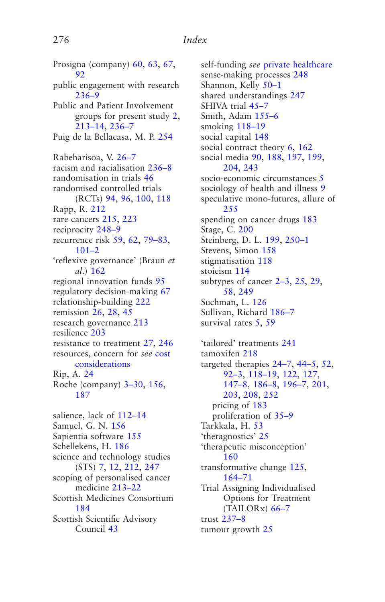<span id="page-284-0"></span>Prosigna (company) [60,](#page-68-0) [63](#page-71-0), [67,](#page-75-0) [92](#page-100-0) public engagement with research [236–9](#page-244-0) Public and Patient Involvement groups for present study [2,](#page-10-0) [213–14](#page-221-0), [236–7](#page-244-0) Puig de la Bellacasa, M. P. [254](#page-262-0) Rabeharisoa, V. [26–7](#page-34-0) racism and racialisation [236–8](#page-244-0) randomisation in trials [46](#page-54-0) randomised controlled trials (RCTs) [94](#page-102-0), [96,](#page-104-0) [100](#page-108-0), [118](#page-126-0) Rapp, R. [212](#page-220-0) rare cancers [215,](#page-223-0) [223](#page-231-0) reciprocity [248–9](#page-256-0) recurrence risk [59,](#page-67-0) [62](#page-70-0), [79–83](#page-87-0), [101–2](#page-109-0) 'reflexive governance' (Braun *et al*.) [162](#page-170-0) regional innovation funds [95](#page-103-0) regulatory decision-making [67](#page-75-0) relationship-building [222](#page-230-0) remission [26,](#page-34-0) [28](#page-36-0), [45](#page-53-0) research governance [213](#page-221-0) resilience [203](#page-211-0) resistance to treatment [27,](#page-35-0) [246](#page-254-0) resources, concern for *see* [cost](#page-280-0)  [considerations](#page-280-0) Rip, A. [24](#page-32-0) Roche (company) [3–30](#page-11-0), [156,](#page-164-0) [187](#page-195-0) salience, lack of [112–14](#page-120-0) Samuel, G. N. [156](#page-164-0) Sapientia software [155](#page-163-0) Schellekens, H. [186](#page-194-0) science and technology studies (STS) [7,](#page-15-0) [12](#page-20-0), [212,](#page-220-0) [247](#page-255-0) scoping of personalised cancer medicine [213–22](#page-221-0) Scottish Medicines Consortium [184](#page-192-0) Scottish Scientific Advisory Council [43](#page-51-0)

self-funding *see* [private healthcare](#page-283-0) sense-making processes [248](#page-256-0) Shannon, Kelly [50–1](#page-58-0) shared understandings [247](#page-255-0) SHIVA trial 45-7 Smith, Adam [155–6](#page-163-0) smoking [118–19](#page-126-0) social capital [148](#page-156-0) social contract theory [6](#page-14-0), [162](#page-170-0) social media [90,](#page-98-0) [188](#page-196-0), [197,](#page-205-0) [199](#page-207-0), [204](#page-212-0), [243](#page-251-0) socio-economic circumstances [5](#page-13-0) sociology of health and illness [9](#page-17-0) speculative mono-futures, allure of [255](#page-263-0) spending on cancer drugs [183](#page-191-0) Stage, C. [200](#page-208-0) Steinberg, D. L. [199](#page-207-0), [250–1](#page-258-0) Stevens, Simon [158](#page-166-0) stigmatisation [118](#page-126-0) stoicism [114](#page-122-0) subtypes of cancer [2–3](#page-10-0), [25,](#page-33-0) [29](#page-37-0), [58](#page-66-0), [249](#page-257-0) Suchman, L. [126](#page-134-0) Sullivan, Richard [186–7](#page-194-0) survival rates [5](#page-13-0), [59](#page-67-0) 'tailored' treatments [241](#page-249-0) tamoxifen [218](#page-226-0) targeted therapies [24–7](#page-32-0), [44–5](#page-52-0), [52,](#page-60-0) [92–3,](#page-100-0) [118–19,](#page-126-0) [122](#page-130-0), [127,](#page-135-0) [147–8,](#page-155-0) [186–8,](#page-194-0) [196–7,](#page-204-0) [201](#page-209-0), [203](#page-211-0), [208,](#page-216-0) [252](#page-260-0) pricing of [183](#page-191-0) proliferation of [35–9](#page-43-0) Tarkkala, H. [53](#page-61-0) 'theragnostics' [25](#page-33-0) 'therapeutic misconception' [160](#page-168-0) transformative change [125](#page-133-0), [164–71](#page-172-0) Trial Assigning Individualised Options for Treatment (TAILORx) [66–7](#page-74-0) trust [237–8](#page-245-0) tumour growth [25](#page-33-0)